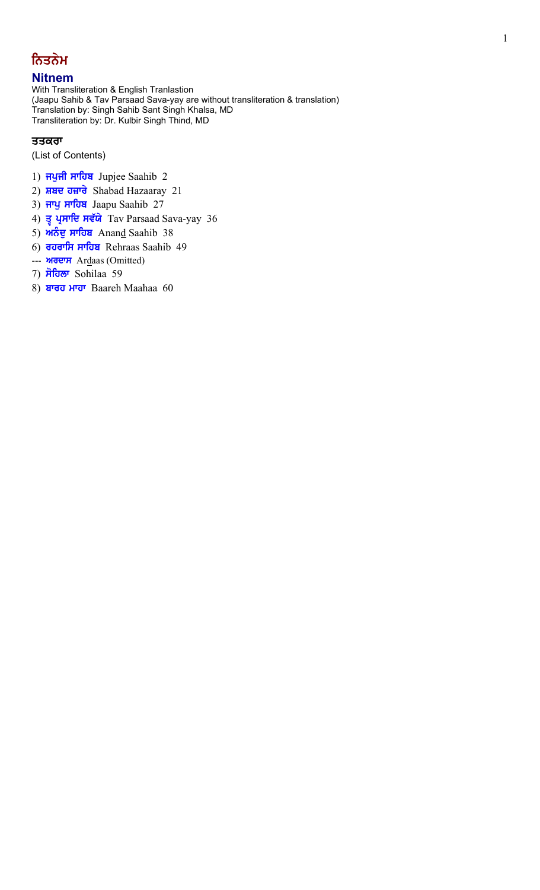# ਨਿਤਨੇਮ

# **Nitnem**

With Transliteration & English Tranlastion (Jaapu Sahib & Tav Parsaad Sava-yay are without transliteration & translation) Translation by: Singh Sahib Sant Singh Khalsa, MD Transliteration by: Dr. Kulbir Singh Thind, MD

# ਤਤਕਰਾ

(List of Contents)

- 1) **ਜਪੁਜੀ ਸਾਹਿਬ** Jupjee Saahib 2
- 2) ਸ਼ਬਦ ਹਜ਼ਾਰੇ Shabad Hazaaray 21
- 3) ਜਾਪੁ ਸਾਹਿਬ Jaapu Saahib 27
- 4) ਤ੍ਰ ਪ੍ਰਸਾਦਿ ਸਵੱਯੇ Tav Parsaad Sava-yay 36
- 5) ਅਨੰਦੂ ਸਾਹਿਬ Anand Saahib 38
- 6) **ਰਹਰਾਸਿ ਸਾਹਿਬ** Rehraas Saahib 49
- --- **изетн** Ardaas (Omitted)
- 7) ਸੋਹਿਲਾ Sohilaa 59
- 8) ਬਾਰਹ ਮਾਹਾ Baareh Maahaa 60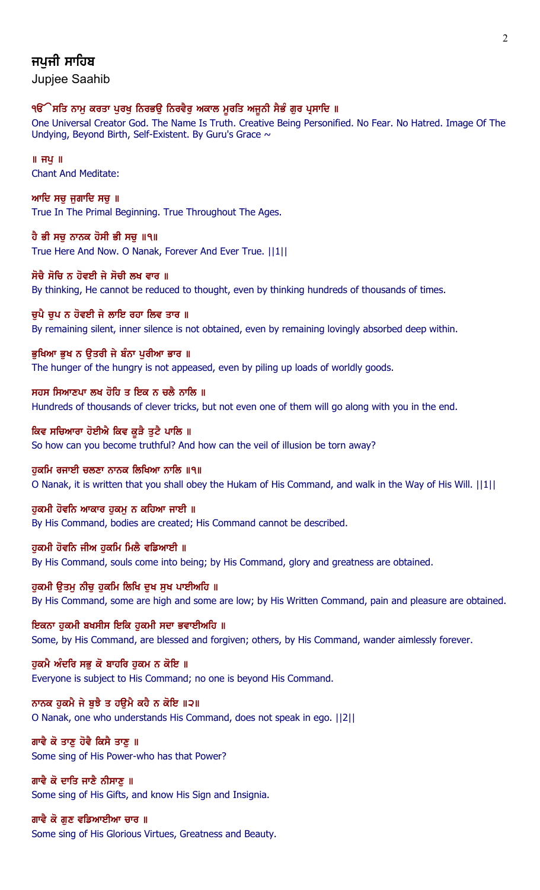# ਜਪਜੀ ਸਾਹਿਬ

Jupjee Saahib

## ੧ੳੱੇਸਤਿ ਨਾਮੂ ਕਰਤਾ ਪੂਰਖੂ ਨਿਰਭਉ ਨਿਰਵੈਰੂ ਅਕਾਲ ਮੁਰਤਿ ਅਜੂਨੀ ਸੈਭੰ ਗੁਰ ਪ੍ਰਸਾਦਿ ॥

One Universal Creator God. The Name Is Truth. Creative Being Personified. No Fear. No Hatred. Image Of The Undying, Beyond Birth, Self-Existent. By Guru's Grace  $\sim$ 

 $\parallel$  ਜਪ $\parallel$ Chant And Meditate:

ਆਦਿ ਸਚ ਜਗਾਦਿ ਸਚ $\,$ ॥ True In The Primal Beginning. True Throughout The Ages.

ਹੈ ਭੀ ਸਚੂ ਨਾਨਕ ਹੋਸੀ ਭੀ ਸਚੂ ॥੧॥ True Here And Now. O Nanak, Forever And Ever True. ||1||

ਸੋਚੈ ਸੋਚਿ ਨ ਹੋਵਈ ਜੇ ਸੋਚੀ ਲਖ ਵਾਰ ॥ By thinking, He cannot be reduced to thought, even by thinking hundreds of thousands of times.

ਚਪੈ ਚਪ ਨ ਹੋਵਈ ਜੇ ਲਾਇ ਰਹਾ ਲਿਵ ਤਾਰ ॥ By remaining silent, inner silence is not obtained, even by remaining lovingly absorbed deep within.

ਭੁਖਿਆ ਭੁਖ ਨ ਉਤਰੀ ਜੇ ਬੰਨਾ ਪੁਰੀਆ ਭਾਰ ॥ The hunger of the hungry is not appeased, even by piling up loads of worldly goods.

ਸਹਸ ਸਿਆਣਪਾ ਲਖ ਹੋਹਿ ਤ ਇਕ ਨ ਚਲੈ ਨਾਲਿ ॥ Hundreds of thousands of clever tricks, but not even one of them will go along with you in the end.

ਕਿਵ ਸਚਿਆਰਾ ਹੋਈਐ ਕਿਵ ਕੁੜੈ ਤੁਟੈ ਪਾਲਿ ॥ So how can you become truthful? And how can the veil of illusion be torn away?

ਹੁਕਮਿ ਰਜਾਈ ਚਲਣਾ ਨਾਨਕ ਲਿਖਿਆ ਨਾਲਿ ॥੧॥ O Nanak, it is written that you shall obey the Hukam of His Command, and walk in the Way of His Will. ||1||

ਹੁਕਮੀ ਹੋਵਨਿ ਆਕਾਰ ਹੁਕਮੁ ਨ ਕਹਿਆ ਜਾਈ ॥ By His Command, bodies are created; His Command cannot be described.

ਹਕਮੀ ਹੋਵਨਿ ਜੀਅ ਹਕਮਿ ਮਿਲੈ ਵਡਿਆਈ ॥ By His Command, souls come into being; by His Command, glory and greatness are obtained.

ਹੁਕਮੀ ਉਤਮੂ ਨੀਚੂ ਹੁਕਮਿ ਲਿਖਿ ਦੁਖ ਸੁਖ ਪਾਈਅਹਿ ॥ By His Command, some are high and some are low; by His Written Command, pain and pleasure are obtained.

ਇਕਨਾ ਹੁਕਮੀ ਬਖਸੀਸ ਇਕਿ ਹੁਕਮੀ ਸਦਾ ਭਵਾਈਅਹਿ ॥ Some, by His Command, are blessed and forgiven; others, by His Command, wander aimlessly forever.

ਹਕਮੈ ਅੰਦਰਿ ਸਭ ਕੋ ਬਾਹਰਿ ਹਕਮ ਨ ਕੋਇ ॥ Everyone is subject to His Command; no one is beyond His Command.

ਨਾਨਕ ਹੁਕਮੈ ਜੇ ਬੁਝੈ ਤ ਹਉਮੈ ਕਹੈ ਨ ਕੋਇ ॥੨॥ O Nanak, one who understands His Command, does not speak in ego. ||2||

ਗਾਵੈ ਕੋ ਤਾਣ ਹੋਵੈ ਕਿਸੈ ਤਾਣ ॥ Some sing of His Power-who has that Power?

ਗਾਵੈ ਕੋ ਦਾਤਿ ਜਾਣੈ ਨੀਸਾਣੂ ॥ Some sing of His Gifts, and know His Sign and Insignia.

ਗਾਵੈ ਕੋ ਗੁਣ ਵਡਿਆਈਆ ਚਾਰ ॥ Some sing of His Glorious Virtues, Greatness and Beauty.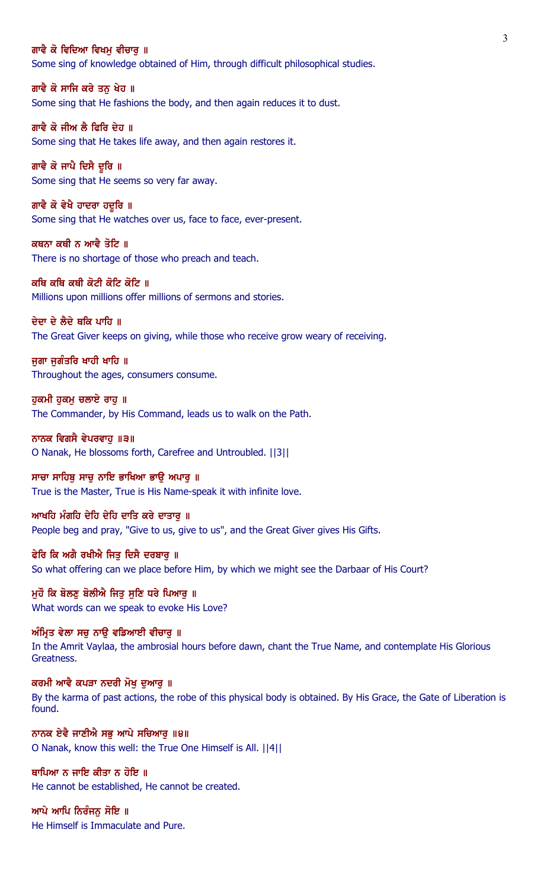#### ਗਾਵੈ ਕੋ ਵਿਦਿਆ ਵਿਖਮ ਵੀਚਾਰ ॥

Some sing of knowledge obtained of Him, through difficult philosophical studies.

ਗਾਵੈ ਕੋ ਸਾਜਿ ਕਰੇ ਤਨ ਖੇਹ ॥ Some sing that He fashions the body, and then again reduces it to dust.

ਗਾਵੈ ਕੋ ਜੀਅ ਲੈ ਫਿਰਿ ਦੇਹ ॥ Some sing that He takes life away, and then again restores it.

ਗਾਵੈ ਕੋ ਜਾਪੈ ਦਿਸੈ ਦੁਰਿ ॥ Some sing that He seems so very far away.

ਗਾਵੈ ਕੋ ਵੇਖੈ ਹਾਦਰਾ ਹਦੁਰਿ ॥ Some sing that He watches over us, face to face, ever-present.

ਕਥਨਾ ਕਥੀ ਨ ਆਵੈ ਤੋਟਿ ॥ There is no shortage of those who preach and teach.

ਕਥਿ ਕਥਿ ਕਥੀ ਕੋਟੀ ਕੋਟਿ ਕੋਟਿ ॥ Millions upon millions offer millions of sermons and stories.

ਦੇਦਾ ਦੇ ਲੈਦੇ ਥਕਿ ਪਾਹਿ ॥

The Great Giver keeps on giving, while those who receive grow weary of receiving.

ਜੁਗਾ ਜੁਗੰਤਰਿ ਖਾਹੀ ਖਾਹਿ ॥ Throughout the ages, consumers consume.

ਹਕਮੀ ਹਕਮ ਚਲਾਏ ਰਾਹ ॥ The Commander, by His Command, leads us to walk on the Path.

ਨਾਨਕ ਵਿਗਸੈ ਵੇਪਰਵਾਹੁ ॥੩॥ O Nanak, He blossoms forth, Carefree and Untroubled. ||3||

ਸਾਚਾ ਸਾਹਿਬੁ ਸਾਚੁ ਨਾਇ ਭਾਖਿਆ ਭਾਉ ਅਪਾਰੁ ॥ True is the Master, True is His Name-speak it with infinite love.

ਆਖਹਿ ਮੰਗਹਿ ਦੇਹਿ ਦੇਹਿ ਦਾਤਿ ਕਰੇ ਦਾਤਾਰ ॥ People beg and pray, "Give to us, give to us", and the Great Giver gives His Gifts.

ਫੇਰਿ ਕਿ ਅਗੈ ਰਖੀਐ ਜਿਤੂ ਦਿਸੈ ਦਰਬਾਰੂ ॥ So what offering can we place before Him, by which we might see the Darbaar of His Court?

ਮਹੌ ਕਿ ਬੋਲਣ ਬੋਲੀਐ ਜਿਤ ਸਣਿ ਧਰੇ ਪਿਆਰ ॥ What words can we speak to evoke His Love?

ਅੰਮ੍ਰਿਤ ਵੇਲਾ ਸਚੁ ਨਾਉ ਵਡਿਆਈ ਵੀਚਾਰੁ ॥ In the Amrit Vaylaa, the ambrosial hours before dawn, chant the True Name, and contemplate His Glorious Greatness.

ਕਰਮੀ ਆਵੈ ਕਪੜਾ ਨਦਰੀ ਮੋਖ ਦਆਰ ॥ By the karma of past actions, the robe of this physical body is obtained. By His Grace, the Gate of Liberation is found.

ਨਾਨਕ ਏਵੈ ਜਾਣੀਐ ਸਭੁ ਆਪੇ ਸਚਿਆਰੁ ॥੪॥ O Nanak, know this well: the True One Himself is All. ||4||

ਥਾਪਿਆ ਨ ਜਾਇ ਕੀਤਾ ਨ ਹੋਇ ॥ He cannot be established, He cannot be created.

ਆਪੇ ਆਪਿ ਨਿਰੰਜਨੁ ਸੋਇ ॥ He Himself is Immaculate and Pure.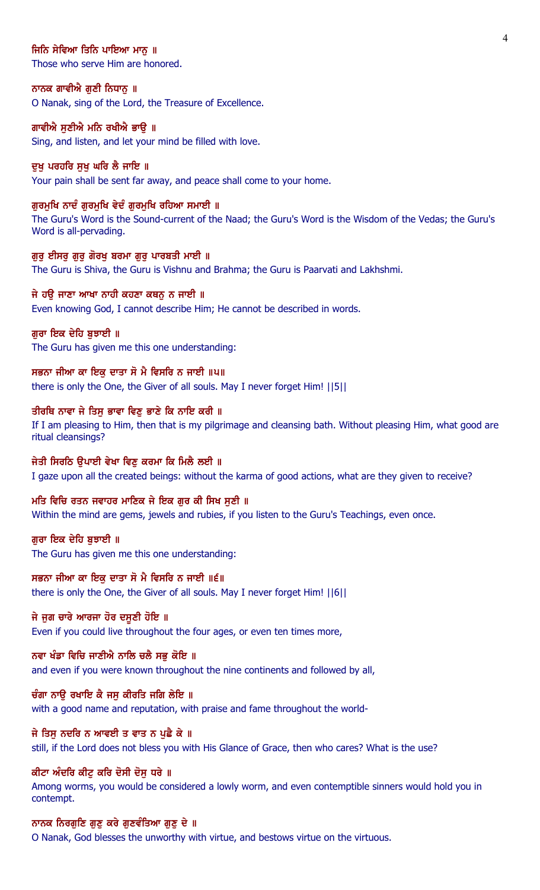## ਜਿਨਿ ਸੇਵਿਆ ਤਿਨਿ ਪਾਇਆ ਮਾਨ ॥

Those who serve Him are honored.

#### ਨਾਨਕ ਗਾਵੀਐ ਗੁਣੀ ਨਿਧਾਨੂ ॥

O Nanak, sing of the Lord, the Treasure of Excellence.

#### ਗਾਵੀਐ ਸਣੀਐ ਮਨਿ ਰਖੀਐ ਭਾੳ ॥

Sing, and listen, and let your mind be filled with love.

#### ਦਖ ਪਰਹਰਿ ਸਖ ਘਰਿ ਲੈ ਜਾਇ ॥

Your pain shall be sent far away, and peace shall come to your home.

#### ਗੁਰਮੁਖਿ ਨਾਦੰ ਗੁਰਮੁਖਿ ਵੇਦੰ ਗੁਰਮੁਖਿ ਰਹਿਆ ਸਮਾਈ ॥

The Guru's Word is the Sound-current of the Naad; the Guru's Word is the Wisdom of the Vedas; the Guru's Word is all-pervading.

#### ਗੁਰੂ ਈਸਰੂ ਗੁਰੂ ਗੋਰਖੂ ਬਰਮਾ ਗੁਰੂ ਪਾਰਬਤੀ ਮਾਈ ॥

The Guru is Shiva, the Guru is Vishnu and Brahma; the Guru is Paarvati and Lakhshmi.

## ਜੇ ਹਉ ਜਾਣਾ ਆਖਾ ਨਾਹੀ ਕਹਣਾ ਕਥਨੂ ਨ ਜਾਈ ॥

Even knowing God, I cannot describe Him; He cannot be described in words.

### ਗਰਾ ਇਕ ਦੇਹਿ ਬਝਾਈ ॥

The Guru has given me this one understanding:

### ਸਭਨਾ ਜੀਆ ਕਾ ਇਕੁ ਦਾਤਾ ਸੋ ਮੈ ਵਿਸਰਿ ਨ ਜਾਈ ॥੫॥

there is only the One, the Giver of all souls. May I never forget Him! ||5||

#### ਤੀਰਥਿ ਨਾਵਾ ਜੇ ਤਿਸੁ ਭਾਵਾ ਵਿਣੁ ਭਾਣੇ ਕਿ ਨਾਇ ਕਰੀ ॥

If I am pleasing to Him, then that is my pilgrimage and cleansing bath. Without pleasing Him, what good are ritual cleansings?

## ਜੇਤੀ ਸਿਰਠਿ ੳਪਾਈ ਵੇਖਾ ਵਿਣ ਕਰਮਾ ਕਿ ਮਿਲੈ ਲਈ ॥

I gaze upon all the created beings: without the karma of good actions, what are they given to receive?

#### ਮਤਿ ਵਿਚਿ ਰਤਨ ਜਵਾਹਰ ਮਾਣਿਕ ਜੇ ਇਕ ਗੁਰ ਕੀ ਸਿਖ ਸੁਣੀ ॥

Within the mind are gems, jewels and rubies, if you listen to the Guru's Teachings, even once.

#### ਗੁਰਾ ਇਕ ਦੇਹਿ ਬੁਝਾਈ ॥

The Guru has given me this one understanding:

## ਸਭਨਾ ਜੀਆ ਕਾ ਇਕ ਦਾਤਾ ਸੋ ਮੈ ਵਿਸਰਿ ਨ ਜਾਈ ॥੬॥

there is only the One, the Giver of all souls. May I never forget Him! ||6||

## ਜੇ ਜੁਗ ਚਾਰੇ ਆਰਜਾ ਹੋਰ ਦਸੂਣੀ ਹੋਇ ॥

Even if you could live throughout the four ages, or even ten times more,

#### ਨਵਾ ਖੰਡਾ ਵਿਚਿ ਜਾਣੀਐ ਨਾਲਿ ਚਲੈ ਸਭ ਕੋਇ ॥

and even if you were known throughout the nine continents and followed by all,

## ਚੰਗਾ ਨਾੳ ਰਖਾਇ ਕੈ ਜਸ ਕੀਰਤਿ ਜਗਿ ਲੇਇ ॥

with a good name and reputation, with praise and fame throughout the world-

### ਜੇ ਤਿਸੁ ਨਦਰਿ ਨ ਆਵਈ ਤ ਵਾਤ ਨ ਪੁਛੈ ਕੇ ॥

still, if the Lord does not bless you with His Glance of Grace, then who cares? What is the use?

## ਕੀਟਾ ਅੰਦਰਿ ਕੀਟ ਕਰਿ ਦੋਸੀ ਦੋਸ ਧਰੇ ॥

Among worms, you would be considered a lowly worm, and even contemptible sinners would hold you in contempt.

#### ਨਾਨਕ ਨਿਰਗੁਣਿ ਗੁਣੁ ਕਰੇ ਗੁਣਵੰਤਿਆ ਗੁਣੁ ਦੇ ॥

O Nanak, God blesses the unworthy with virtue, and bestows virtue on the virtuous.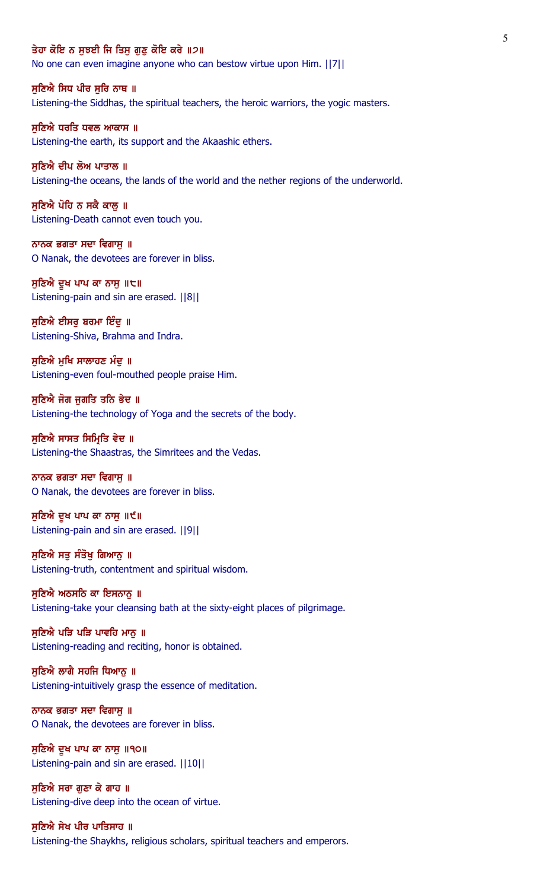#### ਤੇਹਾ ਕੋਇ ਨ ਸਝਈ ਜਿ ਤਿਸ ਗਣ ਕੋਇ ਕਰੇ ॥੭॥

No one can even imagine anyone who can bestow virtue upon Him. ||7||

ਸੁਣਿਐ ਸਿਧ ਪੀਰ ਸੁਰਿ ਨਾਥ ॥

Listening-the Siddhas, the spiritual teachers, the heroic warriors, the yogic masters.

ਸਣਿਐ ਧਰਤਿ ਧਵਲ ਆਕਾਸ ॥ Listening-the earth, its support and the Akaashic ethers.

ਸਣਿਐ ਦੀਪ ਲੋਅ ਪਾਤਾਲ ॥ Listening-the oceans, the lands of the world and the nether regions of the underworld.

ਸੁਣਿਐ ਪੋਹਿ ਨ ਸਕੈ ਕਾਲੂ ॥ Listening-Death cannot even touch you.

ਨਾਨਕ ਭਗਤਾ ਸਦਾ ਵਿਗਾਸੁ ॥ O Nanak, the devotees are forever in bliss.

ਸੁਣਿਐ ਦੁਖ ਪਾਪ ਕਾ ਨਾਸੁ ॥੮॥ Listening-pain and sin are erased. ||8||

ਸੁਣਿਐ ਈਸਰੂ ਬਰਮਾ ਇੰਦੂ ॥ Listening-Shiva, Brahma and Indra.

ਸੁਣਿਐ ਮੁਖਿ ਸਾਲਾਹਣ ਮੰਦੂ ॥ Listening-even foul-mouthed people praise Him.

ਸੁਣਿਐ ਜੋਗ ਜੁਗਤਿ ਤਨਿ ਭੇਦ ॥ Listening-the technology of Yoga and the secrets of the body.

ਸੁਣਿਐ ਸਾਸਤ ਸਿਮ੍ਰਿਤਿ ਵੇਦ ॥ Listening-the Shaastras, the Simritees and the Vedas.

ਨਾਨਕ ਭਗਤਾ ਸਦਾ ਵਿਗਾਸੁ ॥ O Nanak, the devotees are forever in bliss.

ਸੁਣਿਐ ਦੁਖ ਪਾਪ ਕਾ ਨਾਸੁ ॥੯॥ Listening-pain and sin are erased. ||9||

ਸੁਣਿਐ ਸਤੂ ਸੰਤੋਖੂ ਗਿਆਨੂ ॥ Listening-truth, contentment and spiritual wisdom.

ਸਣਿਐ ਅਠਸਠਿ ਕਾ ਇਸਨਾਨ ॥ Listening-take your cleansing bath at the sixty-eight places of pilgrimage.

ਸੁਣਿਐ ਪੜਿ ਪੜਿ ਪਾਵਹਿ ਮਾਨੂ ॥ Listening-reading and reciting, honor is obtained.

ਸੁਣਿਐ ਲਾਗੈ ਸਹਜਿ ਧਿਆਨੂ ॥ Listening-intuitively grasp the essence of meditation.

ਨਾਨਕ ਭਗਤਾ ਸਦਾ ਵਿਗਾਸ ॥ O Nanak, the devotees are forever in bliss.

ਸੁਣਿਐ ਦੁਖ ਪਾਪ ਕਾ ਨਾਸੁ ॥੧੦॥ Listening-pain and sin are erased. ||10||

ਸੁਣਿਐ ਸਰਾ ਗੁਣਾ ਕੇ ਗਾਹ ॥ Listening-dive deep into the ocean of virtue.

ਸੁਣਿਐ ਸੇਖ ਪੀਰ ਪਾਤਿਸਾਹ ॥ Listening-the Shaykhs, religious scholars, spiritual teachers and emperors.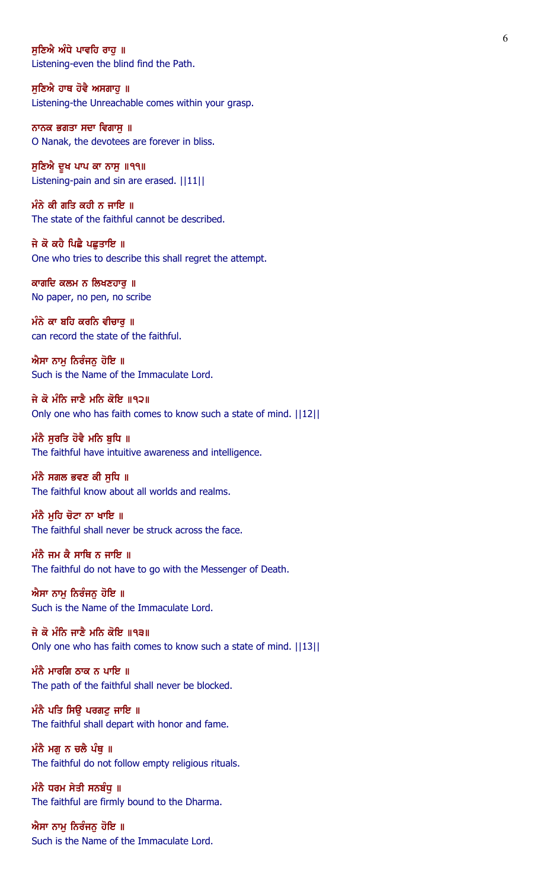ਸਣਿਐ ਅੰਧੇ ਪਾਵਹਿ ਰਾਹ ॥ Listening-even the blind find the Path.

ਸੁਣਿਐ ਹਾਥ ਹੋਵੈ ਅਸਗਾਹੁ ॥ Listening-the Unreachable comes within your grasp.

ਨਾਨਕ ਭਗਤਾ ਸਦਾ ਵਿਗਾਸੁ ॥ O Nanak, the devotees are forever in bliss.

ਸੁਣਿਐ ਦੁਖ ਪਾਪ ਕਾ ਨਾਸੁ ॥੧੧॥ Listening-pain and sin are erased. ||11||

ਮੰਨੇ ਕੀ ਗਤਿ ਕਹੀ ਨ ਜਾਇ ॥ The state of the faithful cannot be described.

ਜੇ ਕੋ ਕਹੈ ਪਿਛੈ ਪਛਤਾਇ ॥ One who tries to describe this shall regret the attempt.

ਕਾਗਦਿ ਕਲਮ ਨ ਲਿਖਣਹਾਰੁ ॥ No paper, no pen, no scribe

ਮੰਨੇ ਕਾ ਬਹਿ ਕਰਨਿ ਵੀਚਾਰੁ ॥ can record the state of the faithful.

ਐਸਾ ਨਾਮੂ ਨਿਰੰਜਨੂ ਹੋਇ ॥ Such is the Name of the Immaculate Lord.

ਜੇ ਕੋ ਮੰਨਿ ਜਾਣੈ ਮਨਿ ਕੋਇ ॥੧੨॥ Only one who has faith comes to know such a state of mind. ||12||

ਮੰਨੈ ਸੂਰਤਿ ਹੋਵੈ ਮਨਿ ਬੁਧਿ ॥ The faithful have intuitive awareness and intelligence.

ਮੰਨੈ ਸਗਲ ਭਵਣ ਕੀ ਸੁਧਿ ॥ The faithful know about all worlds and realms.

ਮੰਨੈ ਮਹਿ ਚੋਟਾ ਨਾ ਖਾਇ ॥ The faithful shall never be struck across the face.

ਮੰਨੈ ਜਮ ਕੈ ਸਾਥਿ ਨ ਜਾਇ ॥ The faithful do not have to go with the Messenger of Death.

ਐਸਾ ਨਾਮ ਨਿਰੰਜਨ ਹੋਇ ॥ Such is the Name of the Immaculate Lord.

ਜੇ ਕੋ ਮੰਨਿ ਜਾਣੈ ਮਨਿ ਕੋਇ ॥੧੩॥ Only one who has faith comes to know such a state of mind. ||13||

ਮੰਨੈ ਮਾਰਗਿ ਠਾਕ ਨ ਪਾਇ ॥ The path of the faithful shall never be blocked.

ਮੰਨੈ ਪਤਿ ਸਿਉ ਪਰਗਟੁ ਜਾਇ ॥ The faithful shall depart with honor and fame.

ਮੰਨੈ ਮਗੂ ਨ ਚਲੈ ਪੰਥੂ ॥ The faithful do not follow empty religious rituals.

ਮੰਨੈ ਧਰਮ ਸੇਤੀ ਸਨਬੰਧੁ ॥ The faithful are firmly bound to the Dharma.

ਐਸਾ ਨਾਮੂ ਨਿਰੰਜਨੂ ਹੋਇ ॥ Such is the Name of the Immaculate Lord.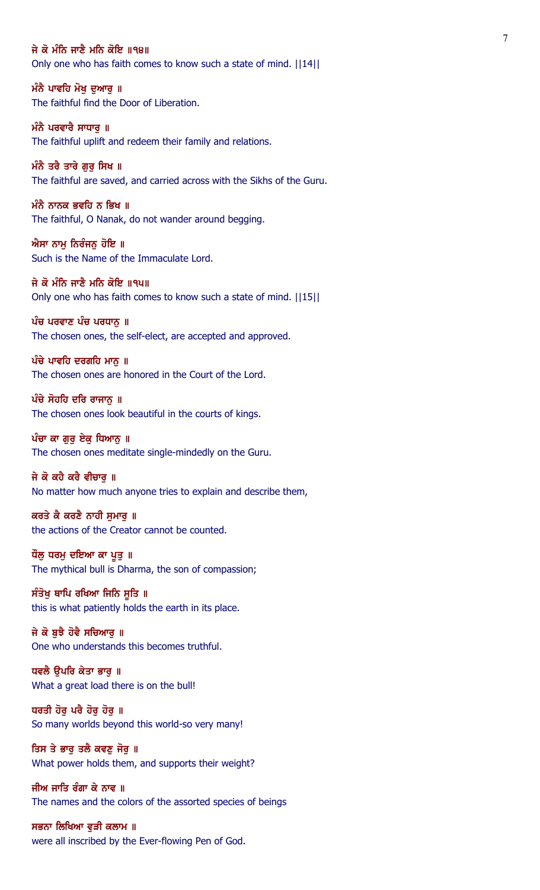ਜੇ ਕੋ ਮੰਨਿ ਜਾਣੈ ਮਨਿ ਕੋਇ ॥੧੪॥ Only one who has faith comes to know such a state of mind. ||14||

ਮੰਨੈ ਪਾਵਹਿ ਮੋਖ ਦੁਆਰੂ ॥ The faithful find the Door of Liberation.

ਮੰਨੈ ਪਰਵਾਰੈ ਸਾਧਾਰ **॥** The faithful uplift and redeem their family and relations.

ਮੰਨੈ ਤਰੈ ਤਾਰੇ ਗਰ ਸਿਖ ॥ The faithful are saved, and carried across with the Sikhs of the Guru.

ਮੰਨੈ ਨਾਨਕ ਭਵਹਿ ਨ ਭਿਖ ॥ The faithful, O Nanak, do not wander around begging.

ਐਸਾ ਨਾਮੂ ਨਿਰੰਜਨੂ ਹੋਇ ॥ Such is the Name of the Immaculate Lord.

ਜੇ ਕੋ ਮੰਨਿ ਜਾਣੈ ਮਨਿ ਕੋਇ ॥੧੫॥ Only one who has faith comes to know such a state of mind. ||15||

ਪੰਚ ਪਰਵਾਣ ਪੰਚ ਪਰਧਾਨੂ ॥ The chosen ones, the self-elect, are accepted and approved.

ਪੰਚੇ ਪਾਵਹਿ ਦਰਗਹਿ ਮਾਨੂ ॥ The chosen ones are honored in the Court of the Lord.

 $\hat{u}$ ਚੇ ਸੋਹਹਿ ਦਰਿ ਰਾਜਾਨ ॥ The chosen ones look beautiful in the courts of kings.

ਪੰਚਾ ਕਾ ਗੁਰੂ ਏਕੂ ਧਿਆਨੂ ॥ The chosen ones meditate single-mindedly on the Guru.

ਜੇ ਕੋ ਕਹੈ ਕਰੈ ਵੀਚਾਰੂ ॥ No matter how much anyone tries to explain and describe them,

ਕਰਤੇ ਕੈ ਕਰਣੈ ਨਾਹੀ ਸਮਾਰ ॥ the actions of the Creator cannot be counted.

ਧੌਲੂ ਧਰਮੂ ਦਇਆ ਕਾ ਪੁਤੁ ॥ The mythical bull is Dharma, the son of compassion;

ਸੰਤੋਖੁ ਥਾਪਿ ਰਖਿਆ ਜਿਨਿ ਸੁਤਿ ॥ this is what patiently holds the earth in its place.

ਜੇ ਕੋ ਬੁਝੈ ਹੋਵੈ ਸਚਿਆਰੁ ॥ One who understands this becomes truthful.

ਧਵਲੈ ਉਪਰਿ ਕੇਤਾ ਭਾਰੂ ॥ What a great load there is on the bull!

ਧਰਤੀ ਹੋਰੂ ਪਰੈ ਹੋਰੂ ਹੋਰੂ ॥ So many worlds beyond this world-so very many!

ਤਿਸ ਤੇ ਭਾਰੂ ਤਲੈ ਕਵਣੂ ਜੋਰੂ ॥ What power holds them, and supports their weight?

ਜੀਅ ਜਾਤਿ ਰੰਗਾ ਕੇ ਨਾਵ ॥ The names and the colors of the assorted species of beings

ਸਭਨਾ ਲਿਖਿਆ ਵੁੜੀ ਕਲਾਮ ॥ were all inscribed by the Ever-flowing Pen of God.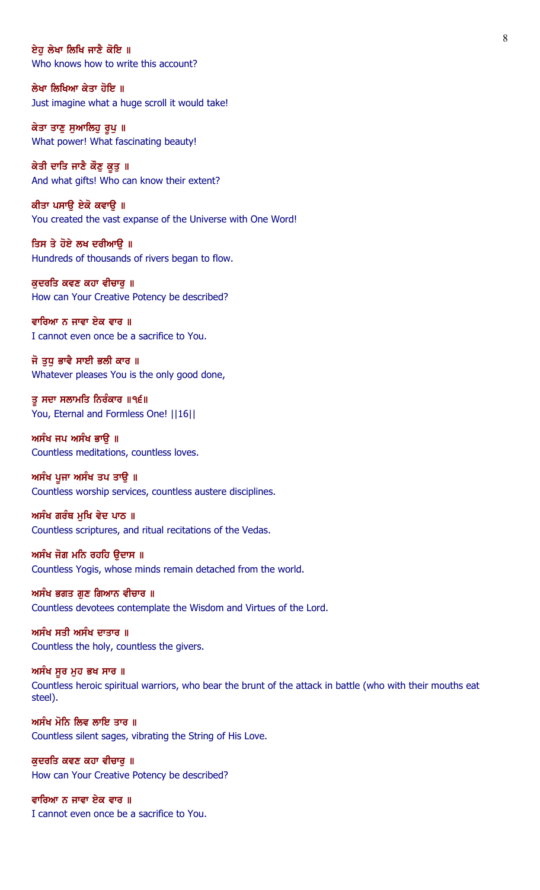ਏਹ ਲੇਖਾ ਲਿਖਿ ਜਾਣੈ ਕੋਇ ॥ Who knows how to write this account?

ਲੇਖਾ ਲਿਖਿਆ ਕੇਤਾ ਹੋਇ ॥ Just imagine what a huge scroll it would take!

ਕੇਤਾ ਤਾਣੂ ਸੁਆਲਿਹੂ ਰੂਪੂ ॥ What power! What fascinating beauty!

ਕੇਤੀ ਦਾਤਿ ਜਾਣੈ ਕੌਣੁ ਕੁਤੁ ॥ And what gifts! Who can know their extent?

ਕੀਤਾ ਪਸਾਉ ਏਕੋ ਕਵਾਉ ॥ You created the vast expanse of the Universe with One Word!

ਤਿਸ ਤੇ ਹੋਏ ਲਖ ਦਰੀਆਉ ॥ Hundreds of thousands of rivers began to flow.

ਕੁਦਰਤਿ ਕਵਣ ਕਹਾ ਵੀਚਾਰੁ ॥ How can Your Creative Potency be described?

ਵਾਰਿਆ ਨ ਜਾਵਾ ਏਕ ਵਾਰ ॥ I cannot even once be a sacrifice to You.

ਜੋ ਤੁਧੁ ਭਾਵੈ ਸਾਈ ਭਲੀ ਕਾਰ ॥ Whatever pleases You is the only good done,

ਤੂ ਸਦਾ ਸਲਾਮਤਿ ਨਿਰੰਕਾਰ ॥੧੬॥ You, Eternal and Formless One! ||16||

ਅਸੰਖ ਜਪ ਅਸੰਖ ਭਾਉ ॥ Countless meditations, countless loves.

ਅਸੰਖ ਪੂਜਾ ਅਸੰਖ ਤਪ ਤਾਉ ॥ Countless worship services, countless austere disciplines.

ਅਸੰਖ ਗਰੰਥ ਮਖਿ ਵੇਦ ਪਾਠ ॥ Countless scriptures, and ritual recitations of the Vedas.

ਅਸੰਖ ਜੋਗ ਮਨਿ ਰਹਹਿ ਉਦਾਸ ॥ Countless Yogis, whose minds remain detached from the world.

ਅਸੰਖ ਭਗਤ ਗਣ ਗਿਆਨ ਵੀਚਾਰ ॥ Countless devotees contemplate the Wisdom and Virtues of the Lord.

ਅਸੰਖ ਸਤੀ ਅਸੰਖ ਦਾਤਾਰ ॥ Countless the holy, countless the givers.

ਅਸੰਖ ਸੁਰ ਮੁਹ ਭਖ ਸਾਰ ॥ Countless heroic spiritual warriors, who bear the brunt of the attack in battle (who with their mouths eat steel).

ਅਸੰਖ ਮੋਨਿ ਲਿਵ ਲਾਇ ਤਾਰ ॥ Countless silent sages, vibrating the String of His Love.

ਕੁਦਰਤਿ ਕਵਣ ਕਹਾ ਵੀਚਾਰੂ ॥ How can Your Creative Potency be described?

ਵਾਰਿਆ ਨ ਜਾਵਾ ਏਕ ਵਾਰ ॥ I cannot even once be a sacrifice to You.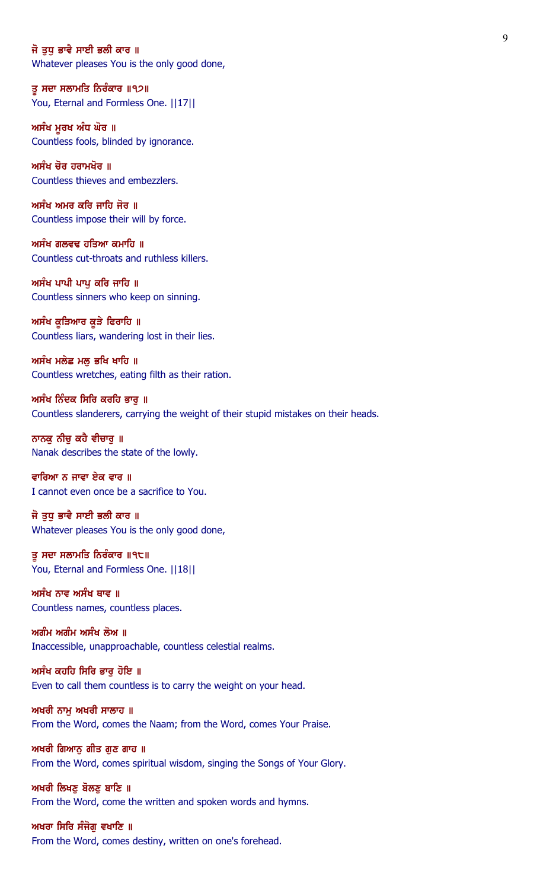#### ਜੋ ਤਧ ਭਾਵੈ ਸਾਈ ਭਲੀ ਕਾਰ ॥

Whatever pleases You is the only good done,

ਤੂ ਸਦਾ ਸਲਾਮਤਿ ਨਿਰੰਕਾਰ ॥੧੭॥ You, Eternal and Formless One. ||17||

ਅਸੰਖ ਮੁਰਖ ਅੰਧ ਘੋਰ ॥ Countless fools, blinded by ignorance.

ਅਸੰਖ ਚੋਰ ਹਰਾਮਖੋਰ ॥ Countless thieves and embezzlers.

ਅਸੰਖ ਅਮਰ ਕਰਿ ਜਾਹਿ ਜੋਰ ॥ Countless impose their will by force.

ਅਸੰਖ ਗਲਵਢ ਹਤਿਆ ਕਮਾਹਿ ॥ Countless cut-throats and ruthless killers.

ਅਸੰਖ ਪਾਪੀ ਪਾਪ ਕਰਿ ਜਾਹਿ ॥ Countless sinners who keep on sinning.

ਅਸੰਖ ਕੁੜਿਆਰ ਕੁੜੇ ਫਿਰਾਹਿ ॥ Countless liars, wandering lost in their lies.

ਅਸੰਖ ਮਲੇਛ ਮਲੂ ਭਖਿ ਖਾਹਿ ॥ Countless wretches, eating filth as their ration.

ਅਸੰਖ ਨਿੰਦਕ ਸਿਰਿ ਕਰਹਿ ਭਾਰੂ ॥ Countless slanderers, carrying the weight of their stupid mistakes on their heads.

ਨਾਨਕੁ ਨੀਚੁ ਕਹੈ ਵੀਚਾਰੁ ॥ Nanak describes the state of the lowly.

ਵਾਰਿਆ ਨ ਜਾਵਾ ਏਕ ਵਾਰ ॥ I cannot even once be a sacrifice to You.

ਜੋ ਤਧ ਭਾਵੈ ਸਾਈ ਭਲੀ ਕਾਰ ॥ Whatever pleases You is the only good done,

ਤੂ ਸਦਾ ਸਲਾਮਤਿ ਨਿਰੰਕਾਰ ॥੧੮॥ You, Eternal and Formless One. ||18||

ਅਸੰਖ ਨਾਵ ਅਸੰਖ ਥਾਵ ॥ Countless names, countless places.

ਅਗੰਮ ਅਗੰਮ ਅਸੰਖ ਲੋਅ ॥ Inaccessible, unapproachable, countless celestial realms.

ਅਸੰਖ ਕਹਹਿ ਸਿਰਿ ਭਾਰੂ ਹੋਇ ॥ Even to call them countless is to carry the weight on your head.

ਅਖਰੀ ਨਾਮ ਅਖਰੀ ਸਾਲਾਹ ॥ From the Word, comes the Naam; from the Word, comes Your Praise.

ਅਖਰੀ ਗਿਆਨੂ ਗੀਤ ਗੁਣ ਗਾਹ ॥ From the Word, comes spiritual wisdom, singing the Songs of Your Glory.

ਅਖਰੀ ਲਿਖਣੂ ਬੋਲਣੂ ਬਾਣਿ ॥ From the Word, come the written and spoken words and hymns.

ਅਖਰਾ ਸਿਰਿ ਸੰਜੋਗੁ ਵਖਾਣਿ ॥ From the Word, comes destiny, written on one's forehead.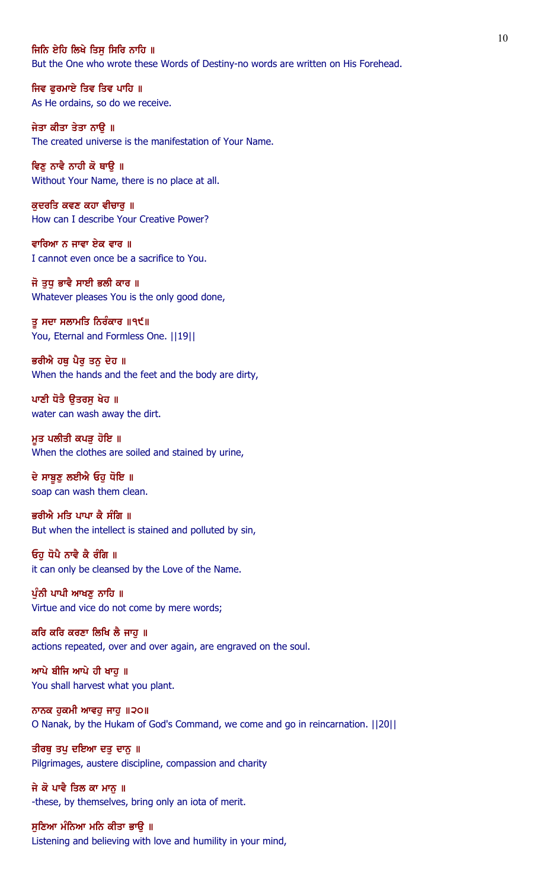### ਜਿਨਿ ਏਹਿ ਲਿਖੇ ਤਿਸ ਸਿਰਿ ਨਾਹਿ ॥

But the One who wrote these Words of Destiny-no words are written on His Forehead.

ਜਿਵ ਫੁਰਮਾਏ ਤਿਵ ਤਿਵ ਪਾਹਿ ॥ As He ordains, so do we receive.

ਜੇਤਾ ਕੀਤਾ ਤੇਤਾ ਨਾੳ ॥ The created universe is the manifestation of Your Name.

ਵਿਣ ਨਾਵੈ ਨਾਹੀ ਕੋ ਥਾੳ ॥ Without Your Name, there is no place at all.

ਕੁਦਰਤਿ ਕਵਣ ਕਹਾ ਵੀਚਾਰੁ ॥ How can I describe Your Creative Power?

ਵਾਰਿਆ ਨ ਜਾਵਾ ਏਕ ਵਾਰ ॥ I cannot even once be a sacrifice to You.

ਜੋ ਤੁਧੁ ਭਾਵੈ ਸਾਈ ਭਲੀ ਕਾਰ ॥ Whatever pleases You is the only good done,

ਤੂ ਸਦਾ ਸਲਾਮਤਿ ਨਿਰੰਕਾਰ ॥੧੯॥ You, Eternal and Formless One. ||19||

ਭਰੀਐ ਹਥੂ ਪੈਰੂ ਤਨੂ ਦੇਹ ॥ When the hands and the feet and the body are dirty,

ਪਾਣੀ ਧੋਤੈ ਉਤਰਸੁ ਖੇਹ ॥ water can wash away the dirt.

ਮੁਤ ਪਲੀਤੀ ਕਪੜੂ ਹੋਇ ॥ When the clothes are soiled and stained by urine,

ਦੇ ਸਾਬੁਣੂ ਲਈਐ ਓਹੁ ਧੋਇ ॥ soap can wash them clean.

ਭਰੀਐ ਮਤਿ ਪਾਪਾ ਕੈ ਸੰਗਿ ॥ But when the intellect is stained and polluted by sin,

ਓਹੁ ਧੋਪੈ ਨਾਵੈ ਕੈ ਰੰਗਿ ॥ it can only be cleansed by the Love of the Name.

ਪੰਨੀ ਪਾਪੀ ਆਖਣ ਨਾਹਿ ॥ Virtue and vice do not come by mere words;

ਕਰਿ ਕਰਿ ਕਰਣਾ ਲਿਖਿ ਲੈ ਜਾਹੁ ॥ actions repeated, over and over again, are engraved on the soul.

ਆਪੇ ਬੀਜਿ ਆਪੇ ਹੀ ਖਾਹੁ ॥ You shall harvest what you plant.

ਨਾਨਕ ਹੁਕਮੀ ਆਵਹੁ ਜਾਹੁ ॥੨੦॥ O Nanak, by the Hukam of God's Command, we come and go in reincarnation. ||20||

ਤੀਰਥੁ ਤਪੁ ਦਇਆ ਦਤੁ ਦਾਨੁ ॥ Pilgrimages, austere discipline, compassion and charity

ਜੇ ਕੋ ਪਾਵੈ ਤਿਲ ਕਾ ਮਾਨੂ ॥ -these, by themselves, bring only an iota of merit.

ਸੁਣਿਆ ਮੰਨਿਆ ਮਨਿ ਕੀਤਾ ਭਾਉ ॥ Listening and believing with love and humility in your mind,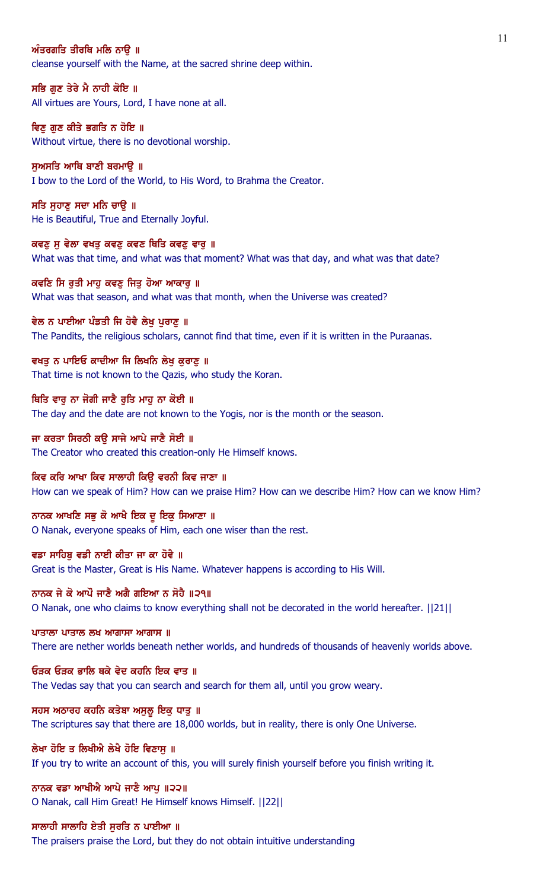## ਅੰਤਰਗਤਿ ਤੀਰਥਿ ਮਲਿ ਨਾੳ ॥

cleanse yourself with the Name, at the sacred shrine deep within.

ਸਭਿ ਗੁਣ ਤੇਰੇ ਮੈ ਨਾਹੀ ਕੋਇ ॥ All virtues are Yours, Lord, I have none at all.

ਵਿਣ ਗਣ ਕੀਤੇ ਭਗਤਿ ਨ ਹੋਇ ॥ Without virtue, there is no devotional worship.

ਸਅਸਤਿ ਆਥਿ ਬਾਣੀ ਬਰਮਾੳ ॥ I bow to the Lord of the World, to His Word, to Brahma the Creator.

ਸਤਿ ਸੁਹਾਣੂ ਸਦਾ ਮਨਿ ਚਾਉ ॥ He is Beautiful, True and Eternally Joyful.

ਕਵਣੁ ਸੁ ਵੇਲਾ ਵਖਤੁ ਕਵਣੁ ਕਵਣ ਥਿਤਿ ਕਵਣੁ ਵਾਰੁ ॥ What was that time, and what was that moment? What was that day, and what was that date?

ਕਵਣਿ ਸਿ ਰਤੀ ਮਾਹ ਕਵਣ ਜਿਤ ਹੋਆ ਆਕਾਰ ॥ What was that season, and what was that month, when the Universe was created?

ਵੇਲ ਨ ਪਾਈਆ ਪੰਡਤੀ ਜਿ ਹੋਵੈ ਲੇਖੂ ਪੁਰਾਣੂ ॥ The Pandits, the religious scholars, cannot find that time, even if it is written in the Puraanas.

ਵਖਤੂ ਨ ਪਾਇਓ ਕਾਦੀਆ ਜਿ ਲਿਖਨਿ ਲੇਖੂ ਕੁਰਾਣੂ ॥ That time is not known to the Qazis, who study the Koran.

ਥਿਤਿ ਵਾਰੂ ਨਾ ਜੋਗੀ ਜਾਣੈ ਰੁਤਿ ਮਾਹੂ ਨਾ ਕੋਈ ॥ The day and the date are not known to the Yogis, nor is the month or the season.

ਜਾ ਕਰਤਾ ਸਿਰਠੀ ਕਉ ਸਾਜੇ ਆਪੇ ਜਾਣੈ ਸੋਈ ॥ The Creator who created this creation-only He Himself knows.

ਕਿਵ ਕਰਿ ਆਖਾ ਕਿਵ ਸਾਲਾਹੀ ਕਿਉ ਵਰਨੀ ਕਿਵ ਜਾਣਾ ॥ How can we speak of Him? How can we praise Him? How can we describe Him? How can we know Him?

ਨਾਨਕ ਆਖਣਿ ਸਭੁ ਕੋ ਆਖੈ ਇਕ ਦੁ ਇਕੁ ਸਿਆਣਾ ॥ O Nanak, everyone speaks of Him, each one wiser than the rest.

ਵਡਾ ਸਾਹਿਬ ਵਡੀ ਨਾਈ ਕੀਤਾ ਜਾ ਕਾ ਹੋਵੈ ॥ Great is the Master, Great is His Name. Whatever happens is according to His Will.

ਨਾਨਕ ਜੇ ਕੋ ਆਪੌ ਜਾਣੈ ਅਗੈ ਗਇਆ ਨ ਸੋਹੈ ॥੨੧॥ O Nanak, one who claims to know everything shall not be decorated in the world hereafter. ||21||

ਪਾਤਾਲਾ ਪਾਤਾਲ ਲਖ ਆਗਾਸਾ ਆਗਾਸ $\parallel$ 

There are nether worlds beneath nether worlds, and hundreds of thousands of heavenly worlds above.

ਓੜਕ ਓੜਕ ਭਾਲਿ ਥਕੇ ਵੇਦ ਕਹਨਿ ਇਕ ਵਾਤ ॥ The Vedas say that you can search and search for them all, until you grow weary.

ਸਹਸ ਅਠਾਰਹ ਕਹਨਿ ਕਤੇਬਾ ਅਸੁਲੂ ਇਕੁ ਧਾਤੁ ॥ The scriptures say that there are 18,000 worlds, but in reality, there is only One Universe.

ਲੇਖਾ ਹੋਇ ਤ ਲਿਖੀਐ ਲੇਖੈ ਹੋਇ ਵਿਣਾਸ ॥ If you try to write an account of this, you will surely finish yourself before you finish writing it.

ਨਾਨਕ ਵਡਾ ਆਖੀਐ ਆਪੇ ਜਾਣੈ ਆਪੁ ॥੨੨॥ O Nanak, call Him Great! He Himself knows Himself. ||22||

ਸਾਲਾਹੀ ਸਾਲਾਹਿ ਏਤੀ ਸਰਤਿ ਨ ਪਾਈਆ ॥

The praisers praise the Lord, but they do not obtain intuitive understanding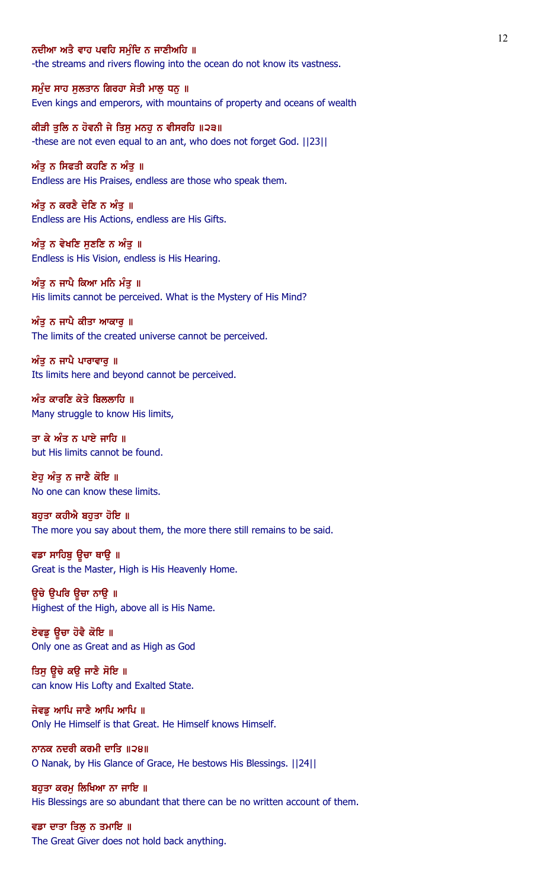### ਨਦੀਆ ਅਤੈ ਵਾਹ ਪਵਹਿ ਸਮੰਦਿ ਨ ਜਾਣੀਅਹਿ ॥

-the streams and rivers flowing into the ocean do not know its vastness.

ਸਮੁੰਦ ਸਾਹ ਸੁਲਤਾਨ ਗਿਰਹਾ ਸੇਤੀ ਮਾਲੂ ਧਨੂ ॥ Even kings and emperors, with mountains of property and oceans of wealth

ਕੀੜੀ ਤਲਿ ਨ ਹੋਵਨੀ ਜੇ ਤਿਸ ਮਨਹ ਨ ਵੀਸਰਹਿ ॥੨੩॥ -these are not even equal to an ant, who does not forget God. ||23||

ਅੰਤ ਨ ਸਿਫਤੀ ਕਹਣਿ ਨ ਅੰਤ ॥ Endless are His Praises, endless are those who speak them.

ਅੰਤੂ ਨ ਕਰਣੈ ਦੇਣਿ ਨ ਅੰਤੂ ॥ Endless are His Actions, endless are His Gifts.

ਅੰਤੂ ਨ ਵੇਖਣਿ ਸੁਣਣਿ ਨ ਅੰਤੂ ॥ Endless is His Vision, endless is His Hearing.

ਅੰਤੂ ਨ ਜਾਪੈ ਕਿਆ ਮਨਿ ਮੰਤੂ ॥ His limits cannot be perceived. What is the Mystery of His Mind?

ਅੰਤੂ ਨ ਜਾਪੈ ਕੀਤਾ ਆਕਾਰੂ ॥

The limits of the created universe cannot be perceived.

ਅੰਤੂ ਨ ਜਾਪੈ ਪਾਰਾਵਾਰੂ ॥ Its limits here and beyond cannot be perceived.

 $w$ ੰਤ ਕਾਰਣਿ ਕੇਤੇ ਬਿਲਲਾਹਿ ॥ Many struggle to know His limits,

ਤਾ ਕੇ ਅੰਤ ਨ ਪਾਏ ਜਾਹਿ ॥ but His limits cannot be found.

ਏਹੁ ਅੰਤੁ ਨ ਜਾਣੈ ਕੋਇ ॥ No one can know these limits.

ਬਹਤਾ ਕਹੀਐ ਬਹਤਾ ਹੋਇ ॥ The more you say about them, the more there still remains to be said.

ਵਡਾ ਸਾਹਿਬੂ ਉਚਾ ਥਾਉ ॥ Great is the Master, High is His Heavenly Home.

ਉਚੇ ੳਪਰਿ ਉਚਾ ਨਾੳ ॥ Highest of the High, above all is His Name.

ਏਵਡੂ ਉਚਾ ਹੋਵੈ ਕੋਇ ॥ Only one as Great and as High as God

ਤਿਸੁ ਉਚੇ ਕਉ ਜਾਣੈ ਸੋਇ ॥ can know His Lofty and Exalted State.

ਜੇਵਡੂ ਆਪਿ ਜਾਣੈ ਆਪਿ ਆਪਿ ॥ Only He Himself is that Great. He Himself knows Himself.

ਨਾਨਕ ਨਦਰੀ ਕਰਮੀ ਦਾਤਿ ॥੨੪॥ O Nanak, by His Glance of Grace, He bestows His Blessings. ||24||

ਬਹੁਤਾ ਕਰਮੂ ਲਿਖਿਆ ਨਾ ਜਾਇ ॥ His Blessings are so abundant that there can be no written account of them.

ਵਡਾ ਦਾਤਾ ਤਿਲੂ ਨ ਤਮਾਇ ॥ The Great Giver does not hold back anything.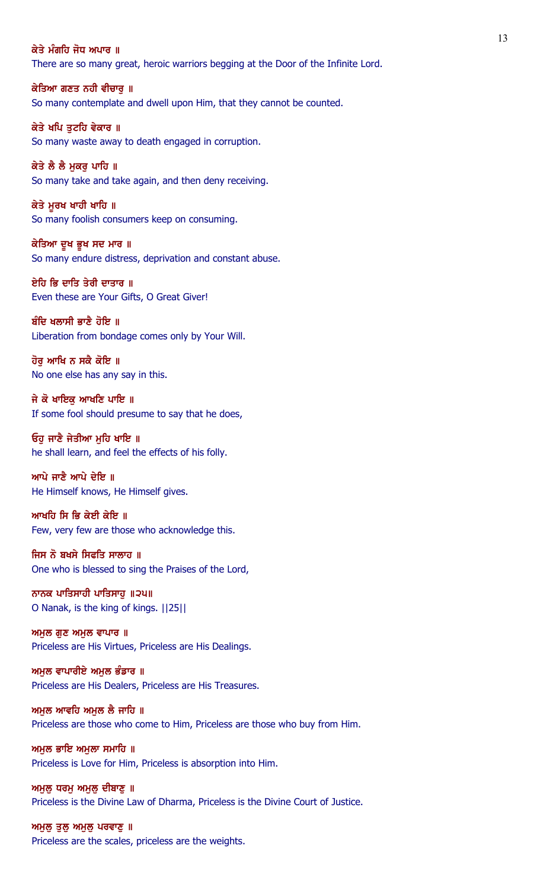## ਕੇਤੇ ਮੰਗਹਿ ਜੋਧ ਅਪਾਰ ॥

There are so many great, heroic warriors begging at the Door of the Infinite Lord.

ਕੇਤਿਆ ਗਣਤ ਨਹੀ ਵੀਚਾਰੂ ॥ So many contemplate and dwell upon Him, that they cannot be counted.

ਕੇਤੇ ਖਪਿ ਤਟਹਿ ਵੇਕਾਰ ॥ So many waste away to death engaged in corruption.

ਕੇਤੇ ਲੈ ਲੈ ਮਕਰ ਪਾਹਿ ॥ So many take and take again, and then deny receiving.

ਕੇਤੇ ਮੁਰਖ ਖਾਹੀ ਖਾਹਿ ॥ So many foolish consumers keep on consuming.

ਕੇਤਿਆ ਦੁਖ ਭੁਖ ਸਦ ਮਾਰ ॥ So many endure distress, deprivation and constant abuse.

ਏਹਿ ਭਿ ਦਾਤਿ ਤੇਰੀ ਦਾਤਾਰ ॥ Even these are Your Gifts, O Great Giver!

ਬੰਦਿ ਖਲਾਸੀ ਭਾਣੈ ਹੋਇ ॥ Liberation from bondage comes only by Your Will.

ਹੋਰ ਆਖਿ ਨ ਸਕੈ ਕੋਇ ॥ No one else has any say in this.

ਜੇ ਕੋ ਖਾਇਕ ਆਖਣਿ ਪਾਇ ॥ If some fool should presume to say that he does,

ਓਹੁ ਜਾਣੈ ਜੇਤੀਆ ਮੁਹਿ ਖਾਇ ॥ he shall learn, and feel the effects of his folly.

ਆਪੇ ਜਾਣੈ ਆਪੇ ਦੇਇ ॥ He Himself knows, He Himself gives.

ਆਖਹਿ ਸਿ ਭਿ ਕੇਈ ਕੇਇ ॥ Few, very few are those who acknowledge this.

ਜਿਸ ਨੋ ਬਖਸੇ ਸਿਫਤਿ ਸਾਲਾਹ ॥ One who is blessed to sing the Praises of the Lord,

ਨਾਨਕ ਪਾਤਿਸਾਹੀ ਪਾਤਿਸਾਹ ॥੨੫॥ O Nanak, is the king of kings. ||25||

ਅਮੁਲ ਗੁਣ ਅਮੁਲ ਵਾਪਾਰ ॥ Priceless are His Virtues, Priceless are His Dealings.

ਅਮੁਲ ਵਾਪਾਰੀਏ ਅਮੁਲ ਭੰਡਾਰ ॥ Priceless are His Dealers, Priceless are His Treasures.

ਅਮਲ ਆਵਹਿ ਅਮਲ ਲੈ ਜਾਹਿ ॥ Priceless are those who come to Him, Priceless are those who buy from Him.

ਅਮੁਲ ਭਾਇ ਅਮੁਲਾ ਸਮਾਹਿ ॥ Priceless is Love for Him, Priceless is absorption into Him.

ਅਮੁਲੂ ਧਰਮੂ ਅਮੁਲੂ ਦੀਬਾਣੂ ॥ Priceless is the Divine Law of Dharma, Priceless is the Divine Court of Justice.

ਅਮੁਲੂ ਤੁਲੂ ਅਮੁਲੂ ਪਰਵਾਣੂ **॥** Priceless are the scales, priceless are the weights.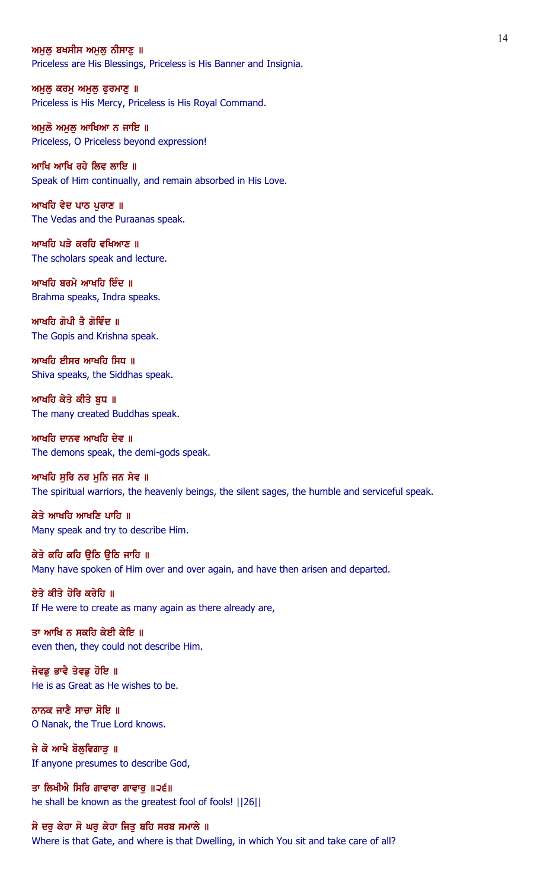#### ਅਮਲ ਬਖਸੀਸ ਅਮਲ ਨੀਸਾਣ ॥

Priceless are His Blessings, Priceless is His Banner and Insignia.

ਅਮੁਲੁ ਕਰਮੁ ਅਮੁਲੁ ਫੁਰਮਾਣੁ ॥ Priceless is His Mercy, Priceless is His Royal Command.

ਅਮਲੋ ਅਮਲ ਆਖਿਆ ਨ ਜਾਇ ॥ Priceless, O Priceless beyond expression!

ਆਖਿ ਆਖਿ ਰਹੇ ਲਿਵ ਲਾਇ ॥ Speak of Him continually, and remain absorbed in His Love.

ਆਖਹਿ ਵੇਦ ਪਾਠ ਪੁਰਾਣ ॥ The Vedas and the Puraanas speak.

ਆਖਹਿ ਪੜੇ ਕਰਹਿ ਵਖਿਆਣ ॥ The scholars speak and lecture.

ਆਖਹਿ ਬਰਮੇ ਆਖਹਿ ਇੰਦ $\parallel$ Brahma speaks, Indra speaks.

ਆਖਹਿ ਗੋਪੀ ਤੈ ਗੋਵਿੰਦ ॥ The Gopis and Krishna speak.

ਆਖਹਿ ਈਸਰ ਆਖਹਿ ਸਿਧ ॥ Shiva speaks, the Siddhas speak.

ਆਖਹਿ ਕੇਤੇ ਕੀਤੇ ਬਧ ॥ The many created Buddhas speak.

ਆਖਹਿ ਦਾਨਵ ਆਖਹਿ ਦੇਵ ॥ The demons speak, the demi-gods speak.

ਆਖਹਿ ਸਰਿ ਨਰ ਮਨਿ ਜਨ ਸੇਵ ॥ The spiritual warriors, the heavenly beings, the silent sages, the humble and serviceful speak.

ਕੇਤੇ ਆਖਹਿ ਆਖਣਿ ਪਾਹਿ ॥ Many speak and try to describe Him.

ਕੇਤੇ ਕਹਿ ਕਹਿ ਉਠਿ ਉਠਿ ਜਾਹਿ ॥ Many have spoken of Him over and over again, and have then arisen and departed.

ਏਤੇ ਕੀਤੇ ਹੋਰਿ ਕਰੇਹਿ ॥ If He were to create as many again as there already are,

ਤਾ ਆਖਿ ਨ ਸਕਹਿ ਕੇਈ ਕੇਇ ॥ even then, they could not describe Him.

ਜੇਵਡੂ ਭਾਵੈ ਤੇਵਡੂ ਹੋਇ ॥ He is as Great as He wishes to be.

ਨਾਨਕ ਜਾਣੈ ਸਾਚਾ ਸੋਇ ॥ O Nanak, the True Lord knows.

ਜੇ ਕੋ ਆਖੈ ਬੋਲੁਵਿਗਾੜੂ ॥ If anyone presumes to describe God,

ਤਾ ਲਿਖੀਐ ਸਿਰਿ ਗਾਵਾਰਾ ਗਾਵਾਰੂ ॥੨੬॥ he shall be known as the greatest fool of fools! ||26||

# ਸੋ ਦਰੁ ਕੇਹਾ ਸੋ ਘਰੁ ਕੇਹਾ ਜਿਤੁ ਬਹਿ ਸਰਬ ਸਮਾਲੇ ॥

Where is that Gate, and where is that Dwelling, in which You sit and take care of all?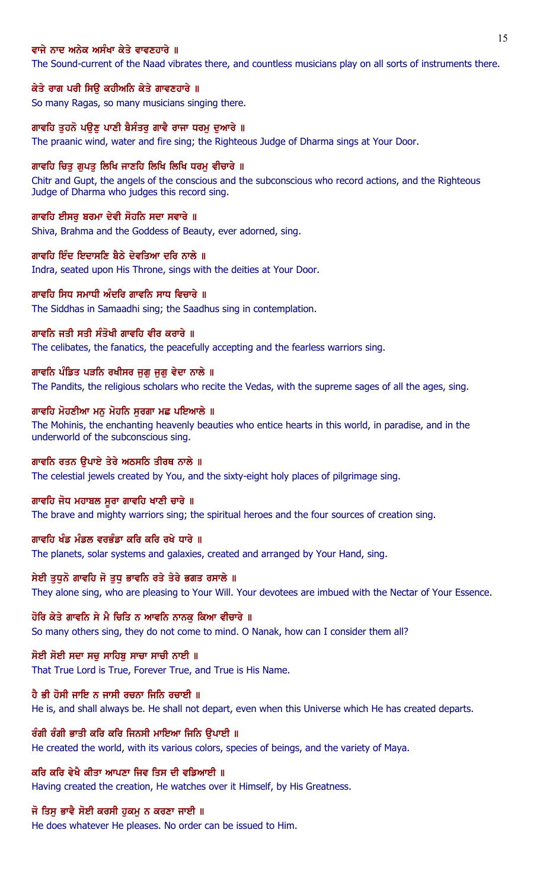## ਵਾਜੇ ਨਾਦ ਅਨੇਕ ਅਸੰਖਾ ਕੇਤੇ ਵਾਵਣਹਾਰੇ ॥

The Sound-current of the Naad vibrates there, and countless musicians play on all sorts of instruments there.

#### ਕੇਤੇ ਰਾਗ ਪਰੀ ਸਿਉ ਕਹੀਅਨਿ ਕੇਤੇ ਗਾਵਣਹਾਰੇ ॥

So many Ragas, so many musicians singing there.

## ਗਾਵਹਿ ਤਹਨੋ ਪੳਣ ਪਾਣੀ ਬੈਸੰਤਰ ਗਾਵੈ ਰਾਜਾ ਧਰਮ ਦਆਰੇ ॥

The praanic wind, water and fire sing; the Righteous Judge of Dharma sings at Your Door.

#### ਗਾਵਹਿ ਚਿਤ ਗਪਤ ਲਿਖਿ ਜਾਣਹਿ ਲਿਖਿ ਲਿਖਿ ਧਰਮ ਵੀਚਾਰੇ ॥

Chitr and Gupt, the angels of the conscious and the subconscious who record actions, and the Righteous Judge of Dharma who judges this record sing.

#### ਗਾਵਹਿ ਈਸਰ ਬਰਮਾ ਦੇਵੀ ਸੋਹਨਿ ਸਦਾ ਸਵਾਰੇ ॥

Shiva, Brahma and the Goddess of Beauty, ever adorned, sing.

#### ਗਾਵਹਿ ਇੰਦ ਇਦਾਸਣਿ ਬੈਠੇ ਦੇਵਤਿਆ ਦਰਿ ਨਾਲੇ ॥

Indra, seated upon His Throne, sings with the deities at Your Door.

# ਗਾਵਹਿ ਸਿਧ ਸਮਾਧੀ ਅੰਦਰਿ ਗਾਵਨਿ ਸਾਧ ਵਿਚਾਰੇ ॥

The Siddhas in Samaadhi sing; the Saadhus sing in contemplation.

## ਗਾਵਨਿ ਜਤੀ ਸਤੀ ਸੰਤੋਖੀ ਗਾਵਹਿ ਵੀਰ ਕਰਾਰੇ ॥

The celibates, the fanatics, the peacefully accepting and the fearless warriors sing.

#### ਗਾਵਨਿ ਪੰਡਿਤ ਪੜਨਿ ਰਖੀਸਰ ਜੁਗੁ ਜੁਗੁ ਵੇਦਾ ਨਾਲੇ ॥

The Pandits, the religious scholars who recite the Vedas, with the supreme sages of all the ages, sing.

#### ਗਾਵਹਿ ਮੋਹਣੀਆ ਮਨੁ ਮੋਹਨਿ ਸੁਰਗਾ ਮਛ ਪਇਆਲੇ ॥

The Mohinis, the enchanting heavenly beauties who entice hearts in this world, in paradise, and in the underworld of the subconscious sing.

# ਗਾਵਨਿ ਰਤਨ ਉਪਾਏ ਤੇਰੇ ਅਠਸਠਿ ਤੀਰਥ ਨਾਲੇ ॥

The celestial jewels created by You, and the sixty-eight holy places of pilgrimage sing.

#### ਗਾਵਹਿ ਜੋਧ ਮਹਾਬਲ ਸੂਰਾ ਗਾਵਹਿ ਖਾਣੀ ਚਾਰੇ ॥

The brave and mighty warriors sing; the spiritual heroes and the four sources of creation sing.

## ਗਾਵਹਿ ਖੰਡ ਮੰਡਲ ਵਰਭੰਡਾ ਕਰਿ ਕਰਿ ਰਖੇ ਧਾਰੇ ॥

The planets, solar systems and galaxies, created and arranged by Your Hand, sing.

## ਸੇਈ ਤਧਨੋ ਗਾਵਹਿ ਜੋ ਤਧ ਭਾਵਨਿ ਰਤੇ ਤੇਰੇ ਭਗਤ ਰਸਾਲੇ ॥

They alone sing, who are pleasing to Your Will. Your devotees are imbued with the Nectar of Your Essence.

#### ਹੋਰਿ ਕੇਤੇ ਗਾਵਨਿ ਸੇ ਮੈ ਚਿਤਿ ਨ ਆਵਨਿ ਨਾਨਕੁ ਕਿਆ ਵੀਚਾਰੇ ॥

So many others sing, they do not come to mind. O Nanak, how can I consider them all?

#### ਸੋਈ ਸੋਈ ਸਦਾ ਸਚ ਸਾਹਿਬ ਸਾਚਾ ਸਾਚੀ ਨਾਈ ॥

That True Lord is True, Forever True, and True is His Name.

### ਹੈ ਭੀ ਹੋਸੀ ਜਾਇ ਨ ਜਾਸੀ ਰਚਨਾ ਜਿਨਿ ਰਚਾਈ ॥

He is, and shall always be. He shall not depart, even when this Universe which He has created departs.

#### ਰੰਗੀ ਰੰਗੀ ਭਾਤੀ ਕਰਿ ਕਰਿ ਜਿਨਸੀ ਮਾਇਆ ਜਿਨਿ ਉਪਾਈ ॥

He created the world, with its various colors, species of beings, and the variety of Maya.

## ਕਰਿ ਕਰਿ ਵੇਖੈ ਕੀਤਾ ਆਪਣਾ ਜਿਵ ਤਿਸ ਦੀ ਵਡਿਆਈ ॥

Having created the creation, He watches over it Himself, by His Greatness.

## ਜੋ ਤਿਸੁ ਭਾਵੈ ਸੋਈ ਕਰਸੀ ਹੁਕਮੁ ਨ ਕਰਣਾ ਜਾਈ ॥

He does whatever He pleases. No order can be issued to Him.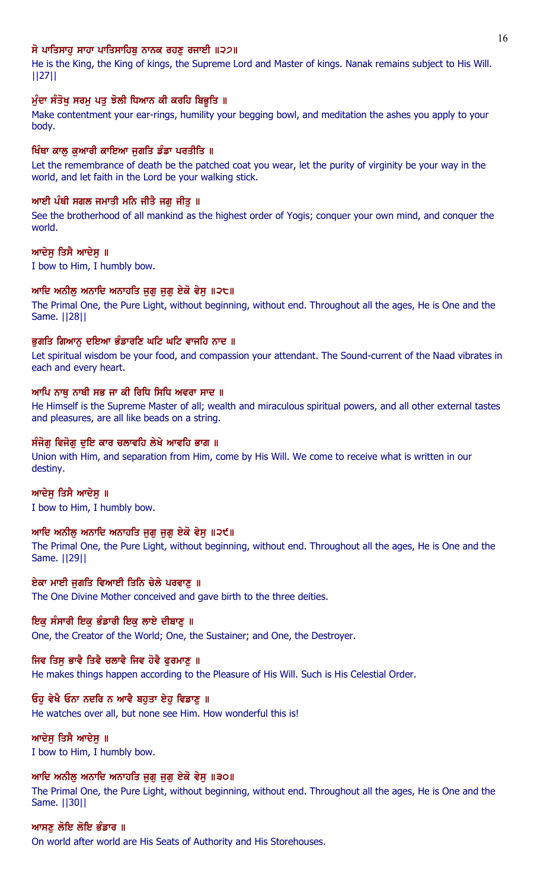# ਸੋ ਪਾਤਿਸਾਹ ਸਾਹਾ ਪਾਤਿਸਾਹਿਬ ਨਾਨਕ ਰਹਣ ਰਜਾਈ ॥੨੭॥

He is the King, the King of kings, the Supreme Lord and Master of kings. Nanak remains subject to His Will. ||27||

# ਮੁੰਦਾ ਸੰਤੋਖ਼ ਸਰਮੂ ਪਤੂ ਝੋਲੀ ਧਿਆਨ ਕੀ ਕਰਹਿ ਬਿਭੂਤਿ ॥

Make contentment your ear-rings, humility your begging bowl, and meditation the ashes you apply to your body.

# ਖਿੰਥਾ ਕਾਲੂ ਕੁਆਰੀ ਕਾਇਆ ਜੁਗਤਿ ਡੰਡਾ ਪਰਤੀਤਿ ॥

Let the remembrance of death be the patched coat you wear, let the purity of virginity be your way in the world, and let faith in the Lord be your walking stick.

# ਆਈ ਪੰਥੀ ਸਗਲ ਜਮਾਤੀ ਮਨਿ ਜੀਤੈ ਜਗ ਜੀਤ ॥

See the brotherhood of all mankind as the highest order of Yogis; conquer your own mind, and conquer the world.

# ਆਦੇਸ ਤਿਸੈ ਆਦੇਸ ॥

I bow to Him, I humbly bow.

# ਆਦਿ ਅਨੀਲ ਅਨਾਦਿ ਅਨਾਹਤਿ ਜਗ ਜਗ ਏਕੋ ਵੇਸ ॥੨੮॥

The Primal One, the Pure Light, without beginning, without end. Throughout all the ages, He is One and the Same. ||28||

# ਭਗਤਿ ਗਿਆਨ ਦਇਆ ਭੰਡਾਰਣਿ ਘਟਿ ਘਟਿ ਵਾਜਹਿ ਨਾਦ ॥

Let spiritual wisdom be your food, and compassion your attendant. The Sound-current of the Naad vibrates in each and every heart.

# ਆਪਿ ਨਾਥ ਨਾਥੀ ਸਭ ਜਾ ਕੀ ਰਿਧਿ ਸਿਧਿ ਅਵਰਾ ਸਾਦ ॥

He Himself is the Supreme Master of all; wealth and miraculous spiritual powers, and all other external tastes and pleasures, are all like beads on a string.

# ਸੰਜੋਗ ਵਿਜੋਗ ਦਇ ਕਾਰ ਚਲਾਵਹਿ ਲੇਖੇ ਆਵਹਿ ਭਾਗ ॥

Union with Him, and separation from Him, come by His Will. We come to receive what is written in our destiny.

# ਆਦੇਸ ਤਿਸੈ ਆਦੇਸ ॥

I bow to Him, I humbly bow.

# ਆਦਿ ਅਨੀਲ ਅਨਾਦਿ ਅਨਾਹਤਿ ਜਗ ਜਗ ਏਕੋ ਵੇਸ ॥੨੯॥

The Primal One, the Pure Light, without beginning, without end. Throughout all the ages, He is One and the Same. ||29||

# ਏਕਾ ਮਾਈ ਜੁਗਤਿ ਵਿਆਈ ਤਿਨਿ ਚੇਲੇ ਪਰਵਾਣੂ ॥

The One Divine Mother conceived and gave birth to the three deities.

# ਇਕੁ ਸੰਸਾਰੀ ਇਕੁ ਭੰਡਾਰੀ ਇਕੁ ਲਾਏ ਦੀਬਾਣੂ ॥

One, the Creator of the World; One, the Sustainer; and One, the Destroyer.

# ਜਿਵ ਤਿਸ ਭਾਵੈ ਤਿਵੈ ਚਲਾਵੈ ਜਿਵ ਹੋਵੈ ਫਰਮਾਣ ॥

He makes things happen according to the Pleasure of His Will. Such is His Celestial Order.

# ਓਹੁ ਵੇਖੈ ਓਨਾ ਨਦਰਿ ਨ ਆਵੈ ਬਹੁਤਾ ਏਹੁ ਵਿਡਾਣੂ ॥

He watches over all, but none see Him. How wonderful this is!

# ਆਦੇਸੁ ਤਿਸੈ ਆਦੇਸੁ ॥

I bow to Him, I humbly bow.

# ਆਦਿ ਅਨੀਲ ਅਨਾਦਿ ਅਨਾਹਤਿ ਜਗ ਜਗ ਏਕੋ ਵੇਸ ॥੩੦॥

The Primal One, the Pure Light, without beginning, without end. Throughout all the ages, He is One and the Same. ||30||

# ਆਸਣ ਲੋਇ ਲੌਇ ਭੰਡਾਰ ॥ On world after world are His Seats of Authority and His Storehouses.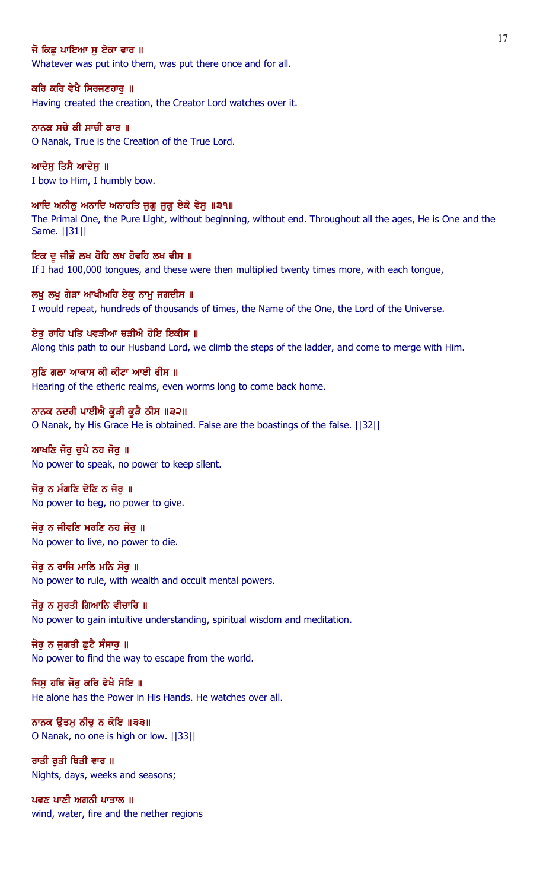## ਜੋ ਕਿਛ ਪਾਇਆ ਸ ਏਕਾ ਵਾਰ ॥

Whatever was put into them, was put there once and for all.

#### ਕਰਿ ਕਰਿ ਵੇਖੈ ਸਿਰਜਣਹਾਰੁ ॥

Having created the creation, the Creator Lord watches over it.

# ਨਾਨਕ ਸਚੇ ਕੀ ਸਾਚੀ ਕਾਰ ॥

O Nanak, True is the Creation of the True Lord.

ਆਦੇਸ ਤਿਸੈ ਆਦੇਸ ॥ I bow to Him, I humbly bow.

## ਆਦਿ ਅਨੀਲੂ ਅਨਾਦਿ ਅਨਾਹਤਿ ਜੁਗੂ ਜੁਗੂ ਏਕੋ ਵੇਸੁ ॥੩੧॥

The Primal One, the Pure Light, without beginning, without end. Throughout all the ages, He is One and the Same. ||31||

ਇਕ ਦੂ ਜੀਭੌ ਲਖ ਹੋਹਿ ਲਖ ਹੋਵਹਿ ਲਖ ਵੀਸ ॥ If I had 100,000 tongues, and these were then multiplied twenty times more, with each tongue,

ਲਖੂ ਲਖੂ ਗੇੜਾ ਆਖੀਅਹਿ ਏਕੁ ਨਾਮੂ ਜਗਦੀਸ ॥ I would repeat, hundreds of thousands of times, the Name of the One, the Lord of the Universe.

ਏਤ ਰਾਹਿ ਪਤਿ ਪਵੜੀਆ ਚੜੀਐ ਹੋਇ ਇਕੀਸ ॥ Along this path to our Husband Lord, we climb the steps of the ladder, and come to merge with Him.

## ਸੁਣਿ ਗਲਾ ਆਕਾਸ ਕੀ ਕੀਟਾ ਆਈ ਰੀਸ ॥ Hearing of the etheric realms, even worms long to come back home.

ਨਾਨਕ ਨਦਰੀ ਪਾਈਐ ਕੁੜੀ ਕੁੜੈ ਠੀਸ ॥੩੨॥ O Nanak, by His Grace He is obtained. False are the boastings of the false. ||32||

## ਆਖਣਿ ਜੋਰ ਚਪੈ ਨਹ ਜੋਰ ॥ No power to speak, no power to keep silent.

ਜੋਰ ਨ ਮੰਗਣਿ ਦੇਣਿ ਨ ਜੋਰ ॥ No power to beg, no power to give.

## ਜੋਰੂ ਨ ਜੀਵਣਿ ਮਰਣਿ ਨਹ ਜੋਰੂ ॥ No power to live, no power to die.

ਜੋਰ ਨ ਰਾਜਿ ਮਾਲਿ ਮਨਿ ਸੋਰ ॥ No power to rule, with wealth and occult mental powers.

## ਜੋਰ ਨ ਸਰਤੀ ਗਿਆਨਿ ਵੀਚਾਰਿ ॥

No power to gain intuitive understanding, spiritual wisdom and meditation.

# ਜੋਰੂ ਨ ਜੁਗਤੀ ਛੁਟੈ ਸੰਸਾਰੂ ॥

No power to find the way to escape from the world.

## ਜਿਸ ਹਥਿ ਜੋਰ ਕਰਿ ਵੇਖੈ ਸੋਇ ॥

He alone has the Power in His Hands. He watches over all.

## ਨਾਨਕ ਉਤਮੂ ਨੀਚੂ ਨ ਕੋਇ ॥੩੩॥ O Nanak, no one is high or low. ||33||

ਰਾਤੀ ਰਤੀ ਥਿਤੀ ਵਾਰ ॥ Nights, days, weeks and seasons;

ਪਵਣ ਪਾਣੀ ਅਗਨੀ ਪਾਤਾਲ ॥ wind, water, fire and the nether regions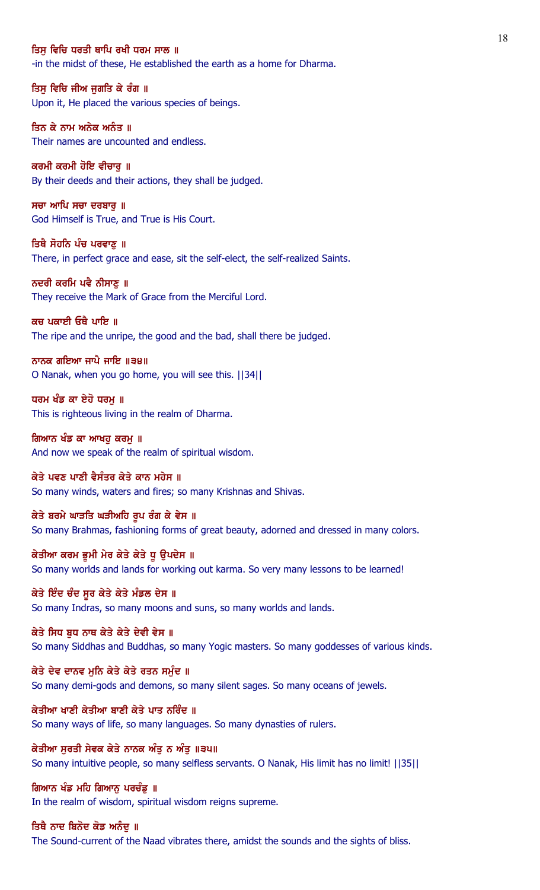## ਤਿਸ ਵਿਚਿ ਧਰਤੀ ਥਾਪਿ ਰਖੀ ਧਰਮ ਸਾਲ ॥

-in the midst of these, He established the earth as a home for Dharma.

ਤਿਸੁ ਵਿਚਿ ਜੀਅ ਜੁਗਤਿ ਕੇ ਰੰਗ ॥ Upon it, He placed the various species of beings.

ਤਿਨ ਕੇ ਨਾਮ ਅਨੇਕ ਅਨੰਤ ॥ Their names are uncounted and endless.

ਕਰਮੀ ਕਰਮੀ ਹੋਇ ਵੀਚਾਰ ॥ By their deeds and their actions, they shall be judged.

ਸਚਾ ਆਪਿ ਸਚਾ ਦਰਬਾਰੁ ॥ God Himself is True, and True is His Court.

ਤਿਥੈ ਸੋਹਨਿ ਪੰਚ ਪਰਵਾਣ ॥ There, in perfect grace and ease, sit the self-elect, the self-realized Saints.

ਨਦਰੀ ਕਰਮਿ ਪਵੈ ਨੀਸਾਣ ॥ They receive the Mark of Grace from the Merciful Lord.

ਕਚ ਪਕਾਈ ਓਥੈ ਪਾਇ ॥ The ripe and the unripe, the good and the bad, shall there be judged.

ਨਾਨਕ ਗਇਆ ਜਾਪੈ ਜਾਇ ॥੩੪॥ O Nanak, when you go home, you will see this. ||34||

ਧਰਮ ਖੰਡ ਕਾ ਏਹੋ ਧਰਮ ॥ This is righteous living in the realm of Dharma.

ਗਿਆਨ ਖੰਡ ਕਾ ਆਖਹੂ ਕਰਮੂ ॥ And now we speak of the realm of spiritual wisdom.

ਕੇਤੇ ਪਵਣ ਪਾਣੀ ਵੈਸੰਤਰ ਕੇਤੇ ਕਾਨ ਮਹੇਸ ॥ So many winds, waters and fires; so many Krishnas and Shivas.

ਕੇਤੇ ਬਰਮੇ ਘਾੜਤਿ ਘੜੀਅਹਿ ਰੂਪ ਰੰਗ ਕੇ ਵੇਸ ॥ So many Brahmas, fashioning forms of great beauty, adorned and dressed in many colors.

ਕੇਤੀਆ ਕਰਮ ਭੂਮੀ ਮੇਰ ਕੇਤੇ ਕੇਤੇ ਧੂ ਉਪਦੇਸ ॥ So many worlds and lands for working out karma. So very many lessons to be learned!

ਕੇਤੇ ਇੰਦ ਚੰਦ ਸਰ ਕੇਤੇ ਕੇਤੇ ਮੰਡਲ ਦੇਸ ॥ So many Indras, so many moons and suns, so many worlds and lands.

ਕੇਤੇ ਸਿਧ ਬਧ ਨਾਥ ਕੇਤੇ ਕੇਤੇ ਦੇਵੀ ਵੇਸ ॥ So many Siddhas and Buddhas, so many Yogic masters. So many goddesses of various kinds.

ਕੇਤੇ ਦੇਵ ਦਾਨਵ ਮੁਨਿ ਕੇਤੇ ਕੇਤੇ ਰਤਨ ਸਮੁੰਦ ॥ So many demi-gods and demons, so many silent sages. So many oceans of jewels.

ਕੇਤੀਆ ਖਾਣੀ ਕੇਤੀਆ ਬਾਣੀ ਕੇਤੇ ਪਾਤ ਨਰਿੰਦ ॥ So many ways of life, so many languages. So many dynasties of rulers.

ਕੇਤੀਆ ਸੁਰਤੀ ਸੇਵਕ ਕੇਤੇ ਨਾਨਕ ਅੰਤੁ ਨ ਅੰਤੁ ॥੩੫॥ So many intuitive people, so many selfless servants. O Nanak, His limit has no limit! ||35||

ਗਿਆਨ ਖੰਡ ਮਹਿ ਗਿਆਨੂ ਪਰਚੰਡੂ ॥ In the realm of wisdom, spiritual wisdom reigns supreme.

ਤਿਥੈ ਨਾਦ ਬਿਨੋਦ ਕੋਡ ਅਨੰਦ ॥ The Sound-current of the Naad vibrates there, amidst the sounds and the sights of bliss.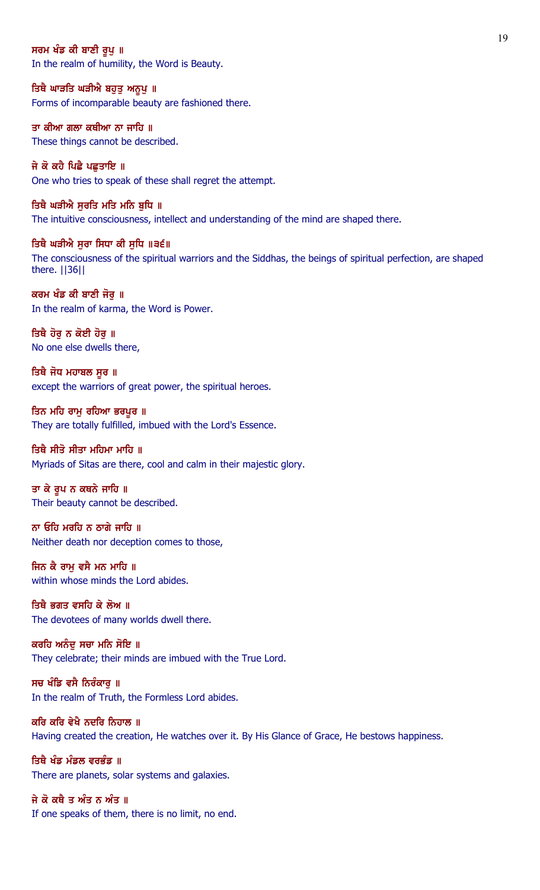## ਸਰਮ ਖੰਡ ਕੀ ਬਾਣੀ ਰੂਪ ॥

In the realm of humility, the Word is Beauty.

ਤਿਥੈ ਘਾੜਤਿ ਘੜੀਐ ਬਹੁਤੁ ਅਨੂਪੁ ॥ Forms of incomparable beauty are fashioned there.

ਤਾ ਕੀਆ ਗਲਾ ਕਥੀਆ ਨਾ ਜਾਹਿ ॥ These things cannot be described.

ਜੇ ਕੋ ਕਹੈ ਪਿਛੈ ਪਛੁਤਾਇ ॥ One who tries to speak of these shall regret the attempt.

ਤਿਥੈ ਘੜੀਐ ਸੁਰਤਿ ਮਤਿ ਮਨਿ ਬੁਧਿ ॥ The intuitive consciousness, intellect and understanding of the mind are shaped there.

ਤਿਥੈ ਘੜੀਐ ਸੁਰਾ ਸਿਧਾ ਕੀ ਸੁਧਿ ॥੩੬॥ The consciousness of the spiritual warriors and the Siddhas, the beings of spiritual perfection, are shaped there. ||36||

ਕਰਮ ਖੰਡ ਕੀ ਬਾਣੀ ਜੋਰੁ ॥ In the realm of karma, the Word is Power.

ਤਿਥੈ ਹੋਰੁ ਨ ਕੋਈ ਹੋਰੁ ॥ No one else dwells there,

ਤਿਥੈ ਜੋਧ ਮਹਾਬਲ ਸੂਰ ॥ except the warriors of great power, the spiritual heroes.

ਤਿਨ ਮਹਿ ਰਾਮੁ ਰਹਿਆ ਭਰਪੁਰ ॥ They are totally fulfilled, imbued with the Lord's Essence.

# ਤਿਥੈ ਸੀਤੋ ਸੀਤਾ ਮਹਿਮਾ ਮਾਹਿ ॥

Myriads of Sitas are there, cool and calm in their majestic glory.

ਤਾ ਕੇ ਰੂਪ ਨ ਕਥਨੇ ਜਾਹਿ ॥ Their beauty cannot be described.

ਨਾ ਓਹਿ ਮਰਹਿ ਨ ਠਾਗੇ ਜਾਹਿ ॥ Neither death nor deception comes to those,

ਜਿਨ ਕੈ ਰਾਮ ਵਸੈ ਮਨ ਮਾਹਿ ॥ within whose minds the Lord abides.

ਤਿਥੈ ਭਗਤ ਵਸਹਿ ਕੇ ਲੋਅ ॥ The devotees of many worlds dwell there.

ਕਰਹਿ ਅਨੰਦੂ ਸਚਾ ਮਨਿ ਸੋਇ ॥ They celebrate; their minds are imbued with the True Lord.

ਸਚ ਖੰਡਿ ਵਸੈ ਨਿਰੰਕਾਰ ॥ In the realm of Truth, the Formless Lord abides.

ਕਰਿ ਕਰਿ ਵੇਖੈ ਨਦਰਿ ਨਿਹਾਲ ॥ Having created the creation, He watches over it. By His Glance of Grace, He bestows happiness.

ਤਿਥੈ ਖੰਡ ਮੰਡਲ ਵਰਭੰਡ ॥ There are planets, solar systems and galaxies.

ਜੇ ਕੋ ਕਥੈ ਤ ਅੰਤ ਨ ਅੰਤ ॥ If one speaks of them, there is no limit, no end.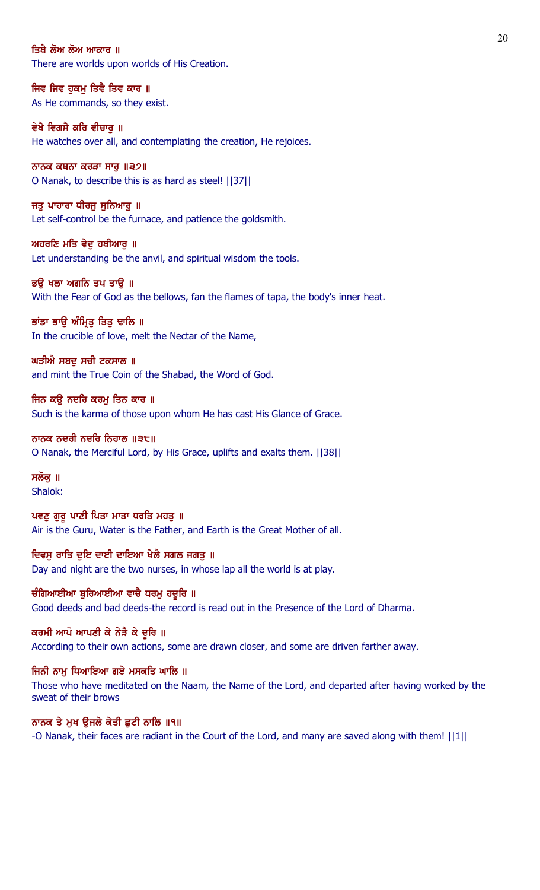#### ਤਿਥੈ ਲੋਅ ਲੋਅ ਆਕਾਰ ॥

There are worlds upon worlds of His Creation.

ਜਿਵ ਜਿਵ ਹੁਕਮੂ ਤਿਵੈ ਤਿਵ ਕਾਰ ॥ As He commands, so they exist.

ਵੇਖੈ ਵਿਗਸੈ ਕਰਿ ਵੀਚਾਰ ॥ He watches over all, and contemplating the creation, He rejoices.

ਨਾਨਕ ਕਥਨਾ ਕਰੜਾ ਸਾਰ $\|32\|$ O Nanak, to describe this is as hard as steel! ||37||

ਜਤੁ ਪਾਹਾਰਾ ਧੀਰਜੁ ਸੁਨਿਆਰੁ ॥ Let self-control be the furnace, and patience the goldsmith.

ਅਹਰਣਿ ਮਤਿ ਵੇਦੁ ਹਥੀਆਰੁ ॥ Let understanding be the anvil, and spiritual wisdom the tools.

ਭੳ ਖਲਾ ਅਗਨਿ ਤਪ ਤਾੳ ॥ With the Fear of God as the bellows, fan the flames of tapa, the body's inner heat.

ਭਾਂਡਾ ਭਾਉ ਅੰਮ੍ਰਿਤੂ ਤਿਤੁ ਢਾਲਿ ॥ In the crucible of love, melt the Nectar of the Name,

ਘੜੀਐ ਸਬਦੂ ਸਚੀ ਟਕਸਾਲ ॥ and mint the True Coin of the Shabad, the Word of God.

ਜਿਨ ਕਉ ਨਦਰਿ ਕਰਮੂ ਤਿਨ ਕਾਰ ॥ Such is the karma of those upon whom He has cast His Glance of Grace.

ਨਾਨਕ ਨਦਰੀ ਨਦਰਿ ਨਿਹਾਲ ॥੩੮॥ O Nanak, the Merciful Lord, by His Grace, uplifts and exalts them. ||38||

ਸਲੋਕ ॥ Shalok:

ਪਵਣੂ ਗੁਰੂ ਪਾਣੀ ਪਿਤਾ ਮਾਤਾ ਧਰਤਿ ਮਹਤੂ ॥ Air is the Guru, Water is the Father, and Earth is the Great Mother of all.

ਦਿਵਸੂ ਰਾਤਿ ਦੁਇ ਦਾਈ ਦਾਇਆ ਖੇਲੈ ਸਗਲ ਜਗਤੂ ॥ Day and night are the two nurses, in whose lap all the world is at play.

ਚੰਗਿਆਈਆ ਬਰਿਆਈਆ ਵਾਚੈ ਧਰਮ ਹਦੂਰਿ ॥ Good deeds and bad deeds-the record is read out in the Presence of the Lord of Dharma.

ਕਰਮੀ ਆਪੋ ਆਪਣੀ ਕੇ ਨੇੜੈ ਕੇ ਦੁਰਿ ॥ According to their own actions, some are drawn closer, and some are driven farther away.

ਜਿਨੀ ਨਾਮੁ ਧਿਆਇਆ ਗਏ ਮਸਕਤਿ ਘਾਲਿ ॥ Those who have meditated on the Naam, the Name of the Lord, and departed after having worked by the sweat of their brows

ਨਾਨਕ ਤੇ ਮੁਖ ਉਜਲੇ ਕੇਤੀ ਛੁਟੀ ਨਾਲਿ ॥੧॥ -O Nanak, their faces are radiant in the Court of the Lord, and many are saved along with them! ||1||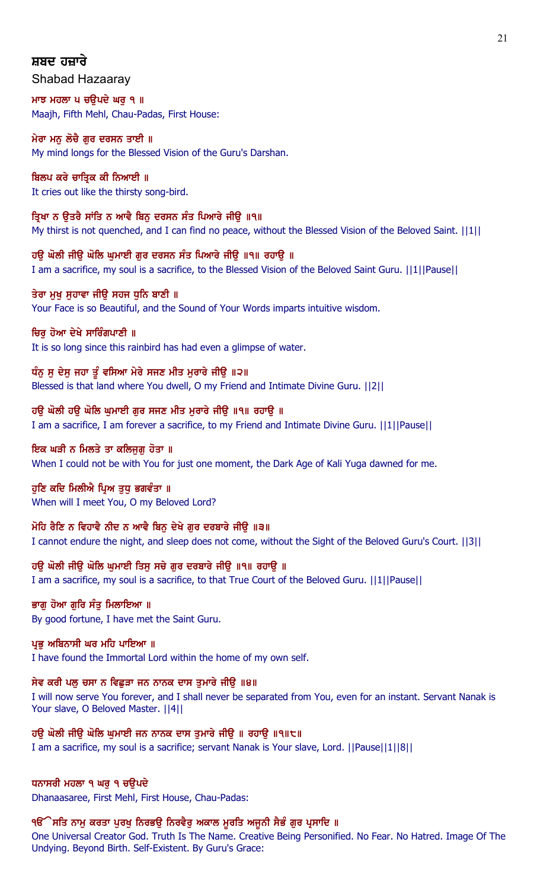# ਸ਼ਬਦ ਹਜ਼ਾਰੇ

Shabad Hazaaray

ਮਾਝ ਮਹਲਾ ਪ ਚਉਪਦੇ ਘਰੁ ੧ ॥ Maajh, Fifth Mehl, Chau-Padas, First House:

ਮੇਰਾ ਮਨੂ ਲੋਚੈ ਗੁਰ ਦਰਸਨ ਤਾਈ ॥ My mind longs for the Blessed Vision of the Guru's Darshan.

# ਬਿਲਪ ਕਰੇ ਚਾਤਿਕ ਕੀ ਨਿਆਈ ॥

It cries out like the thirsty song-bird.

ਤਿਖਾ ਨ ੳਤਰੈ ਸਾਂਤਿ ਨ ਆਵੈ ਬਿਨ ਦਰਸਨ ਸੰਤ ਪਿਆਰੇ ਜੀੳ ॥੧॥ My thirst is not quenched, and I can find no peace, without the Blessed Vision of the Beloved Saint. [11]

ਹੳ ਘੋਲੀ ਜੀੳ ਘੋਲਿ ਘਮਾਈ ਗਰ ਦਰਸਨ ਸੰਤ ਪਿਆਰੇ ਜੀੳ ॥੧॥ ਰਹਾੳ ॥ I am a sacrifice, my soul is a sacrifice, to the Blessed Vision of the Beloved Saint Guru. ||1||Pause||

ਤੇਰਾ ਮਖ ਸਹਾਵਾ ਜੀੳ ਸਹਜ ਧਨਿ ਬਾਣੀ ॥ Your Face is so Beautiful, and the Sound of Your Words imparts intuitive wisdom.

ਚਿਰ ਹੋਆ ਦੇਖੇ ਸਾਰਿੰਗਪਾਣੀ ॥ It is so long since this rainbird has had even a glimpse of water.

ਧੰਨ ਸ ਦੇਸ ਜਹਾ ਤੂੰ ਵਸਿਆ ਮੇਰੇ ਸਜਣ ਮੀਤ ਮਰਾਰੇ ਜੀੳ ॥੨॥ Blessed is that land where You dwell, O my Friend and Intimate Divine Guru. ||2||

ਹਉ ਘੋਲੀ ਹਉ ਘੋਲਿ ਘੁਮਾਈ ਗੁਰ ਸਜਣ ਮੀਤ ਮੁਰਾਰੇ ਜੀਉ ॥੧॥ ਰਹਾਉ ॥ I am a sacrifice, I am forever a sacrifice, to my Friend and Intimate Divine Guru. ||1||Pause||

# ਇਕ ਘੜੀ ਨ ਮਿਲਤੇ ਤਾ ਕਲਿਜੁਗ਼ ਹੋਤਾ ॥

When I could not be with You for just one moment, the Dark Age of Kali Yuga dawned for me.

# ਹਣਿ ਕਦਿ ਮਿਲੀਐ ਪ੍ਰਿਅ ਤਧ ਭਗਵੰਤਾ ॥

When will I meet You, O my Beloved Lord?

# ਮੋਹਿ ਰੈਣਿ ਨ ਵਿਹਾਵੈ ਨੀਦ ਨ ਆਵੈ ਬਿਨੂ ਦੇਖੇ ਗੁਰ ਦਰਬਾਰੇ ਜੀਉ ॥੩॥

I cannot endure the night, and sleep does not come, without the Sight of the Beloved Guru's Court. ||3||

ਹਉ ਘੋਲੀ ਜੀਉ ਘੋਲਿ ਘੁਮਾਈ ਤਿਸੂ ਸਚੇ ਗੁਰ ਦਰਬਾਰੇ ਜੀਉ ॥੧॥ ਰਹਾਉ ॥

I am a sacrifice, my soul is a sacrifice, to that True Court of the Beloved Guru. ||1||Pause||

# ਭਾਗ ਹੋਆ ਗਰਿ ਸੰਤ ਮਿਲਾਇਆ ॥

By good fortune, I have met the Saint Guru.

# ਪ੍ਰਭੂ ਅਬਿਨਾਸੀ ਘਰ ਮਹਿ ਪਾਇਆ ॥

I have found the Immortal Lord within the home of my own self.

# ਸੇਵ ਕਰੀ ਪਲ੍ਹ ਚਸਾ ਨ ਵਿਛੜਾ ਜਨ ਨਾਨਕ ਦਾਸ ਤੁਮਾਰੇ ਜੀਉ ॥੪॥

I will now serve You forever, and I shall never be separated from You, even for an instant. Servant Nanak is Your slave, O Beloved Master. ||4||

ਹਉ ਘੋਲੀ ਜੀਉ ਘੋਲਿ ਘੁਮਾਈ ਜਨ ਨਾਨਕ ਦਾਸ ਤੁਮਾਰੇ ਜੀਉ ॥ ਰਹਾਉ ॥੧॥੮॥

I am a sacrifice, my soul is a sacrifice; servant Nanak is Your slave, Lord. ||Pause||1||8||

# ਧਨਾਸਰੀ ਮਹਲਾ ੧ ਘਰ ੧ ਚੳਪਦੇ

Dhanaasaree, First Mehl, First House, Chau-Padas:

# ੧ੳੱੇਸਤਿ ਨਾਮੁ ਕਰਤਾ ਪੁਰਖੁ ਨਿਰਭਉ ਨਿਰਵੈਰੁ ਅਕਾਲ ਮੁਰਤਿ ਅਜੂਨੀ ਸੈਭੰ ਗੁਰ ਪ੍ਰਸਾਦਿ ॥

One Universal Creator God. Truth Is The Name. Creative Being Personified. No Fear. No Hatred. Image Of The Undying. Beyond Birth. Self-Existent. By Guru's Grace: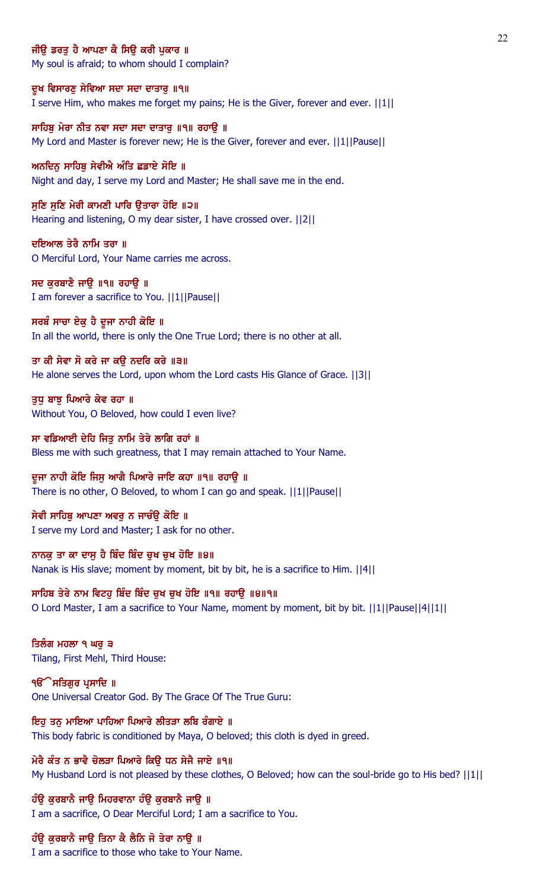## ਜੀੳ ਡਰਤ ਹੈ ਆਪਣਾ ਕੈ ਸਿੳ ਕਰੀ ਪਕਾਰ ॥

My soul is afraid; to whom should I complain?

ਦੁਖ ਵਿਸਾਰਣੁ ਸੇਵਿਆ ਸਦਾ ਸਦਾ ਦਾਤਾਰੁ ॥੧॥ I serve Him, who makes me forget my pains; He is the Giver, forever and ever. ||1||

ਸਾਹਿਬ ਮੇਰਾ ਨੀਤ ਨਵਾ ਸਦਾ ਸਦਾ ਦਾਤਾਰ ॥੧॥ ਰਹਾੳ ॥ My Lord and Master is forever new; He is the Giver, forever and ever. ||1||Pause||

ਅਨਦਿਨ ਸਾਹਿਬ ਸੇਵੀਐ ਅੰਤਿ ਛਡਾਏ ਸੋਇ ॥ Night and day, I serve my Lord and Master; He shall save me in the end.

ਸੁਣਿ ਸੁਣਿ ਮੇਰੀ ਕਾਮਣੀ ਪਾਰਿ ਉਤਾਰਾ ਹੋਇ ॥੨॥ Hearing and listening, O my dear sister, I have crossed over. ||2||

ਦਇਆਲ ਤੇਰੈ ਨਾਮਿ ਤਰਾ ॥ O Merciful Lord, Your Name carries me across.

ਸਦ ਕੁਰਬਾਣੈ ਜਾਉ ॥੧॥ ਰਹਾਉ ॥ I am forever a sacrifice to You. ||1||Pause||

ਸਰਬੰ ਸਾਚਾ ਏਕੁ ਹੈ ਦੂਜਾ ਨਾਹੀ ਕੋਇ ॥ In all the world, there is only the One True Lord; there is no other at all.

ਤਾ ਕੀ ਸੇਵਾ ਸੋ ਕਰੇ ਜਾ ਕਉ ਨਦਰਿ ਕਰੇ ॥੩॥ He alone serves the Lord, upon whom the Lord casts His Glance of Grace. ||3||

ਤਧ ਬਾਝ ਪਿਆਰੇ ਕੇਵ ਰਹਾ ॥ Without You, O Beloved, how could I even live?

ਸਾ ਵਡਿਆਈ ਦੇਹਿ ਜਿਤੂ ਨਾਮਿ ਤੇਰੇ ਲਾਗਿ ਰਹਾਂ ॥ Bless me with such greatness, that I may remain attached to Your Name.

ਦੂਜਾ ਨਾਹੀ ਕੋਇ ਜਿਸੂ ਆਗੈ ਪਿਆਰੇ ਜਾਇ ਕਹਾ ॥੧॥ ਰਹਾਉ ॥ There is no other, O Beloved, to whom I can go and speak. ||1||Pause||

ਸੇਵੀ ਸਾਹਿਬ ਆਪਣਾ ਅਵਰ ਨ ਜਾਚੰੳ ਕੋਇ ॥ I serve my Lord and Master; I ask for no other.

ਨਾਨਕੂ ਤਾ ਕਾ ਦਾਸੂ ਹੈ ਬਿੰਦ ਬਿੰਦ ਚੁਖ ਚੁਖ ਹੋਇ ॥੪॥ Nanak is His slave; moment by moment, bit by bit, he is a sacrifice to Him. ||4||

ਸਾਹਿਬ ਤੇਰੇ ਨਾਮ ਵਿਟਹ ਬਿੰਦ ਬਿੰਦ ਚਖ ਚਖ ਹੋਇ ॥੧॥ ਰਹਾੳ ॥੪॥੧॥ O Lord Master, I am a sacrifice to Your Name, moment by moment, bit by bit. ||1||Pause||4||1||

ਤਿਲੰਗ ਮਹਲਾ ੧ ਘਰੂ ੩ Tilang, First Mehl, Third House:

੧**ੳੇਸਤਿਗਰ ਪ੍ਰਸਾਦਿ** ॥ One Universal Creator God. By The Grace Of The True Guru:

ਇਹੂ ਤਨੂ ਮਾਇਆ ਪਾਹਿਆ ਪਿਆਰੇ ਲੀਤੜਾ ਲਬਿ ਰੰਗਾਏ ॥ This body fabric is conditioned by Maya, O beloved; this cloth is dyed in greed.

ਮੇਰੈ ਕੰਤ ਨ ਭਾਵੈ ਚੋਲੜਾ ਪਿਆਰੇ ਕਿੳ ਧਨ ਸੇਜੈ ਜਾਏ ॥੧॥ My Husband Lord is not pleased by these clothes, O Beloved; how can the soul-bride go to His bed? ||1||

ਹੰਉ ਕੁਰਬਾਨੈ ਜਾਉ ਮਿਹਰਵਾਨਾ ਹੰਉ ਕੁਰਬਾਨੈ ਜਾਉ ॥ I am a sacrifice, O Dear Merciful Lord; I am a sacrifice to You.

ਹੰਉ ਕੁਰਬਾਨੈ ਜਾਉ ਤਿਨਾ ਕੈ ਲੈਨਿ ਜੋ ਤੇਰਾ ਨਾਉ ॥

I am a sacrifice to those who take to Your Name.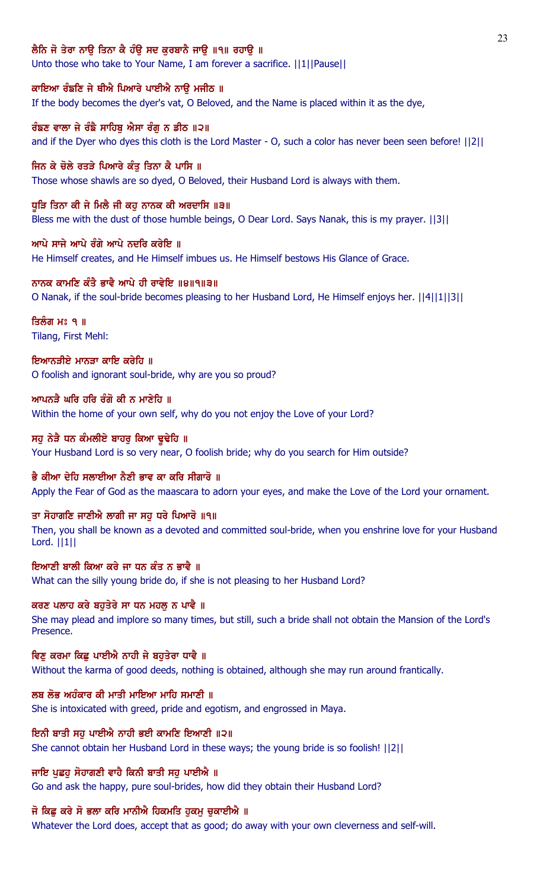# ਲੈਨਿ ਜੋ ਤੇਰਾ ਨਾੳ ਤਿਨਾ ਕੈ ਹੰੳ ਸਦ ਕਰਬਾਨੈ ਜਾੳ ॥੧॥ ਰਹਾੳ ॥

Unto those who take to Your Name, I am forever a sacrifice. ||1||Pause||

## ਕਾਇਆ ਰੰਙਣਿ ਜੇ ਥੀਐ ਪਿਆਰੇ ਪਾਈਐ ਨਾਉ ਮਜੀਠ ॥

If the body becomes the dyer's vat, O Beloved, and the Name is placed within it as the dye,

# ਰੰਙਣ ਵਾਲਾ ਜੇ ਰੰਙੈ ਸਾਹਿਬ ਐਸਾ ਰੰਗ ਨ ਡੀਠ ॥੨॥

and if the Dyer who dyes this cloth is the Lord Master - O, such a color has never been seen before! ||2||

## ਜਿਨ ਕੇ ਚੋਲੇ ਰਤੜੇ ਪਿਆਰੇ ਕੰਤ ਤਿਨਾ ਕੈ ਪਾਸਿ ॥

Those whose shawls are so dyed, O Beloved, their Husband Lord is always with them.

## ਧੁੜਿ ਤਿਨਾ ਕੀ ਜੇ ਮਿਲੈ ਜੀ ਕਹੁ ਨਾਨਕ ਕੀ ਅਰਦਾਸਿ ॥੩॥

Bless me with the dust of those humble beings, O Dear Lord. Says Nanak, this is my prayer. ||3||

## ਆਪੇ ਸਾਜੇ ਆਪੇ ਰੰਗੇ ਆਪੇ ਨਦਰਿ ਕਰੇਇ ॥

He Himself creates, and He Himself imbues us. He Himself bestows His Glance of Grace.

# ਨਾਨਕ ਕਾਮਣਿ ਕੰਤੈ ਭਾਵੈ ਆਪੇ ਹੀ ਰਾਵੇਇ ॥੪॥੧॥੩॥

O Nanak, if the soul-bride becomes pleasing to her Husband Lord, He Himself enjoys her. ||4||1||3||

## ਤਿਲੰਗ ਮਃ ੧ ॥ Tilang, First Mehl:

# ਇਆਨਤੀਏ ਮਾਨਤਾ ਕਾਇ ਕਰੇਹਿ ॥ O foolish and ignorant soul-bride, why are you so proud?

# ਆਪਨੜੈ ਘਰਿ ਹਰਿ ਰੰਗੋ ਕੀ ਨ ਮਾਣੇਹਿ ॥ Within the home of your own self, why do you not enjoy the Love of your Lord?

# ਸਹੂ ਨੇੜੇ ਧਨ ਕੰਮਲੀਏ ਬਾਹਰੂ ਕਿਆ ਢੁਢੇਹਿ ॥ Your Husband Lord is so very near, O foolish bride; why do you search for Him outside?

# ਭੈ ਕੀਆ ਦੇਹਿ ਸਲਾਈਆ ਨੈਣੀ ਭਾਵ ਕਾ ਕਰਿ ਸੀਗਾਰੋ ॥

Apply the Fear of God as the maascara to adorn your eyes, and make the Love of the Lord your ornament.

# ਤਾ ਸੋਹਾਗਣਿ ਜਾਣੀਐ ਲਾਗੀ ਜਾ ਸਹ ਧਰੇ ਪਿਆਰੋ ॥੧॥

Then, you shall be known as a devoted and committed soul-bride, when you enshrine love for your Husband Lord. ||1||

# ਇਆਣੀ ਬਾਲੀ ਕਿਆ ਕਰੇ ਜਾ ਧਨ ਕੰਤ ਨ ਭਾਵੈ ॥

What can the silly young bride do, if she is not pleasing to her Husband Lord?

# ਕਰਣ ਪਲਾਹ ਕਰੇ ਬਹਤੇਰੇ ਸਾ ਧਨ ਮਹਲ ਨ ਪਾਵੈ ॥

She may plead and implore so many times, but still, such a bride shall not obtain the Mansion of the Lord's Presence.

# ਵਿਣ ਕਰਮਾ ਕਿਛ ਪਾਈਐ ਨਾਹੀ ਜੇ ਬਹਤੇਰਾ ਧਾਵੈ ॥

Without the karma of good deeds, nothing is obtained, although she may run around frantically.

# ਲਬ ਲੋਭ ਅਹੰਕਾਰ ਕੀ ਮਾਤੀ ਮਾਇਆ ਮਾਹਿ ਸਮਾਣੀ ॥

She is intoxicated with greed, pride and egotism, and engrossed in Maya.

# ਇਨੀ ਬਾਤੀ ਸਹੁ ਪਾਈਐ ਨਾਹੀ ਭਈ ਕਾਮਣਿ ਇਆਣੀ ॥੨॥

She cannot obtain her Husband Lord in these ways; the young bride is so foolish! ||2||

# ਜਾਇ ਪਛਹ ਸੋਹਾਗਣੀ ਵਾਹੈ ਕਿਨੀ ਬਾਤੀ ਸਹ ਪਾਈਐ ॥

Go and ask the happy, pure soul-brides, how did they obtain their Husband Lord?

# ਜੋ ਕਿਛੂ ਕਰੇ ਸੋ ਭਲਾ ਕਰਿ ਮਾਨੀਐ ਹਿਕਮਤਿ ਹੁਕਮੂ ਚੁਕਾਈਐ ॥

Whatever the Lord does, accept that as good; do away with your own cleverness and self-will.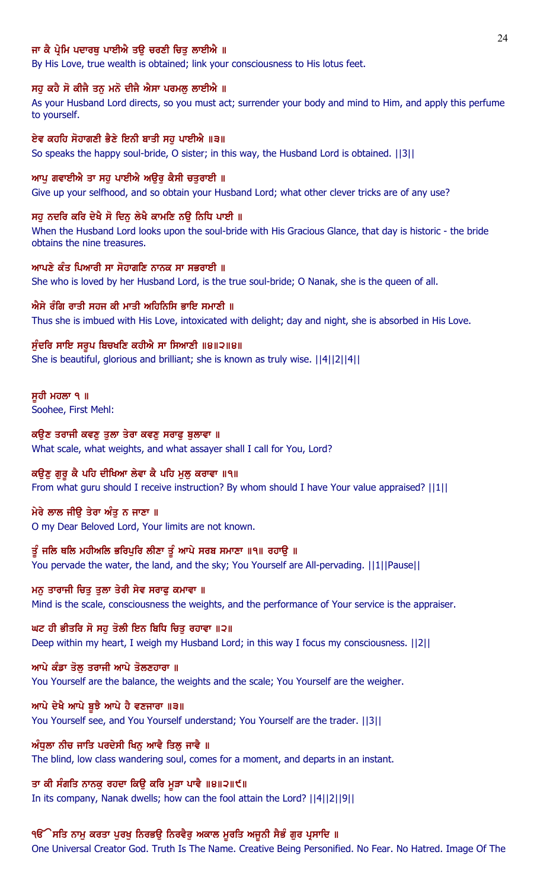## ਜਾ ਕੈ ਪ੍ਰੇਮਿ ਪਦਾਰਥ ਪਾਈਐ ਤੳ ਚਰਣੀ ਚਿਤ ਲਾਈਐ ॥

By His Love, true wealth is obtained; link your consciousness to His lotus feet.

#### ਸਹੁ ਕਹੈ ਸੋ ਕੀਜੈ ਤਨੁ ਮਨੋ ਦੀਜੈ ਐਸਾ ਪਰਮਲੂ ਲਾਈਐ ॥

As your Husband Lord directs, so you must act; surrender your body and mind to Him, and apply this perfume to yourself.

#### ਏਵ ਕਹਹਿ ਸੋਹਾਗਣੀ ਭੈਣੇ ਇਨੀ ਬਾਤੀ ਸਹ ਪਾਈਐ ॥੩॥

So speaks the happy soul-bride, O sister; in this way, the Husband Lord is obtained. ||3||

#### ਆਪੂ ਗਵਾਈਐ ਤਾ ਸਹੂ ਪਾਈਐ ਅਉਰ ਕੈਸੀ ਚਤੁਰਾਈ ॥

Give up your selfhood, and so obtain your Husband Lord; what other clever tricks are of any use?

#### ਸਹ ਨਦਰਿ ਕਰਿ ਦੇਖੈ ਸੋ ਦਿਨ ਲੇਖੈ ਕਾਮਣਿ ਨੳ ਨਿਧਿ ਪਾਈ ॥

When the Husband Lord looks upon the soul-bride with His Gracious Glance, that day is historic - the bride obtains the nine treasures.

#### ਆਪਣੇ ਕੰਤ ਪਿਆਰੀ ਸਾ ਸੋਹਾਗਣਿ ਨਾਨਕ ਸਾ ਸਭਰਾਈ ॥

She who is loved by her Husband Lord, is the true soul-bride; O Nanak, she is the queen of all.

#### ਐਸੇ ਰੰਗਿ ਰਾਤੀ ਸਹਜ ਕੀ ਮਾਤੀ ਅਹਿਨਿਸਿ ਭਾਇ ਸਮਾਣੀ ॥

Thus she is imbued with His Love, intoxicated with delight; day and night, she is absorbed in His Love.

#### ਸੁੰਦਰਿ ਸਾਇ ਸਰੂਪ ਬਿਚਖਣਿ ਕਹੀਐ ਸਾ ਸਿਆਣੀ ॥੪॥੨॥੪॥

She is beautiful, glorious and brilliant; she is known as truly wise. ||4||2||4||

#### ਸੁਹੀ ਮਹਲਾ ੧ ॥

Soohee, First Mehl:

#### ਕਉਣ ਤਰਾਜੀ ਕਵਣੂ ਤੁਲਾ ਤੇਰਾ ਕਵਣੂ ਸਰਾਫੂ ਬੁਲਾਵਾ ॥

What scale, what weights, and what assayer shall I call for You, Lord?

#### ਕਉਣੂ ਗੁਰੂ ਕੈ ਪਹਿ ਦੀਖਿਆ ਲੇਵਾ ਕੈ ਪਹਿ ਮੂਲੂ ਕਰਾਵਾ ॥੧॥

From what guru should I receive instruction? By whom should I have Your value appraised? ||1||

#### ਮੇਰੇ ਲਾਲ ਜੀੳ ਤੇਰਾ ਅੰਤ ਨ ਜਾਣਾ ॥

O my Dear Beloved Lord, Your limits are not known.

# ਤੂੰ ਜਲਿ ਥਲਿ ਮਹੀਅਲਿ ਭਰਿਪੁਰਿ ਲੀਣਾ ਤੂੰ ਆਪੇ ਸਰਬ ਸਮਾਣਾ ॥੧॥ ਰਹਾਉ ॥

You pervade the water, the land, and the sky; You Yourself are All-pervading. ||1||Pause||

## ਮਨ ਤਾਰਾਜੀ ਚਿਤੁ ਤੁਲਾ ਤੇਰੀ ਸੇਵ ਸਰਾਫੁ ਕਮਾਵਾ ॥

Mind is the scale, consciousness the weights, and the performance of Your service is the appraiser.

#### ਘਟ ਹੀ ਭੀਤਰਿ ਸੋ ਸਹ ਤੋਲੀ ਇਨ ਬਿਧਿ ਚਿਤ ਰਹਾਵਾ ॥੨॥

Deep within my heart, I weigh my Husband Lord; in this way I focus my consciousness. ||2||

#### ਆਪੇ ਕੰਡਾ ਤੋਲ਼ ਤਰਾਜੀ ਆਪੇ ਤੋਲਣਹਾਰਾ ॥

You Yourself are the balance, the weights and the scale; You Yourself are the weigher.

#### ਆਪੇ ਦੇਖੈ ਆਪੇ ਬੁਝੈ ਆਪੇ ਹੈ ਵਣਜਾਰਾ ॥੩॥

You Yourself see, and You Yourself understand; You Yourself are the trader. ||3||

#### ਅੰਧੁਲਾ ਨੀਚ ਜਾਤਿ ਪਰਦੇਸੀ ਖਿਨੂ ਆਵੈ ਤਿਲੂ ਜਾਵੈ ॥

The blind, low class wandering soul, comes for a moment, and departs in an instant.

#### ਤਾ ਕੀ ਸੰਗਤਿ ਨਾਨਕੁ ਰਹਦਾ ਕਿਉ ਕਰਿ ਮੁੜਾ ਪਾਵੈ ॥੪॥੨॥੯॥

In its company, Nanak dwells; how can the fool attain the Lord? ||4||2||9||

#### ੧ੳੱੇਸਤਿ ਨਾਮੂ ਕਰਤਾ ਪੂਰਖੂ ਨਿਰਭਉ ਨਿਰਵੈਰੂ ਅਕਾਲ ਮੁਰਤਿ ਅਜੂਨੀ ਸੈਭੰ ਗੁਰ ਪ੍ਰਸਾਦਿ ॥

One Universal Creator God. Truth Is The Name. Creative Being Personified. No Fear. No Hatred. Image Of The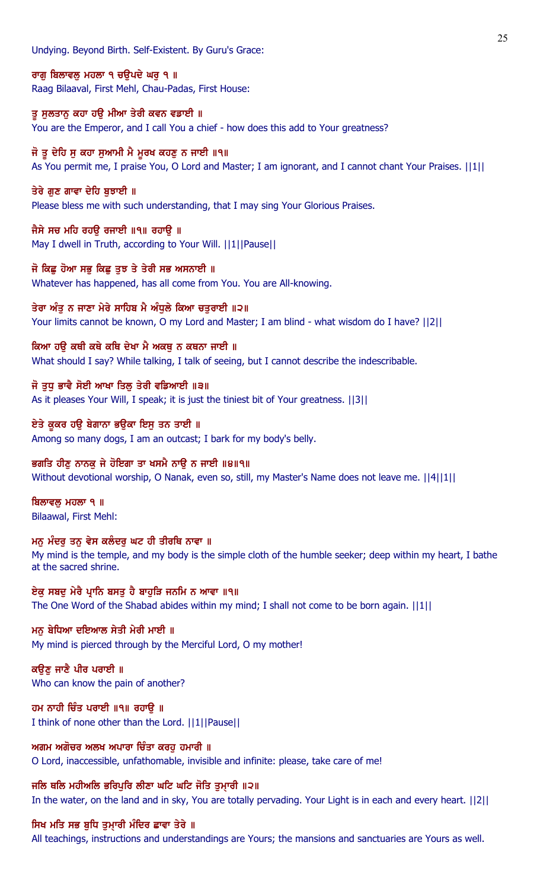Undying. Beyond Birth. Self-Existent. By Guru's Grace:

ਰਾਗੂ ਬਿਲਾਵਲੂ ਮਹਲਾ ੧ ਚਉਪਦੇ ਘਰੂ ੧ ॥ Raag Bilaaval, First Mehl, Chau-Padas, First House:

ਤੂ ਸੁਲਤਾਨੂ ਕਹਾ ਹਉ ਮੀਆ ਤੇਰੀ ਕਵਨ ਵਡਾਈ ॥ You are the Emperor, and I call You a chief - how does this add to Your greatness?

# ਜੋ ਤੂ ਦੇਹਿ ਸੂ ਕਹਾ ਸੁਆਮੀ ਮੈ ਮੂਰਖ ਕਹਣੂ ਨ ਜਾਈ ॥੧॥

As You permit me, I praise You, O Lord and Master; I am ignorant, and I cannot chant Your Praises. ||1||

# ਤੇਰੇ ਗੁਣ ਗਾਵਾ ਦੇਹਿ ਬੁਝਾਈ ॥

Please bless me with such understanding, that I may sing Your Glorious Praises.

## ਜੈਸੇ ਸਚ ਮਹਿ ਰਹਉ ਰਜਾਈ ॥੧॥ ਰਹਾਉ ॥

May I dwell in Truth, according to Your Will. ||1||Pause||

## ਜੋ ਕਿਛੂ ਹੋਆ ਸਭੂ ਕਿਛੂ ਤੁਝ ਤੇ ਤੇਰੀ ਸਭ ਅਸਨਾਈ ॥

Whatever has happened, has all come from You. You are All-knowing.

## ਤੇਰਾ ਅੰਤੂ ਨ ਜਾਣਾ ਮੇਰੇ ਸਾਹਿਬ ਮੈ ਅੰਧੂਲੇ ਕਿਆ ਚਤੁਰਾਈ ॥੨॥

Your limits cannot be known, O my Lord and Master; I am blind - what wisdom do I have? ||2||

## ਕਿਆ ਹੳ ਕਥੀ ਕਥੇ ਕਥਿ ਦੇਖਾ ਮੈ ਅਕਥ ਨ ਕਥਨਾ ਜਾਈ ॥

What should I say? While talking, I talk of seeing, but I cannot describe the indescribable.

# ਜੋ ਤੁਧੁ ਭਾਵੈ ਸੋਈ ਆਖਾ ਤਿਲੂ ਤੇਰੀ ਵਡਿਆਈ ॥੩॥

As it pleases Your Will, I speak; it is just the tiniest bit of Your greatness. ||3||

## ਏਤੇ ਕੁਕਰ ਹਉ ਬੇਗਾਨਾ ਭਉਕਾ ਇਸੁ ਤਨ ਤਾਈ ॥

Among so many dogs, I am an outcast; I bark for my body's belly.

# ਭਗਤਿ ਹੀਣ ਨਾਨਕ ਜੇ ਹੋਇਗਾ ਤਾ ਖਸਮੈ ਨਾੳ ਨ ਜਾਈ ॥੪॥੧॥

Without devotional worship, O Nanak, even so, still, my Master's Name does not leave me. ||4||1||

ਬਿਲਾਵਲੂ ਮਹਲਾ ੧ ॥ Bilaawal, First Mehl:

#### **ਮਨੂ ਮੰਦਰੂ ਤਨੂ ਵੇਸ ਕਲੰਦਰੂ ਘਟ ਹੀ ਤੀਰਥਿ ਨਾਵਾ** ॥ My mind is the temple, and my body is the simple cloth of the humble seeker; deep within my heart, I bathe at the sacred shrine.

ਏਕੁ ਸਬਦੁ ਮੇਰੈ ਪ੍ਰਾਨਿ ਬਸਤੁ ਹੈ ਬਾਹੁੜਿ ਜਨਮਿ ਨ ਆਵਾ ॥੧॥ The One Word of the Shabad abides within my mind; I shall not come to be born again. ||1||

# ਮਨੂ ਬੇਧਿਆ ਦਇਆਲ ਸੇਤੀ ਮੇਰੀ ਮਾਈ ॥

My mind is pierced through by the Merciful Lord, O my mother!

## ਕਉਣੂ ਜਾਣੈ ਪੀਰ ਪਰਾਈ ॥ Who can know the pain of another?

ਹਮ ਨਾਹੀ ਚਿੰਤ ਪਰਾਈ ॥੧॥ ਰਹਾਉ ॥ I think of none other than the Lord. ||1||Pause||

# ਅਗਮ ਅਗੋਚਰ ਅਲਖ ਅਪਾਰਾ ਚਿੰਤਾ ਕਰਹੁ ਹਮਾਰੀ ॥

O Lord, inaccessible, unfathomable, invisible and infinite: please, take care of me!

#### ਜਲਿ ਥਲਿ ਮਹੀਅਲਿ ਭਰਿਪਰਿ ਲੀਣਾ ਘਟਿ ਘਟਿ ਜੋਤਿ ਤਮਾਰੀ ॥੨॥

In the water, on the land and in sky, You are totally pervading. Your Light is in each and every heart. ||2||

# ਸਿਖ ਮਤਿ ਸਭ ਬੁਧਿ ਤੁਮਾਰੀ ਮੰਦਿਰ ਛਾਵਾ ਤੇਰੇ ॥

All teachings, instructions and understandings are Yours; the mansions and sanctuaries are Yours as well.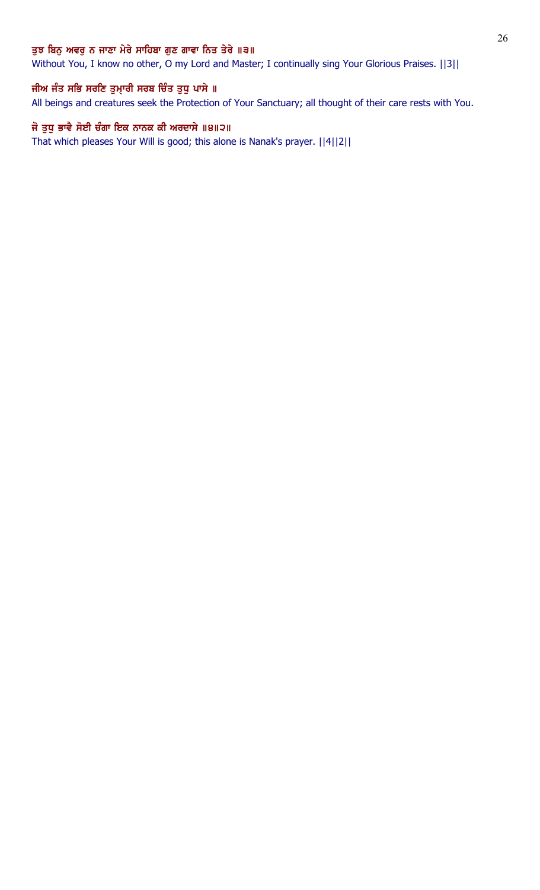## ਤੁਝ ਬਿਨੁ ਅਵਰੁ ਨ ਜਾਣਾ ਮੇਰੇ ਸਾਹਿਬਾ ਗੁਣ ਗਾਵਾ ਨਿਤ ਤੇਰੇ ॥੩॥

Without You, I know no other, O my Lord and Master; I continually sing Your Glorious Praises. ||3||

# ਜੀਅ ਜੰਤ ਸਭਿ ਸਰਣਿ ਤੁਮ੍ਾਰੀ ਸਰਬ ਚਿੰਤ ਤੁਧੁ ਪਾਸੇ ॥

All beings and creatures seek the Protection of Your Sanctuary; all thought of their care rests with You.

# ਜੋ ਤੁਧੁ ਭਾਵੈ ਸੋਈ ਚੰਗਾ ਇਕ ਨਾਨਕ ਕੀ ਅਰਦਾਸੇ ॥੪॥੨॥

That which pleases Your Will is good; this alone is Nanak's prayer. ||4||2||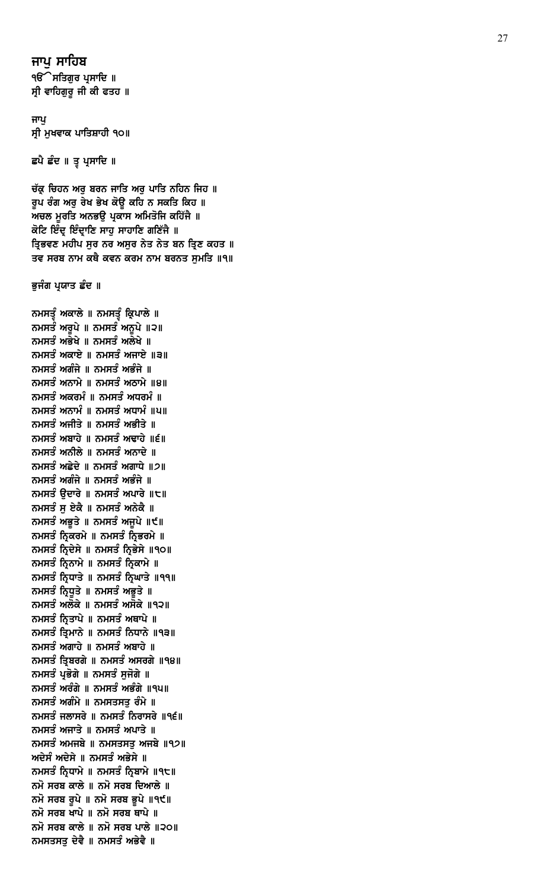ਜਾਪ ਸਾਹਿਬ **ੴ ਸਤਿਗੁਰ ਪ੍ਰਸਾਦਿ** ॥ ਸ੍ਰੀ ਵਾਹਿਗੁਰੂ ਜੀ ਕੀ ਫਤਹ ॥

ਜਾਪ ਸ੍ਰੀ ਮੁਖਵਾਕ ਪਾਤਿਸ਼ਾਹੀ ੧੦॥

ਛਪੈ ਛੰਦ ॥ ਤ੍ਰ ਪ੍ਰਸਾਦਿ ॥

ਚੱਕ੍ਰ ਚਿਹਨ ਅਰੁ ਬਰਨ ਜਾਤਿ ਅਰੁ ਪਾਤਿ ਨਹਿਨ ਜਿਹ ॥ ਰੂਪ ਰੰਗ ਅਰੂ ਰੇਖ ਭੇਖ ਕੋਉ ਕਹਿ ਨ ਸਕਤਿ ਕਿਹ ॥ ਅਚਲ ਮੁਰਤਿ ਅਨਭਉ ਪ੍ਰਕਾਸ ਅਮਿਤੋਜਿ ਕਹਿੱਜੈ ॥ ਕੋਟਿ ਇੰਦ੍ਰ ਇੰਦ੍ਰਾਣਿ ਸਾਹੁ ਸਾਹਾਣਿ ਗਣਿੱਜੈ ॥ ਤ੍ਰਿਭਵਣ ਮਹੀਪ ਸੁਰ ਨਰ ਅਸੁਰ ਨੇਤ ਨੇਤ ਬਨ ਤ੍ਰਿਣ ਕਹਤ ॥ ਤਵ ਸਰਬ ਨਾਮ ਕਥੈ ਕਵਨ ਕਰਮ ਨਾਮ ਬਰਨਤ ਸਮਤਿ ॥੧॥

ਭੁਜੰਗ ਪ੍ਰਯਾਤ ਛੰਦ ॥

ਨਮਸਤੂੰ ਅਕਾਲੇ ॥ ਨਮਸਤੂੰ ਕ੍ਰਿਪਾਲੇ ॥ ਨਮਸਤੰ ਅਰੁਪੇ ॥ ਨਮਸਤੰ ਅਨੁਪੇ ॥੨॥ ਨਮਸਤੰ ਅਭੇਖੇ ॥ ਨਮਸਤੰ ਅਲੇਖੇ ॥ ਨਮਸਤੰ ਅਕਾਏ ॥ ਨਮਸਤੰ ਅਜਾਏ ॥੩॥ ਨਮਸਤੰ ਅਗੰਜੇ ॥ ਨਮਸਤੰ ਅਭੰਜੇ ॥ ਨਮਸਤੰ ਅਨਾਮੇ ॥ ਨਮਸਤੰ ਅਠਾਮੇ ॥੪॥ ਨਮਸਤੰ ਅਕਰਮੰ ॥ ਨਮਸਤੰ ਅਧਰਮੰ ॥ ਨਮਸਤੰ ਅਨਾਮੰ ॥ ਨਮਸਤੰ ਅਧਾਮੰ ॥੫॥ ਨਮਸਤੰ ਅਜੀਤੇ ॥ ਨਮਸਤੰ ਅਭੀਤੇ ॥ ਨਮਸਤੰ ਅਬਾਹੇ ॥ ਨਮਸਤੰ ਅਢਾਹੇ ॥੬॥ ਨਮਸਤੰ ਅਨੀਲੇ ॥ ਨਮਸਤੰ ਅਨਾਦੇ ॥ ਨਮਸਤੰ ਅਛੇਦੇ ॥ ਨਮਸਤੰ ਅਗਾਧੇ ॥੭॥ ਨਮਸਤੰ ਅਗੰਜੇ ॥ ਨਮਸਤੰ ਅਭੰਜੇ ॥ ਨਮਸਤੰ ਉਦਾਰੇ ॥ ਨਮਸਤੰ ਅਪਾਰੇ ॥੮॥ ਨਮਸਤੰ ਸੁ ਏਕੈ ॥ ਨਮਸਤੰ ਅਨੇਕੈ ॥ ਨਮਸਤੰ ਅਭੁਤੇ ॥ ਨਮਸਤੰ ਅਜੁਪੇ ॥੯॥ ਨਮਸਤੰ ਨ੍ਰਿਕਰਮੇ ॥ ਨਮਸਤੰ ਨ੍ਰਿਭਰਮੇ ॥ ਨਮਸਤੰ ਨ੍ਰਿਦੇਸੇ ॥ ਨਮਸਤੰ ਨ੍ਰਿਭੇਸੇ ॥੧੦॥ ਨਮਸਤੰ ਨ੍ਰਿਨਾਮੇ ॥ ਨਮਸਤੰ ਨ੍ਰਿਕਾਮੇ ॥ ਨਮਸਤੰ ਨ੍ਰਿਧਾਤੇ ॥ ਨਮਸਤੰ ਨ੍ਰਿਘਾਤੇ ॥੧੧॥ ਨਮਸਤੰ ਨ੍ਰਿਧੁਤੇ ॥ ਨਮਸਤੰ ਅਭੁਤੇ ॥ ਨਮਸਤੰ ਅਲੋਕੇ ॥ ਨਮਸਤੰ ਅਸੋਕੇ ॥੧੨॥ ਨਮਸਤੰ ਨਿਤਾਪੇ ॥ ਨਮਸਤੰ ਅਥਾਪੇ ॥ ਨਮਸਤੰ ਤ੍ਰਿਮਾਨੇ ॥ ਨਮਸਤੰ ਨਿਧਾਨੇ ॥੧੩॥ ਨਮਸਤੰ ਅਗਾਹੇ ॥ ਨਮਸਤੰ ਅਬਾਹੇ ॥ ਨਮਸਤੰ ਤਿਬਰਗੇ ॥ ਨਮਸਤੰ ਅਸਰਗੇ ॥੧੪॥ ਨਮਸਤੰ ਪ੍ਰਭੋਗੇ ॥ ਨਮਸਤੰ ਸਜੋਗੇ ॥ ਨਮਸਤੰ ਅਰੰਗੇ ॥ ਨਮਸਤੰ ਅਭੰਗੇ ॥੧੫॥ ਨਮਸਤੰ ਅਗੰਮੇ ॥ ਨਮਸਤਸਤ ਰੰਮੇ ॥ ਨਮਸਤੰ ਜਲਾਸਰੇ ॥ ਨਮਸਤੰ ਨਿਰਾਸਰੇ ॥੧੬॥ ਨਮਸਤੰ ਅਜਾਤੇ ॥ ਨਮਸਤੰ ਅਪਾਤੇ ॥ ਨਮਸਤੰ ਅਮਜਬੇ ॥ ਨਮਸਤਸਤ ਅਜਬੇ ॥੧੭॥ ਅਦੇਸੰ ਅਦੇਸੇ ॥ ਨਮਸਤੰ ਅਭੇਸੇ ॥ ਨਮਸਤੰ ਨਿਧਾਮੇ ॥ ਨਮਸਤੰ ਨਿਬਾਮੇ ॥੧੮॥ ਨਮੋ ਸਰਬ ਕਾਲੇ ॥ ਨਮੋ ਸਰਬ ਦਿਆਲੇ ॥ ਨਮੋ ਸਰਬ ਰੁਪੇ ॥ ਨਮੋ ਸਰਬ ਭੁਪੇ ॥੧੯॥ ਨਮੋ ਸਰਬ ਖਾਪੇ ॥ ਨਮੋ ਸਰਬ ਥਾਪੇ ॥ ਨਮੋ ਸਰਬ ਕਾਲੇ ॥ ਨਮੋ ਸਰਬ ਪਾਲੇ ॥੨੦॥ ਨਮਸਤਸਤੁ ਦੇਵੈ ॥ ਨਮਸਤੰ ਅਭੇਵੈ ॥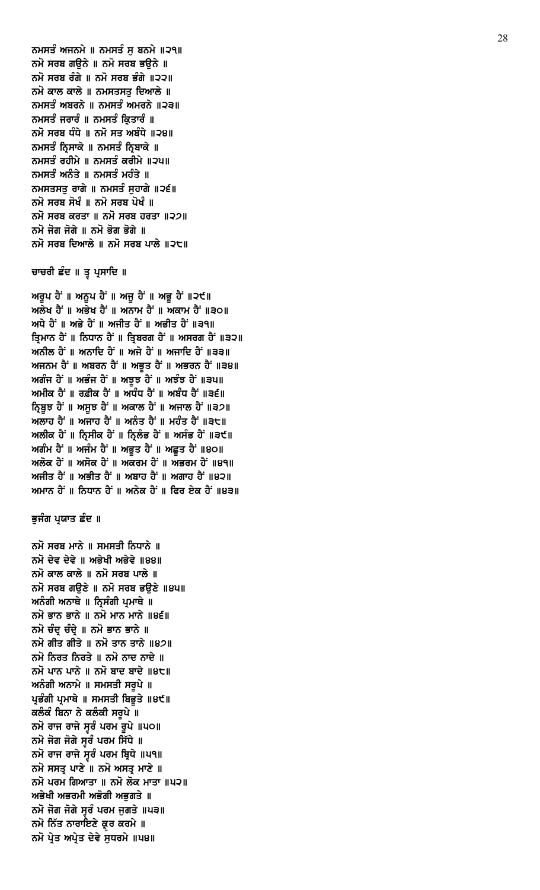ਨਮੋ ਸਰਬ ਮਾਨੇ ॥ ਸਮਸਤੀ ਨਿਧਾਨੇ ॥ ਨਮੋ ਦੇਵ ਦੇਵੇ ॥ ਅਭੇਖੀ ਅਭੇਵੇ ॥੪੪॥ ਨਮੋ ਕਾਲ ਕਾਲੇ ॥ ਨਮੋ ਸਰਬ ਪਾਲੇ ॥ ਨਮੋ ਸਰਬ ਗੳਣੇ ॥ ਨਮੋ ਸਰਬ ਭਉਣੇ ॥੪੫॥ ਅਨੰਗੀ ਅਨਾਥੇ ॥ ਨ੍ਰਿਸੰਗੀ ਪ੍ਰਮਾਥੇ ॥ ਨਮੋ ਭਾਨ ਭਾਨੇ ॥ ਨਮੋ ਮਾਨ ਮਾਨੇ ॥੪੬॥ ਨਮੋ ਚੰਦ ਚੰਦੇ ॥ ਨਮੋ ਭਾਨ ਭਾਨੇ ॥ ਨਮੋ ਗੀਤ ਗੀਤੇ ॥ ਨਮੋ ਤਾਨ ਤਾਨੇ ॥੪੭॥ ਨਮੋ ਨਿਰਤ ਨਿਰਤੇ ॥ ਨਮੋ ਨਾਦ ਨਾਦੇ ॥ ਨਮੋ ਪਾਨ ਪਾਨੇ ॥ ਨਮੋ ਬਾਦ ਬਾਦੇ ॥੪੮॥ ਅਨੰਗੀ ਅਨਾਮੇ ॥ ਸਮਸਤੀ ਸਰੂਪੇ ॥ ਪ੍ਰਭੰਗੀ ਪ੍ਰਮਾਥੇ ॥ ਸਮਸਤੀ ਬਿਭੁਤੇ ॥੪੯॥ ਕਲੰਕੰ ਬਿਨਾ ਨੇ ਕਲੰਕੀ ਸਰੂਪੇ ॥ ਨਮੋ ਰਾਜ ਰਾਜੇ ਸੁਰੰ ਪਰਮ ਰੁਪੇ ॥੫੦॥ ਨਮੋ ਜੋਗ ਜੋਗੇ ਸੁੱਚੰ ਪਰਮ ਸਿੱਧੇ ॥ ਨਮੋ ਰਾਜ ਰਾਜੇ ਸੁਰੰ ਪਰਮ ਬ੍ਰਿਧੇ ॥ਪ੧॥ ਨਮੋ ਸਸਤ੍ਰ ਪਾਣੇ ॥ ਨਮੋ ਅਸਤ੍ਰ ਮਾਣੇ ॥ ਨਮੋ ਪਰਮ ਗਿਆਤਾ ॥ ਨਮੋ ਲੋਕ ਮਾਤਾ ॥ਪ੨॥ ਅਭੇਖੀ ਅਭਰਮੀ ਅਭੋਗੀ ਅਭਗਤੇ ॥ ਨਮੋ ਜੋਗ ਜੋਗੇ ਸੁਰੰ ਪਰਮ ਜੁਗਤੇ ॥੫੩॥ ਨਮੋ ਨਿੱਤ ਨਾਰਾਇਣੇ ਕ੍ਰਰ ਕਰਮੇ ॥ ਨਮੋ ਪ੍ਰੇਤ ਅਪ੍ਰੇਤ ਦੇਵੇ ਸੁਧਰਮੇ ॥ਪ੪॥

#### ਭੁਜੰਗ ਪ੍ਰਯਾਤ ਛੰਦ ॥

ਅਲੇਖ ਹੈਂ ॥ ਅਭੇਖ ਹੈਂ ॥ ਅਨਾਮ ਹੈਂ ॥ ਅਕਾਮ ਹੈਂ ॥੩੦॥ ਅਧੇ ਹੈਂ ॥ ਅਭੇ ਹੈਂ ॥ ਅਜੀਤ ਹੈਂ ॥ ਅਭੀਤ ਹੈਂ ॥੩੧॥ ਤ੍ਰਿਮਾਨ ਹੈਂ ॥ ਨਿਧਾਨ ਹੈਂ ॥ ਤ੍ਰਿਬਰਗ ਹੈਂ ॥ ਅਸਰਗ ਹੈਂ ॥੩੨॥ ਅਨੀਲ ਹੈਂ ॥ ਅਨਾਦਿ ਹੈਂ ॥ ਅਜੇ ਹੈਂ ॥ ਅਜਾਦਿ ਹੈਂ ॥੩੩॥ ਅਜਨਮ ਹੈਂ ॥ ਅਬਰਨ ਹੈਂ ॥ ਅਭੁਤ ਹੈਂ ॥ ਅਭਰਨ ਹੈਂ ॥੩੪॥ ਅਗੰਜ ਹੈਂ ॥ ਅਭੰਜ ਹੈਂ ॥ ਅਝੁਝ ਹੈਂ ॥ ਅਝੰਝ ਹੈਂ ॥੩੫॥ ਅਮੀਕ ਹੈਂ ॥ ਰਫ਼ੀਕ ਹੈਂ ॥ ਅਧੰਧ ਹੈਂ ॥ ਅਬੰਧ ਹੈਂ ॥੩੬॥ ਨਿਬੁਝ ਹੈਂ ॥ ਅਸੁਝ ਹੈਂ ॥ ਅਕਾਲ ਹੈਂ ॥ ਅਜਾਲ ਹੈਂ ॥੩੭॥ ਅਲਾਹ ਹੈਂ ॥ ਅਜਾਹ ਹੈਂ ॥ ਅਨੰਤ ਹੈਂ ॥ ਮਹੰਤ ਹੈਂ ॥੩੮॥ ਅਲੀਕ ਹੈਂ ॥ ਨ੍ਰਿਸੀਕ ਹੈਂ ॥ ਨ੍ਰਿਲੰਭ ਹੈਂ ॥ ਅਸੰਭ ਹੈਂ ॥੩੯॥ ਅਗੰਮ ਹੈਂ ॥ ਅਜੰਮ ਹੈਂ ॥ ਅਭੂਤ ਹੈਂ ॥ ਅਛੂਤ ਹੈਂ ॥੪੦॥ ਅਲੋਕ ਹੈਂ ॥ ਅਸੋਕ ਹੈਂ ॥ ਅਕਰਮ ਹੈਂ ॥ ਅਭਰਮ ਹੈਂ ॥੪੧॥ ਅਜੀਤ ਹੈਂ ॥ ਅਭੀਤ ਹੈਂ ॥ ਅਬਾਹ ਹੈਂ ॥ ਅਗਾਹ ਹੈਂ ॥੪੨॥ ਅਮਾਨ ਹੈਂ ॥ ਨਿਧਾਨ ਹੈਂ ॥ ਅਨੇਕ ਹੈਂ ॥ ਫਿਰ ਏਕ ਹੈਂ ॥੪੩॥

ਅਰੁਪ ਹੈਂ ॥ ਅਨੁਪ ਹੈਂ ॥ ਅਜੁ ਹੈਂ ॥ ਅਭੁ ਹੈਂ ॥੨੯॥

# ਚਾਚਰੀ ਛੰਦ ॥ ਤੂ ਪ੍ਰਸਾਦਿ ॥

ਨਮਸਤੰ ਅਜਨਮੇ ॥ ਨਮਸਤੰ ਸ ਬਨਮੇ ॥੨੧॥ ਨਮੋ ਸਰਬ ਗੳਨੇ ॥ ਨਮੋ ਸਰਬ ਭੳਨੇ ॥ ਨਮੋ ਸਰਬ ਰੰਗੇ ॥ ਨਮੋ ਸਰਬ ਭੰਗੇ ॥੨੨॥ ਨਮੋ ਕਾਲ ਕਾਲੇ ॥ ਨਮਸਤਸਤ ਦਿਆਲੇ ॥ ਨਮਸਤੰ ਅਬਰਨੇ ॥ ਨਮਸਤੰ ਅਮਰਨੇ ॥੨੩॥ ਨਮਸਤੰ ਜਰਾਰੰ ॥ ਨਮਸਤੰ ਕ੍ਰਿਤਾਰੰ ॥ ਨਮੋ ਸਰਬ ਧੰਧੇ ॥ ਨਮੋ ਸਤ ਅਬੰਧੇ ॥੨੪॥ ਨਮਸਤੰ ਨ੍ਰਿਸਾਕੇ ॥ ਨਮਸਤੰ ਨ੍ਰਿਬਾਕੇ ॥ ਨਮਸਤੰ ਰਹੀਮੇ ॥ ਨਮਸਤੰ ਕਰੀਮੇ ॥੨੫॥ ਨਮਸਤੰ ਅਨੰਤੇ ॥ ਨਮਸਤੰ ਮਹੰਤੇ ॥ ਨਮਸਤਸਤੁ ਰਾਗੇ ॥ ਨਮਸਤੰ ਸੁਹਾਗੇ ॥੨੬॥ ਨਮੋ ਸਰਬ ਸੋਖੰ ॥ ਨਮੋ ਸਰਬ ਪੋਖੰ ॥ ਨਮੋ ਸਰਬ ਕਰਤਾ ॥ ਨਮੋ ਸਰਬ ਹਰਤਾ ॥੨੭॥ ਨਮੋ ਜੋਗ ਜੋਗੇ ॥ ਨਮੋ ਭੋਗ ਭੋਗੇ ॥ ਨਮੋ ਸਰਬ ਦਿਆਲੇ ॥ ਨਮੋ ਸਰਬ ਪਾਲੇ ॥੨੮॥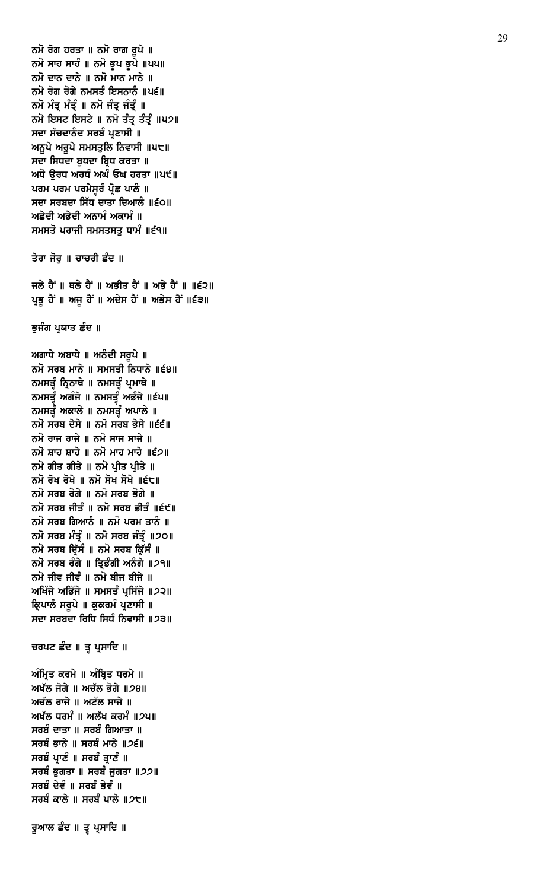```
ਨਮੋ ਸਰਬ ਜੀਤੰ ॥ ਨਮੋ ਸਰਬ ਭੀਤੰ ॥੬੯॥
ਨਮੋ ਸਰਬ ਗਿਆਨੰ ॥ ਨਮੋ ਪਰਮ ਤਾਨੰ ॥
ਨਮੋ ਸਰਬ ਮੰਤ੍ਰੰ ॥ ਨਮੋ ਸਰਬ ਜੰਤ੍ਰੰ ॥੭੦॥
ਨਮੋ ਸਰਬ ਦਿੱਸੰ ॥ ਨਮੋ ਸਰਬ ਕਿੱਸੰ ॥
ਨਮੋ ਸਰਬ ਰੰਗੇ ॥ ਤਿਭੰਗੀ ਅਨੰਗੇ ॥੭੧॥
ਨਮੋ ਜੀਵ ਜੀਵੰ ॥ ਨਮੋ ਬੀਜ ਬੀਜੇ ॥
ਅਖਿੱਜੇ ਅਭਿੱਜੇ ॥ ਸਮਸਤੰ ਪ੍ਰਸਿੱਜੇ ॥੭੨॥
ਕਿ਼ਪਾਲੰ ਸਰਪੇ ॥ ਕਕਰਮੰ ਪਣਾਸੀ ॥
ਸਦਾ ਸਰਬਦਾ ਰਿਧਿ ਸਿਧੰ ਨਿਵਾਸੀ ॥2੩॥
ਚਰਪਟ ਛੰਦ ॥ ਤੂ ਪ੍ਰਸਾਦਿ ॥
ਅੰਮ੍ਰਿਤ ਕਰਮੇ ॥ ਅੰਬ੍ਰਿਤ ਧਰਮੇ ॥
ਅਖੱਲ ਜੋਗੇ ॥ ਅਚੱਲ ਭੋਗੇ ॥੭੪॥
ਅਚੱਲ ਰਾਜੇ ॥ ਅਟੱਲ ਸਾਜੇ ॥
ਅਖੱਲ ਧਰਮੰ ॥ ਅਲੱਖ ਕਰਮੰ ॥੭੫॥
ਸਰਬੰ ਦਾਤਾ ॥ ਸਰਬੰ ਗਿਆਤਾ ॥
ਸਰਬੰ ਭਾਨੇ ॥ ਸਰਬੰ ਮਾਨੇ ॥੭੬॥
ਸਰਬੰ ਪ੍ਰਾਣੰ ॥ ਸਰਬੰ ਤ੍ਰਾਣੰ ॥
ਸਰਬੰ ਭਗਤਾ ॥ ਸਰਬੰ ਜਗਤਾ ॥੭੭॥
ਸਰਬੰ ਦੇਵੰ ॥ ਸਰਬੰ ਭੇਵੰ ॥
ਸਰਬੰ ਕਾਲੇ ॥ ਸਰਬੰ ਪਾਲੇ ॥੭੮॥
ਰੁਆਲ ਛੰਦ ॥ ਤੂ ਪ੍ਰਸਾਦਿ ॥
```
ਭੁਜੰਗ ਪ੍ਰਯਾਤ ਛੰਦ ॥

ਅਗਾਧੇ ਅਬਾਧੇ ॥ ਅਨੰਦੀ ਸਰੂਪੇ ॥

ਨਮਸਤੂੰ ਨ੍ਰਿਨਾਥੇ ॥ ਨਮਸਤੂੰ ਪ੍ਰਮਾਥੇ ॥ ਨਮਸਤੂੰ ਅਗੰਜੇ ॥ ਨਮਸਤੂੰ ਅਭੰਜੇ ॥੬੫॥ ਨਮਸਤੂੰ ਅਕਾਲੇ ॥ ਨਮਸਤੂੰ ਅਪਾਲੇ ॥ ਨਮੋ ਸਰਬ ਦੇਸੇ ॥ ਨਮੋ ਸਰਬ ਭੇਸੇ ॥੬੬॥ ਨਮੋ ਰਾਜ ਰਾਜੇ ॥ ਨਮੋ ਸਾਜ ਸਾਜੇ ॥ ਨਮੋ ਸ਼ਾਹ ਸ਼ਾਹੇ ॥ ਨਮੋ ਮਾਹ ਮਾਹੇ ॥੬੭॥ ਨਮੋ ਗੀਤ ਗੀਤੇ ॥ ਨਮੋ ਪ੍ਰੀਤ ਪ੍ਰੀਤੇ ॥ ਨਮੋ ਰੋਖ ਰੋਖੇ ॥ ਨਮੋ ਸੋਖ ਸੋਖੇ ॥੬੮॥ ਨਮੋ ਸਰਬ ਰੋਗੇ ॥ ਨਮੋ ਸਰਬ ਭੋਗੇ ॥

ਨਮੋ ਸਰਬ ਮਾਨੇ ॥ ਸਮਸਤੀ ਨਿਧਾਨੇ ॥੬੪॥

ਜਲੇ ਹੈਂ ॥ ਥਲੇ ਹੈਂ ॥ ਅਭੀਤ ਹੈਂ ॥ ਅਭੇ ਹੈਂ ॥ ॥੬੨॥ ਪ੍ਰਭੂ ਹੈਂ ॥ ਅਜੂ ਹੈਂ ॥ ਅਦੇਸ ਹੈਂ ॥ ਅਭੇਸ ਹੈਂ ॥੬੩॥

ਤੇਰਾ ਜੋਰੂ ॥ ਚਾਚਰੀ ਛੰਦ ॥

ਨਮੋ ਰੋਗ ਹਰਤਾ ॥ ਨਮੋ ਰਾਗ ਰੂਪੇ ॥ ਨਮੋ ਸਾਹ ਸਾਹੰ ॥ ਨਮੋ ਭੁਪ ਭੁਪੇ ॥੫੫॥ ਨਮੋ ਦਾਨ ਦਾਨੇ ॥ ਨਮੋ ਮਾਨ ਮਾਨੇ ॥ ਨਮੋ ਰੋਗ ਰੋਗੇ ਨਮਸਤੰ ਇਸਨਾਨੰ ॥ਪ੬॥ ਨਮੋ ਮੰਤ੍ਰ ਮੰਤ੍ਰੰ ॥ ਨਮੋ ਜੰਤ੍ਰ ਜੰਤ੍ਰੰ ॥ ਨਮੋ ਇਸਟ ਇਸਟੇ ॥ ਨਮੋ ਤੰਤ੍ਰ ਤੰਤ੍ਰੰ ॥੫੭॥ ਸਦਾ ਸੱਚਦਾਨੰਦ ਸਰਬੰ ਪ੍ਰਣਾਸੀ ॥ ਅਨੁਪੇ ਅਰੁਪੇ ਸਮਸਤੁਲਿ ਨਿਵਾਸੀ ॥੫੮॥ ਸਦਾ ਸਿਧਦਾ ਬੁਧਦਾ ਬ੍ਰਿਧ ਕਰਤਾ ॥ ਅਧੋ ਉਰਧ ਅਰਧੰ ਅਘੰ ਓਘ ਹਰਤਾ ॥ਪ੯॥ ਪਰਮ ਪਰਮ ਪਰਮੇਸੁਰੰ ਪ੍ਰੋਛ ਪਾਲੰ ॥ ਸਦਾ ਸਰਬਦਾ ਸਿੱਧ ਦਾਤਾ ਦਿਆਲੰ ॥੬੦॥ ਅਛੇਦੀ ਅਭੇਦੀ ਅਨਾਮੰ ਅਕਾਮੰ ॥ ਸਮਸਤੋ ਪਰਾਜੀ ਸਮਸਤਸਤੁ ਧਾਮੰ ॥੬੧॥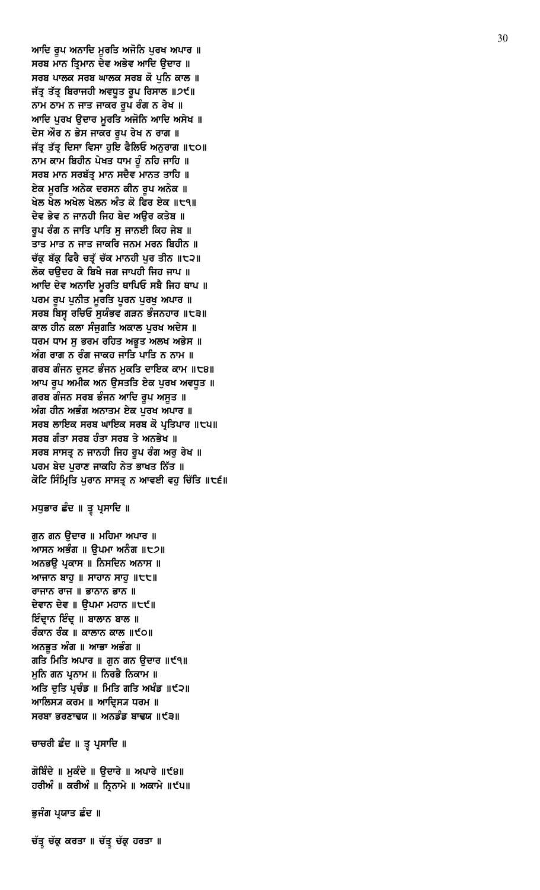ਚੱਤ੍ਰ ਚੱਕ੍ਰ ਕਰਤਾ ॥ ਚੱਤ੍ਰ ਚੱਕ੍ਰ ਹਰਤਾ ॥

ਭੁਜੰਗ ਪ੍ਰਯਾਤ ਛੰਦ ॥

ਗੋਬਿੰਦੇ ॥ ਮੁਕੰਦੇ ॥ ਉਦਾਰੇ ॥ ਅਪਾਰੇ ॥੯੪॥ ਹਰੀਅੰ ॥ ਕਰੀਅੰ ॥ ਨ੍ਰਿਨਾਮੇ ॥ ਅਕਾਮੇ ॥੯੫॥

ਚਾਚਰੀ ਛੰਦ ॥ ਤ੍ਵ ਪ੍ਰਸਾਦਿ ॥

ਆਸਨ ਅਭੰਗ ॥ ੳਪਮਾ ਅਨੰਗ ॥੮੭॥ ਅਨਭੳ ਪਕਾਸ ॥ ਨਿਸਦਿਨ ਅਨਾਸ ॥ ਆਜਾਨ ਬਾਹੁ ॥ ਸਾਹਾਨ ਸਾਹੁ ॥ $t$ t॥ ਰਾਜਾਨ ਰਾਜ ॥ ਭਾਨਾਨ ਭਾਨ ॥ ਦੇਵਾਨ ਦੇਵ ॥ ੳਪਮਾ ਮਹਾਨ ॥੮੯॥ ਇੰਦ੍ਰਾਨ ਇੰਦ੍ਰ ॥ ਬਾਲਾਨ ਬਾਲ ॥ ਰੰਕਾਨ ਰੰਕ ॥ ਕਾਲਾਨ ਕਾਲ ॥੯੦॥ ਅਨਭੁਤ ਅੰਗ ॥ ਆਭਾ ਅਭੰਗ ॥ ਗਤਿ ਮਿਤਿ ਅਪਾਰ ॥ ਗੁਨ ਗਨ ਉਦਾਰ ॥੯੧॥ ਮੁਨਿ ਗਨ ਪ੍ਰਨਾਮ ॥ ਨਿਰਭੈ ਨਿਕਾਮ ॥ ਅਤਿ ਦੁਤਿ ਪ੍ਰਚੰਡ ॥ ਮਿਤਿ ਗਤਿ ਅਖੰਡ ॥੯੨॥ ਆਲਿਸ੍ਯ ਕਰਮ ॥ ਆਦਿਸ੍ਯ ਧਰਮ ॥ ਸਰਬਾ ਭਰਣਾਢਯ ॥ ਅਨਡੰਡ ਬਾਢਯ ॥੯੩॥

ਮਧੁਭਾਰ ਛੰਦ ॥ ਤੂ ਪ੍ਰਸਾਦਿ ॥

ਗੁਨ ਗਨ ਉਦਾਰ ॥ ਮਹਿਮਾ ਅਪਾਰ ॥

ਆਦਿ ਰੂਪ ਅਨਾਦਿ ਮੁਰਤਿ ਅਜੋਨਿ ਪੁਰਖ ਅਪਾਰ ॥ ਸਰਬ ਮਾਨ ਤ੍ਰਿਮਾਨ ਦੇਵ ਅਭੇਵ ਆਦਿ ਉਦਾਰ ॥ ਸਰਬ ਪਾਲਕ ਸਰਬ ਘਾਲਕ ਸਰਬ ਕੋ ਪੁਨਿ ਕਾਲ ॥ ਜੱਤ੍ਰ ਤੱਤ੍ਰ ਬਿਰਾਜਹੀ ਅਵਧੂਤ ਰੂਪ ਰਿਸਾਲ ॥੭੯॥ ਨਾਮ ਠਾਮ ਨ ਜਾਤ ਜਾਕਰ ਰੂਪ ਰੰਗ ਨ ਰੇਖ ॥ ਆਦਿ ਪੁਰਖ ਉਦਾਰ ਮੂਰਤਿ ਅਜੋਨਿ ਆਦਿ ਅਸੇਖ ॥ ਦੇਸ ਔਰ ਨ ਭੇਸ ਜਾਕਰ ਰੂਪ ਰੇਖ ਨ ਰਾਗ ॥ ਜੱਤ੍ਰ ਤੱਤ੍ਰ ਦਿਸਾ ਵਿਸਾ ਹੁਇ ਫੈਲਿਓ ਅਨੁਰਾਗ ॥੮੦॥ ਨਾਮ ਕਾਮ ਬਿਹੀਨ ਪੇਖਤ ਧਾਮ ਹੂੰ ਨਹਿ ਜਾਹਿ ॥ ਸਰਬ ਮਾਨ ਸਰਬੱਤ੍ਰ ਮਾਨ ਸਦੈਵ ਮਾਨਤ ਤਾਹਿ ॥ ਏਕ ਮੁਰਤਿ ਅਨੇਕ ਦਰਸਨ ਕੀਨ ਰੂਪ ਅਨੇਕ ॥ ਖੇਲ ਖੇਲ ਅਖੇਲ ਖੇਲਨ ਅੰਤ ਕੋ ਫਿਰ ਏਕ ॥੮੧॥ ਦੇਵ ਭੇਵ ਨ ਜਾਨਹੀ ਜਿਹ ਬੇਦ ਅੳਰ ਕਤੇਬ ॥ ਰੂਪ ਰੰਗ ਨ ਜਾਤਿ ਪਾਤਿ ਸੁ ਜਾਨਈ ਕਿਹ ਜੇਬ ॥ ਤਾਤ ਮਾਤ ਨ ਜਾਤ ਜਾਕਰਿ ਜਨਮ ਮਰਨ ਬਿਹੀਨ ॥ ਚੱਕ ਬੱਕ ਫਿਰੈ ਚਤੱ ਚੱਕ ਮਾਨਹੀ ਪਰ ਤੀਨ ॥੮੨॥ ਲੋਕ ਚਉਦਹ ਕੇ ਬਿਖੈ ਜਗ ਜਾਪਹੀ ਜਿਹ ਜਾਪ ॥ ਆਦਿ ਦੇਵ ਅਨਾਦਿ ਮੁਰਤਿ ਥਾਪਿਓ ਸਬੈ ਜਿਹ ਥਾਪ ॥ ਪਰਮ ਰੂਪ ਪੁਨੀਤ ਮੁਰਤਿ ਪੁਰਨ ਪੁਰਖੁ ਅਪਾਰ ॥ ਸਰਬ ਬਿਸ੍ਰ ਰਚਿਓ ਸੁਯੰਭਵ ਗੜਨ ਭੰਜਨਹਾਰ ॥੮੩॥ ਕਾਲ ਹੀਨ ਕਲਾ ਸੰਜੁਗਤਿ ਅਕਾਲ ਪੂਰਖ ਅਦੇਸ ॥ ਧਰਮ ਧਾਮ ਸੁ ਭਰਮ ਰਹਿਤ ਅਭੁਤ ਅਲਖ ਅਭੇਸ ॥ ਅੰਗ ਰਾਗ ਨ ਰੰਗ ਜਾਕਹ ਜਾਤਿ ਪਾਤਿ ਨ ਨਾਮ ॥ ਗਰਬ ਗੰਜਨ ਦੁਸਟ ਭੰਜਨ ਮੁਕਤਿ ਦਾਇਕ ਕਾਮ ॥੮੪॥ ਆਪ ਰੂਪ ਅਮੀਕ ਅਨ ਉਸਤਤਿ ਏਕ ਪੂਰਖ ਅਵਧੂਤ ॥ ਗਰਬ ਗੰਜਨ ਸਰਬ ਭੰਜਨ ਆਦਿ ਰੂਪ ਅਸੂਤ ॥ ਅੰਗ ਹੀਨ ਅਭੰਗ ਅਨਾਤਮ ਏਕ ਪੂਰਖ ਅਪਾਰ ॥ ਸਰਬ ਲਾਇਕ ਸਰਬ ਘਾਇਕ ਸਰਬ ਕੋ ਪ੍ਰਤਿਪਾਰ ॥੮੫॥ ਸਰਬ ਗੰਤਾ ਸਰਬ ਹੰਤਾ ਸਰਬ ਤੇ ਅਨਭੇਖ ॥ ਸਰਬ ਸਾਸਤ੍ਰ ਨ ਜਾਨਹੀ ਜਿਹ ਰੁਪ ਰੰਗ ਅਰੁ ਰੇਖ ॥ ਪਰਮ ਬੇਦ ਪੁਰਾਣ ਜਾਕਹਿ ਨੇਤ ਭਾਖਤ ਨਿੱਤ ॥ ਕੋਟਿ ਸਿੰਮ੍ਰਿਤਿ ਪੁਰਾਨ ਸਾਸਤ੍ਰ ਨ ਆਵਈ ਵਹੁ ਚਿੱਤਿ ॥੮੬॥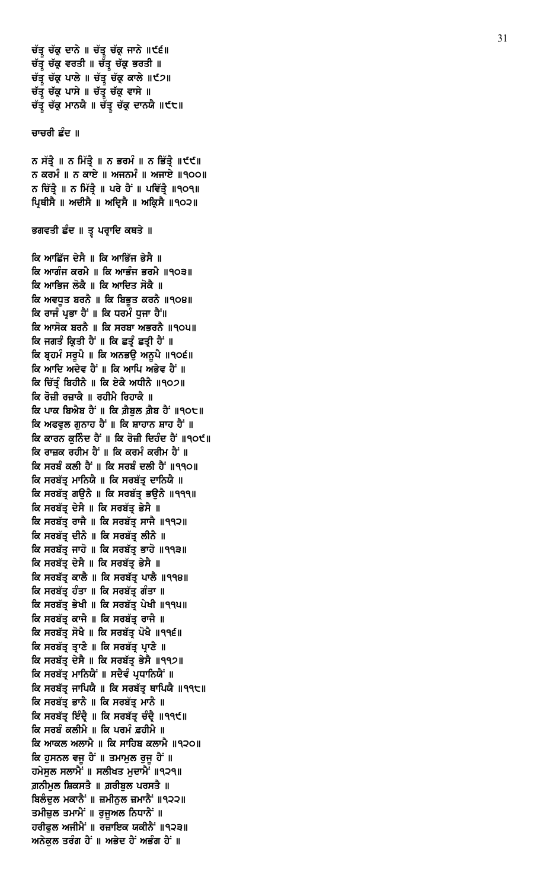ਚੱਤ੍ਰ ਚੱਕ੍ਰ ਦਾਨੇ ॥ ਚੱਤ੍ਰ ਚੱਕ੍ਰ ਜਾਨੇ ॥੯੬॥ ਚੱਤ੍ਰ ਚੱਕ੍ਰ ਵਰਤੀ ॥ ਚੱਤ੍ਰ ਚੱਕ੍ਰ ਭਰਤੀ ॥ ਚੱਤ੍ਰ ਚੱਕ੍ਰ ਪਾਲੇ ॥ ਚੱਤ੍ਰ ਚੱਕ੍ਰ ਕਾਲੇ ॥੯੭॥ ਚੱਤ੍ਰ ਚੱਕ੍ਰ ਪਾਸੇ ॥ ਚੱਤ੍ਰ ਚੱਕ੍ਰ ਵਾਸੇ ॥ ਚੱਤ੍ਰ ਚੱਕ੍ਰ ਮਾਨਯੈ ॥ ਚੱਤ੍ਰ ਚੱਕ੍ਰ ਦਾਨਯੈ ॥੯੮॥

#### ਚਾਚਰੀ ਛੰਦ ॥

ਨ ਸੱਤ੍ਰੈ ॥ ਨ ਮਿੱਤ੍ਰੈ ॥ ਨ ਭਰਮੰ ॥ ਨ ਭਿੱਤ੍ਰੈ ॥੯੯॥ ਨ ਕਰਮੰ ॥ ਨ ਕਾਏ ॥ ਅਜਨਮੰ ॥ ਅਜਾਏ ॥੧੦੦॥ ਨ ਚਿੱਤ੍ਰੈ ॥ ਨ ਮਿੱਤ੍ਰੈ ॥ ਪਰੇ ਹੈਂ ॥ ਪਵਿੱਤ੍ਰੈ ॥੧੦੧॥ ਪ੍ਰਿਥੀਸੈ ॥ ਅਦੀਸੈ ॥ ਅਦ੍ਰਿਸੈ ॥ ਅਕ੍ਰਿਸੈ ॥੧੦੨॥

ਭਗਵਤੀ ਛੰਦ ॥ ਤੂ ਪਰ੍ਰਾਦਿ ਕਥਤੇ ॥

ਕਿ ਆਛਿੱਜ ਦੇਸੈ ॥ ਕਿ ਆਭਿੱਜ ਭੇਸੈ ॥ ਕਿ ਆਗੰਜ ਕਰਮੈ ॥ ਕਿ ਆਭੰਜ ਭਰਮੈ ॥੧੦੩॥ ਕਿ ਆਭਿਜ ਲੋਕੈ ॥ ਕਿ ਆਦਿਤ ਸੋਕੈ ॥ ਕਿ ਅਵਧਤ ਬਰਨੈ ॥ ਕਿ ਬਿਭੁਤ ਕਰਨੈ ॥੧੦੪॥ ਕਿ ਰਾਜੰ ਪ੍ਰਭਾ ਹੈਂ ॥ ਕਿ ਧਰਮੰ ਧੁਜਾ ਹੈਂ॥ ਕਿ ਆਸੋਕ ਬਰਨੈ ॥ ਕਿ ਸਰਬਾ ਅਭਰਨੈ ॥੧੦੫॥ ਕਿ ਜਗਤੰ ਕਿਤੀ ਹੈਂ ॥ ਕਿ ਛਤੰ ਛਤੀ ਹੈਂ ॥ ਕਿ ਬ੍ਰਹਮੰ ਸਰੁਪੈ ॥ ਕਿ ਅਨਭਉ ਅਨੁਪੈ ॥੧੦੬॥ ਕਿ ਆਦਿ ਅਦੇਵ ਹੈਂ ॥ ਕਿ ਆਪਿ ਅਭੇਵ ਹੈਂ ॥ ਕਿ ਚਿੱਤੰ ਬਿਹੀਨੈ ॥ ਕਿ ਏਕੈ ਅਧੀਨੈ ॥੧੦੭॥ ਕਿ ਰੋਜ਼ੀ ਰਜ਼ਾਕੈ ॥ ਰਹੀਮੈ ਰਿਹਾਕੈ ॥ ਕਿ ਪਾਕ ਬਿਐਬ ਹੈਂ ॥ ਕਿ ਗ਼ੈਬੁਲ ਗ਼ੈਬ ਹੈਂ ॥੧੦੮॥ ਕਿ ਅਫਵਲ ਗਨਾਹ ਹੈਂ ॥ ਕਿ ਸ਼ਾਹਾਨ ਸ਼ਾਹ ਹੈਂ ॥ ਕਿ ਕਾਰਨ ਕਨਿੰਦ ਹੈਂ ॥ ਕਿ ਰੋਜ਼ੀ ਦਿਹੰਦ ਹੈਂ ॥੧੦੯॥ ਕਿ ਰਾਜ਼ਕ ਰਹੀਮ ਹੈਂ ॥ ਕਿ ਕਰਮੰ ਕਰੀਮ ਹੈਂ ॥ ਕਿ ਸਰਬੰ ਕਲੀ ਹੈਂ ॥ ਕਿ ਸਰਬੰ ਦਲੀ ਹੈਂ ॥੧੧੦॥ ਕਿ ਸਰਬੱਤ੍ਰ ਮਾਨਿਯੈ ॥ ਕਿ ਸਰਬੱਤ੍ਰ ਦਾਨਿਯੈ ॥ ਕਿ ਸਰਬੱਤ੍ਰ ਗਉਨੈ ॥ ਕਿ ਸਰਬੱਤ੍ਰ ਭਉਨੈ ॥੧੧੧॥ ਕਿ ਸਰਬੱਤ੍ਰ ਦੇਸੈ ॥ ਕਿ ਸਰਬੱਤ੍ਰ ਭੇਸੈ ॥ ਕਿ ਸਰਬੱਤ੍ਰ ਰਾਜੈ ॥ ਕਿ ਸਰਬੱਤ੍ਰ ਸਾਜੈ ॥੧੧੨॥ ਕਿ ਸਰਬੱਤ੍ਰ ਦੀਨੈ ॥ ਕਿ ਸਰਬੱਤ੍ਰ ਲੀਨੈ ॥ ਕਿ ਸਰਬੱਤ ਜਾਹੋ ॥ ਕਿ ਸਰਬੱਤ ਭਾਹੋ ॥੧੧੩॥ ਕਿ ਸਰਬੱਤ ਦੇਸੈ ॥ ਕਿ ਸਰਬੱਤ ਭੇਸੈ ॥ ਕਿ ਸਰਬੱਤ੍ਰ ਕਾਲੈ ॥ ਕਿ ਸਰਬੱਤ੍ਰ ਪਾਲੈ ॥੧੧੪॥ ਕਿ ਸਰਬੱਤ ਹੰਤਾ ॥ ਕਿ ਸਰਬੱਤ ਗੰਤਾ ॥ ਕਿ ਸਰਬੱਤ ਭੇਖੀ ॥ ਕਿ ਸਰਬੱਤ ਪੇਖੀ ॥੧੧੫॥ ਕਿ ਸਰਬੱਤੂ ਕਾਜੈ ॥ ਕਿ ਸਰਬੱਤੂ ਰਾਜੈ ॥ ਕਿ ਸਰਬੱਤ੍ਰ ਸੋਖੈ ॥ ਕਿ ਸਰਬੱਤ੍ਰ ਪੋਖੈ ॥੧੧੬॥ ਕਿ ਸਰਬੱਤ੍ਰ ਤ੍ਰਾਣੈ ॥ ਕਿ ਸਰਬੱਤ੍ਰ ਪ੍ਰਾਣੈ ॥ ਕਿ ਸਰਬੱਤ੍ਰ ਦੇਸੈ ॥ ਕਿ ਸਰਬੱਤ੍ਰ ਭੇਸੈ ॥੧੧੭॥ ਕਿ ਸਰਬੱਤ੍ਰ ਮਾਨਿਯੈਂ ॥ ਸਦੈਵੰ ਪ੍ਰਧਾਨਿਯੈਂ ॥ ਕਿ ਸਰਬੱਤੂ ਜਾਪਿਯੈ ॥ ਕਿ ਸਰਬੱਤੂ ਥਾਪਿਯੈ ॥੧੧੮॥ ਕਿ ਸਰਬੱਤ੍ਰ ਭਾਨੈ ॥ ਕਿ ਸਰਬੱਤ੍ਰ ਮਾਨੈ ॥ ਕਿ ਸਰਬੱਤ੍ਰ ਇੰਦ੍ਰੈ ॥ ਕਿ ਸਰਬੱਤ੍ਰ ਚੰਦ੍ਰੈ ॥੧੧੯॥ ਕਿ ਸਰਬੰ ਕਲੀਮੈ ॥ ਕਿ ਪਰਮੰ ਫ਼ਹੀਮੈ ॥ ਕਿ ਆਕਲ ਅਲਾਮੈ ॥ ਕਿ ਸਾਹਿਬ ਕਲਾਮੈ ॥੧੨੦॥ ਕਿ ਹੁਸਨਲ ਵਜੂ ਹੈਂ ॥ ਤਮਾਮੂਲ ਰੁਜੂ ਹੈਂ ॥ ਹਮੇਸੁਲ ਸਲਾਮੈਂ ॥ ਸਲੀਖਤ ਮੁਦਾਮੈਂ ॥੧੨੧॥ ਗ਼ਨੀਮਲ ਸ਼ਿਕਸਤੈ ॥ ਗ਼ਰੀਬਲ ਪਰਸਤੈ ॥ ਬਿਲੰਦੁਲ ਮਕਾਨੈਂ ॥ ਜ਼ਮੀਨੁਲ ਜ਼ਮਾਨੈਂ ॥੧੨੨॥ ਤਮੀਜ਼ੁਲ ਤਮਾਮੈਂ ॥ ਰੁਜੁਅਲ ਨਿਧਾਨੈਂ ॥ ਹਰੀਫੁਲ ਅਜੀਮੈਂ ॥ ਰਜ਼ਾਇਕ ਯਕੀਨੈਂ ॥੧੨੩॥ ਅਨੇਕੁਲ ਤਰੰਗ ਹੈਂ ॥ ਅਭੇਦ ਹੈਂ ਅਭੰਗ ਹੈਂ ॥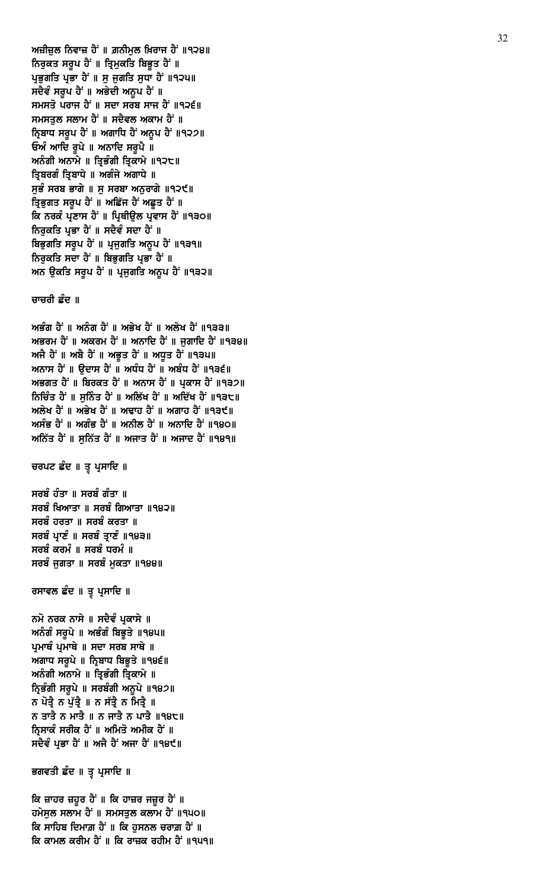ਕਿ ਜ਼ਾਹਰ ਜ਼ਹੂਰ ਹੈਂ ॥ ਕਿ ਹਾਜ਼ਰ ਜਜ਼ੂਰ ਹੈਂ ॥ ਹਮੇਸੁਲ ਸਲਾਮ ਹੈਂ ॥ ਸਮਸਤੁਲ ਕਲਾਮ ਹੈਂ ॥੧੫੦॥ ਕਿ ਸਾਹਿਬ ਦਿਮਾਗ਼ ਹੈਂ ॥ ਕਿ ਹੁਸਨਲ ਚਰਾਗ਼ ਹੈਂ ॥ ਕਿ ਕਾਮਲ ਕਰੀਮ ਹੈਂ ॥ ਕਿ ਰਾਜ਼ਕ ਰਹੀਮ ਹੈਂ ॥੧੫੧॥

ਭਗਵਤੀ ਛੰਦ ॥ ਤੁ ਪ੍ਰਸਾਦਿ ॥

ਨਮੋ ਨਰਕ ਨਾਸੇ ॥ ਸਦੈਵੰ ਪ੍ਰਕਾਸੇ ॥ ਅਨੰਗੰ ਸਰੂਪੇ ॥ ਅਭੰਗੰ ਬਿਭੁਤੇ ॥੧੪੫॥ ਪ੍ਰਮਾਥੰ ਪ੍ਰਮਾਥੇ ॥ ਸਦਾ ਸਰਬ ਸਾਥੇ ॥ ਅਗਾਧ ਸਰੁਪੇ ॥ ਨ੍ਰਿਬਾਧ ਬਿਭੁਤੇ ॥ ९४९॥ ਅਨੰਗੀ ਅਨਾਮੇ ॥ ਤ੍ਰਿਭੰਗੀ ਤ੍ਰਿਕਾਮੇ ॥ ਨ੍ਰਿਭੰਗੀ ਸਰੂਪੇ ॥ ਸਰਬੰਗੀ ਅਨੁਪੇ ॥੧੪੭॥ ਨ ਪੋਤ੍ਰੈ ਨ ਪੁੱਤ੍ਰੈ ॥ ਨ ਸੱਤ੍ਰੈ ਨ ਮਿਤ੍ਰੈ ॥ ਨ ਤਾਤੈ ਨ ਮਾਤੈ ॥ ਨ ਜਾਤੈ ਨ ਪਾਤੈ ॥੧੪੮॥ ਨਿਸਾਕੰ ਸਰੀਕ ਹੈਂ ॥ ਅਮਿਤੋ ਅਮੀਕ ਹੈਂ ॥ ਸਦੈਵੰ ਪ੍ਰਭਾ ਹੈਂ ॥ ਅਜੈ ਹੈਂ ਅਜਾ ਹੈਂ ॥੧੪੯॥

ਰਸਾਵਲ ਛੰਦ ॥ ਤੂ ਪ੍ਰਸਾਦਿ ॥

ਸਰਬੰ ਹੰਤਾ ॥ ਸਰਬੰ ਗੰਤਾ ॥ ਸਰਬੰ ਖਿਆਤਾ ॥ ਸਰਬੰ ਗਿਆਤਾ ॥੧੪੨॥ ਸਰਬੰ ਹਰਤਾ ॥ ਸਰਬੰ ਕਰਤਾ ॥ ਸਰਬੰ ਪ੍ਰਾਣੰ ॥ ਸਰਬੰ ਤ੍ਰਾਣੰ ॥੧੪੩॥ ਸਰਬੰ ਕਰਮੰ ॥ ਸਰਬੰ ਧਰਮੰ ॥ ਸਰਬੰ ਜਗਤਾ ॥ ਸਰਬੰ ਮਕਤਾ ॥੧੪੪॥

ਚਰਪਟ ਛੰਦ ॥ ਤੂ ਪ੍ਰਸਾਦਿ ॥

ਅਭੰਗ ਹੈਂ ॥ ਅਨੰਗ ਹੈਂ ॥ ਅਭੇਖ ਹੈਂ ॥ ਅਲੇਖ ਹੈਂ ॥੧੩੩॥ ਅਭਰਮ ਹੈਂ ॥ ਅਕਰਮ ਹੈਂ ॥ ਅਨਾਦਿ ਹੈਂ ॥ ਜਗਾਦਿ ਹੈਂ ॥੧੩੪॥ ਅਜੈ ਹੈਂ ॥ ਅਬੈ ਹੈਂ ॥ ਅਭੂਤ ਹੈਂ ॥ ਅਧੂਤ ਹੈਂ ॥੧੩੫॥ ਅਨਾਸ ਹੈਂ ॥ ਉਦਾਸ ਹੈਂ ॥ ਅਧੰਧ ਹੈਂ ॥ ਅਬੰਧ ਹੈਂ ॥੧੩੬॥ ਅਭਗਤ ਹੈਂ ॥ ਬਿਰਕਤ ਹੈਂ ॥ ਅਨਾਸ ਹੈਂ ॥ ਪਕਾਸ ਹੈਂ ॥੧੩੭॥ ਨਿਚਿੰਤ ਹੈ<sup>:</sup> ॥ ਸਨਿੰਤ ਹੈ<sup>:</sup> ॥ ਅਲਿੱਖ ਹੈ<sup>:</sup> ॥ ਅਦਿੱਖ ਹੈ<sup>:</sup> ॥੧੩੮॥ ਅਲੇਖ ਹੈਂ ॥ ਅਭੇਖ ਹੈਂ ॥ ਅਢਾਹ ਹੈਂ ॥ ਅਗਾਹ ਹੈਂ ॥੧੩੯॥ ਅਸੰਭ ਹੈਂ ॥ ਅਗੰਭ ਹੈਂ ॥ ਅਨੀਲ ਹੈਂ ॥ ਅਨਾਦਿ ਹੈਂ ॥੧੪੦॥ ਅਨਿੱਤ ਹੈਂ ॥ ਸਨਿੱਤ ਹੈਂ ॥ ਅਜਾਤ ਹੈਂ ॥ ਅਜਾਦ ਹੈਂ ॥੧੪੧॥

ਚਾਚਰੀ ਛੰਦ ॥

ਅਜ਼ੀਜ਼ਲ ਨਿਵਾਜ਼ ਹੈਂ ॥ ਗ਼ਨੀਮਲ ਖ਼ਿਰਾਜ ਹੈਂ ॥੧੨੪॥ ਨਿਰੁਕਤ ਸਰੂਪ ਹੈਂ ॥ ਤ੍ਰਿਮੁਕਤਿ ਬਿਭੁਤ ਹੈਂ ॥ ਪ੍ਰਭੁਗਤਿ ਪ੍ਰਭਾ ਹੈਂ ॥ ਸੁ ਜੁਗਤਿ ਸੁਧਾ ਹੈਂ ॥੧੨੫॥ ਸਦੈਵੰ ਸਰੂਪ ਹੈਂ ॥ ਅਭੇਦੀ ਅਨੁਪ ਹੈਂ ॥ ਸਮਸਤੋ ਪਰਾਜ ਹੈਂ ॥ ਸਦਾ ਸਰਬ ਸਾਜ ਹੈਂ ॥੧੨੬॥ ਸਮਸਤੁਲ ਸਲਾਮ ਹੈਂ ॥ ਸਦੈਵਲ ਅਕਾਮ ਹੈਂ ॥ ਨ੍ਰਿਬਾਧ ਸਰੂਪ ਹੈਂ ॥ ਅਗਾਧਿ ਹੈਂ ਅਨੂਪ ਹੈਂ ॥੧੨੭॥ ਓਅੰ ਆਦਿ ਰੁਪੇ ॥ ਅਨਾਦਿ ਸਰੁਪੈ ॥ ਅਨੰਗੀ ਅਨਾਮੇ ॥ ਤ੍ਰਿਭੰਗੀ ਤ੍ਰਿਕਾਮੇ ॥੧੨੮॥ ਤ੍ਰਿਬਰਗੰ ਤ੍ਰਿਬਾਧੇ ॥ ਅਗੰਜੇ ਅਗਾਧੇ ॥ ਸੁਭੰ ਸਰਬ ਭਾਗੇ ॥ ਸੁ ਸਰਬਾ ਅਨੁਰਾਗੇ ॥੧੨੯॥ ਤ੍ਰਿਭੁਗਤ ਸਰੂਪ ਹੈਂ ॥ ਅਛਿੱਜ ਹੈਂ ਅਛੂਤ ਹੈਂ ॥ ਕਿ ਨਰਕੰ ਪਣਾਸ ਹੈਂ ॥ ਪਿਥੀੳਲ ਪਵਾਸ ਹੈਂ ॥੧੩੦॥ ਨਿਰੁਕਤਿ ਪ੍ਰਭਾ ਹੈਂ ॥ ਸਦੈਵੰ ਸਦਾ ਹੈਂ ॥ ਬਿਭੁਗਤਿ ਸਰੂਪ ਹੈਂ ॥ ਪ੍ਰਜੁਗਤਿ ਅਨੁਪ ਹੈਂ ॥੧੩੧॥ ਨਿਰਕਤਿ ਸਦਾ ਹੈਂ ॥ ਬਿਭਗਤਿ ਪਭਾ ਹੈਂ ॥ ਅਨ ਉਕਤਿ ਸਰੂਪ ਹੈਂ ॥ ਪ੍ਰਜੁਗਤਿ ਅਨੂਪ ਹੈਂ ॥੧੩੨॥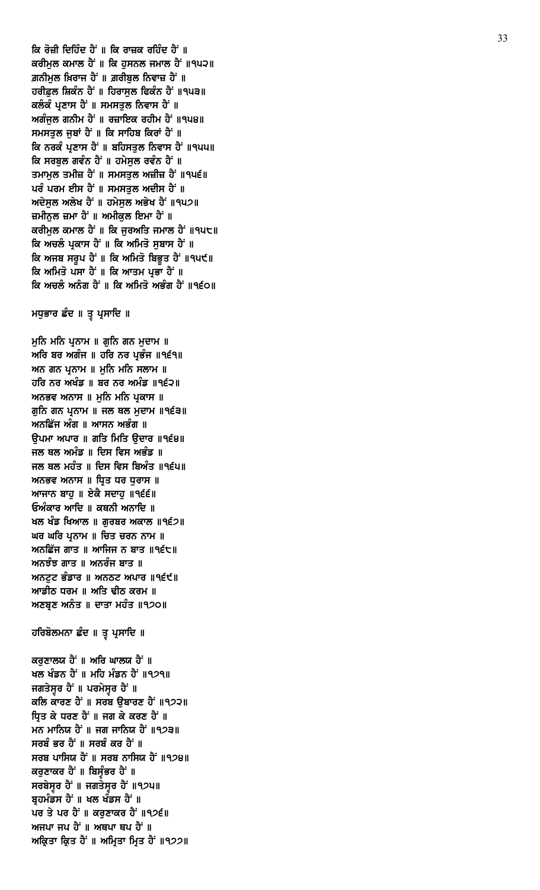ਕਰਣਾਲਯ ਹੈਂ ॥ ਅਰਿ ਘਾਲਯ ਹੈਂ ॥ ਖਲ ਖੰਡਨ ਹੈਂ ॥ ਮਹਿ ਮੰਡਨ ਹੈਂ ॥੧੭੧॥ ਜਗਤੇਸੁਰ ਹੈਂ ॥ ਪਰਮੇਸੁਰ ਹੈਂ ॥ ਕਲਿ ਕਾਰਣ ਹੈਂ ॥ ਸਰਬ ਉਬਾਰਣ ਹੈਂ ॥੧੭੨॥ ਧ੍ਰਿਤ ਕੇ ਧਰਣ ਹੈਂ ॥ ਜਗ ਕੇ ਕਰਣ ਹੈਂ ॥ ਮਨ ਮਾਨਿਯ ਹੈਂ ॥ ਜਗ ਜਾਨਿਯ ਹੈਂ ॥੧੭੩॥ ਸਰਬੰ ਭਰ ਹੈਂ ॥ ਸਰਬੰ ਕਰ ਹੈਂ ॥ ਸਰਬ ਪਾਸਿਯ ਹੈਂ ॥ ਸਰਬ ਨਾਸਿਯ ਹੈਂ ॥੧੭੪॥ ਕਰੁਣਾਕਰ ਹੈਂ ॥ ਬਿਸੁੰਭਰ ਹੈਂ ॥ ਸਰਬੇਸੁਰ ਹੈਂ ॥ ਜਗਤੇਸੁਰ ਹੈਂ ॥੧੭੫॥ ਬ੍ਰਹਮੰਡਸ ਹੈਂ ॥ ਖਲ ਖੰਡਸ ਹੈਂ ॥ ਪਰ ਤੇ ਪਰ ਹੈਂ ॥ ਕਰੁਣਾਕਰ ਹੈਂ ॥੧੭੬॥ ਅਜਪਾ ਜਪ ਹੈਂ ॥ ਅਥਪਾ ਥਪ ਹੈਂ ॥ ਅਕ੍ਰਿਤਾ ਕ੍ਰਿਤ ਹੈਂ ॥ ਅਮ੍ਰਿਤਾ ਮ੍ਰਿਤ ਹੈਂ ॥੧੭੭॥

# ਹਰਿਬੋਲਮਨਾ ਛੰਦ ॥ ਤੁ ਪ੍ਰਸਾਦਿ ॥

ਅਰਿ ਬਰ ਅਗੰਜ ॥ ਹਰਿ ਨਰ ਪ੍ਰਭੰਜ ॥੧੬੧॥ ਅਨ ਗਨ ਪੁਨਾਮ ॥ ਮਨਿ ਮਨਿ ਸਲਾਮ ॥ ਹਰਿ ਨਰ ਅਖੰਡ ॥ ਬਰ ਨਰ ਅਮੰਡ ॥੧੬੨॥ ਅਨਭਵ ਅਨਾਸ ॥ ਮੁਨਿ ਮਨਿ ਪ੍ਰਕਾਸ ॥ ਗੁਨਿ ਗਨ ਪ੍ਰਨਾਮ ॥ ਜਲ ਥਲ ਮੁਦਾਮ ॥੧੬੩॥ ਅਨਛਿੱਜ ਅੰਗ ॥ ਆਸਨ ਅਭੰਗ ॥ ੳਪਮਾ ਅਪਾਰ ॥ ਗਤਿ ਮਿਤਿ ੳਦਾਰ ॥੧੬੪॥ ਜਲ ਥਲ ਅਮੰਡ ॥ ਦਿਸ ਵਿਸ ਅਭੰਡ ॥ ਜਲ ਥਲ ਮਹੰਤ ॥ ਦਿਸ ਵਿਸ ਬਿਅੰਤ ॥੧੬੫॥ ਅਨਭਵ ਅਨਾਸ ॥ ਧ੍ਰਿਤ ਧਰ ਧੁਰਾਸ ॥ ਆਜਾਨ ਬਾਹੁ ॥ ਏਕੈ ਸਦਾਹੁ ॥੧੬੬॥ ਓਅੰਕਾਰ ਆਦਿ ॥ ਕਥਨੀ ਅਨਾਦਿ ॥ ਖਲ ਖੰਡ ਖਿਆਲ ॥ ਗੁਰਬਰ ਅਕਾਲ ॥੧੬੭॥ ਘਰ ਘਰਿ ਪੁਨਾਮ ॥ ਚਿਤ ਚਰਨ ਨਾਮ ॥ ਅਨਛਿੱਜ ਗਾਤ ॥ ਆਜਿਜ ਨ ਬਾਤ ॥੧੬੮॥ ਅਨਝੰਝ ਗਾਤ ॥ ਅਨਰੰਜ ਬਾਤ ॥ ਅਨਟਟ ਭੰਡਾਰ ॥ ਅਨਠਟ ਅਪਾਰ ॥੧੬੯॥ ਆਡੀਠ ਧਰਮ ॥ ਅਤਿ ਢੀਠ ਕਰਮ ॥ ਅਣਬਣ ਅਨੰਤ ॥ ਦਾਤਾ ਮਹੰਤ ॥੧੭੦॥

ਮਧੁਭਾਰ ਛੰਦ ॥ ਤੁ ਪ੍ਰਸਾਦਿ ॥

ਮੁਨਿ ਮਨਿ ਪ੍ਰਨਾਮ ॥ ਗੁਨਿ ਗਨ ਮੁਦਾਮ ॥

ਕਰੀਮਲ ਕਮਾਲ ਹੈਂ ॥ ਕਿ ਹਸਨਲ ਜਮਾਲ ਹੈਂ ॥੧੫੨॥ ਗ਼ਨੀਮੁਲ ਖ਼ਿਰਾਜ ਹੈਂ ॥ ਗ਼ਰੀਬੁਲ ਨਿਵਾਜ਼ ਹੈਂ ॥ ਹਰੀਫ਼ਲ ਸ਼ਿਕੰਨ ਹੈਂ ॥ ਹਿਰਾਸਲ ਫਿਕੰਨ ਹੈਂ ॥੧੫੩॥ ਕਲੰਕੰ ਪ੍ਰਣਾਸ ਹੈਂ ॥ ਸਮਸਤੁਲ ਨਿਵਾਸ ਹੈਂ ॥ ਅਗੰਜੁਲ ਗਨੀਮ ਹੈਂ ॥ ਰਜ਼ਾਇਕ ਰਹੀਮ ਹੈਂ ॥੧੫੪॥ ਸਮਸਤੁਲ ਜੂਬਾਂ ਹੈਂ ॥ ਕਿ ਸਾਹਿਬ ਕਿਰਾਂ ਹੈਂ ॥ ਕਿ ਨਰਕੰ ਪ੍ਰਣਾਸ ਹੈਂ ॥ ਬਹਿਸਤੁਲ ਨਿਵਾਸ ਹੈਂ ॥੧੫੫॥ ਕਿ ਸਰਬੁਲ ਗਵੰਨ ਹੈਂ ॥ ਹਮੇਸੁਲ ਰਵੰਨ ਹੈਂ ॥ ਤਮਾਮੂਲ ਤਮੀਜ਼ ਹੈਂ ॥ ਸਮਸਤੂਲ ਅਜ਼ੀਜ਼ ਹੈਂ ॥੧੫੬॥ ਪਰੰ ਪਰਮ ਈਸ ਹੈਂ ॥ ਸਮਸਤੁਲ ਅਦੀਸ ਹੈਂ ॥ ਅਦੇਸੁਲ ਅਲੇਖ ਹੈਂ ॥ ਹਮੇਸੁਲ ਅਭੇਖ ਹੈਂ ॥੧੫੭॥ ਜ਼ਮੀਨਲ ਜ਼ਮਾ ਹੈਂ ॥ ਅਮੀਕਲ ਇਮਾ ਹੈਂ ॥ ਕਰੀਮੁਲ ਕਮਾਲ ਹੈਂ ॥ ਕਿ ਜੁਰਅਤਿ ਜਮਾਲ ਹੈਂ ॥੧੫੮॥ ਕਿ ਅਚਲੰ ਪ੍ਰਕਾਸ ਹੈਂ ॥ ਕਿ ਅਮਿਤੋ ਸੂਬਾਸ ਹੈਂ ॥ ਕਿ ਅਜਬ ਸਰਪ ਹੈਂ ॥ ਕਿ ਅਮਿਤੋ ਬਿਭਤ ਹੈਂ ॥੧੫੯॥ ਕਿ ਅਮਿਤੋ ਪਸਾ ਹੈਂ ॥ ਕਿ ਆਤਮ ਪ੍ਰਭਾ ਹੈਂ ॥ ਕਿ ਅਚਲੰ ਅਨੰਗ ਹੈਂ ॥ ਕਿ ਅਮਿਤੋ ਅਭੰਗ ਹੈਂ ॥੧੬੦॥

ਕਿ ਰੋਜ਼ੀ ਦਿਹਿੰਦ ਹੈਂ ॥ ਕਿ ਰਾਜ਼ਕ ਰਹਿੰਦ ਹੈਂ ॥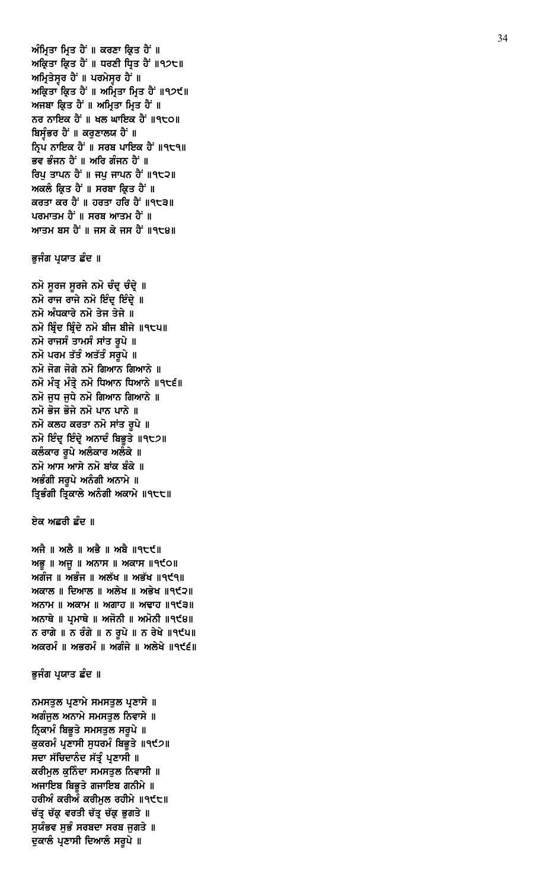ਨਮਸਤੁਲ ਪ੍ਰਣਾਮੇ ਸਮਸਤੁਲ ਪ੍ਰਣਾਸੇ ॥ ਅਗੰਜੁਲ ਅਨਾਮੇ ਸਮਸਤੁਲ ਨਿਵਾਸੇ ॥ ਨ੍ਰਿਕਾਮੰ ਬਿਭੁਤੇ ਸਮਸਤੁਲ ਸਰੁਪੇ ॥ ਕੁਕਰਮੰ ਪ੍ਰਣਾਸੀ ਸੁਧਰਮੰ ਬਿਭੁਤੇ ॥੧੯੭॥ ਸਦਾ ਸੱਚਿਦਾਨੰਦ ਸੱਤੂੰ ਪ੍ਰਣਾਸੀ **॥** ਕਰੀਮੁਲ ਕੁਨਿੰਦਾ ਸਮਸਤੁਲ ਨਿਵਾਸੀ ॥ ਅਜਾਇਬ ਬਿਭੁਤੇ ਗਜਾਇਬ ਗਨੀਮੇ ॥ ਹਰੀਅੰ ਕਰੀਅੰ ਕਰੀਮੁਲ ਰਹੀਮੇ ॥੧੯੮॥ ਚੱਤ੍ਰ ਚੱਕ੍ਰ ਵਰਤੀ ਚੱਤ੍ਰ ਚੱਕ੍ਰ ਭੁਗਤੇ ॥ ਸੁਯੰਭਵ ਸੁਭੰ ਸਰਬਦਾ ਸਰਬ ਜੁਗਤੇ ॥ ਦੁਕਾਲੰ ਪ੍ਰਣਾਸੀ ਦਿਆਲੰ ਸਰੂਪੇ ॥

# ਭੁਜੰਗ ਪ੍ਰਯਾਤ ਛੰਦ ॥

ਅਜੈ ॥ ਅਲੈ ॥ ਅਭੈ ॥ ਅਬੈ ॥੧੮੯॥  $M\bar{B}$  ||  $M\bar{B}$  ||  $M\bar{C}$ ਅਗੰਜ ॥ ਅਭੰਜ ॥ ਅਲੱਖ ॥ ਅਭੱਖ ॥੧੯੧॥ ਅਕਾਲ ॥ ਦਿਆਲ ॥ ਅਲੇਖ ॥ ਅਭੇਖ ॥੧੯੨॥ ਅਨਾਮ ॥ ਅਕਾਮ ॥ ਅਗਾਹ ॥ ਅਢਾਹ ॥੧੯੩॥ ਅਨਾਥੇ ॥ ਪ੍ਰਮਾਥੇ ॥ ਅਜੋਨੀ ॥ ਅਮੋਨੀ ॥੧੯੪॥ ਨ ਰਾਗੇ ॥ ਨ ਰੰਗੇ ॥ ਨ ਰੁਪੇ ॥ ਨ ਰੇਖੇ ॥੧੯੫॥ ਅਕਰਮੰ ॥ ਅਭਰਮੰ ॥ ਅਗੰਜੇ ॥ ਅਲੇਖੇ ॥੧੯੬॥

# ਏਕ ਅਛਰੀ ਛੰਦ ॥

ਨਮੋ ਸੁਰਜ ਸੁਰਜੇ ਨਮੋ ਚੰਦ੍ਰ ਚੰਦ੍ਰੇ ॥ ਨਮੋ ਰਾਜ ਰਾਜੇ ਨਮੋ ਇੰਦ੍ ਇੰਦ੍ਵੇ ॥ ਨਮੋ ਅੰਧਕਾਰੇ ਨਮੋ ਤੇਜ ਤੇਜੇ ॥ ਨਮੋ ਬ੍ਰਿੰਦ ਬ੍ਰਿੰਦੇ ਨਮੋ ਬੀਜ ਬੀਜੇ ॥੧੮੫॥ ਨਮੋ ਰਾਜਸੰ ਤਾਮਸੰ ਸਾਂਤ ਰੁਪੇ ॥ ਨਮੋ ਪਰਮ ਤੱਤੰ ਅਤੱਤੰ ਸਰੁਪੇ ॥ ਨਮੋ ਜੋਗ ਜੋਗੇ ਨਮੋ ਗਿਆਨ ਗਿਆਨੇ ॥ ਨਮੋ ਮੰਤੂ ਮੰਤ੍ਰੇ ਨਮੋ ਧਿਆਨ ਧਿਆਨੇ ॥੧੮੬॥ ਨਮੋ ਜੁਧ ਜੁਧੇ ਨਮੋ ਗਿਆਨ ਗਿਆਨੇ ॥ ਨਮੋ ਭੋਜ ਭੋਜੇ ਨਮੋ ਪਾਨ ਪਾਨੇ ॥ ਨਮੋ ਕਲਹ ਕਰਤਾ ਨਮੋ ਸਾਂਤ ਰੁਪੇ ॥ ਨਮੋ ਇੰਦ੍ਰ ਇੰਦ੍ਰੇ ਅਨਾਦੰ ਬਿਭੁਤੇ ॥੧੮੭॥ ਕਲੰਕਾਰ ਰੂਪੇ ਅਲੰਕਾਰ ਅਲੰਕੇ ॥ ਨਮੋ ਆਸ ਆਸੇ ਨਮੋ ਬਾਂਕ ਬੰਕੇ ॥ ਅਭੰਗੀ ਸਰੂਪੇ ਅਨੰਗੀ ਅਨਾਮੇ ॥ ਤ੍ਰਿਭੰਗੀ ਤ੍ਰਿਕਾਲੇ ਅਨੰਗੀ ਅਕਾਮੇ ॥੧੮੮॥

## ਭੁਜੰਗ ਪ੍ਰਯਾਤ ਛੰਦ ॥

ਅੰਮ੍ਰਿਤਾ ਮ੍ਰਿਤ ਹੈਂ ॥ ਕਰਣਾ ਕ੍ਰਿਤ ਹੈਂ ॥ ਅਕ੍ਰਿਤਾ ਕ੍ਰਿਤ ਹੈਂ ॥ ਧਰਣੀ ਧ੍ਰਿਤ ਹੈਂ ॥੧੭੮॥ ਅਮ੍ਰਿਤੇਸੁਰ ਹੈਂ ॥ ਪਰਮੇਸੁਰ ਹੈਂ ॥ ਅਕ੍ਰਿਤਾ ਕ੍ਰਿਤ ਹੈਂ ॥ ਅਮ੍ਰਿਤਾ ਮ੍ਰਿਤ ਹੈਂ ॥੧੭੯॥ ਅਜਬਾ ਕ੍ਰਿਤ ਹੈਂ ॥ ਅਮ੍ਰਿਤਾ ਮ੍ਰਿਤ ਹੈਂ ॥ ਨਰ ਨਾਇਕ ਹੈਂ ॥ ਖਲ ਘਾਇਕ ਹੈਂ ॥੧੮੦॥ ਬਿਸੁੰਭਰ ਹੈਂ ॥ ਕਰੁਣਾਲਯ ਹੈਂ ॥ ਨ੍ਰਿਪ ਨਾਇਕ ਹੈਂ ॥ ਸਰਬ ਪਾਇਕ ਹੈਂ ॥੧੮੧॥ ਭਵ ਭੰਜਨ ਹੈਂ ॥ ਅਰਿ ਗੰਜਨ ਹੈਂ ॥ ਰਿਪੂ ਤਾਪਨ ਹੈਂ ॥ ਜਪੂ ਜਾਪਨ ਹੈਂ ॥੧੮੨॥ ਅਕਲੰ ਕ੍ਰਿਤ ਹੈ<sup>:</sup> ॥ ਸਰਬਾ ਕ੍ਰਿਤ ਹੈ<sup>:</sup> ॥ ਕਰਤਾ ਕਰ ਹੈਂ ॥ ਹਰਤਾ ਹਰਿ ਹੈਂ ॥੧੮੩॥ ਪਰਮਾਤਮ ਹੈਂ ॥ ਸਰਬ ਆਤਮ ਹੈਂ ॥ ਆਤਮ ਬਸ ਹੈਂ ॥ ਜਸ ਕੇ ਜਸ ਹੈਂ ॥੧੮੪॥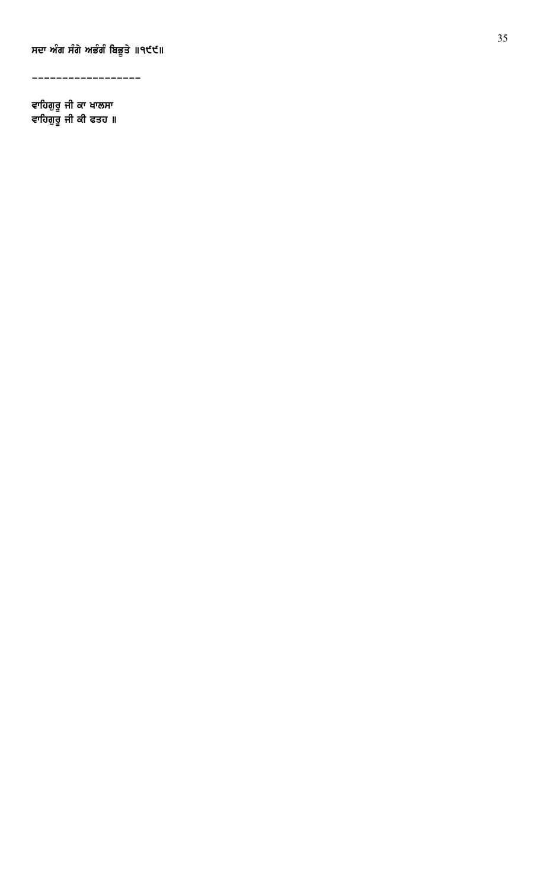ਸਦਾ ਅੰਗ ਸੰਗੇ ਅਭੰਗੰ ਬਿਭੂਤੇ ॥੧੯੯॥

------------------

ਵਾਹਿਗਰ ਜੀ ਕਾ ਖਾਲਸਾ ਵਾਹਿਗਰ ਜੀ ਕੀ ਫਤਹ ॥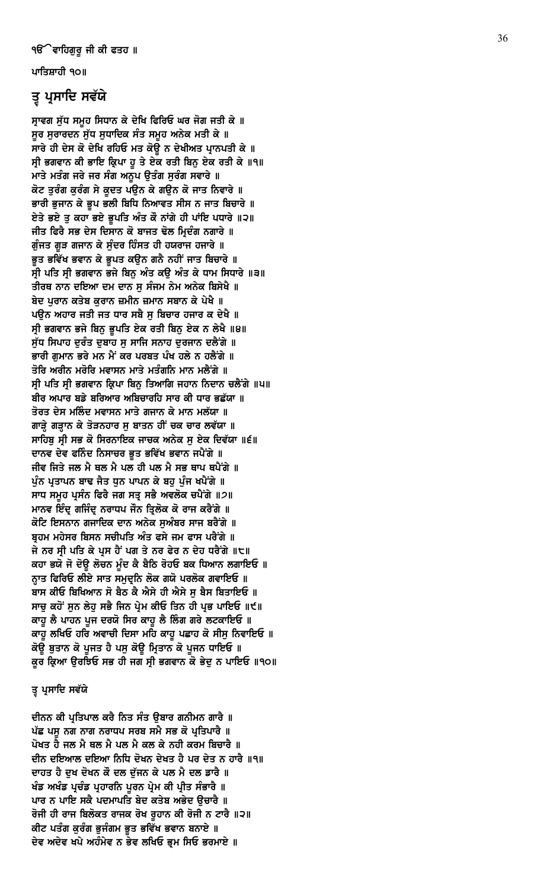ਪਾਤਿਸ਼ਾਹੀ ੧੦॥

# ਤ੍ਰ ਪ੍ਰਸਾਦਿ ਸਵੱਯੇ

ਸ੍ਰਾਵਗ ਸੁੱਧ ਸਮੂਹ ਸਿਧਾਨ ਕੇ ਦੇਖਿ ਫਿਰਿਓ ਘਰ ਜੋਗ ਜਤੀ ਕੇ ॥ ਸੁਰ ਸੁਰਾਰਦਨ ਸੁੱਧ ਸੁਧਾਦਿਕ ਸੰਤ ਸਮੁਹ ਅਨੇਕ ਮਤੀ ਕੇ ॥ ਸਾਰੇ ਹੀ ਦੇਸ ਕੋ ਦੇਖਿ ਰਹਿਓ ਮਤ ਕੋਊ ਨ ਦੇਖੀਅਤ ਪ੍ਰਾਨਪਤੀ ਕੇ ॥ ਸ੍ਰੀ ਭਗਵਾਨ ਕੀ ਭਾਇ ਕ੍ਰਿਪਾ ਹੁ ਤੇ ਏਕ ਰਤੀ ਬਿਨੁ ਏਕ ਰਤੀ ਕੇ ॥੧॥ ਮਾਤੇ ਮਤੰਗ ਜਰੇ ਜਰ ਸੰਗ ਅਨੁਪ ਉਤੰਗ ਸੁਰੰਗ ਸਵਾਰੇ ॥ ਕੋਟ ਤੁਰੰਗ ਕੁਰੰਗ ਸੇ ਕੁਦਤ ਪਉਨ ਕੇ ਗਉਨ ਕੋ ਜਾਤ ਨਿਵਾਰੇ ॥ ਭਾਰੀ ਭੁਜਾਨ ਕੇ ਭੂਪ ਭਲੀ ਬਿਧਿ ਨਿਆਵਤ ਸੀਸ ਨ ਜਾਤ ਬਿਚਾਰੇ ॥ ਏਤੇ ਭਏ ਤੂ ਕਹਾ ਭਏ ਭੂਪਤਿ ਅੰਤ ਕੌ ਨਾਂਗੇ ਹੀ ਪਾਂਇ ਪਧਾਰੇ ॥੨॥ ਜੀਤ ਫਿਰੈ ਸਭ ਦੇਸ ਦਿਸਾਨ ਕੋ ਬਾਜਤ ਢੋਲ ਮ੍ਰਿਦੰਗ ਨਗਾਰੇ ॥ ਗੁੰਜਤ ਗੁੜ ਗਜਾਨ ਕੇ ਸੁੰਦਰ ਹਿੰਸਤ ਹੀ ਹਯਰਾਜ ਹਜਾਰੇ ॥ ਭੁਤ ਭਵਿੱਖ ਭਵਾਨ ਕੇ ਭੁਪਤ ਕਉਨ ਗਨੈ ਨਹੀਂ ਜਾਤ ਬਿਚਾਰੇ ॥ ਸੀ ਪਤਿ ਸੀ ਭਗਵਾਨ ਭਜੇ ਬਿਨ ਅੰਤ ਕੳ ਅੰਤ ਕੇ ਧਾਮ ਸਿਧਾਰੇ ॥੩॥ ਤੀਰਥ ਨਾਨ ਦਇਆ ਦਮ ਦਾਨ ਸੁ ਸੰਜਮ ਨੇਮ ਅਨੇਕ ਬਿਸੇਖੈ ॥ ਬੇਦ ਪੁਰਾਨ ਕਤੇਬ ਕੁਰਾਨ ਜ਼ਮੀਨ ਜ਼ਮਾਨ ਸਬਾਨ ਕੇ ਪੇਖੈ ॥ ਪੳਨ ਅਹਾਰ ਜਤੀ ਜਤ ਧਾਰ ਸਬੈ ਸ ਬਿਚਾਰ ਹਜਾਰ ਕ ਦੇਖੈ ॥ ਸ੍ਰੀ ਭਗਵਾਨ ਭਜੇ ਬਿਨੂ ਭੂਪਤਿ ਏਕ ਰਤੀ ਬਿਨੂ ਏਕ ਨ ਲੇਖੈ ॥੪॥ ਸੁੱਧ ਸਿਪਾਹ ਦੁਰੰਤ ਦੁਬਾਹ ਸੁ ਸਾਜਿ ਸਨਾਹ ਦੁਰਜਾਨ ਦਲੈਂਗੇ ॥ ਭਾਰੀ ਗਮਾਨ ਭਰੇ ਮਨ ਮੈਂ ਕਰ ਪਰਬਤ ਪੰਖ ਹਲੇ ਨ ਹਲੈਂਗੇ ॥ ਤੋਰਿ ਅਰੀਨ ਮਰੋਰਿ ਮਵਾਸਨ ਮਾਤੇ ਮਤੰਗਨਿ ਮਾਨ ਮਲੈਂਗੇ ॥ ਸ੍ਰੀ ਪਤਿ ਸ੍ਰੀ ਭਗਵਾਨ ਕ੍ਰਿਪਾ ਬਿਨੂ ਤਿਆਗਿ ਜਹਾਨ ਨਿਦਾਨ ਚਲੈਂਗੇ ॥੫॥ ਬੀਰ ਅਪਾਰ ਬਡੇ ਬਰਿਆਰ ਅਬਿਚਾਰਹਿ ਸਾਰ ਕੀ ਧਾਰ ਭਛੱਯਾ ॥ ਤੋਰਤ ਦੇਸ ਮਲਿੰਦ ਮਵਾਸਨ ਮਾਤੇ ਗਜਾਨ ਕੇ ਮਾਨ ਮਲੱਯਾ ॥ ਗਾੜ੍ਹੇ ਗੜ੍ਹਾਨ ਕੇ ਤੋੜਨਹਾਰ ਸੁ ਬਾਤਨ ਹੀਂ ਚਕ ਚਾਰ ਲਵੱਯਾ ॥ ਸਾਹਿਬੂ ਸ੍ਰੀ ਸਭ ਕੋ ਸਿਰਨਾਇਕ ਜਾਚਕ ਅਨੇਕ ਸੁ ਏਕ ਦਿਵੱਯਾ ॥੬॥ ਦਾਨਵ ਦੇਵ ਫਨਿੰਦ ਨਿਸਾਚਰ ਭੁਤ ਭਵਿੱਖ ਭਵਾਨ ਜਪੈਂਗੇ ॥ ਜੀਵ ਜਿਤੇ ਜਲ ਮੈ ਥਲ ਮੈ ਪਲ ਹੀ ਪਲ ਮੈ ਸਭ ਥਾਪ ਥਪੈਂਗੇ ॥ ਪੁੰਨ ਪ੍ਰਤਾਪਨ ਬਾਢ ਜੈਤ ਧੁਨ ਪਾਪਨ ਕੇ ਬਹੁ ਪੁੰਜ ਖਪੈਂਗੇ ॥ ਸਾਧ ਸਮਹ ਪਸੰਨ ਫਿਰੈ ਜਗ ਸਤ ਸਭੈ ਅਵਲੋਕ ਚਪੈਂਗੇ ॥੭॥ ਮਾਨਵ ਇੰਦ੍ਰ ਗਜਿੰਦ੍ਰ ਨਰਾਧਪ ਜੌਨ ਤ੍ਰਿਲੋਕ ਕੋ ਰਾਜ ਕਰੈਂਗੇ ॥ ਕੋਟਿ ਇਸਨਾਨ ਗਜਾਦਿਕ ਦਾਨ ਅਨੇਕ ਸੁਅੰਬਰ ਸਾਜ ਬਰੈਂਗੇ ॥ ਬਹਮ ਮਹੇਸਰ ਬਿਸਨ ਸਚੀਪਤਿ ਅੰਤ ਫਸੇ ਜਮ ਫਾਸ ਪਰੈਂਗੇ ॥ ਜੇ ਨਰ ਸ੍ਰੀ ਪਤਿ ਕੇ ਪ੍ਰਸ ਹੈਂ ਪਗ ਤੇ ਨਰ ਫੇਰ ਨ ਦੇਹ ਧਰੈਂਗੇ ॥੮॥ ਕਹਾ ਭਯੋ ਜੋ ਦੋਉ ਲੋਚਨ ਮੁੰਦ ਕੈ ਬੈਠਿ ਰੋਹਓ ਬਕ ਧਿਆਨ ਲਗਾਇਓ ॥ ਨਾਤ ਫਿਰਿਓ ਲੀਏ ਸਾਤ ਸਮਦੂਨਿ ਲੋਕ ਗਯੋ ਪਰਲੋਕ ਗਵਾਇਓ ॥ ਬਾਸ ਕੀਓ ਬਿਖਿਆਨ ਸੋ ਬੈਠ ਕੈ ਐਸੇ ਹੀ ਐਸੇ ਸ ਬੈਸ ਬਿਤਾਇਓ ॥ ਸਾਚੂ ਕਹੋਂ ਸੁਨ ਲੇਹੂ ਸਭੈ ਜਿਨ ਪ੍ਰੇਮ ਕੀਓ ਤਿਨ ਹੀ ਪ੍ਰਭ ਪਾਇਓ ॥੯॥ ਕਾਹੂ ਲੈ ਪਾਹਨ ਪੂਜ ਦਰਯੋ ਸਿਰ ਕਾਹੂ ਲੈ ਲਿੰਗ ਗਰੇ ਲਟਕਾਇਓ ॥ ਕਾਹੁ ਲਖਿਓ ਹਰਿ ਅਵਾਚੀ ਦਿਸਾ ਮਹਿ ਕਾਹੁ ਪਛਾਹ ਕੋ ਸੀਸੁ ਨਿਵਾਇਓ ॥ ਕੋਉ ਬੁਤਾਨ ਕੋ ਪੁਜਤ ਹੈ ਪਸੁ ਕੋਉ ਮ੍ਰਿਤਾਨ ਕੋ ਪੁਜਨ ਧਾਇਓ ॥ ਕੁਰ ਕ੍ਰਿਆ ਉਰਝਿਓ ਸਭ ਹੀ ਜਗ ਸ੍ਰੀ ਭਗਵਾਨ ਕੋ ਭੇਦੁ ਨ ਪਾਇਓ ॥੧੦॥

# ਤ੍ਰ ਪ੍ਰਸਾਦਿ ਸਵੱਯੇ

ਦੀਨਨ ਕੀ ਪ੍ਰਤਿਪਾਲ ਕਰੈ ਨਿਤ ਸੰਤ ੳਬਾਰ ਗਨੀਮਨ ਗਾਰੈ ॥ ਪੱਛ ਪਸੁ ਨਗ ਨਾਗ ਨਰਾਧਪ ਸਰਬ ਸਮੈ ਸਭ ਕੋ ਪ੍ਰਤਿਪਾਰੈ ॥ ਪੋਖਤ ਹੈ ਜਲ ਮੈ ਥਲ ਮੈ ਪਲ ਮੈ ਕਲ ਕੇ ਨਹੀ ਕਰਮ ਬਿਚਾਰੈ ॥ ਦੀਨ ਦਇਆਲ ਦਇਆ ਨਿਧਿ ਦੋਖਨ ਦੇਖਤ ਹੈ ਪਰ ਦੇਤ ਨ ਹਾਰੈ ॥੧॥ ਦਾਹਤ ਹੈ ਦੁਖ ਦੋਖਨ ਕੌ ਦਲ ਦੁੱਜਨ ਕੇ ਪਲ ਮੈ ਦਲ ਡਾਰੈ ॥ ਖੰਡ ਅਖੰਡ ਪ੍ਰਚੰਡ ਪ੍ਰਹਾਰਨਿ ਪੂਰਨ ਪ੍ਰੇਮ ਕੀ ਪ੍ਰੀਤ ਸੰਭਾਰੈ ॥ ਪਾਰ ਨ ਪਾਇ ਸਕੈ ਪਦਮਾਪਤਿ ਬੇਦ ਕਤੇਬ ਅਭੇਦ ਉਚਾਰੈ ॥ ਰੋਜੀ ਹੀ ਰਾਜ ਬਿਲੋਕਤ ਰਾਜਕ ਰੋਖ ਰੁਹਾਨ ਕੀ ਰੋਜੀ ਨ ਟਾਰੈ ॥੨॥ ਕੀਟ ਪਤੰਗ ਕੁਰੰਗ ਭੁਜੰਗਮ ਭੁਤ ਭਵਿੱਖ ਭਵਾਨ ਬਨਾਏ ॥ ਦੇਵ ਅਦੇਵ ਖਪੇ ਅਹੰਮੇਵ ਨ ਭੇਵ ਲਖਿਓ ਭੁਮ ਸਿਓ ਭਰਮਾਏ ॥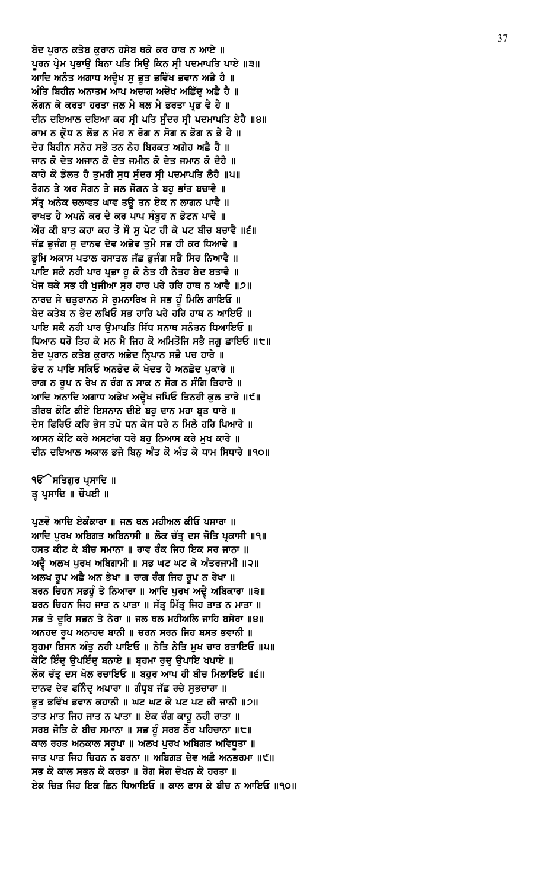ਬੇਦ ਪਰਾਨ ਕਤੇਬ ਕਰਾਨ ਹਸੇਬ ਥਕੇ ਕਰ ਹਾਥ ਨ ਆਏ ॥ ਪੂਰਨ ਪ੍ਰੇਮ ਪ੍ਰਭਾਉ ਬਿਨਾ ਪਤਿ ਸਿਉ ਕਿਨ ਸ੍ਰੀ ਪਦਮਾਪਤਿ ਪਾਏ ॥੩॥ ਆਦਿ ਅਨੰਤ ਅਗਾਧ ਅਦ੍ਰੈਖ ਸੁ ਭੁਤ ਭਵਿੱਖ ਭਵਾਨ ਅਭੈ ਹੈ ॥ ਅੰਤਿ ਬਿਹੀਨ ਅਨਾਤਮ ਆਪ ਅਦਾਗ ਅਦੋਖ ਅਛਿੱਦੂ ਅਛੈ ਹੈ ॥ ਲੋਗਨ ਕੇ ਕਰਤਾ ਹਰਤਾ ਜਲ ਮੈ ਥਲ ਮੈ ਭਰਤਾ ਪ੍ਰਭ ਵੈ ਹੈ ॥ ਦੀਨ ਦਇਆਲ ਦਇਆ ਕਰ ਸ੍ਰੀ ਪਤਿ ਸੁੰਦਰ ਸ੍ਰੀ ਪਦਮਾਪਤਿ ਏਹੈ ॥੪॥ ਕਾਮ ਨ ਕ੍ਰੋਧ ਨ ਲੋਭ ਨ ਮੋਹ ਨ ਰੋਗ ਨ ਸੋਗ ਨ ਭੋਗ ਨ ਭੈ ਹੈ ॥ ਦੇਹ ਬਿਹੀਨ ਸਨੇਹ ਸਭੋ ਤਨ ਨੇਹ ਬਿਰਕਤ ਅਗੇਹ ਅਛੈ ਹੈ ॥ ਜਾਨ ਕੋ ਦੇਤ ਅਜਾਨ ਕੋ ਦੇਤ ਜਮੀਨ ਕੋ ਦੇਤ ਜਮਾਨ ਕੋ ਦੈਹੈ ॥ ਕਾਹੇ ਕੋ ਡੋਲਤ ਹੈ ਤੁਮਰੀ ਸੁਧ ਸੁੰਦਰ ਸ੍ਰੀ ਪਦਮਾਪਤਿ ਲੈਹੈ ॥੫॥ ਰੋਗਨ ਤੇ ਅਰ ਸੋਗਨ ਤੇ ਜਲ ਜੋਗਨ ਤੇ ਬਹੁ ਭਾਂਤ ਬਚਾਵੈ ॥ ਸੱਤ੍ਰ ਅਨੇਕ ਚਲਾਵਤ ਘਾਵ ਤਉ ਤਨ ਏਕ ਨ ਲਾਗਨ ਪਾਵੈ ॥ ਰਾਖਤ ਹੈ ਅਪਨੋ ਕਰ ਦੈ ਕਰ ਪਾਪ ਸੰਬੁਹ ਨ ਭੇਟਨ ਪਾਵੈ ॥ ਔਰ ਕੀ ਬਾਤ ਕਹਾ ਕਹ ਤੋ ਸੌ ਸੁ ਪੇਟ ਹੀ ਕੇ ਪਟ ਬੀਚ ਬਚਾਵੈ ॥੬॥ ਜੱਛ ਭੁਜੰਗ ਸੁ ਦਾਨਵ ਦੇਵ ਅਭੇਵ ਤੁਮੈ ਸਭ ਹੀ ਕਰ ਧਿਆਵੈ ॥ ਭਮਿ ਅਕਾਸ ਪਤਾਲ ਰਸਾਤਲ ਜੱਛ ਭਜੰਗ ਸਭੈ ਸਿਰ ਨਿਆਵੈ ॥ ਪਾਇ ਸਕੈ ਨਹੀ ਪਾਰ ਪ੍ਰਭਾ ਹੁ ਕੋ ਨੇਤ ਹੀ ਨੇਤਹ ਬੇਦ ਬਤਾਵੈ ॥ ਖੋਜ ਥਕੇ ਸਭ ਹੀ ਖੁਜੀਆ ਸੁਰ ਹਾਰ ਪਰੇ ਹਰਿ ਹਾਥ ਨ ਆਵੈ ॥੭॥ ਨਾਰਦ ਸੇ ਚਤੁਰਾਨਨ ਸੇ ਰੁਮਨਾਰਿਖ ਸੇ ਸਭ ਹੁੰ ਮਿਲਿ ਗਾਇਓ ॥ ਬੇਦ ਕਤੇਬ ਨ ਭੇਦ ਲਖਿਓ ਸਭ ਹਾਰਿ ਪਰੇ ਹਰਿ ਹਾਥ ਨ ਆਇਓ ॥ ਪਾਇ ਸਕੈ ਨਹੀ ਪਾਰ ੳਮਾਪਤਿ ਸਿੱਧ ਸਨਾਥ ਸਨੰਤਨ ਧਿਆਇਓ ॥ ਧਿਆਨ ਧਰੋ ਤਿਹ ਕੇ ਮਨ ਮੈ ਜਿਹ ਕੋ ਅਮਿਤੋਜਿ ਸਭੈ ਜਗ ਛਾਇਓ ॥੮॥ ਬੇਦ ਪੁਰਾਨ ਕਤੇਬ ਕੁਰਾਨ ਅਭੇਦ ਨ੍ਰਿਪਾਨ ਸਭੈ ਪਚ ਹਾਰੇ ॥ ਭੇਦ ਨ ਪਾਇ ਸਕਿਓ ਅਨਭੇਦ ਕੋ ਖੇਦਤ ਹੈ ਅਨਛੇਦ ਪੁਕਾਰੇ ॥ ਰਾਗ ਨ ਰੂਪ ਨ ਰੇਖ ਨ ਰੰਗ ਨ ਸਾਕ ਨ ਸੋਗ ਨ ਸੰਗਿ ਤਿਹਾਰੇ ॥ ਆਦਿ ਅਨਾਦਿ ਅਗਾਧ ਅਭੇਖ ਅਦ੍ਵੈਖ ਜਪਿਓ ਤਿਨਹੀ ਕੁਲ ਤਾਰੇ ॥੯॥ ਤੀਰਥ ਕੋਟਿ ਕੀਏ ਇਸਨਾਨ ਦੀਏ ਬਹੁ ਦਾਨ ਮਹਾ ਬ੍ਰਤ ਧਾਰੇ ॥ ਦੇਸ ਫਿਰਿਓ ਕਰਿ ਭੇਸ ਤਪੋ ਧਨ ਕੇਸ ਧਰੇ ਨ ਮਿਲੇ ਹਰਿ ਪਿਆਰੇ ॥ ਆਸਨ ਕੋਟਿ ਕਰੇ ਅਸਟਾਂਗ ਧਰੇ ਬਹ ਨਿਆਸ ਕਰੇ ਮਖ ਕਾਰੇ ॥ ਦੀਨ ਦਇਆਲ ਅਕਾਲ ਭਜੇ ਬਿਨੂ ਅੰਤ ਕੋ ਅੰਤ ਕੇ ਧਾਮ ਸਿਧਾਰੇ ॥੧੦॥

੧**ੳ**ੇਸਤਿਗੁਰ ਪ੍ਰਸਾਦਿ ॥ ਤ੍ਰ ਪ੍ਰਸਾਦਿ ॥ ਚੌਪਈ ॥

ਪ੍ਰਣਵੋ ਆਦਿ ਏਕੰਕਾਰਾ ॥ ਜਲ ਥਲ ਮਹੀਅਲ ਕੀਓ ਪਸਾਰਾ ॥ ਆਦਿ ਪੂਰਖ ਅਬਿਗਤ ਅਬਿਨਾਸੀ ॥ ਲੋਕ ਚੱਤ੍ਰ ਦਸ ਜੋਤਿ ਪ੍ਰਕਾਸੀ ॥੧॥ ਹਸਤ ਕੀਟ ਕੇ ਬੀਚ ਸਮਾਨਾ ॥ ਰਾਵ ਰੰਕ ਜਿਹ ਇਕ ਸਰ ਜਾਨਾ ॥ ਅਦ੍ਰੈ ਅਲਖ ਪੁਰਖ ਅਬਿਗਾਮੀ ॥ ਸਭ ਘਟ ਘਟ ਕੇ ਅੰਤਰਜਾਮੀ ॥੨॥ ਅਲਖ ਰੂਪ ਅਛੈ ਅਨ ਭੇਖਾ ॥ ਰਾਗ ਰੰਗ ਜਿਹ ਰੂਪ ਨ ਰੇਖਾ ॥ ਬਰਨ ਚਿਹਨ ਸਭਹੁੰ ਤੇ ਨਿਆਰਾ ॥ ਆਦਿ ਪੁਰਖ ਅਦ੍ਵੈ ਅਬਿਕਾਰਾ ॥੩॥ ਬਰਨ ਚਿਹਨ ਜਿਹ ਜਾਤ ਨ ਪਾਤਾ ॥ ਸੱਤ੍ਰ ਮਿੱਤ੍ਰ ਜਿਹ ਤਾਤ ਨ ਮਾਤਾ ॥ ਸਭ ਤੇ ਦੁਰਿ ਸਭਨ ਤੇ ਨੇਰਾ ॥ ਜਲ ਥਲ ਮਹੀਅਲਿ ਜਾਹਿ ਬਸੇਰਾ ॥੪॥ ਅਨਹਦ ਰੂਪ ਅਨਾਹਦ ਬਾਨੀ ॥ ਚਰਨ ਸਰਨ ਜਿਹ ਬਸਤ ਭਵਾਨੀ ॥ ਬੁਹਮਾ ਬਿਸਨ ਅੰਤ ਨਹੀ ਪਾਇਓ ॥ ਨੇਤਿ ਨੇਤਿ ਮਖ ਚਾਰ ਬਤਾਇਓ ॥੫॥ ਕੋਟਿ ਇੰਦ੍ਰ ਉਪਇੰਦ੍ਰ ਬਨਾਏ ॥ ਬ੍ਰਹਮਾ ਰੁਦ੍ਰ ਉਪਾਇ ਖਪਾਏ ॥ ਲੋਕ ਚੱਤੂ ਦਸ ਖੇਲ ਰਚਾਇਓ ॥ ਬਹਰ ਆਪ ਹੀ ਬੀਚ ਮਿਲਾਇਓ ॥੬॥ ਦਾਨਵ ਦੇਵ ਫਨਿੰਦ੍ਰ ਅਪਾਰਾ ॥ ਗੰਧ੍ਰਬ ਜੱਛ ਰਚੇ ਸੁਭਚਾਰਾ ॥ ਭੁਤ ਭਵਿੱਖ ਭਵਾਨ ਕਹਾਨੀ ॥ ਘਟ ਘਟ ਕੇ ਪਟ ਪਟ ਕੀ ਜਾਨੀ ॥੭॥ ਤਾਤ ਮਾਤ ਜਿਹ ਜਾਤ ਨ ਪਾਤਾ ॥ ਏਕ ਰੰਗ ਕਾਹੁ ਨਹੀ ਰਾਤਾ ॥ ਸਰਬ ਜੋਤਿ ਕੇ ਬੀਚ ਸਮਾਨਾ ॥ ਸਭ ਹੁੰ ਸਰਬ ਠੌਰ ਪਹਿਚਾਨਾ ॥੮॥ ਕਾਲ ਰਹਤ ਅਨਕਾਲ ਸਰੂਪਾ ॥ ਅਲਖ ਪੂਰਖ ਅਬਿਗਤ ਅਵਿਧੂਤਾ ॥ ਜਾਤ ਪਾਤ ਜਿਹ ਚਿਹਨ ਨ ਬਰਨਾ ॥ ਅਬਿਗਤ ਦੇਵ ਅਛੈ ਅਨਭਰਮਾ ॥੯॥ ਸਭ ਕੋ ਕਾਲ ਸਭਨ ਕੋ ਕਰਤਾ ॥ ਰੋਗ ਸੋਗ ਦੋਖਨ ਕੋ ਹਰਤਾ ॥ ਏਕ ਚਿਤ ਜਿਹ ਇਕ ਛਿਨ ਧਿਆਇਓ ॥ ਕਾਲ ਫਾਸ ਕੇ ਬੀਚ ਨ ਆਇਓ ॥੧੦॥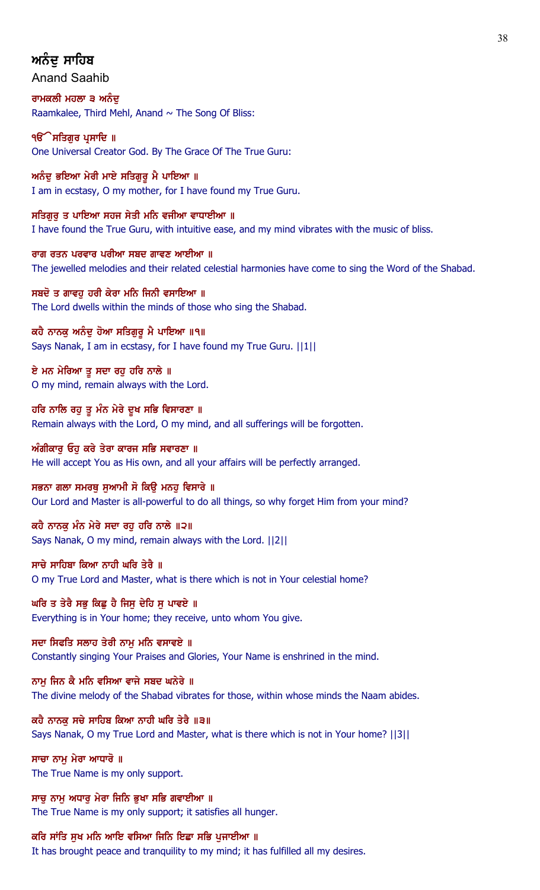# ਅਨੰਦ ਸਾਹਿਬ

Anand Saahib

ਰਾਮਕਲੀ ਮਹਲਾ ੩ ਅਨੰਦ Raamkalee, Third Mehl, Anand  $\sim$  The Song Of Bliss:

੧**ੳ**ੇਸਤਿਗੁਰ ਪ੍ਰਸਾਦਿ ॥ One Universal Creator God. By The Grace Of The True Guru:

ਅਨੰਦੂ ਭਇਆ ਮੇਰੀ ਮਾਏ ਸਤਿਗੁਰੂ ਮੈ ਪਾਇਆ ॥ I am in ecstasy, O my mother, for I have found my True Guru.

ਸਤਿਗਰ ਤ ਪਾਇਆ ਸਹਜ ਸੇਤੀ ਮਨਿ ਵਜੀਆ ਵਾਧਾਈਆ ॥ I have found the True Guru, with intuitive ease, and my mind vibrates with the music of bliss.

ਰਾਗ ਰਤਨ ਪਰਵਾਰ ਪਰੀਆ ਸਬਦ ਗਾਵਣ ਆਈਆ ॥ The jewelled melodies and their related celestial harmonies have come to sing the Word of the Shabad.

ਸਬਦੋ ਤ ਗਾਵਹੁ ਹਰੀ ਕੇਰਾ ਮਨਿ ਜਿਨੀ ਵਸਾਇਆ ॥ The Lord dwells within the minds of those who sing the Shabad.

ਕਹੈ ਨਾਨਕੂ ਅਨੰਦੂ ਹੋਆ ਸਤਿਗੁਰੂ ਮੈ ਪਾਇਆ ॥੧॥ Says Nanak, I am in ecstasy, for I have found my True Guru. ||1||

ਏ ਮਨ ਮੇਰਿਆ ਤ ਸਦਾ ਰਹ ਹਰਿ ਨਾਲੇ ॥ O my mind, remain always with the Lord.

ਹਰਿ ਨਾਲਿ ਰਹੁ ਤੁ ਮੰਨ ਮੇਰੇ ਦੁਖ ਸਭਿ ਵਿਸਾਰਣਾ ॥ Remain always with the Lord, O my mind, and all sufferings will be forgotten.

ਅੰਗੀਕਾਰੂ ਓਹੁ ਕਰੇ ਤੇਰਾ ਕਾਰਜ ਸਭਿ ਸਵਾਰਣਾ ॥ He will accept You as His own, and all your affairs will be perfectly arranged.

ਸਭਨਾ ਗਲਾ ਸਮਰਥੂ ਸੁਆਮੀ ਸੋ ਕਿਉ ਮਨਹੂ ਵਿਸਾਰੇ ॥ Our Lord and Master is all-powerful to do all things, so why forget Him from your mind?

ਕਹੈ ਨਾਨਕ ਮੰਨ ਮੇਰੇ ਸਦਾ ਰਹ ਹਰਿ ਨਾਲੇ ॥੨॥ Says Nanak, O my mind, remain always with the Lord. ||2||

ਸਾਚੇ ਸਾਹਿਬਾ ਕਿਆ ਨਾਹੀ ਘਰਿ ਤੇਰੈ ॥ O my True Lord and Master, what is there which is not in Your celestial home?

ਘਰਿ ਤ ਤੇਰੈ ਸਭੁ ਕਿਛੁ ਹੈ ਜਿਸੁ ਦੇਹਿ ਸੁ ਪਾਵਏ ॥ Everything is in Your home; they receive, unto whom You give.

ਸਦਾ ਸਿਫਤਿ ਸਲਾਹ ਤੇਰੀ ਨਾਮ ਮਨਿ ਵਸਾਵਏ ॥ Constantly singing Your Praises and Glories, Your Name is enshrined in the mind.

ਨਾਮ ਜਿਨ ਕੈ ਮਨਿ ਵਸਿਆ ਵਾਜੇ ਸਬਦ ਘਨੇਰੇ ॥ The divine melody of the Shabad vibrates for those, within whose minds the Naam abides.

ਕਹੈ ਨਾਨਕ ਸਚੇ ਸਾਹਿਬ ਕਿਆ ਨਾਹੀ ਘਰਿ ਤੇਰੈ ॥੩॥ Says Nanak, O my True Lord and Master, what is there which is not in Your home? ||3||

ਸਾਚਾ ਨਾਮ ਮੇਰਾ ਆਧਾਰੋ ॥ The True Name is my only support.

ਸਾਚੂ ਨਾਮੂ ਅਧਾਰੂ ਮੇਰਾ ਜਿਨਿ ਭੁਖਾ ਸਭਿ ਗਵਾਈਆ ॥ The True Name is my only support; it satisfies all hunger.

ਕਰਿ ਸਾਂਤਿ ਸੁਖ ਮਨਿ ਆਇ ਵਸਿਆ ਜਿਨਿ ਇਛਾ ਸਭਿ ਪੁਜਾਈਆ ॥

It has brought peace and tranquility to my mind; it has fulfilled all my desires.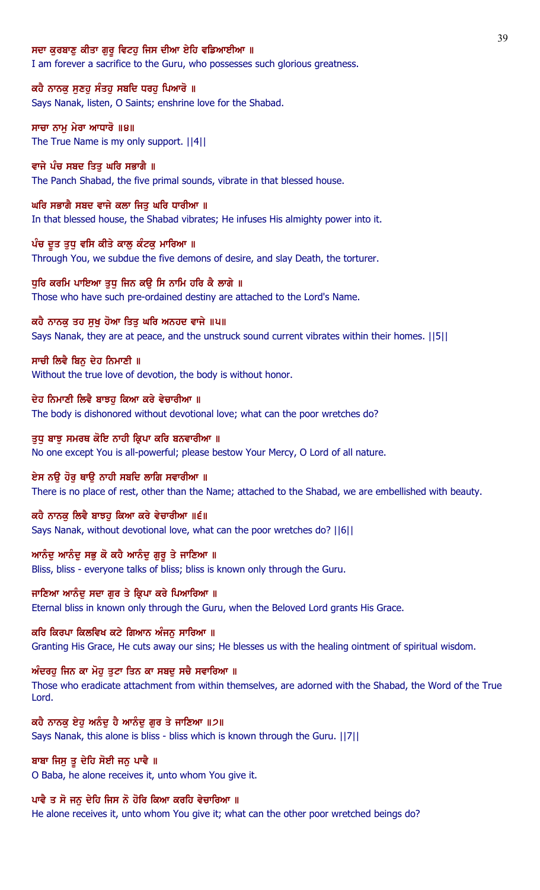#### ਸਦਾ ਕਰਬਾਣ ਕੀਤਾ ਗਰੁ ਵਿਟਹ ਜਿਸ ਦੀਆ ਏਹਿ ਵਡਿਆਈਆ ॥

I am forever a sacrifice to the Guru, who possesses such glorious greatness.

# ਕਹੈ ਨਾਨਕੁ ਸੁਣਹੁ ਸੰਤਹੁ ਸਬਦਿ ਧਰਹੁ ਪਿਆਰੋ ॥

Says Nanak, listen, O Saints; enshrine love for the Shabad.

# ਸਾਚਾ ਨਾਮ ਮੇਰਾ ਆਧਾਰੋ ॥੪॥ The True Name is my only support. ||4||

ਵਾਜੇ ਪੰਚ ਸਬਦ ਤਿਤ ਘਰਿ ਸਭਾਗੈ ॥ The Panch Shabad, the five primal sounds, vibrate in that blessed house.

# ਘਰਿ ਸਭਾਗੈ ਸਬਦ ਵਾਜੇ ਕਲਾ ਜਿਤੁ ਘਰਿ ਧਾਰੀਆ ॥

In that blessed house, the Shabad vibrates; He infuses His almighty power into it.

#### ਪੰਚ ਦੂਤ ਤੁਧੂ ਵਸਿ ਕੀਤੇ ਕਾਲੂ ਕੰਟਕੂ ਮਾਰਿਆ ॥

Through You, we subdue the five demons of desire, and slay Death, the torturer.

#### ਧੁਰਿ ਕਰਮਿ ਪਾਇਆ ਤੁਧੂ ਜਿਨ ਕਉ ਸਿ ਨਾਮਿ ਹਰਿ ਕੈ ਲਾਗੇ ॥

Those who have such pre-ordained destiny are attached to the Lord's Name.

#### ਕਹੈ ਨਾਨਕੂ ਤਹ ਸੂਖੂ ਹੋਆ ਤਿਤੂ ਘਰਿ ਅਨਹਦ ਵਾਜੇ ॥੫॥

Says Nanak, they are at peace, and the unstruck sound current vibrates within their homes. ||5||

## ਸਾਚੀ ਲਿਵੈ ਬਿਨੁ ਦੇਹ ਨਿਮਾਣੀ ॥

Without the true love of devotion, the body is without honor.

#### ਦੇਹ ਨਿਮਾਣੀ ਲਿਵੈ ਬਾਝਹ ਕਿਆ ਕਰੇ ਵੇਚਾਰੀਆ ॥

The body is dishonored without devotional love; what can the poor wretches do?

#### ਤੁਧੂ ਬਾਝੂ ਸਮਰਥ ਕੋਇ ਨਾਹੀ ਕ੍ਰਿਪਾ ਕਰਿ ਬਨਵਾਰੀਆ ॥

No one except You is all-powerful; please bestow Your Mercy, O Lord of all nature.

#### ਏਸ ਨਉ ਹੋਰੁ ਥਾਉ ਨਾਹੀ ਸਬਦਿ ਲਾਗਿ ਸਵਾਰੀਆ ॥

There is no place of rest, other than the Name; attached to the Shabad, we are embellished with beauty.

#### ਕਹੈ ਨਾਨਕ ਲਿਵੈ ਬਾਝਹ ਕਿਆ ਕਰੇ ਵੇਚਾਰੀਆ ॥੬॥

Says Nanak, without devotional love, what can the poor wretches do? ||6||

### <u>ਆਨੰਦੂ ਆਨੰਦੂ ਸਭੂ ਕੋ ਕਹੈ ਆਨੰਦੂ ਗੁਰੂ ਤੇ ਜਾਣਿਆ ॥</u>

Bliss, bliss - everyone talks of bliss; bliss is known only through the Guru.

# ਜਾਣਿਆ ਆਨੰਦ ਸਦਾ ਗਰ ਤੇ ਕ੍ਰਿਪਾ ਕਰੇ ਪਿਆਰਿਆ ॥

Eternal bliss in known only through the Guru, when the Beloved Lord grants His Grace.

#### ਕਰਿ ਕਿਰਪਾ ਕਿਲਵਿਖ ਕਟੇ ਗਿਆਨ ਅੰਜਨੂ ਸਾਰਿਆ ॥

Granting His Grace, He cuts away our sins; He blesses us with the healing ointment of spiritual wisdom.

## ਅੰਦਰਹੂ ਜਿਨ ਕਾ ਮੋਹੂ ਤੁਟਾ ਤਿਨ ਕਾ ਸਬਦੂ ਸਚੈ ਸਵਾਰਿਆ ॥

Those who eradicate attachment from within themselves, are adorned with the Shabad, the Word of the True Lord.

## ਕਹੈ ਨਾਨਕੂ ਏਹੂ ਅਨੰਦੂ ਹੈ ਆਨੰਦੂ ਗੁਰ ਤੇ ਜਾਣਿਆ ॥੭॥

Says Nanak, this alone is bliss - bliss which is known through the Guru. ||7||

## ਬਾਬਾ ਜਿਸੂ ਤੂ ਦੇਹਿ ਸੋਈ ਜਨੂ ਪਾਵੈ ॥

O Baba, he alone receives it, unto whom You give it.

#### ਪਾਵੈ ਤ ਸੋ ਜਨੁ ਦੇਹਿ ਜਿਸ ਨੋ ਹੋਰਿ ਕਿਆ ਕਰਹਿ ਵੇਚਾਰਿਆ ॥

He alone receives it, unto whom You give it; what can the other poor wretched beings do?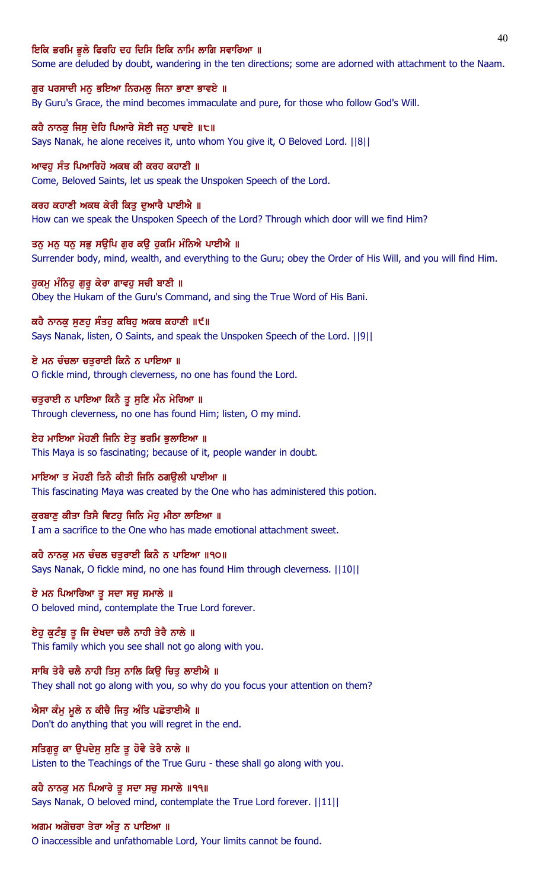#### ਇਕਿ ਭਰਮਿ ਭੁਲੇ ਫਿਰਹਿ ਦਹ ਦਿਸਿ ਇਕਿ ਨਾਮਿ ਲਾਗਿ ਸਵਾਰਿਆ ॥

Some are deluded by doubt, wandering in the ten directions; some are adorned with attachment to the Naam.

ਗੁਰ ਪਰਸਾਦੀ ਮਨੁ ਭਇਆ ਨਿਰਮਲੁ ਜਿਨਾ ਭਾਣਾ ਭਾਵਏ ॥

By Guru's Grace, the mind becomes immaculate and pure, for those who follow God's Will.

ਕਹੈ ਨਾਨਕੂ ਜਿਸੂ ਦੇਹਿ ਪਿਆਰੇ ਸੋਈ ਜਨੂ ਪਾਵਏ ॥੮॥ Says Nanak, he alone receives it, unto whom You give it, O Beloved Lord. ||8||

ਆਵਹ ਸੰਤ ਪਿਆਰਿਹੋ ਅਕਥ ਕੀ ਕਰਹ ਕਹਾਣੀ ॥ Come, Beloved Saints, let us speak the Unspoken Speech of the Lord.

ਕਰਹ ਕਹਾਣੀ ਅਕਥ ਕੇਰੀ ਕਿਤੂ ਦੁਆਰੈ ਪਾਈਐ ॥ How can we speak the Unspoken Speech of the Lord? Through which door will we find Him?

ਤਨੂ ਮਨੁ ਧਨੁ ਸਭੁ ਸਉਪਿ ਗੁਰ ਕਉ ਹੁਕਮਿ ਮੰਨਿਐ ਪਾਈਐ ॥ Surrender body, mind, wealth, and everything to the Guru; obey the Order of His Will, and you will find Him.

ਹੁਕਮੁ ਮੰਨਿਹੁ ਗੁਰੁ ਕੇਰਾ ਗਾਵਹੁ ਸਚੀ ਬਾਣੀ ॥ Obey the Hukam of the Guru's Command, and sing the True Word of His Bani.

ਕਹੈ ਨਾਨਕੂ ਸੁਣਹੂ ਸੰਤਹੂ ਕਥਿਹੂ ਅਕਥ ਕਹਾਣੀ ॥੯॥ Says Nanak, listen, O Saints, and speak the Unspoken Speech of the Lord. ||9||

ਏ ਮਨ ਚੰਚਲਾ ਚਤੁਰਾਈ ਕਿਨੈ ਨ ਪਾਇਆ ॥ O fickle mind, through cleverness, no one has found the Lord.

ਚਤੁਰਾਈ ਨ ਪਾਇਆ ਕਿਨੈ ਤੁ ਸੁਣਿ ਮੰਨ ਮੇਰਿਆ ॥ Through cleverness, no one has found Him; listen, O my mind.

ਏਹ ਮਾਇਆ ਮੋਹਣੀ ਜਿਨਿ ਏਤੁ ਭਰਮਿ ਭੁਲਾਇਆ ॥ This Maya is so fascinating; because of it, people wander in doubt.

ਮਾਇਆ ਤ ਮੋਹਣੀ ਤਿਨੈ ਕੀਤੀ ਜਿਨਿ ਠਗਉਲੀ ਪਾਈਆ ॥ This fascinating Maya was created by the One who has administered this potion.

ਕੁਰਬਾਣੂ ਕੀਤਾ ਤਿਸੈ ਵਿਟਹੂ ਜਿਨਿ ਮੋਹੂ ਮੀਠਾ ਲਾਇਆ ॥ I am a sacrifice to the One who has made emotional attachment sweet.

ਕਹੈ ਨਾਨਕੂ ਮਨ ਚੰਚਲ ਚਤੁਰਾਈ ਕਿਨੈ ਨ ਪਾਇਆ ॥੧੦॥ Says Nanak, O fickle mind, no one has found Him through cleverness. ||10||

ਏ ਮਨ ਪਿਆਰਿਆ ਤੂ ਸਦਾ ਸਚੂ ਸਮਾਲੇ ॥ O beloved mind, contemplate the True Lord forever.

ਏਹੁ ਕੁਟੰਬੁ ਤੂ ਜਿ ਦੇਖਦਾ ਚਲੈ ਨਾਹੀ ਤੇਰੈ ਨਾਲੇ ॥ This family which you see shall not go along with you.

ਸਾਥਿ ਤੇਰੈ ਚਲੈ ਨਾਹੀ ਤਿਸੁ ਨਾਲਿ ਕਿਉ ਚਿਤੁ ਲਾਈਐ ॥ They shall not go along with you, so why do you focus your attention on them?

ਐਸਾ ਕੰਮੂ ਮੂਲੇ ਨ ਕੀਚੈ ਜਿਤੂ ਅੰਤਿ ਪਛੋਤਾਈਐ ॥ Don't do anything that you will regret in the end.

ਸਤਿਗੁਰੁ ਕਾ ਉਪਦੇਸੁ ਸੁਣਿ ਤੁ ਹੋਵੈ ਤੇਰੈ ਨਾਲੇ ॥ Listen to the Teachings of the True Guru - these shall go along with you.

ਕਹੈ ਨਾਨਕ ਮਨ ਪਿਆਰੇ ਤੁ ਸਦਾ ਸਚੁ ਸਮਾਲੇ ॥੧੧॥ Says Nanak, O beloved mind, contemplate the True Lord forever. ||11||

ਅਗਮ ਅਗੋਚਰਾ ਤੇਰਾ ਅੰਤੂ ਨ ਪਾਇਆ ॥

O inaccessible and unfathomable Lord, Your limits cannot be found.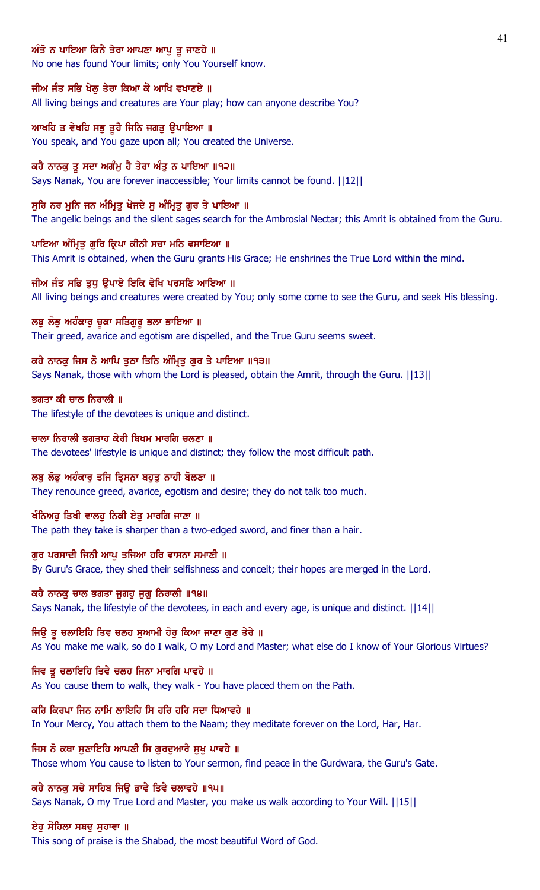# ਅੰਤੋ ਨ ਪਾਇਆ ਕਿਨੈ ਤੇਰਾ ਆਪਣਾ ਆਪੁ ਤੁ ਜਾਣਹੇ ॥

No one has found Your limits; only You Yourself know.

## ਜੀਅ ਜੰਤ ਸਭਿ ਖੇਲ੍ਹ ਤੇਰਾ ਕਿਆ ਕੋ ਆਖਿ ਵਖਾਣਏ ॥

All living beings and creatures are Your play; how can anyone describe You?

## ਆਖਹਿ ਤ ਵੇਖਹਿ ਸਭੁ ਤੁਹੈ ਜਿਨਿ ਜਗਤੁ ਉਪਾਇਆ ॥

You speak, and You gaze upon all; You created the Universe.

## ਕਹੈ ਨਾਨਕੂ ਤੂ ਸਦਾ ਅਗੰਮੂ ਹੈ ਤੇਰਾ ਅੰਤੂ ਨ ਪਾਇਆ ॥੧੨॥

Says Nanak, You are forever inaccessible; Your limits cannot be found. ||12||

## ਸੁਰਿ ਨਰ ਮੁਨਿ ਜਨ ਅੰਮ੍ਰਿਤੁ ਖੋਜਦੇ ਸੁ ਅੰਮ੍ਰਿਤੁ ਗੁਰ ਤੇ ਪਾਇਆ ॥

The angelic beings and the silent sages search for the Ambrosial Nectar; this Amrit is obtained from the Guru.

## ਪਾਇਆ ਅੰਮ੍ਰਿਤੂ ਗੁਰਿ ਕ੍ਰਿਪਾ ਕੀਨੀ ਸਚਾ ਮਨਿ ਵਸਾਇਆ ॥

This Amrit is obtained, when the Guru grants His Grace; He enshrines the True Lord within the mind.

## ਜੀਅ ਜੰਤ ਸਭਿ ਤੁਧੁ ਉਪਾਏ ਇਕਿ ਵੇਖਿ ਪਰਸਣਿ ਆਇਆ ॥

All living beings and creatures were created by You; only some come to see the Guru, and seek His blessing.

# ਲਬੁ ਲੋਭੁ ਅਹੰਕਾਰੁ ਚੁਕਾ ਸਤਿਗੁਰੂ ਭਲਾ ਭਾਇਆ ॥

Their greed, avarice and egotism are dispelled, and the True Guru seems sweet.

## ਕਹੈ ਨਾਨਕੂ ਜਿਸ ਨੋ ਆਪਿ ਤੁਠਾ ਤਿਨਿ ਅੰਮ੍ਰਿਤੂ ਗੁਰ ਤੇ ਪਾਇਆ ॥੧੩॥

Says Nanak, those with whom the Lord is pleased, obtain the Amrit, through the Guru. ||13||

# ਭਗਤਾ ਕੀ ਚਾਲ ਨਿਰਾਲੀ ॥

The lifestyle of the devotees is unique and distinct.

## ਚਾਲਾ ਨਿਰਾਲੀ ਭਗਤਾਹ ਕੇਰੀ ਬਿਖਮ ਮਾਰਗਿ ਚਲਣਾ ॥

The devotees' lifestyle is unique and distinct; they follow the most difficult path.

# ਲਬੂ ਲੋਭੂ ਅਹੰਕਾਰੂ ਤਜਿ ਤ੍ਰਿਸਨਾ ਬਹੁਤੂ ਨਾਹੀ ਬੋਲਣਾ ॥

They renounce greed, avarice, egotism and desire; they do not talk too much.

# ਖੰਨਿਅਹੁ ਤਿਖੀ ਵਾਲਹੁ ਨਿਕੀ ਏਤੁ ਮਾਰਗਿ ਜਾਣਾ ॥

The path they take is sharper than a two-edged sword, and finer than a hair.

# ਗੁਰ ਪਰਸਾਦੀ ਜਿਨੀ ਆਪੂ ਤਜਿਆ ਹਰਿ ਵਾਸਨਾ ਸਮਾਣੀ ॥

By Guru's Grace, they shed their selfishness and conceit; their hopes are merged in the Lord.

# ਕਹੈ ਨਾਨਕ ਚਾਲ ਭਗਤਾ ਜਗਹ ਜਗ ਨਿਰਾਲੀ ॥੧੪॥

Says Nanak, the lifestyle of the devotees, in each and every age, is unique and distinct. ||14||

# ਜਿਉ ਤੂ ਚਲਾਇਹਿ ਤਿਵ ਚਲਹ ਸੁਆਮੀ ਹੋਰੂ ਕਿਆ ਜਾਣਾ ਗੁਣ ਤੇਰੇ ॥

As You make me walk, so do I walk, O my Lord and Master; what else do I know of Your Glorious Virtues?

#### ਜਿਵ ਤੂ ਚਲਾਇਹਿ ਤਿਵੈ ਚਲਹ ਜਿਨਾ ਮਾਰਗਿ ਪਾਵਹੇ ॥

As You cause them to walk, they walk - You have placed them on the Path.

# ਕਰਿ ਕਿਰਪਾ ਜਿਨ ਨਾਮਿ ਲਾਇਹਿ ਸਿ ਹਰਿ ਹਰਿ ਸਦਾ ਧਿਆਵਹੇ ॥

In Your Mercy, You attach them to the Naam; they meditate forever on the Lord, Har, Har.

# ਜਿਸ ਨੋ ਕਥਾ ਸੁਣਾਇਹਿ ਆਪਣੀ ਸਿ ਗੁਰਦੁਆਰੈ ਸੁਖੁ ਪਾਵਹੇ ॥

Those whom You cause to listen to Your sermon, find peace in the Gurdwara, the Guru's Gate.

# ਕਹੈ ਨਾਨਕੂ ਸਚੇ ਸਾਹਿਬ ਜਿਉ ਭਾਵੈ ਤਿਵੈ ਚਲਾਵਹੇ ॥੧੫॥

Says Nanak, O my True Lord and Master, you make us walk according to Your Will. ||15||

# ਏਹੁ ਸੋਹਿਲਾ ਸਬਦੁ ਸੁਹਾਵਾ ॥

This song of praise is the Shabad, the most beautiful Word of God.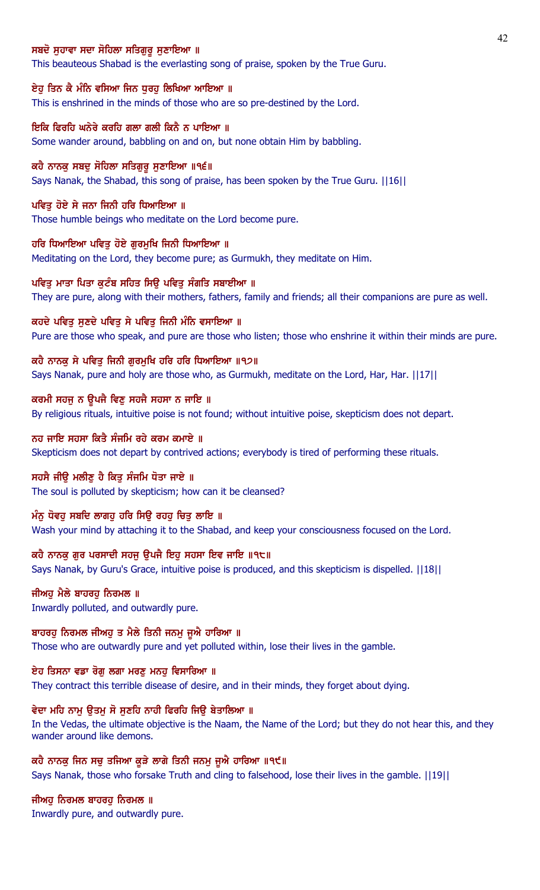## ਸਬਦੋ ਸਹਾਵਾ ਸਦਾ ਸੋਹਿਲਾ ਸਤਿਗਰ ਸਣਾਇਆ ॥

This beauteous Shabad is the everlasting song of praise, spoken by the True Guru.

#### ਏਹੂ ਤਿਨ ਕੈ ਮੰਨਿ ਵਸਿਆ ਜਿਨ ਧੁਰਹੂ ਲਿਖਿਆ ਆਇਆ ॥

This is enshrined in the minds of those who are so pre-destined by the Lord.

ਇਕਿ ਫਿਰਹਿ ਘਨੇਰੇ ਕਰਹਿ ਗਲਾ ਗਲੀ ਕਿਨੈ ਨ ਪਾਇਆ ॥ Some wander around, babbling on and on, but none obtain Him by babbling.

ਕਹੈ ਨਾਨਕ ਸਬਦ ਸੋਹਿਲਾ ਸਤਿਗਰ ਸਣਾਇਆ ॥੧੬॥ Says Nanak, the Shabad, this song of praise, has been spoken by the True Guru. ||16||

ਪਵਿਤ ਹੋਏ ਸੇ ਜਨਾ ਜਿਨੀ ਹਰਿ ਧਿਆਇਆ ॥ Those humble beings who meditate on the Lord become pure.

ਹਰਿ ਧਿਆਇਆ ਪਵਿਤ ਹੋਏ ਗਰਮਖਿ ਜਿਨੀ ਧਿਆਇਆ ॥ Meditating on the Lord, they become pure; as Gurmukh, they meditate on Him.

ਪਵਿਤੂ ਮਾਤਾ ਪਿਤਾ ਕੁਟੰਬ ਸਹਿਤ ਸਿਉ ਪਵਿਤੂ ਸੰਗਤਿ ਸਬਾਈਆ ॥ They are pure, along with their mothers, fathers, family and friends; all their companions are pure as well.

ਕਹਦੇ ਪਵਿਤੂ ਸੁਣਦੇ ਪਵਿਤੂ ਸੇ ਪਵਿਤੂ ਜਿਨੀ ਮੰਨਿ ਵਸਾਇਆ ॥ Pure are those who speak, and pure are those who listen; those who enshrine it within their minds are pure.

ਕਹੈ ਨਾਨਕੁ ਸੇ ਪਵਿਤੁ ਜਿਨੀ ਗੁਰਮੁਖਿ ਹਰਿ ਹਰਿ ਧਿਆਇਆ ॥੧੭॥ Says Nanak, pure and holy are those who, as Gurmukh, meditate on the Lord, Har, Har. ||17||

ਕਰਮੀ ਸਹਜੁ ਨ ਉਪਜੈ ਵਿਣੁ ਸਹਜੈ ਸਹਸਾ ਨ ਜਾਇ ॥ By religious rituals, intuitive poise is not found; without intuitive poise, skepticism does not depart.

ਨਹ ਜਾਇ ਸਹਸਾ ਕਿਤੈ ਸੰਜਮਿ ਰਹੇ ਕਰਮ ਕਮਾਏ ॥ Skepticism does not depart by contrived actions; everybody is tired of performing these rituals.

ਸਹਸੈ ਜੀੳ ਮਲੀਣ ਹੈ ਕਿਤ ਸੰਜਮਿ ਧੋਤਾ ਜਾਏ ॥ The soul is polluted by skepticism; how can it be cleansed?

ਮੰਨੂ ਧੋਵਹੂ ਸਬਦਿ ਲਾਗਹੂ ਹਰਿ ਸਿਉ ਰਹਹੂ ਚਿਤੂ ਲਾਇ ॥ Wash your mind by attaching it to the Shabad, and keep your consciousness focused on the Lord.

ਕਹੈ ਨਾਨਕੂ ਗੁਰ ਪਰਸਾਦੀ ਸਹਜੂ ਉਪਜੈ ਇਹੂ ਸਹਸਾ ਇਵ ਜਾਇ ॥੧੮॥ Says Nanak, by Guru's Grace, intuitive poise is produced, and this skepticism is dispelled. ||18||

ਜੀਅਹ ਮੈਲੇ ਬਾਹਰਹ ਨਿਰਮਲ ॥ Inwardly polluted, and outwardly pure.

ਬਾਹਰਹੂ ਨਿਰਮਲ ਜੀਅਹੂ ਤ ਮੈਲੇ ਤਿਨੀ ਜਨਮੂ ਜੂਐ ਹਾਰਿਆ ॥ Those who are outwardly pure and yet polluted within, lose their lives in the gamble.

ਏਹ ਤਿਸਨਾ ਵਡਾ ਰੋਗੁ ਲਗਾ ਮਰਣੁ ਮਨਹੁ ਵਿਸਾਰਿਆ ॥ They contract this terrible disease of desire, and in their minds, they forget about dying.

#### ਵੇਦਾ ਮਹਿ ਨਾਮੂ ਉਤਮੂ ਸੋ ਸੁਣਹਿ ਨਾਹੀ ਫਿਰਹਿ ਜਿਉ ਬੇਤਾਲਿਆ ॥

In the Vedas, the ultimate objective is the Naam, the Name of the Lord; but they do not hear this, and they wander around like demons.

ਕਹੈ ਨਾਨਕੂ ਜਿਨ ਸਚੂ ਤਜਿਆ ਕੂੜੇ ਲਾਗੇ ਤਿਨੀ ਜਨਮੂ ਜੂਐ ਹਾਰਿਆ ॥੧੯॥ Says Nanak, those who forsake Truth and cling to falsehood, lose their lives in the gamble. ||19||

ਜੀਅਹੁ ਨਿਰਮਲ ਬਾਹਰਹੁ ਨਿਰਮਲ ॥ Inwardly pure, and outwardly pure.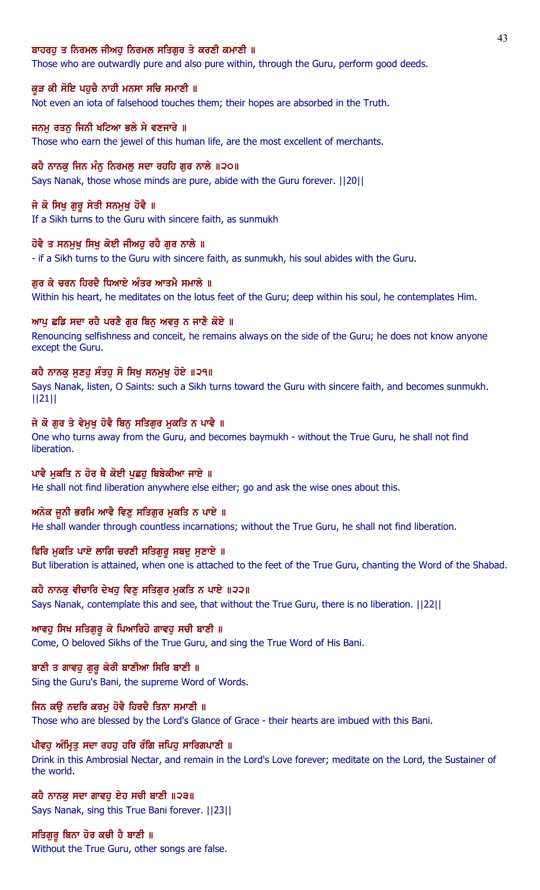## ਬਾਹਰਹ ਤ ਨਿਰਮਲ ਜੀਅਹ ਨਿਰਮਲ ਸਤਿਗਰ ਤੇ ਕਰਣੀ ਕਮਾਣੀ ॥

Those who are outwardly pure and also pure within, through the Guru, perform good deeds.

#### ਕੁੜ ਕੀ ਸੋਇ ਪਹੁਚੈ ਨਾਹੀ ਮਨਸਾ ਸਚਿ ਸਮਾਣੀ ॥

Not even an iota of falsehood touches them; their hopes are absorbed in the Truth.

#### ਜਨਮ ਰਤਨ ਜਿਨੀ ਖਟਿਆ ਭਲੇ ਸੇ ਵਣਜਾਰੇ ॥

Those who earn the jewel of this human life, are the most excellent of merchants.

#### ਕਹੈ ਨਾਨਕ ਜਿਨ ਮੰਨ ਨਿਰਮਲ ਸਦਾ ਰਹਹਿ ਗਰ ਨਾਲੇ ॥੨੦॥

Says Nanak, those whose minds are pure, abide with the Guru forever. ||20||

#### ਜੇ ਕੋ ਸਿਖੂ ਗੁਰੂ ਸੇਤੀ ਸਨਮੁਖੂ ਹੋਵੈ ॥

If a Sikh turns to the Guru with sincere faith, as sunmukh

## ਹੋਵੈ ਤ ਸਨਮੁਖੂ ਸਿਖੂ ਕੋਈ ਜੀਅਹੂ ਰਹੈ ਗੁਰ ਨਾਲੇ ॥

- if a Sikh turns to the Guru with sincere faith, as sunmukh, his soul abides with the Guru.

#### ਗਰ ਕੇ ਚਰਨ ਹਿਰਦੈ ਧਿਆਏ ਅੰਤਰ ਆਤਮੈ ਸਮਾਲੇ ॥

Within his heart, he meditates on the lotus feet of the Guru; deep within his soul, he contemplates Him.

#### ਆਪ ਛਡਿ ਸਦਾ ਰਹੈ ਪਰਣੈ ਗੁਰ ਬਿਨੂ ਅਵਰੂ ਨ ਜਾਣੈ ਕੋਏ ॥

Renouncing selfishness and conceit, he remains always on the side of the Guru; he does not know anyone except the Guru.

#### ਕਹੈ ਨਾਨਕੂ ਸੁਣਹੂ ਸੰਤਹੂ ਸੋ ਸਿਖੂ ਸਨਮੁਖੂ ਹੋਏ ॥੨੧॥

Says Nanak, listen, O Saints: such a Sikh turns toward the Guru with sincere faith, and becomes sunmukh. ||21||

#### ਜੇ ਕੋ ਗੁਰ ਤੇ ਵੇਮੁਖੂ ਹੋਵੈ ਬਿਨੂ ਸਤਿਗੁਰ ਮੁਕਤਿ ਨ ਪਾਵੈ ॥

One who turns away from the Guru, and becomes baymukh - without the True Guru, he shall not find liberation.

### ਪਾਵੈ ਮੁਕਤਿ ਨ ਹੋਰ ਥੈ ਕੋਈ ਪੁਛਹੁ ਬਿਬੇਕੀਆ ਜਾਏ ॥

He shall not find liberation anywhere else either; go and ask the wise ones about this.

#### ਅਨੇਕ ਜੂਨੀ ਭਰਮਿ ਆਵੈ ਵਿਣੂ ਸਤਿਗੁਰ ਮੁਕਤਿ ਨ ਪਾਏ ॥

He shall wander through countless incarnations; without the True Guru, he shall not find liberation.

## ਫਿਰਿ ਮੁਕਤਿ ਪਾਏ ਲਾਗਿ ਚਰਣੀ ਸਤਿਗੁਰੂ ਸਬਦੂ ਸੁਣਾਏ ॥

But liberation is attained, when one is attached to the feet of the True Guru, chanting the Word of the Shabad.

#### ਕਹੈ ਨਾਨਕੂ ਵੀਚਾਰਿ ਦੇਖਹੂ ਵਿਣੂ ਸਤਿਗੁਰ ਮੁਕਤਿ ਨ ਪਾਏ ॥੨੨॥

Says Nanak, contemplate this and see, that without the True Guru, there is no liberation. ||22||

#### ਆਵਹੂ ਸਿਖ ਸਤਿਗੁਰੂ ਕੇ ਪਿਆਰਿਹੋ ਗਾਵਹੂ ਸਚੀ ਬਾਣੀ ॥

Come, O beloved Sikhs of the True Guru, and sing the True Word of His Bani.

## ਬਾਣੀ ਤ ਗਾਵਹ ਗਰ ਕੇਰੀ ਬਾਣੀਆ ਸਿਰਿ ਬਾਣੀ ॥

Sing the Guru's Bani, the supreme Word of Words.

# ਜਿਨ ਕਉ ਨਦਰਿ ਕਰਮੂ ਹੋਵੈ ਹਿਰਦੈ ਤਿਨਾ ਸਮਾਣੀ ॥

Those who are blessed by the Lord's Glance of Grace - their hearts are imbued with this Bani.

## ਪੀਵਹੂ ਅੰਮ੍ਰਿਤੂ ਸਦਾ ਰਹਹੂ ਹਰਿ ਰੰਗਿ ਜਪਿਹੂ ਸਾਰਿਗਪਾਣੀ ॥

Drink in this Ambrosial Nectar, and remain in the Lord's Love forever; meditate on the Lord, the Sustainer of the world.

## ਕਹੈ ਨਾਨਕੁ ਸਦਾ ਗਾਵਹੁ ਏਹ ਸਚੀ ਬਾਣੀ ॥੨੩॥ Says Nanak, sing this True Bani forever. ||23||

ਸਤਿਗਰ ਬਿਨਾ ਹੋਰ ਕਚੀ ਹੈ ਬਾਣੀ ॥ Without the True Guru, other songs are false.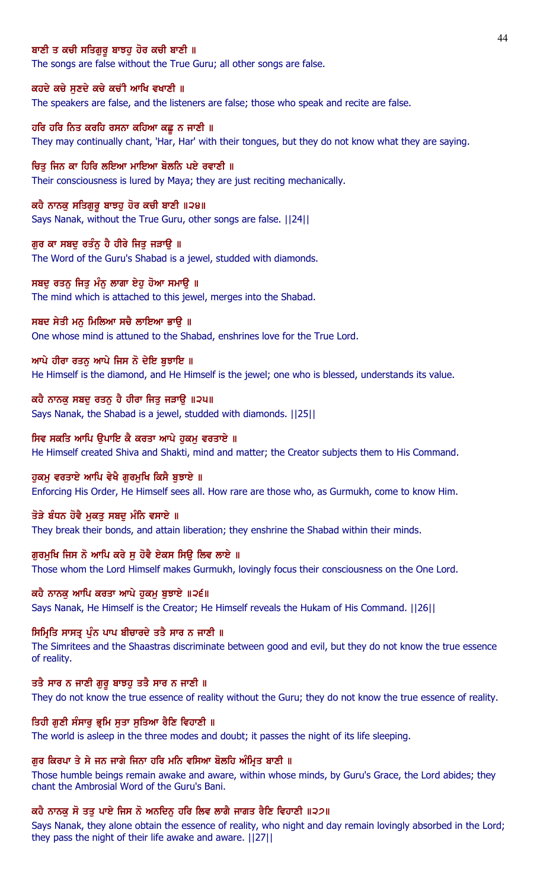## ਬਾਣੀ ਤ ਕਚੀ ਸਤਿਗਰ ਬਾਝਹ ਹੋਰ ਕਚੀ ਬਾਣੀ ॥

The songs are false without the True Guru; all other songs are false.

#### ਕਹਦੇ ਕਚੇ ਸੁਣਦੇ ਕਚੇ ਕਚੀ ਆਖਿ ਵਖਾਣੀ ॥

The speakers are false, and the listeners are false; those who speak and recite are false.

#### ਹਰਿ ਹਰਿ ਨਿਤ ਕਰਹਿ ਰਸਨਾ ਕਹਿਆ ਕਛੂ ਨ ਜਾਣੀ ॥

They may continually chant, 'Har, Har' with their tongues, but they do not know what they are saying.

#### ਚਿਤ ਜਿਨ ਕਾ ਹਿਰਿ ਲਇਆ ਮਾਇਆ ਬੋਲਨਿ ਪਏ ਰਵਾਣੀ ॥

Their consciousness is lured by Maya; they are just reciting mechanically.

#### ਕਹੈ ਨਾਨਕੁ ਸਤਿਗੁਰੁ ਬਾਝਹੁ ਹੋਰ ਕਚੀ ਬਾਣੀ ॥੨੪॥

Says Nanak, without the True Guru, other songs are false. ||24||

## ਗੁਰ ਕਾ ਸਬਦੁ ਰਤੰਨੂ ਹੈ ਹੀਰੇ ਜਿਤੂ ਜੜਾਉ ॥

The Word of the Guru's Shabad is a jewel, studded with diamonds.

#### ਸਬਦ ਰਤਨ ਜਿਤ ਮੰਨ ਲਾਗਾ ਏਹ ਹੋਆ ਸਮਾੳ ॥

The mind which is attached to this jewel, merges into the Shabad.

#### ਸਬਦ ਸੇਤੀ ਮਨੁ ਮਿਲਿਆ ਸਚੈ ਲਾਇਆ ਭਾਉ ॥

One whose mind is attuned to the Shabad, enshrines love for the True Lord.

## ਆਪੇ ਹੀਰਾ ਰਤਨੂ ਆਪੇ ਜਿਸ ਨੋ ਦੇਇ ਬੁਝਾਇ ॥

He Himself is the diamond, and He Himself is the jewel; one who is blessed, understands its value.

### ਕਹੈ ਨਾਨਕੁ ਸਬਦੁ ਰਤਨੁ ਹੈ ਹੀਰਾ ਜਿਤੁ ਜੜਾਉ ॥੨੫॥

Says Nanak, the Shabad is a jewel, studded with diamonds. ||25||

#### ਸਿਵ ਸਕਤਿ ਆਪਿ ਉਪਾਇ ਕੈ ਕਰਤਾ ਆਪੇ ਹੁਕਮੂ ਵਰਤਾਏ ॥

He Himself created Shiva and Shakti, mind and matter; the Creator subjects them to His Command.

#### ਹਕਮ ਵਰਤਾਏ ਆਪਿ ਵੇਖੈ ਗਰਮਖਿ ਕਿਸੈ ਬਝਾਏ ॥

Enforcing His Order, He Himself sees all. How rare are those who, as Gurmukh, come to know Him.

#### ਤੋੜੇ ਬੰਧਨ ਹੋਵੈ ਮਕਤ ਸਬਦ ਮੰਨਿ ਵਸਾਏ ॥

They break their bonds, and attain liberation; they enshrine the Shabad within their minds.

#### ਗੁਰਮੁਖਿ ਜਿਸ ਨੋ ਆਪਿ ਕਰੇ ਸੁ ਹੋਵੈ ਏਕਸ ਸਿਉ ਲਿਵ ਲਾਏ ॥

Those whom the Lord Himself makes Gurmukh, lovingly focus their consciousness on the One Lord.

# ਕਹੈ ਨਾਨਕ ਆਪਿ ਕਰਤਾ ਆਪੇ ਹਕਮ ਬਝਾਏ ॥੨੬॥

Says Nanak, He Himself is the Creator; He Himself reveals the Hukam of His Command. ||26||

#### ਸਿਮ੍ਰਿਤਿ ਸਾਸਤ੍ਰ ਪੁੰਨ ਪਾਪ ਬੀਚਾਰਦੇ ਤਤੈ ਸਾਰ ਨ ਜਾਣੀ ॥

The Simritees and the Shaastras discriminate between good and evil, but they do not know the true essence of reality.

## ਤਤੈ ਸਾਰ ਨ ਜਾਣੀ ਗੁਰੂ ਬਾਝਹੂ ਤਤੈ ਸਾਰ ਨ ਜਾਣੀ ॥

They do not know the true essence of reality without the Guru; they do not know the true essence of reality.

#### ਤਿਹੀ ਗੁਣੀ ਸੰਸਾਰੂ ਭ੍ਰਮਿ ਸੂਤਾ ਸੂਤਿਆ ਰੈਣਿ ਵਿਹਾਣੀ ॥

The world is asleep in the three modes and doubt; it passes the night of its life sleeping.

#### ਗਰ ਕਿਰਪਾ ਤੇ ਸੇ ਜਨ ਜਾਗੇ ਜਿਨਾ ਹਰਿ ਮਨਿ ਵਸਿਆ ਬੋਲਹਿ ਅੰਮਿਤ ਬਾਣੀ ॥

Those humble beings remain awake and aware, within whose minds, by Guru's Grace, the Lord abides; they chant the Ambrosial Word of the Guru's Bani.

# ਕਹੈ ਨਾਨਕੂ ਸੋ ਤਤੂ ਪਾਏ ਜਿਸ ਨੋ ਅਨਦਿਨੂ ਹਰਿ ਲਿਵ ਲਾਗੈ ਜਾਗਤ ਰੈਣਿ ਵਿਹਾਣੀ ॥੨੭॥

Says Nanak, they alone obtain the essence of reality, who night and day remain lovingly absorbed in the Lord; they pass the night of their life awake and aware. ||27||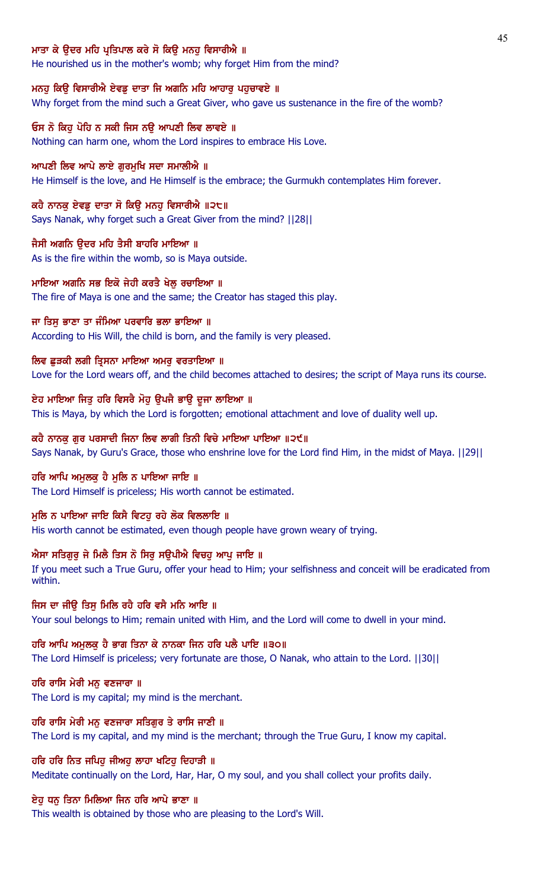## ਮਾਤਾ ਕੇ ੳਦਰ ਮਹਿ ਪੁਤਿਪਾਲ ਕਰੇ ਸੋ ਕਿੳ ਮਨਹ ਵਿਸਾਰੀਐ ॥

He nourished us in the mother's womb; why forget Him from the mind?

#### ਮਨਹੂ ਕਿਉ ਵਿਸਾਰੀਐ ਏਵਡੂ ਦਾਤਾ ਜਿ ਅਗਨਿ ਮਹਿ ਆਹਾਰੂ ਪਹੁਚਾਵਏ ॥

Why forget from the mind such a Great Giver, who gave us sustenance in the fire of the womb?

## ਓਸ ਨੋ ਕਿਹ ਪੋਹਿ ਨ ਸਕੀ ਜਿਸ ਨੳ ਆਪਣੀ ਲਿਵ ਲਾਵਏ ॥

Nothing can harm one, whom the Lord inspires to embrace His Love.

## ਆਪਣੀ ਲਿਵ ਆਪੇ ਲਾਏ ਗਰਮਖਿ ਸਦਾ ਸਮਾਲੀਐ ॥

He Himself is the love, and He Himself is the embrace; the Gurmukh contemplates Him forever.

## ਕਹੈ ਨਾਨਕੁ ਏਵਡੁ ਦਾਤਾ ਸੋ ਕਿਉ ਮਨਹੁ ਵਿਸਾਰੀਐ ॥੨੮॥

Says Nanak, why forget such a Great Giver from the mind? ||28||

# ਜੈਸੀ ਅਗਨਿ ੳਦਰ ਮਹਿ ਤੈਸੀ ਬਾਹਰਿ ਮਾਇਆ ॥

As is the fire within the womb, so is Maya outside.

# ਮਾਇਆ ਅਗਨਿ ਸਭ ਇਕੋ ਜੇਹੀ ਕਰਤੈ ਖੇਲ ਰਚਾਇਆ ॥

The fire of Maya is one and the same; the Creator has staged this play.

## ਜਾ ਤਿਸੁ ਭਾਣਾ ਤਾ ਜੰਮਿਆ ਪਰਵਾਰਿ ਭਲਾ ਭਾਇਆ ॥

According to His Will, the child is born, and the family is very pleased.

## ਲਿਵ ਛੁੜਕੀ ਲਗੀ ਤ੍ਰਿਸਨਾ ਮਾਇਆ ਅਮਰੁ ਵਰਤਾਇਆ ॥

Love for the Lord wears off, and the child becomes attached to desires; the script of Maya runs its course.

# ਏਹ ਮਾਇਆ ਜਿਤੂ ਹਰਿ ਵਿਸਰੈ ਮੋਹੂ ਉਪਜੈ ਭਾਉ ਦੂਜਾ ਲਾਇਆ ॥

This is Maya, by which the Lord is forgotten; emotional attachment and love of duality well up.

## ਕਹੈ ਨਾਨਕੂ ਗੁਰ ਪਰਸਾਦੀ ਜਿਨਾ ਲਿਵ ਲਾਗੀ ਤਿਨੀ ਵਿਚੇ ਮਾਇਆ ਪਾਇਆ ॥੨੯॥

Says Nanak, by Guru's Grace, those who enshrine love for the Lord find Him, in the midst of Maya. ||29||

# ਹਰਿ ਆਪਿ ਅਮੁਲਕੁ ਹੈ ਮੁਲਿ ਨ ਪਾਇਆ ਜਾਇ ॥

The Lord Himself is priceless; His worth cannot be estimated.

# ਮਲਿ ਨ ਪਾਇਆ ਜਾਇ ਕਿਸੈ ਵਿਟਹ ਰਹੇ ਲੋਕ ਵਿਲਲਾਇ ॥

His worth cannot be estimated, even though people have grown weary of trying.

# ਐਸਾ ਸਤਿਗੁਰੂ ਜੇ ਮਿਲੈ ਤਿਸ ਨੋ ਸਿਰੂ ਸਉਪੀਐ ਵਿਚਹੂ ਆਪੂ ਜਾਇ ॥

If you meet such a True Guru, offer your head to Him; your selfishness and conceit will be eradicated from within.

# ਜਿਸ ਦਾ ਜੀੳ ਤਿਸ ਮਿਲਿ ਰਹੈ ਹਰਿ ਵਸੈ ਮਨਿ ਆਇ ॥

Your soul belongs to Him; remain united with Him, and the Lord will come to dwell in your mind.

#### ਹਰਿ ਆਪਿ ਅਮੁਲਕੁ ਹੈ ਭਾਗ ਤਿਨਾ ਕੇ ਨਾਨਕਾ ਜਿਨ ਹਰਿ ਪਲੈ ਪਾਇ ॥੩੦॥

The Lord Himself is priceless; very fortunate are those, O Nanak, who attain to the Lord. ||30||

#### ਹਰਿ ਰਾਸਿ ਮੇਰੀ ਮਨ ਵਣਜਾਰਾ ॥

The Lord is my capital; my mind is the merchant.

#### ਹਰਿ ਰਾਸਿ ਮੇਰੀ ਮਨੁ ਵਣਜਾਰਾ ਸਤਿਗੁਰ ਤੇ ਰਾਸਿ ਜਾਣੀ ॥

The Lord is my capital, and my mind is the merchant; through the True Guru, I know my capital.

# ਹਰਿ ਹਰਿ ਨਿਤ ਜਪਿਹ ਜੀਅਹ ਲਾਹਾ ਖਟਿਹ ਦਿਹਾੜੀ ॥

Meditate continually on the Lord, Har, Har, O my soul, and you shall collect your profits daily.

## ਏਹੁ ਧਨੁ ਤਿਨਾ ਮਿਲਿਆ ਜਿਨ ਹਰਿ ਆਪੇ ਭਾਣਾ ॥

This wealth is obtained by those who are pleasing to the Lord's Will.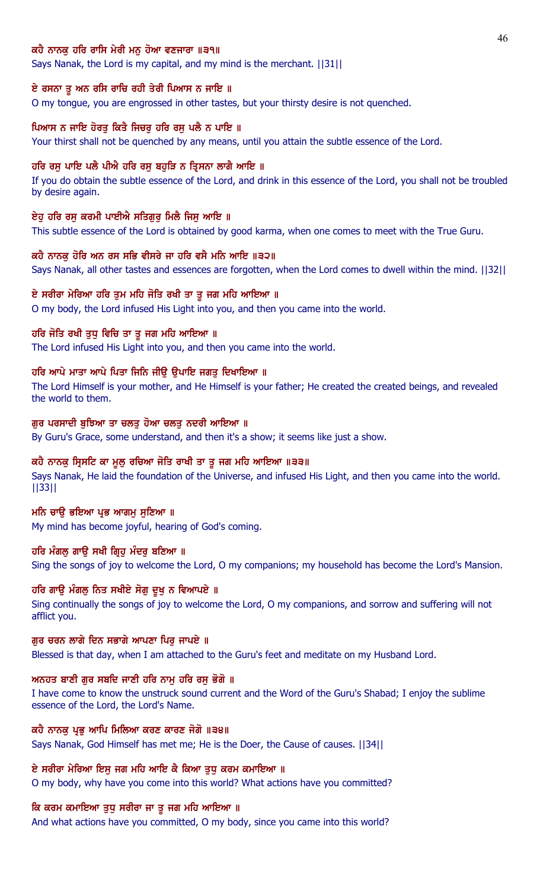## ਕਹੈ ਨਾਨਕ ਹਰਿ ਰਾਸਿ ਮੇਰੀ ਮਨ ਹੋਆ ਵਣਜਾਰਾ ॥੩੧॥

Says Nanak, the Lord is my capital, and my mind is the merchant. ||31||

#### ਏ ਰਸਨਾ ਤੂ ਅਨ ਰਸਿ ਰਾਚਿ ਰਹੀ ਤੇਰੀ ਪਿਆਸ ਨ ਜਾਇ ॥

O my tongue, you are engrossed in other tastes, but your thirsty desire is not quenched.

#### ਪਿਆਸ ਨ ਜਾਇ ਹੋਰਤ ਕਿਤੈ ਜਿਚਰ ਹਰਿ ਰਸ ਪਲੈ ਨ ਪਾਇ ॥

Your thirst shall not be quenched by any means, until you attain the subtle essence of the Lord.

#### ਹਰਿ ਰਸ ਪਾਇ ਪਲੈ ਪੀਐ ਹਰਿ ਰਸ ਬਹੜਿ ਨ ਤ੍ਰਿਸਨਾ ਲਾਗੈ ਆਇ ॥

If you do obtain the subtle essence of the Lord, and drink in this essence of the Lord, you shall not be troubled by desire again.

#### ਏਹ ਹਰਿ ਰਸ ਕਰਮੀ ਪਾਈਐ ਸਤਿਗਰ ਮਿਲੈ ਜਿਸ ਆਇ ॥

This subtle essence of the Lord is obtained by good karma, when one comes to meet with the True Guru.

#### ਕਹੈ ਨਾਨਕੂ ਹੋਰਿ ਅਨ ਰਸ ਸਭਿ ਵੀਸਰੇ ਜਾ ਹਰਿ ਵਸੈ ਮਨਿ ਆਇ ॥੩੨॥

Says Nanak, all other tastes and essences are forgotten, when the Lord comes to dwell within the mind. ||32||

#### ਏ ਸਰੀਰਾ ਮੇਰਿਆ ਹਰਿ ਤੁਮ ਮਹਿ ਜੋਤਿ ਰਖੀ ਤਾ ਤੁ ਜਗ ਮਹਿ ਆਇਆ ॥

O my body, the Lord infused His Light into you, and then you came into the world.

### ਹਰਿ ਜੋਤਿ ਰਖੀ ਤੁਧੂ ਵਿਚਿ ਤਾ ਤੂ ਜਗ ਮਹਿ ਆਇਆ ॥

The Lord infused His Light into you, and then you came into the world.

## ਹਰਿ ਆਪੇ ਮਾਤਾ ਆਪੇ ਪਿਤਾ ਜਿਨਿ ਜੀਉ ਉਪਾਇ ਜਗਤੁ ਦਿਖਾਇਆ ॥

The Lord Himself is your mother, and He Himself is your father; He created the created beings, and revealed the world to them.

## ਗੁਰ ਪਰਸਾਦੀ ਬੁਝਿਆ ਤਾ ਚਲਤੁ ਹੋਆ ਚਲਤੁ ਨਦਰੀ ਆਇਆ ॥

By Guru's Grace, some understand, and then it's a show; it seems like just a show.

## ਕਹੈ ਨਾਨਕੁ ਸ੍ਰਿਸਟਿ ਕਾ ਮੁਲੁ ਰਚਿਆ ਜੋਤਿ ਰਾਖੀ ਤਾ ਤੁ ਜਗ ਮਹਿ ਆਇਆ ॥੩੩॥

Says Nanak, He laid the foundation of the Universe, and infused His Light, and then you came into the world. ||33||

#### ਮਨਿ ਚਾਉ ਭਇਆ ਪ੍ਰਭ ਆਗਮ ਸੁਣਿਆ ॥

My mind has become joyful, hearing of God's coming.

## ਹਰਿ ਮੰਗਲ ਗਾੳ ਸਖੀ ਗ੍ਰਿਹ ਮੰਦਰ ਬਣਿਆ ॥

Sing the songs of joy to welcome the Lord, O my companions; my household has become the Lord's Mansion.

# ਹਰਿ ਗਾਊ ਮੰਗਲੂ ਨਿਤ ਸਖੀਏ ਸੋਗੂ ਦੁਖੂ ਨ ਵਿਆਪਏ ॥

Sing continually the songs of joy to welcome the Lord, O my companions, and sorrow and suffering will not afflict you.

### ਗਰ ਚਰਨ ਲਾਗੇ ਦਿਨ ਸਭਾਗੇ ਆਪਣਾ ਪਿਰ ਜਾਪਏ ॥

Blessed is that day, when I am attached to the Guru's feet and meditate on my Husband Lord.

#### ਅਨਹਤ ਬਾਣੀ ਗੁਰ ਸਬਦਿ ਜਾਣੀ ਹਰਿ ਨਾਮੂ ਹਰਿ ਰਸੂ ਭੋਗੋ ॥

I have come to know the unstruck sound current and the Word of the Guru's Shabad; I enjoy the sublime essence of the Lord, the Lord's Name.

#### ਕਹੈ ਨਾਨਕ ਪ੍ਰਭ ਆਪਿ ਮਿਲਿਆ ਕਰਣ ਕਾਰਣ ਜੋਗੋ ॥੩੪॥

Says Nanak, God Himself has met me; He is the Doer, the Cause of causes. ||34||

## ਏ ਸਰੀਰਾ ਮੇਰਿਆ ਇਸੂ ਜਗ ਮਹਿ ਆਇ ਕੈ ਕਿਆ ਤੁਧੂ ਕਰਮ ਕਮਾਇਆ ॥

O my body, why have you come into this world? What actions have you committed?

## ਕਿ ਕਰਮ ਕਮਾਇਆ ਤੁਧੁ ਸਰੀਰਾ ਜਾ ਤੁ ਜਗ ਮਹਿ ਆਇਆ ॥

And what actions have you committed, O my body, since you came into this world?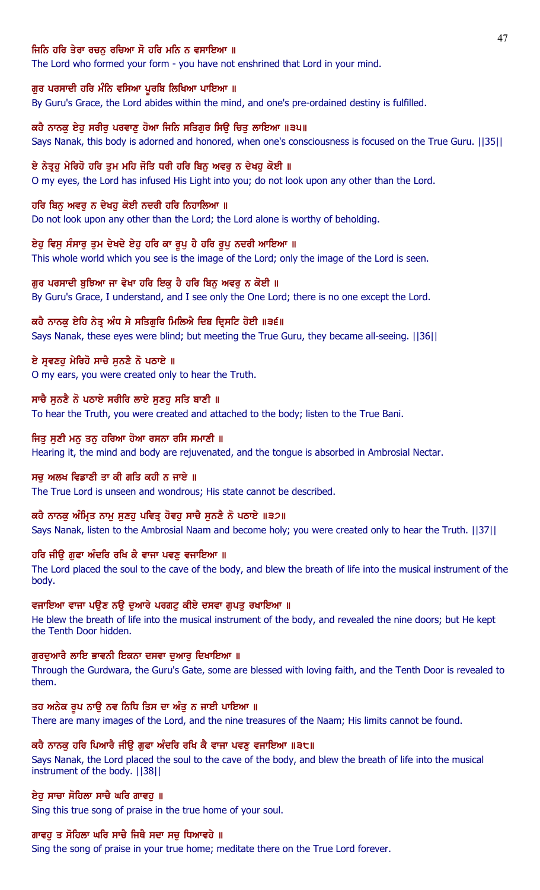## ਜਿਨਿ ਹਰਿ ਤੇਰਾ ਰਚਨ ਰਚਿਆ ਸੋ ਹਰਿ ਮਨਿ ਨ ਵਸਾਇਆ ॥

The Lord who formed your form - you have not enshrined that Lord in your mind.

#### ਗੁਰ ਪਰਸਾਦੀ ਹਰਿ ਮੰਨਿ ਵਸਿਆ ਪੁਰਬਿ ਲਿਖਿਆ ਪਾਇਆ ॥

By Guru's Grace, the Lord abides within the mind, and one's pre-ordained destiny is fulfilled.

## ਕਹੈ ਨਾਨਕ ਏਹ ਸਰੀਰ ਪਰਵਾਣ ਹੋਆ ਜਿਨਿ ਸਤਿਗਰ ਸਿੳ ਚਿਤ ਲਾਇਆ ॥੩੫॥

Says Nanak, this body is adorned and honored, when one's consciousness is focused on the True Guru. ||35||

#### ਏ ਨੇਤੁਹ ਮੇਰਿਹੋ ਹਰਿ ਤਮ ਮਹਿ ਜੋਤਿ ਧਰੀ ਹਰਿ ਬਿਨ ਅਵਰ ਨ ਦੇਖਹ ਕੋਈ ॥

O my eyes, the Lord has infused His Light into you; do not look upon any other than the Lord.

#### ਹਰਿ ਬਿਨੂ ਅਵਰੂ ਨ ਦੇਖਹੁ ਕੋਈ ਨਦਰੀ ਹਰਿ ਨਿਹਾਲਿਆ ॥

Do not look upon any other than the Lord; the Lord alone is worthy of beholding.

## ਏਹੁ ਵਿਸੁ ਸੰਸਾਰੂ ਤੁਮ ਦੇਖਦੇ ਏਹੁ ਹਰਿ ਕਾ ਰੂਪੁ ਹੈ ਹਰਿ ਰੂਪੁ ਨਦਰੀ ਆਇਆ ॥

This whole world which you see is the image of the Lord; only the image of the Lord is seen.

#### ਗੁਰ ਪਰਸਾਦੀ ਬੁਝਿਆ ਜਾ ਵੇਖਾ ਹਰਿ ਇਕੁ ਹੈ ਹਰਿ ਬਿਨੁ ਅਵਰੁ ਨ ਕੋਈ ॥

By Guru's Grace, I understand, and I see only the One Lord; there is no one except the Lord.

#### ਕਹੈ ਨਾਨਕੂ ਏਹਿ ਨੇਤੂ ਅੰਧ ਸੇ ਸਤਿਗੁਰਿ ਮਿਲਿਐ ਦਿਬ ਦ੍ਰਿਸਟਿ ਹੋਈ ॥੩੬॥

Says Nanak, these eyes were blind; but meeting the True Guru, they became all-seeing. ||36||

### ਏ ਸੁਵਣਹੁ ਮੇਰਿਹੋ ਸਾਚੈ ਸੁਨਣੈ ਨੋ ਪਠਾਏ ॥

O my ears, you were created only to hear the Truth.

### ਸਾਚੈ ਸੁਨਣੈ ਨੋ ਪਠਾਏ ਸਰੀਰਿ ਲਾਏ ਸੁਣਹੁ ਸਤਿ ਬਾਣੀ ॥

To hear the Truth, you were created and attached to the body; listen to the True Bani.

#### ਜਿਤੂ ਸੂਣੀ ਮਨੂ ਤਨੂ ਹਰਿਆ ਹੋਆ ਰਸਨਾ ਰਸਿ ਸਮਾਣੀ ॥

Hearing it, the mind and body are rejuvenated, and the tongue is absorbed in Ambrosial Nectar.

#### ਸਚੂ ਅਲਖ ਵਿਡਾਣੀ ਤਾ ਕੀ ਗਤਿ ਕਹੀ ਨ ਜਾਏ ॥

The True Lord is unseen and wondrous; His state cannot be described.

## ਕਹੈ ਨਾਨਕੂ ਅੰਮ੍ਰਿਤ ਨਾਮੂ ਸੁਣਹੂ ਪਵਿਤ੍ਰ ਹੋਵਹੂ ਸਾਚੈ ਸੁਨਣੈ ਨੋ ਪਠਾਏ ॥੩੭॥

Says Nanak, listen to the Ambrosial Naam and become holy; you were created only to hear the Truth. ||37||

#### ਹਰਿ ਜੀਉ ਗੁਫਾ ਅੰਦਰਿ ਰਖਿ ਕੈ ਵਾਜਾ ਪਵਣੁ ਵਜਾਇਆ ॥

The Lord placed the soul to the cave of the body, and blew the breath of life into the musical instrument of the body.

## ਵਜਾਇਆ ਵਾਜਾ ਪਉਣ ਨਉ ਦੁਆਰੇ ਪਰਗਟੂ ਕੀਏ ਦਸਵਾ ਗੁਪਤੂ ਰਖਾਇਆ ॥

He blew the breath of life into the musical instrument of the body, and revealed the nine doors; but He kept the Tenth Door hidden.

#### ਗਰਦਆਰੈ ਲਾਇ ਭਾਵਨੀ ਇਕਨਾ ਦਸਵਾ ਦਆਰ ਦਿਖਾਇਆ ॥

Through the Gurdwara, the Guru's Gate, some are blessed with loving faith, and the Tenth Door is revealed to them.

#### ਤਹ ਅਨੇਕ ਰੂਪ ਨਾਉ ਨਵ ਨਿਧਿ ਤਿਸ ਦਾ ਅੰਤੂ ਨ ਜਾਈ ਪਾਇਆ ॥

There are many images of the Lord, and the nine treasures of the Naam; His limits cannot be found.

## ਕਹੈ ਨਾਨਕੂ ਹਰਿ ਪਿਆਰੈ ਜੀਉ ਗੂਫਾ ਅੰਦਰਿ ਰਖਿ ਕੈ ਵਾਜਾ ਪਵਣੂ ਵਜਾਇਆ ॥੩੮॥

Says Nanak, the Lord placed the soul to the cave of the body, and blew the breath of life into the musical instrument of the body. ||38||

#### ਏਹੁ ਸਾਚਾ ਸੋਹਿਲਾ ਸਾਚੈ ਘਰਿ ਗਾਵਹੁ ॥

Sing this true song of praise in the true home of your soul.

## ਗਾਵਹ ਤ ਸੋਹਿਲਾ ਘਰਿ ਸਾਚੈ ਜਿਥੈ ਸਦਾ ਸਚ ਧਿਆਵਹੇ ॥

Sing the song of praise in your true home; meditate there on the True Lord forever.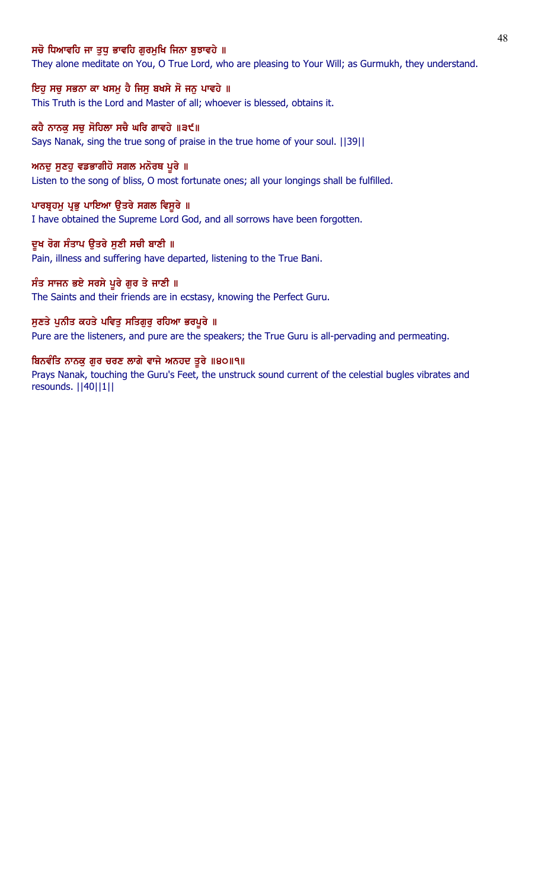## ਸਚੋ ਧਿਆਵਹਿ ਜਾ ਤਧ ਭਾਵਹਿ ਗਰਮਖਿ ਜਿਨਾ ਬਝਾਵਹੇ ॥

They alone meditate on You, O True Lord, who are pleasing to Your Will; as Gurmukh, they understand.

## ਇਹੁ ਸਚੁ ਸਭਨਾ ਕਾ ਖਸਮੁ ਹੈ ਜਿਸੁ ਬਖਸੇ ਸੋ ਜਨੁ ਪਾਵਹੇ ॥

This Truth is the Lord and Master of all; whoever is blessed, obtains it.

## ਕਹੈ ਨਾਨਕ ਸਚ ਸੋਹਿਲਾ ਸਚੈ ਘਰਿ ਗਾਵਹੇ ॥੩੯॥

Says Nanak, sing the true song of praise in the true home of your soul. ||39||

#### ਅਨਦੂ ਸੁਣਹੁ ਵਡਭਾਗੀਹੋ ਸਗਲ ਮਨੋਰਥ ਪੂਰੇ ॥

Listen to the song of bliss, O most fortunate ones; all your longings shall be fulfilled.

#### ਪਾਰਬ੍ਰਹਮੁ ਪ੍ਰਭੁ ਪਾਇਆ ਉਤਰੇ ਸਗਲ ਵਿਸੁਰੇ ॥

I have obtained the Supreme Lord God, and all sorrows have been forgotten.

## ਦੁਖ ਰੋਗ ਸੰਤਾਪ ਉਤਰੇ ਸੁਣੀ ਸਚੀ ਬਾਣੀ ॥

Pain, illness and suffering have departed, listening to the True Bani.

#### ਸੰਤ ਸਾਜਨ ਭਏ ਸਰਸੇ ਪੂਰੇ ਗੁਰ ਤੇ ਜਾਣੀ ॥

The Saints and their friends are in ecstasy, knowing the Perfect Guru.

## ਸੁਣਤੇ ਪੁਨੀਤ ਕਹਤੇ ਪਵਿਤੁ ਸਤਿਗੁਰੁ ਰਹਿਆ ਭਰਪੂਰੇ ॥

Pure are the listeners, and pure are the speakers; the True Guru is all-pervading and permeating.

## ਬਿਨਵੰਤਿ ਨਾਨਕੁ ਗੁਰ ਚਰਣ ਲਾਗੇ ਵਾਜੇ ਅਨਹਦ ਤੁਰੇ ॥੪੦॥੧॥

Prays Nanak, touching the Guru's Feet, the unstruck sound current of the celestial bugles vibrates and resounds. ||40||1||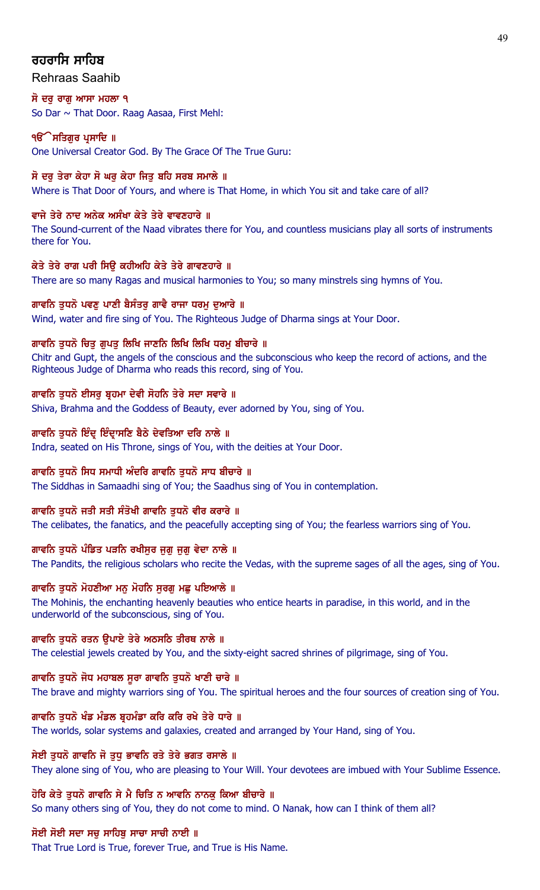# ਰਹਰਾਸਿ ਸਾਹਿਬ

# Rehraas Saahib

ਸੋ ਦਰ ਰਾਗ ਆਸਾ ਮਹਲਾ ੧ So Dar ~ That Door. Raag Aasaa, First Mehl:

# ੧**ੳੇਸਤਿਗੁਰ ਪ੍ਰਸਾਦਿ** ॥

One Universal Creator God. By The Grace Of The True Guru:

# ਸੋ ਦਰੁ ਤੇਰਾ ਕੇਹਾ ਸੋ ਘਰੁ ਕੇਹਾ ਜਿਤੁ ਬਹਿ ਸਰਬ ਸਮਾਲੇ ॥

Where is That Door of Yours, and where is That Home, in which You sit and take care of all?

# ਵਾਜੇ ਤੇਰੇ ਨਾਦ ਅਨੇਕ ਅਸੰਖਾ ਕੇਤੇ ਤੇਰੇ ਵਾਵਣਹਾਰੇ ॥

The Sound-current of the Naad vibrates there for You, and countless musicians play all sorts of instruments there for You.

# ਕੇਤੇ ਤੇਰੇ ਰਾਗ ਪਰੀ ਸਿਉ ਕਹੀਅਹਿ ਕੇਤੇ ਤੇਰੇ ਗਾਵਣਹਾਰੇ ॥

There are so many Ragas and musical harmonies to You; so many minstrels sing hymns of You.

# ਗਾਵਨਿ ਤੁਧਨੋ ਪਵਣੂ ਪਾਣੀ ਬੈਸੰਤਰੂ ਗਾਵੈ ਰਾਜਾ ਧਰਮੂ ਦੁਆਰੇ ॥

Wind, water and fire sing of You. The Righteous Judge of Dharma sings at Your Door.

# ਗਾਵਨਿ ਤੁਧਨੋ ਚਿਤੁ ਗੁਪਤੁ ਲਿਖਿ ਜਾਣਨਿ ਲਿਖਿ ਲਿਖਿ ਧਰਮੁ ਬੀਚਾਰੇ ॥

Chitr and Gupt, the angels of the conscious and the subconscious who keep the record of actions, and the Righteous Judge of Dharma who reads this record, sing of You.

# ਗਾਵਨਿ ਤਧਨੋ ਈਸਰ ਬੁਹਮਾ ਦੇਵੀ ਸੋਹਨਿ ਤੇਰੇ ਸਦਾ ਸਵਾਰੇ ॥

Shiva, Brahma and the Goddess of Beauty, ever adorned by You, sing of You.

# ਗਾਵਨਿ ਤੁਧਨੋ ਇੰਦ੍ਰ ਇੰਦ੍ਰਾਸਣਿ ਬੈਠੇ ਦੇਵਤਿਆ ਦਰਿ ਨਾਲੇ ॥

Indra, seated on His Throne, sings of You, with the deities at Your Door.

# ਗਾਵਨਿ ਤਧਨੋ ਸਿਧ ਸਮਾਧੀ ਅੰਦਰਿ ਗਾਵਨਿ ਤਧਨੋ ਸਾਧ ਬੀਚਾਰੇ ॥

The Siddhas in Samaadhi sing of You; the Saadhus sing of You in contemplation.

# ਗਾਵਨਿ ਤਧਨੋ ਜਤੀ ਸਤੀ ਸੰਤੋਖੀ ਗਾਵਨਿ ਤਧਨੋ ਵੀਰ ਕਰਾਰੇ ॥

The celibates, the fanatics, and the peacefully accepting sing of You; the fearless warriors sing of You.

# ਗਾਵਨਿ ਤੁਧਨੋ ਪੰਡਿਤ ਪੜਨਿ ਰਖੀਸੁਰ ਜੁਗੁ ਜੁਗੁ ਵੇਦਾ ਨਾਲੇ ॥

The Pandits, the religious scholars who recite the Vedas, with the supreme sages of all the ages, sing of You.

# ਗਾਵਨਿ ਤੁਧਨੋ ਮੋਹਣੀਆ ਮਨੁ ਮੋਹਨਿ ਸੁਰਗੁ ਮਛੁ ਪਇਆਲੇ ॥

The Mohinis, the enchanting heavenly beauties who entice hearts in paradise, in this world, and in the underworld of the subconscious, sing of You.

# ਗਾਵਨਿ ਤੁਧਨੋ ਰਤਨ ਉਪਾਏ ਤੇਰੇ ਅਠਸਠਿ ਤੀਰਥ ਨਾਲੇ ॥

The celestial jewels created by You, and the sixty-eight sacred shrines of pilgrimage, sing of You.

# ਗਾਵਨਿ ਤੁਧਨੋ ਜੋਧ ਮਹਾਬਲ ਸੁਰਾ ਗਾਵਨਿ ਤੁਧਨੋ ਖਾਣੀ ਚਾਰੇ ॥

The brave and mighty warriors sing of You. The spiritual heroes and the four sources of creation sing of You.

# ਗਾਵਨਿ ਤਧਨੋ ਖੰਡ ਮੰਡਲ ਬੁਹਮੰਡਾ ਕਰਿ ਕਰਿ ਰਖੇ ਤੇਰੇ ਧਾਰੇ ॥

The worlds, solar systems and galaxies, created and arranged by Your Hand, sing of You.

# ਸੇਈ ਤੁਧਨੋ ਗਾਵਨਿ ਜੋ ਤੁਧੁ ਭਾਵਨਿ ਰਤੇ ਤੇਰੇ ਭਗਤ ਰਸਾਲੇ ॥

They alone sing of You, who are pleasing to Your Will. Your devotees are imbued with Your Sublime Essence.

# ਹੋਰਿ ਕੇਤੇ ਤੁਧਨੋ ਗਾਵਨਿ ਸੇ ਮੈ ਚਿਤਿ ਨ ਆਵਨਿ ਨਾਨਕੁ ਕਿਆ ਬੀਚਾਰੇ ॥

So many others sing of You, they do not come to mind. O Nanak, how can I think of them all?

# ਸੋਈ ਸੋਈ ਸਦਾ ਸਚ ਸਾਹਿਬ ਸਾਚਾ ਸਾਚੀ ਨਾਈ ॥

That True Lord is True, forever True, and True is His Name.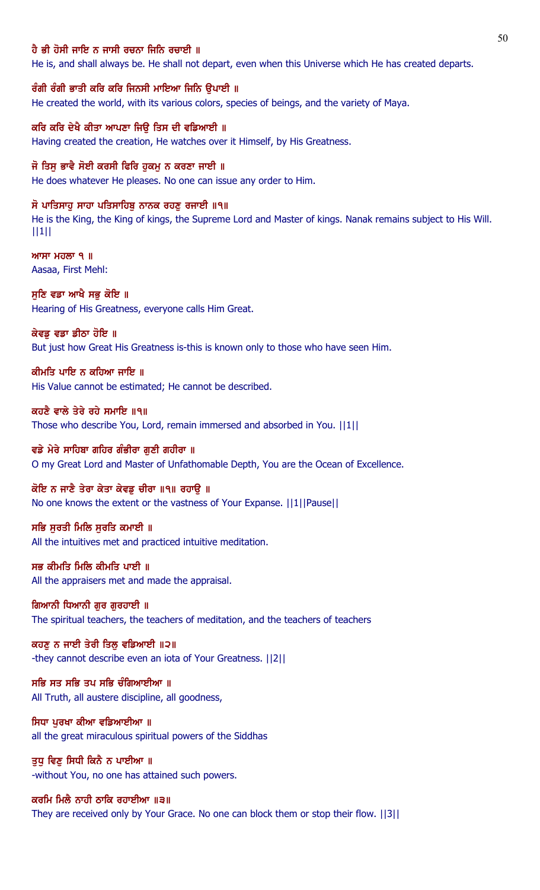#### ਹੈ ਭੀ ਹੋਸੀ ਜਾਇ ਨ ਜਾਸੀ ਰਚਨਾ ਜਿਨਿ ਰਚਾਈ ॥

He is, and shall always be. He shall not depart, even when this Universe which He has created departs.

ਰੰਗੀ ਰੰਗੀ ਭਾਤੀ ਕਰਿ ਕਰਿ ਜਿਨਸੀ ਮਾਇਆ ਜਿਨਿ ਉਪਾਈ ॥ He created the world, with its various colors, species of beings, and the variety of Maya.

ਕਰਿ ਕਰਿ ਦੇਖੈ ਕੀਤਾ ਆਪਣਾ ਜਿੳ ਤਿਸ ਦੀ ਵਡਿਆਈ ॥ Having created the creation, He watches over it Himself, by His Greatness.

ਜੋ ਤਿਸ ਭਾਵੈ ਸੋਈ ਕਰਸੀ ਫਿਰਿ ਹਕਮ ਨ ਕਰਣਾ ਜਾਈ ॥ He does whatever He pleases. No one can issue any order to Him.

ਸੋ ਪਾਤਿਸਾਹੂ ਸਾਹਾ ਪਤਿਸਾਹਿਬੂ ਨਾਨਕ ਰਹਣੂ ਰਜਾਈ ॥੧॥ He is the King, the King of kings, the Supreme Lord and Master of kings. Nanak remains subject to His Will. ||1||

 $MT$  ਮਹਲਾ ੧ ॥ Aasaa, First Mehl:

ਸੁਣਿ ਵਡਾ ਆਖੈ ਸਭੁ ਕੋਇ ॥ Hearing of His Greatness, everyone calls Him Great.

ਕੇਵਡ ਵਡਾ ਡੀਠਾ ਹੋਇ ॥ But just how Great His Greatness is-this is known only to those who have seen Him.

ਕੀਮਤਿ ਪਾਇ ਨ ਕਹਿਆ ਜਾਇ ॥ His Value cannot be estimated; He cannot be described.

ਕਹਣੈ ਵਾਲੇ ਤੇਰੇ ਰਹੇ ਸਮਾਇ ॥੧॥ Those who describe You, Lord, remain immersed and absorbed in You. ||1||

ਵਡੇ ਮੇਰੇ ਸਾਹਿਬਾ ਗਹਿਰ ਗੰਭੀਰਾ ਗਣੀ ਗਹੀਰਾ ॥ O my Great Lord and Master of Unfathomable Depth, You are the Ocean of Excellence.

ਕੋਇ ਨ ਜਾਣੈ ਤੇਰਾ ਕੇਤਾ ਕੇਵਡ ਚੀਰਾ ॥੧॥ ਰਹਾੳ ॥ No one knows the extent or the vastness of Your Expanse. ||1||Pause||

ਸਭਿ ਸੂਰਤੀ ਮਿਲਿ ਸੂਰਤਿ ਕਮਾਈ ॥ All the intuitives met and practiced intuitive meditation.

ਸਭ ਕੀਮਤਿ ਮਿਲਿ ਕੀਮਤਿ ਪਾਈ ॥ All the appraisers met and made the appraisal.

ਗਿਆਨੀ ਧਿਆਨੀ ਗਰ ਗਰਹਾਈ ॥ The spiritual teachers, the teachers of meditation, and the teachers of teachers

ਕਹਣੂ ਨ ਜਾਈ ਤੇਰੀ ਤਿਲੂ ਵਡਿਆਈ ॥੨॥ -they cannot describe even an iota of Your Greatness. ||2||

ਸਭਿ ਸਤ ਸਭਿ ਤਪ ਸਭਿ ਚੰਗਿਆਈਆ ॥ All Truth, all austere discipline, all goodness,

ਸਿਧਾ ਪਰਖਾ ਕੀਆ ਵਡਿਆਈਆ ॥ all the great miraculous spiritual powers of the Siddhas

ਤੁਧੂ ਵਿਣੂ ਸਿਧੀ ਕਿਨੈ ਨ ਪਾਈਆ ॥ -without You, no one has attained such powers.

ਕਰਮਿ ਮਿਲੈ ਨਾਹੀ ਠਾਕਿ ਰਹਾਈਆ ॥੩॥ They are received only by Your Grace. No one can block them or stop their flow. ||3||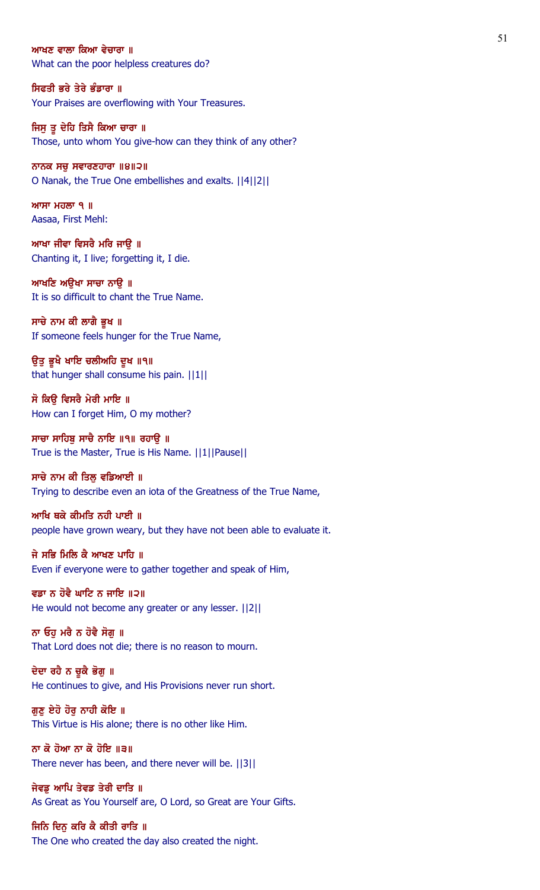#### ਆਖਣ ਵਾਲਾ ਕਿਆ ਵੇਚਾਰਾ ॥

What can the poor helpless creatures do?

### ਸਿਫਤੀ ਭਰੇ ਤੇਰੇ ਭੰਡਾਰਾ ॥ Your Praises are overflowing with Your Treasures.

ਜਿਸੂ ਤੂ ਦੇਹਿ ਤਿਸੈ ਕਿਆ ਚਾਰਾ ॥ Those, unto whom You give-how can they think of any other?

## ਨਾਨਕ ਸਚ ਸਵਾਰਣਹਾਰਾ  $\|9\|2\|$ O Nanak, the True One embellishes and exalts. ||4||2||

 $MT$   $H$  $\overline{O}$   $\overline{O}$   $\overline{O}$   $\overline{O}$   $\overline{O}$   $\overline{O}$   $\overline{O}$   $\overline{O}$   $\overline{O}$   $\overline{O}$   $\overline{O}$   $\overline{O}$   $\overline{O}$   $\overline{O}$   $\overline{O}$   $\overline{O}$   $\overline{O}$   $\overline{O}$   $\overline{O}$   $\overline{O}$   $\overline{O}$   $\overline{O}$   $\overline{O}$   $\overline{O}$ Aasaa, First Mehl:

ਆਖਾ ਜੀਵਾ ਵਿਸਰੈ ਮਰਿ ਜਾਉ ॥ Chanting it, I live; forgetting it, I die.

ਆਖਣਿ ਅਉਖਾ ਸਾਚਾ ਨਾਉ ॥ It is so difficult to chant the True Name.

ਸਾਚੇ ਨਾਮ ਕੀ ਲਾਗੈ ਭੂਖ ॥ If someone feels hunger for the True Name,

ਉਤੁ ਭੁਖੈ ਖਾਇ ਚਲੀਅਹਿ ਦੁਖ ॥੧॥ that hunger shall consume his pain. ||1||

ਸੋ ਕਿੳ ਵਿਸਰੈ ਮੇਰੀ ਮਾਇ ॥ How can I forget Him, O my mother?

ਸਾਚਾ ਸਾਹਿਬੂ ਸਾਚੈ ਨਾਇ ॥੧॥ ਰਹਾਉ ॥ True is the Master, True is His Name. ||1||Pause||

# ਸਾਚੇ ਨਾਮ ਕੀ ਤਿਲੂ ਵਡਿਆਈ ॥

Trying to describe even an iota of the Greatness of the True Name,

ਆਖਿ ਥਕੇ ਕੀਮਤਿ ਨਹੀ ਪਾਈ ॥ people have grown weary, but they have not been able to evaluate it.

ਜੇ ਸਭਿ ਮਿਲਿ ਕੈ ਆਖਣ ਪਾਹਿ ॥ Even if everyone were to gather together and speak of Him,

ਵਡਾ ਨ ਹੋਵੈ ਘਾਟਿ ਨ ਜਾਇ ॥੨॥ He would not become any greater or any lesser. ||2||

ਨਾ ਓਹੁ ਮਰੈ ਨ ਹੋਵੈ ਸੋਗੁ ॥ That Lord does not die; there is no reason to mourn.

ਦੇਦਾ ਰਹੈ ਨ ਚੁਕੈ ਭੋਗੁ ॥ He continues to give, and His Provisions never run short.

ਗੁਣੂ ਏਹੋ ਹੋਰੂ ਨਾਹੀ ਕੋਇ ॥ This Virtue is His alone; there is no other like Him.

ਨਾ ਕੋ ਹੋਆ ਨਾ ਕੋ ਹੋਇ ॥੩॥ There never has been, and there never will be. ||3||

ਜੇਵਡੂ ਆਪਿ ਤੇਵਡ ਤੇਰੀ ਦਾਤਿ ॥ As Great as You Yourself are, O Lord, so Great are Your Gifts.

ਜਿਨਿ ਦਿਨੂ ਕਰਿ ਕੈ ਕੀਤੀ ਰਾਤਿ ॥ The One who created the day also created the night.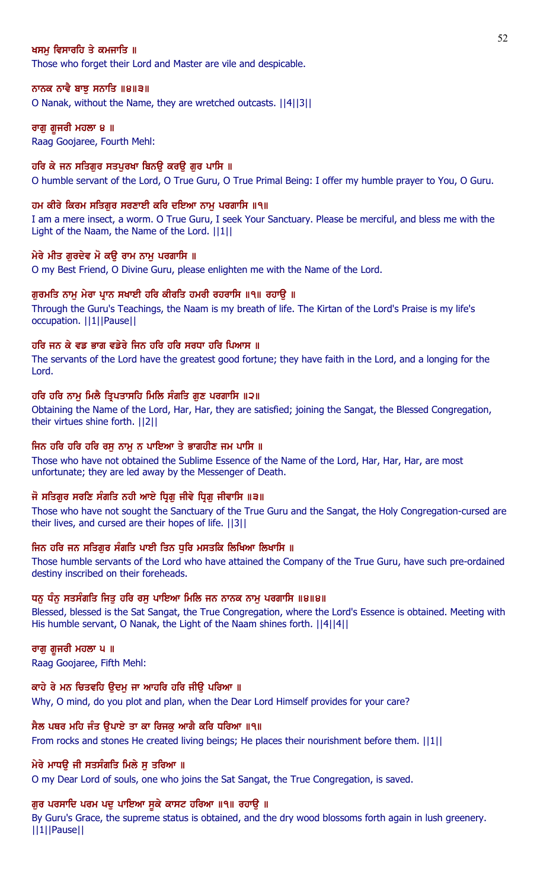# ਖਸਮ ਵਿਸਾਰਹਿ ਤੇ ਕਮਜਾਤਿ ॥

Those who forget their Lord and Master are vile and despicable.

### ਨਾਨਕ ਨਾਵੈ ਬਾਝੂ ਸਨਾਤਿ ॥੪॥੩॥

O Nanak, without the Name, they are wretched outcasts. ||4||3||

## ਰਾਗ ਗ਼ਜਰੀ ਮਹਲਾ ੪ ॥

Raag Goojaree, Fourth Mehl:

#### ਹਰਿ ਕੇ ਜਨ ਸਤਿਗਰ ਸਤਪਰਖਾ ਬਿਨੳ ਕਰੳ ਗਰ ਪਾਸਿ ॥

O humble servant of the Lord, O True Guru, O True Primal Being: I offer my humble prayer to You, O Guru.

#### ਹਮ ਕੀਰੇ ਕਿਰਮ ਸਤਿਗੁਰ ਸਰਣਾਈ ਕਰਿ ਦਇਆ ਨਾਮੁ ਪਰਗਾਸਿ ॥੧॥

I am a mere insect, a worm. O True Guru, I seek Your Sanctuary. Please be merciful, and bless me with the Light of the Naam, the Name of the Lord. ||1||

#### ਮੇਰੇ ਮੀਤ ਗੁਰਦੇਵ ਮੋ ਕਉ ਰਾਮ ਨਾਮੁ ਪਰਗਾਸਿ ॥

O my Best Friend, O Divine Guru, please enlighten me with the Name of the Lord.

#### ਗੁਰਮਤਿ ਨਾਮੁ ਮੇਰਾ ਪ੍ਰਾਨ ਸਖਾਈ ਹਰਿ ਕੀਰਤਿ ਹਮਰੀ ਰਹਰਾਸਿ ॥੧॥ ਰਹਾਉ ॥

Through the Guru's Teachings, the Naam is my breath of life. The Kirtan of the Lord's Praise is my life's occupation. ||1||Pause||

## ਹਰਿ ਜਨ ਕੇ ਵਡ ਭਾਗ ਵਡੇਰੇ ਜਿਨ ਹਰਿ ਹਰਿ ਸਰਧਾ ਹਰਿ ਪਿਆਸ ॥

The servants of the Lord have the greatest good fortune; they have faith in the Lord, and a longing for the Lord.

#### ਹਰਿ ਹਰਿ ਨਾਮ ਮਿਲੈ ਤਿਪਤਾਸਹਿ ਮਿਲਿ ਸੰਗਤਿ ਗਣ ਪਰਗਾਸਿ ॥੨॥

Obtaining the Name of the Lord, Har, Har, they are satisfied; joining the Sangat, the Blessed Congregation, their virtues shine forth. ||2||

#### ਜਿਨ ਹਰਿ ਹਰਿ ਹਰਿ ਰਸੁ ਨਾਮੁ ਨ ਪਾਇਆ ਤੇ ਭਾਗਹੀਣ ਜਮ ਪਾਸਿ ॥

Those who have not obtained the Sublime Essence of the Name of the Lord, Har, Har, Har, are most unfortunate; they are led away by the Messenger of Death.

## ਜੋ ਸਤਿਗੁਰ ਸਰਣਿ ਸੰਗਤਿ ਨਹੀ ਆਏ ਧ੍ਰਿਗੁ ਜੀਵੇ ਧ੍ਰਿਗੁ ਜੀਵਾਸਿ ॥੩॥

Those who have not sought the Sanctuary of the True Guru and the Sangat, the Holy Congregation-cursed are their lives, and cursed are their hopes of life. ||3||

## ਜਿਨ ਹਰਿ ਜਨ ਸਤਿਗੁਰ ਸੰਗਤਿ ਪਾਈ ਤਿਨ ਧੁਰਿ ਮਸਤਕਿ ਲਿਖਿਆ ਲਿਖਾਸਿ ॥

Those humble servants of the Lord who have attained the Company of the True Guru, have such pre-ordained destiny inscribed on their foreheads.

#### ਧਨੂ ਧੰਨੂ ਸਤਸੰਗਤਿ ਜਿਤੂ ਹਰਿ ਰਸੂ ਪਾਇਆ ਮਿਲਿ ਜਨ ਨਾਨਕ ਨਾਮੂ ਪਰਗਾਸਿ ॥੪॥੪॥

Blessed, blessed is the Sat Sangat, the True Congregation, where the Lord's Essence is obtained. Meeting with His humble servant, O Nanak, the Light of the Naam shines forth. ||4||4||

# ਰਾਗ ਗ਼ਜਰੀ ਮਹਲਾ ਪ ॥

Raag Goojaree, Fifth Mehl:

## ਕਾਹੇ ਰੇ ਮਨ ਚਿਤਵਹਿ ਉਦਮੁ ਜਾ ਆਹਰਿ ਹਰਿ ਜੀਉ ਪਰਿਆ ॥

Why, O mind, do you plot and plan, when the Dear Lord Himself provides for your care?

## ਸੈਲ ਪਥਰ ਮਹਿ ਜੰਤ ੳਪਾਏ ਤਾ ਕਾ ਰਿਜਕ ਆਗੈ ਕਰਿ ਧਰਿਆ ॥੧॥

From rocks and stones He created living beings; He places their nourishment before them. ||1||

#### ਮੇਰੇ ਮਾਧੳ ਜੀ ਸਤਸੰਗਤਿ ਮਿਲੇ ਸ ਤਰਿਆ ॥

O my Dear Lord of souls, one who joins the Sat Sangat, the True Congregation, is saved.

#### ਗਰ ਪਰਸਾਦਿ ਪਰਮ ਪਦ ਪਾਇਆ ਸਕੇ ਕਾਸਟ ਹਰਿਆ ॥੧॥ ਰਹਾੳ ॥

By Guru's Grace, the supreme status is obtained, and the dry wood blossoms forth again in lush greenery. ||1||Pause||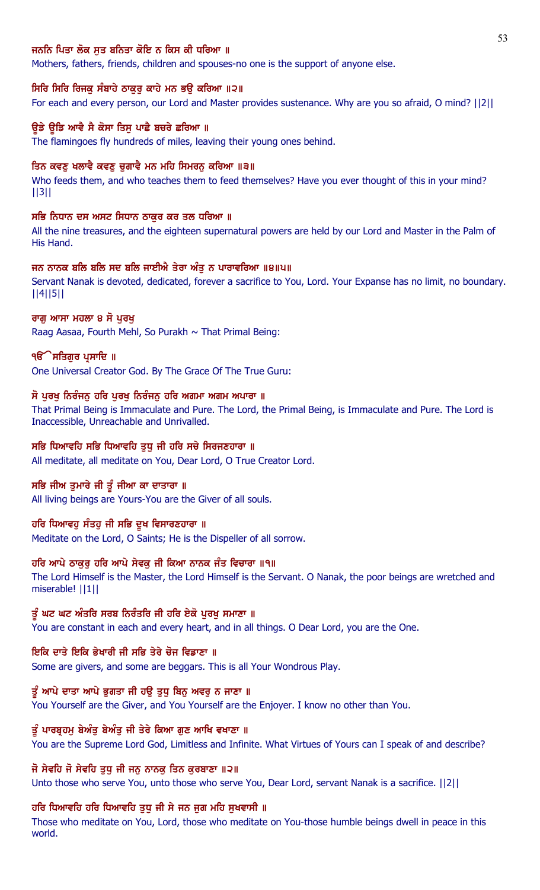# ਜਨਨਿ ਪਿਤਾ ਲੋਕ ਸਤ ਬਨਿਤਾ ਕੋਇ ਨ ਕਿਸ ਕੀ ਧਰਿਆ ॥

Mothers, fathers, friends, children and spouses-no one is the support of anyone else.

#### ਸਿਰਿ ਸਿਰਿ ਰਿਜਕੁ ਸੰਬਾਹੇ ਠਾਕੁਰੂ ਕਾਹੇ ਮਨ ਭਉ ਕਰਿਆ ॥੨॥

For each and every person, our Lord and Master provides sustenance. Why are you so afraid, O mind? ||2||

## ਉਡੇ ਉਡਿ ਆਵੈ ਸੈ ਕੋਸਾ ਤਿਸ ਪਾਛੈ ਬਚਰੇ ਛਰਿਆ ॥

The flamingoes fly hundreds of miles, leaving their young ones behind.

#### ਤਿਨ ਕਵਣ ਖਲਾਵੈ ਕਵਣ ਚਗਾਵੈ ਮਨ ਮਹਿ ਸਿਮਰਨ ਕਰਿਆ ॥੩॥

Who feeds them, and who teaches them to feed themselves? Have you ever thought of this in your mind? ||3||

#### ਸਭਿ ਨਿਧਾਨ ਦਸ ਅਸਟ ਸਿਧਾਨ ਠਾਕਰ ਕਰ ਤਲ ਧਰਿਆ ॥

All the nine treasures, and the eighteen supernatural powers are held by our Lord and Master in the Palm of His Hand.

## ਜਨ ਨਾਨਕ ਬਲਿ ਬਲਿ ਸਦ ਬਲਿ ਜਾਈਐ ਤੇਰਾ ਅੰਤੁ ਨ ਪਾਰਾਵਰਿਆ ॥੪॥੫॥

Servant Nanak is devoted, dedicated, forever a sacrifice to You, Lord. Your Expanse has no limit, no boundary. ||4||5||

## ਰਾਗ ਆਸਾ ਮਹਲਾ ੪ ਸੋ ਪਰਖ

Raag Aasaa, Fourth Mehl, So Purakh  $\sim$  That Primal Being:

#### ੧**ੳੱ ਸਤਿਗੁਰ ਪ੍ਰਸਾਦਿ** ॥

One Universal Creator God. By The Grace Of The True Guru:

#### ਸੋ ਪੂਰਖੂ ਨਿਰੰਜਨੂ ਹਰਿ ਪੂਰਖੂ ਨਿਰੰਜਨੂ ਹਰਿ ਅਗਮਾ ਅਗਮ ਅਪਾਰਾ ॥

That Primal Being is Immaculate and Pure. The Lord, the Primal Being, is Immaculate and Pure. The Lord is Inaccessible, Unreachable and Unrivalled.

# ਸਭਿ ਧਿਆਵਹਿ ਸਭਿ ਧਿਆਵਹਿ ਤੁਧੁ ਜੀ ਹਰਿ ਸਚੇ ਸਿਰਜਣਹਾਰਾ ॥

All meditate, all meditate on You, Dear Lord, O True Creator Lord.

## ਸਭਿ ਜੀਅ ਤੁਮਾਰੇ ਜੀ ਤੂੰ ਜੀਆ ਕਾ ਦਾਤਾਰਾ ॥

All living beings are Yours-You are the Giver of all souls.

## ਹਰਿ ਧਿਆਵਹੁ ਸੰਤਹੁ ਜੀ ਸਭਿ ਦੁਖ ਵਿਸਾਰਣਹਾਰਾ ॥

Meditate on the Lord, O Saints; He is the Dispeller of all sorrow.

#### ਹਰਿ ਆਪੇ ਠਾਕੁਰੂ ਹਰਿ ਆਪੇ ਸੇਵਕੂ ਜੀ ਕਿਆ ਨਾਨਕ ਜੰਤ ਵਿਚਾਰਾ ॥੧॥

The Lord Himself is the Master, the Lord Himself is the Servant. O Nanak, the poor beings are wretched and miserable! ||1||

## ਤੂੰ ਘਟ ਘਟ ਅੰਤਰਿ ਸਰਬ ਨਿਰੰਤਰਿ ਜੀ ਹਰਿ ਏਕੋ ਪੁਰਖੂ ਸਮਾਣਾ ॥

You are constant in each and every heart, and in all things. O Dear Lord, you are the One.

# ਇਕਿ ਦਾਤੇ ਇਕਿ ਭੇਖਾਰੀ ਜੀ ਸਭਿ ਤੇਰੇ ਚੋਜ ਵਿਡਾਣਾ ॥

Some are givers, and some are beggars. This is all Your Wondrous Play.

#### ਤੰ ਆਪੇ ਦਾਤਾ ਆਪੇ ਭਗਤਾ ਜੀ ਹੳ ਤਧ ਬਿਨ ਅਵਰ ਨ ਜਾਣਾ ॥

You Yourself are the Giver, and You Yourself are the Enjoyer. I know no other than You.

#### ਤੂੰ ਪਾਰਬੁਹਮ ਬੇਅੰਤ ਬੇਅੰਤ ਜੀ ਤੇਰੇ ਕਿਆ ਗਣ ਆਖਿ ਵਖਾਣਾ ॥

You are the Supreme Lord God, Limitless and Infinite. What Virtues of Yours can I speak of and describe?

# ਜੋ ਸੇਵਹਿ ਜੋ ਸੇਵਹਿ ਤੁਧੁ ਜੀ ਜਨੁ ਨਾਨਕੁ ਤਿਨ ਕੁਰਬਾਣਾ ॥੨॥

Unto those who serve You, unto those who serve You, Dear Lord, servant Nanak is a sacrifice. ||2||

## ਹਰਿ ਧਿਆਵਹਿ ਹਰਿ ਧਿਆਵਹਿ ਤੁਧੂ ਜੀ ਸੇ ਜਨ ਜੁਗ ਮਹਿ ਸੁਖਵਾਸੀ ॥

Those who meditate on You, Lord, those who meditate on You-those humble beings dwell in peace in this world.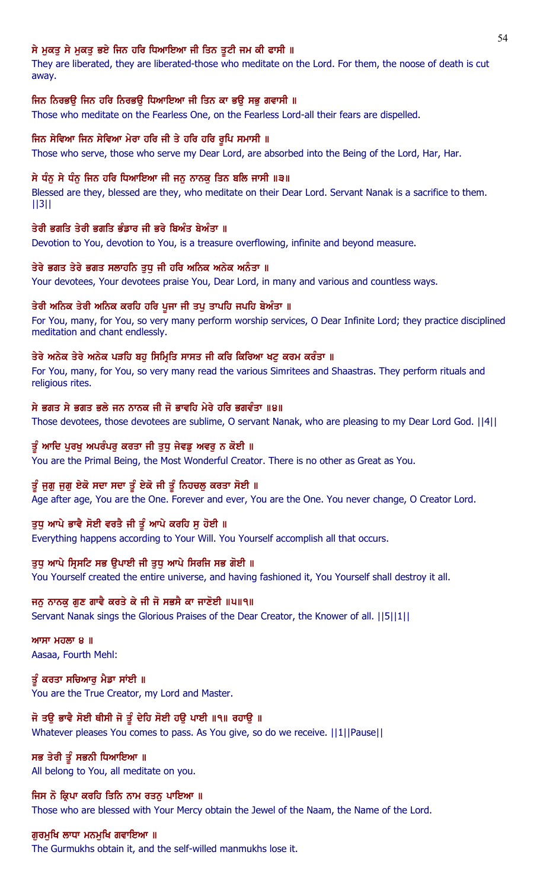# ਸੇ ਮੁਕਤੂ ਸੇ ਮੁਕਤੂ ਭਏ ਜਿਨ ਹਰਿ ਧਿਆਇਆ ਜੀ ਤਿਨ ਤੁਟੀ ਜਮ ਕੀ ਫਾਸੀ ॥

They are liberated, they are liberated-those who meditate on the Lord. For them, the noose of death is cut away.

# ਜਿਨ ਨਿਰਭਉ ਜਿਨ ਹਰਿ ਨਿਰਭਉ ਧਿਆਇਆ ਜੀ ਤਿਨ ਕਾ ਭਉ ਸਭੁ ਗਵਾਸੀ ॥

Those who meditate on the Fearless One, on the Fearless Lord-all their fears are dispelled.

# ਜਿਨ ਸੇਵਿਆ ਜਿਨ ਸੇਵਿਆ ਮੇਰਾ ਹਰਿ ਜੀ ਤੇ ਹਰਿ ਹਰਿ ਰੁਪਿ ਸਮਾਸੀ ॥

Those who serve, those who serve my Dear Lord, are absorbed into the Being of the Lord, Har, Har.

# ਸੇ ਧੰਨੂ ਸੇ ਧੰਨੂ ਜਿਨ ਹਰਿ ਧਿਆਇਆ ਜੀ ਜਨੂ ਨਾਨਕੂ ਤਿਨ ਬਲਿ ਜਾਸੀ ॥੩॥

Blessed are they, blessed are they, who meditate on their Dear Lord. Servant Nanak is a sacrifice to them. ||3||

# ਤੇਰੀ ਭਗਤਿ ਤੇਰੀ ਭਗਤਿ ਭੰਡਾਰ ਜੀ ਭਰੇ ਬਿਅੰਤ ਬੇਅੰਤਾ ॥

Devotion to You, devotion to You, is a treasure overflowing, infinite and beyond measure.

# ਤੇਰੇ ਭਗਤ ਤੇਰੇ ਭਗਤ ਸਲਾਹਨਿ ਤੁਧੂ ਜੀ ਹਰਿ ਅਨਿਕ ਅਨੇਕ ਅਨੰਤਾ ॥

Your devotees, Your devotees praise You, Dear Lord, in many and various and countless ways.

# ਤੇਰੀ ਅਨਿਕ ਤੇਰੀ ਅਨਿਕ ਕਰਹਿ ਹਰਿ ਪੁਜਾ ਜੀ ਤਪੁ ਤਾਪਹਿ ਜਪਹਿ ਬੇਅੰਤਾ ॥

For You, many, for You, so very many perform worship services, O Dear Infinite Lord; they practice disciplined meditation and chant endlessly.

# ਤੇਰੇ ਅਨੇਕ ਤੇਰੇ ਅਨੇਕ ਪੜਹਿ ਬਹੁ ਸਿਮ੍ਰਿਤਿ ਸਾਸਤ ਜੀ ਕਰਿ ਕਿਰਿਆ ਖਟੂ ਕਰਮ ਕਰੰਤਾ ॥

For You, many, for You, so very many read the various Simritees and Shaastras. They perform rituals and religious rites.

# ਸੇ ਭਗਤ ਸੇ ਭਗਤ ਭਲੇ ਜਨ ਨਾਨਕ ਜੀ ਜੋ ਭਾਵਹਿ ਮੇਰੇ ਹਰਿ ਭਗਵੰਤਾ ॥੪॥

Those devotees, those devotees are sublime, O servant Nanak, who are pleasing to my Dear Lord God. ||4||

# ਤੂੰ ਆਦਿ ਪੁਰਖੁ ਅਪਰੰਪਰੁ ਕਰਤਾ ਜੀ ਤੁਧੁ ਜੇਵਡੁ ਅਵਰੁ ਨ ਕੋਈ ॥

You are the Primal Being, the Most Wonderful Creator. There is no other as Great as You.

# ਤੂੰ ਜੁਗੁ ਜੁਗੁ ਏਕੋ ਸਦਾ ਸਦਾ ਤੂੰ ਏਕੋ ਜੀ ਤੂੰ ਨਿਹਚਲੂ ਕਰਤਾ ਸੋਈ ॥

Age after age, You are the One. Forever and ever, You are the One. You never change, O Creator Lord.

# ਤੁਧੂ ਆਪੇ ਭਾਵੈ ਸੋਈ ਵਰਤੈ ਜੀ ਤੂੰ ਆਪੇ ਕਰਹਿ ਸੁ ਹੋਈ ॥

Everything happens according to Your Will. You Yourself accomplish all that occurs.

# ਤੁਧੂ ਆਪੇ ਸ੍ਰਿਸਟਿ ਸਭ ਉਪਾਈ ਜੀ ਤੁਧੂ ਆਪੇ ਸਿਰਜਿ ਸਭ ਗੋਈ ॥

You Yourself created the entire universe, and having fashioned it, You Yourself shall destroy it all.

# ਜਨੂ ਨਾਨਕੂ ਗੁਣ ਗਾਵੈ ਕਰਤੇ ਕੇ ਜੀ ਜੋ ਸਭਸੈ ਕਾ ਜਾਣੋਈ ॥੫॥੧॥

Servant Nanak sings the Glorious Praises of the Dear Creator, the Knower of all. ||5||1||

 $MT$ ਮਹਲਾ 8 ॥ Aasaa, Fourth Mehl:

ਤੂੰ ਕਰਤਾ ਸਚਿਆਰੂ ਮੈਡਾ ਸਾਂਈ ॥ You are the True Creator, my Lord and Master.

# ਜੋ ਤਉ ਭਾਵੈ ਸੋਈ ਥੀਸੀ ਜੋ ਤੂੰ ਦੇਹਿ ਸੋਈ ਹਉ ਪਾਈ ॥੧॥ ਰਹਾਉ ॥

Whatever pleases You comes to pass. As You give, so do we receive. ||1||Pause||

# ਸਭ ਤੇਰੀ ਤੂੰ ਸਭਨੀ ਧਿਆਇਆ ॥

All belong to You, all meditate on you.

ਜਿਸ ਨੋ ਕ੍ਰਿਪਾ ਕਰਹਿ ਤਿਨਿ ਨਾਮ ਰਤਨੂ ਪਾਇਆ ॥ Those who are blessed with Your Mercy obtain the Jewel of the Naam, the Name of the Lord.

# ਗੁਰਮੁਖਿ ਲਾਧਾ ਮਨਮੁਖਿ ਗਵਾਇਆ ॥

The Gurmukhs obtain it, and the self-willed manmukhs lose it.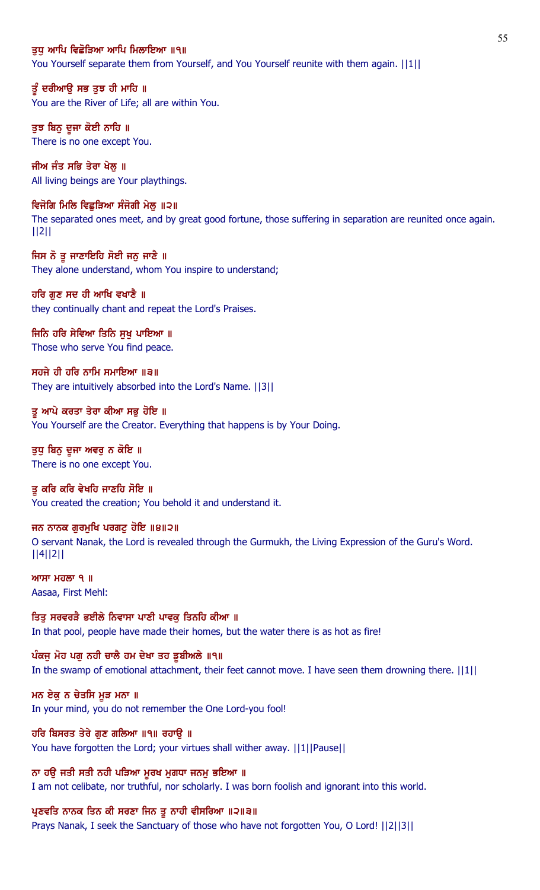### ਤਧ ਆਪਿ ਵਿਛੋੜਿਆ ਆਪਿ ਮਿਲਾਇਆ ॥੧॥

You Yourself separate them from Yourself, and You Yourself reunite with them again.  $||1||$ 

ਤੂੰ ਦਰੀਆਉ ਸਭ ਤੁਝ ਹੀ ਮਾਹਿ ॥ You are the River of Life; all are within You.

ਤੁਝ ਬਿਨੂ ਦੂਜਾ ਕੋਈ ਨਾਹਿ ॥ There is no one except You.

ਜੀਅ ਜੰਤ ਸਭਿ ਤੇਰਾ ਖੇਲ ॥ All living beings are Your playthings.

ਵਿਜੋਗਿ ਮਿਲਿ ਵਿਛੁੜਿਆ ਸੰਜੋਗੀ ਮੇਲੂ ॥੨॥ The separated ones meet, and by great good fortune, those suffering in separation are reunited once again. ||2||

ਜਿਸ ਨੋ ਤੂ ਜਾਣਾਇਹਿ ਸੋਈ ਜਨੁ ਜਾਣੈ ॥ They alone understand, whom You inspire to understand;

ਹਰਿ ਗੁਣ ਸਦ ਹੀ ਆਖਿ ਵਖਾਣੈ ॥ they continually chant and repeat the Lord's Praises.

ਜਿਨਿ ਹਰਿ ਸੇਵਿਆ ਤਿਨਿ ਸੁਖੁ ਪਾਇਆ ॥ Those who serve You find peace.

ਸਹਜੇ ਹੀ ਹਰਿ ਨਾਮਿ ਸਮਾਇਆ ॥੩॥ They are intuitively absorbed into the Lord's Name. ||3||

ਤੂ ਆਪੇ ਕਰਤਾ ਤੇਰਾ ਕੀਆ ਸਭੂ ਹੋਇ ॥ You Yourself are the Creator. Everything that happens is by Your Doing.

ਤੁਧੂ ਬਿਨੂ ਦੂਜਾ ਅਵਰੂ ਨ ਕੋਇ ॥ There is no one except You.

ਤ ਕਰਿ ਕਰਿ ਵੇਖਹਿ ਜਾਣਹਿ ਸੋਇ ॥ You created the creation; You behold it and understand it.

ਜਨ ਨਾਨਕ ਗੁਰਮੁਖਿ ਪਰਗਟੁ ਹੋਇ ॥੪॥੨॥ O servant Nanak, the Lord is revealed through the Gurmukh, the Living Expression of the Guru's Word. ||4||2||

 $MT$   $H$  $\overline{O}$   $\overline{O}$   $\overline{O}$   $\overline{O}$   $\overline{O}$   $\overline{O}$   $\overline{O}$   $\overline{O}$   $\overline{O}$   $\overline{O}$   $\overline{O}$   $\overline{O}$   $\overline{O}$   $\overline{O}$   $\overline{O}$   $\overline{O}$   $\overline{O}$   $\overline{O}$   $\overline{O}$   $\overline{O}$   $\overline{O}$   $\overline{O}$   $\overline{O}$   $\overline{O}$ Aasaa, First Mehl:

ਤਿਤੂ ਸਰਵਰੜੈ ਭਈਲੇ ਨਿਵਾਸਾ ਪਾਣੀ ਪਾਵਕੂ ਤਿਨਹਿ ਕੀਆ ॥ In that pool, people have made their homes, but the water there is as hot as fire!

ਪੰਕਜੂ ਮੋਹ ਪਗੂ ਨਹੀ ਚਾਲੈ ਹਮ ਦੇਖਾ ਤਹ ਡੁਬੀਅਲੇ ॥੧॥ In the swamp of emotional attachment, their feet cannot move. I have seen them drowning there.  $||1||$ 

ਮਨ ਏਕੁ ਨ ਚੇਤਸਿ ਮੁੜ ਮਨਾ ॥ In your mind, you do not remember the One Lord-you fool!

ਹਰਿ ਬਿਸਰਤ ਤੇਰੇ ਗੁਣ ਗਲਿਆ ॥੧॥ ਰਹਾਉ ॥ You have forgotten the Lord; your virtues shall wither away. ||1||Pause||

ਨਾ ਹਉ ਜਤੀ ਸਤੀ ਨਹੀ ਪੜਿਆ ਮੁਰਖ ਮੁਗਧਾ ਜਨਮੂ ਭਇਆ ॥ I am not celibate, nor truthful, nor scholarly. I was born foolish and ignorant into this world.

ਪ੍ਰਣਵਤਿ ਨਾਨਕ ਤਿਨ ਕੀ ਸਰਣਾ ਜਿਨ ਤੁ ਨਾਹੀ ਵੀਸਰਿਆ ॥੨॥੩॥ Prays Nanak, I seek the Sanctuary of those who have not forgotten You, O Lord! ||2||3||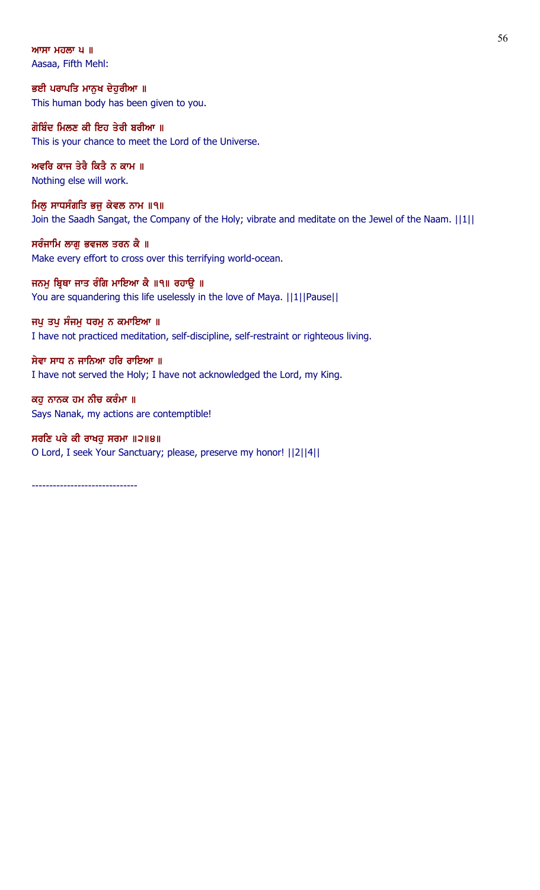ਆਸਾ ਮਹਲਾ  $|u|$  || Aasaa, Fifth Mehl:

ਭਈ ਪਰਾਪਤਿ ਮਾਨੁਖ ਦੇਹੁਰੀਆ ॥ This human body has been given to you.

ਗੋਬਿੰਦ ਮਿਲਣ ਕੀ ਇਹ ਤੇਰੀ ਬਰੀਆ ॥ This is your chance to meet the Lord of the Universe.

ਅਵਰਿ ਕਾਜ ਤੇਰੈ ਕਿਤੈ ਨ ਕਾਮ ॥ Nothing else will work.

ਮਿਲੂ ਸਾਧਸੰਗਤਿ ਭਜੂ ਕੇਵਲ ਨਾਮ ॥੧॥ Join the Saadh Sangat, the Company of the Holy; vibrate and meditate on the Jewel of the Naam. ||1||

ਸਰੰਜਾਮਿ ਲਾਗੂ ਭਵਜਲ ਤਰਨ ਕੈ ॥ Make every effort to cross over this terrifying world-ocean.

ਜਨਮੂ ਬ੍ਰਿਥਾ ਜਾਤ ਰੰਗਿ ਮਾਇਆ ਕੈ ॥੧॥ ਰਹਾਉ ॥ You are squandering this life uselessly in the love of Maya. ||1||Pause||

ਜਪੁ ਤਪੁ ਸੰਜਮੁ ਧਰਮੁ ਨ ਕਮਾਇਆ ॥ I have not practiced meditation, self-discipline, self-restraint or righteous living.

ਸੇਵਾ ਸਾਧ ਨ ਜਾਨਿਆ ਹਰਿ ਰਾਇਆ ॥ I have not served the Holy; I have not acknowledged the Lord, my King.

ਕਹੁ ਨਾਨਕ ਹਮ ਨੀਚ ਕਰੰਮਾ ॥ Says Nanak, my actions are contemptible!

ਸਰਣਿ ਪਰੇ ਕੀ ਰਾਖਹੁ ਸਰਮਾ ॥੨॥੪॥ O Lord, I seek Your Sanctuary; please, preserve my honor! ||2||4||

------------------------------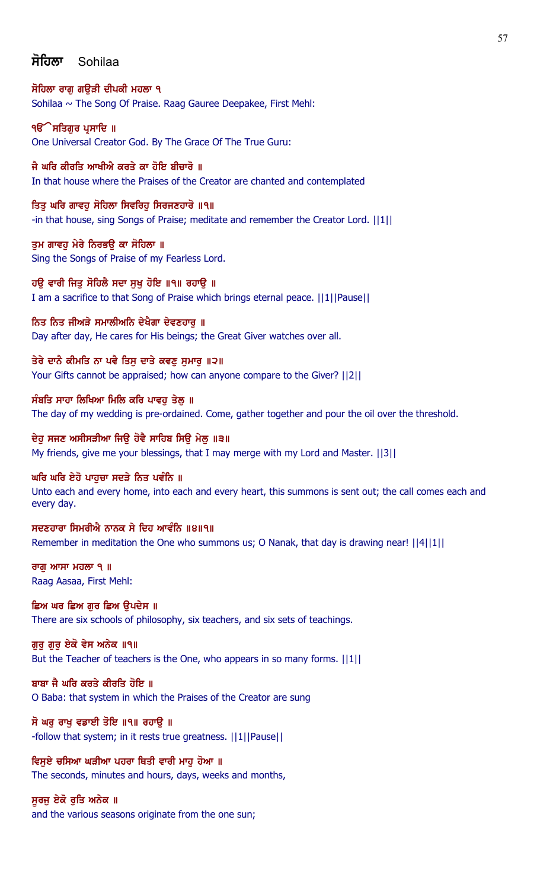# ਸੋਹਿਲਾ Sohilaa

ਸੋਹਿਲਾ ਰਾਗ ਗੳੜੀ ਦੀਪਕੀ ਮਹਲਾ ੧ Sohilaa ~ The Song Of Praise. Raag Gauree Deepakee, First Mehl:

**ੴ ਸਤਿਗਰ ਪ੍ਰਸਾਦਿ** ॥ One Universal Creator God. By The Grace Of The True Guru:

ਜੈ ਘਰਿ ਕੀਰਤਿ ਆਖੀਐ ਕਰਤੇ ਕਾ ਹੋਇ ਬੀਚਾਰੋ ॥ In that house where the Praises of the Creator are chanted and contemplated

ਤਿਤੂ ਘਰਿ ਗਾਵਹੁ ਸੋਹਿਲਾ ਸਿਵਰਿਹੁ ਸਿਰਜਣਹਾਰੋ ॥੧॥ -in that house, sing Songs of Praise; meditate and remember the Creator Lord. ||1||

ਤੁਮ ਗਾਵਹੁ ਮੇਰੇ ਨਿਰਭਉ ਕਾ ਸੋਹਿਲਾ ॥ Sing the Songs of Praise of my Fearless Lord.

ਹਉ ਵਾਰੀ ਜਿਤੂ ਸੋਹਿਲੈ ਸਦਾ ਸੁਖੂ ਹੋਇ ॥੧॥ ਰਹਾਉ ॥ I am a sacrifice to that Song of Praise which brings eternal peace. ||1||Pause||

ਨਿਤ ਨਿਤ ਜੀਅੜੇ ਸਮਾਲੀਅਨਿ ਦੇਖੈਗਾ ਦੇਵਣਹਾਰੁ ॥ Day after day, He cares for His beings; the Great Giver watches over all.

ਤੇਰੇ ਦਾਨੈ ਕੀਮਤਿ ਨਾ ਪਵੈ ਤਿਸੁ ਦਾਤੇ ਕਵਣੁ ਸੁਮਾਰੁ ॥੨॥ Your Gifts cannot be appraised; how can anyone compare to the Giver? ||2||

ਸੰਬਤਿ ਸਾਹਾ ਲਿਖਿਆ ਮਿਲਿ ਕਰਿ ਪਾਵਹੁ ਤੇਲੂ ॥ The day of my wedding is pre-ordained. Come, gather together and pour the oil over the threshold.

ਦੇਹ ਸਜਣ ਅਸੀਸੜੀਆ ਜਿੳ ਹੋਵੈ ਸਾਹਿਬ ਸਿੳ ਮੇਲ ॥੩॥ My friends, give me your blessings, that I may merge with my Lord and Master. ||3||

ਘਰਿ ਘਰਿ ਏਹੋ ਪਾਹਚਾ ਸਦੜੇ ਨਿਤ ਪਵੰਨਿ ॥

Unto each and every home, into each and every heart, this summons is sent out; the call comes each and every day.

ਸਦਣਹਾਰਾ ਸਿਮਰੀਐ ਨਾਨਕ ਸੇ ਦਿਹ ਆਵੰਨਿ ॥੪॥੧॥ Remember in meditation the One who summons us; O Nanak, that day is drawing near! ||4||1||

ਰਾਗ ਆਸਾ ਮਹਲਾ ੧  $\parallel$ Raag Aasaa, First Mehl:

ਛਿਅ ਘਰ ਛਿਅ ਗੁਰ ਛਿਅ ਉਪਦੇਸ ॥ There are six schools of philosophy, six teachers, and six sets of teachings.

ਗੁਰੂ ਗੁਰੂ ਏਕੋ ਵੇਸ ਅਨੇਕ ॥੧॥ But the Teacher of teachers is the One, who appears in so many forms.  $||1||$ 

ਬਾਬਾ ਜੈ ਘਰਿ ਕਰਤੇ ਕੀਰਤਿ ਹੋਇ ॥ O Baba: that system in which the Praises of the Creator are sung

ਸੋ ਘਰੁ ਰਾਖੁ ਵਡਾਈ ਤੋਇ ॥੧॥ ਰਹਾਉ ॥ -follow that system; in it rests true greatness. ||1||Pause||

ਵਿਸਏ ਚਸਿਆ ਘੜੀਆ ਪਹਰਾ ਥਿਤੀ ਵਾਰੀ ਮਾਹ ਹੋਆ ॥ The seconds, minutes and hours, days, weeks and months,

ਸੁਰਜੁ ਏਕੋ ਰੁਤਿ ਅਨੇਕ ॥ and the various seasons originate from the one sun;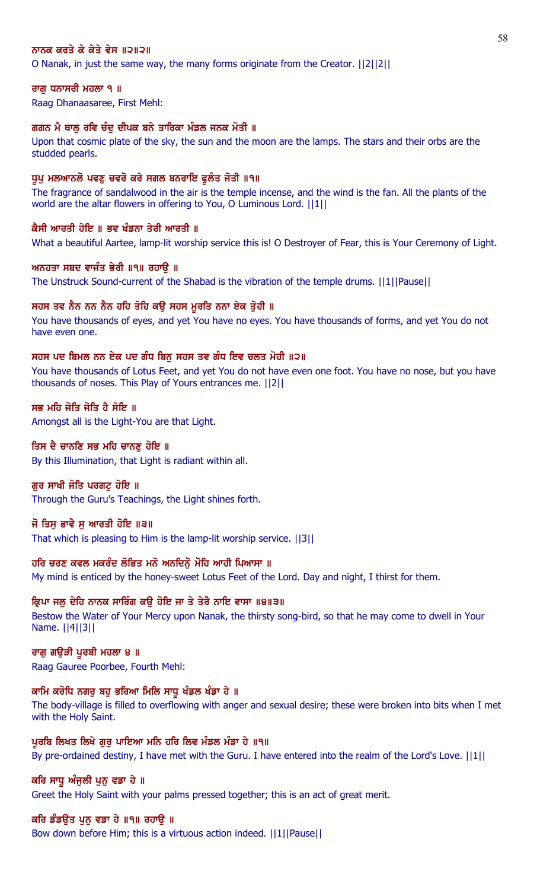## ਨਾਨਕ ਕਰਤੇ ਕੇ ਕੇਤੇ ਵੇਸ ॥੨॥੨॥

O Nanak, in just the same way, the many forms originate from the Creator. ||2||2||

### ਰਾਗੂ ਧਨਾਸਰੀ ਮਹਲਾ ੧ ॥

Raag Dhanaasaree, First Mehl:

#### ਗਗਨ ਮੈ ਥਾਲ ਰਵਿ ਚੰਦ ਦੀਪਕ ਬਨੇ ਤਾਰਿਕਾ ਮੰਡਲ ਜਨਕ ਮੋਤੀ ॥

Upon that cosmic plate of the sky, the sun and the moon are the lamps. The stars and their orbs are the studded pearls.

#### ਧੁਪੂ ਮਲਆਨਲੋ ਪਵਣੂ ਚਵਰੋ ਕਰੇ ਸਗਲ ਬਨਰਾਇ ਫੁਲੰਤ ਜੋਤੀ ॥੧॥

The fragrance of sandalwood in the air is the temple incense, and the wind is the fan. All the plants of the world are the altar flowers in offering to You, O Luminous Lord. ||1||

#### ਕੈਸੀ ਆਰਤੀ ਹੋਇ ॥ ਭਵ ਖੰਡਨਾ ਤੇਰੀ ਆਰਤੀ ॥

What a beautiful Aartee, lamp-lit worship service this is! O Destroyer of Fear, this is Your Ceremony of Light.

#### ਅਨਹਤਾ ਸਬਦ ਵਾਜੰਤ ਭੇਰੀ ॥੧॥ ਰਹਾਉ ॥

The Unstruck Sound-current of the Shabad is the vibration of the temple drums. ||1||Pause||

## ਸਹਸ ਤਵ ਨੈਨ ਨਨ ਨੈਨ ਹਹਿ ਤੋਹਿ ਕਉ ਸਹਸ ਮੁਰਤਿ ਨਨਾ ਏਕ ਤੁੋਹੀ ॥

You have thousands of eyes, and yet You have no eyes. You have thousands of forms, and yet You do not have even one.

#### ਸਹਸ ਪਦ ਬਿਮਲ ਨਨ ਏਕ ਪਦ ਗੰਧ ਬਿਨੂ ਸਹਸ ਤਵ ਗੰਧ ਇਵ ਚਲਤ ਮੋਹੀ ॥੨॥

You have thousands of Lotus Feet, and yet You do not have even one foot. You have no nose, but you have thousands of noses. This Play of Yours entrances me. ||2||

# ਸਭ ਮਹਿ ਜੋਤਿ ਜੋਤਿ ਹੈ ਸੋਇ ॥

Amongst all is the Light-You are that Light.

## ਤਿਸ ਦੈ ਚਾਨਣਿ ਸਭ ਮਹਿ ਚਾਨਣੁ ਹੋਇ ॥

By this Illumination, that Light is radiant within all.

# ਗੁਰ ਸਾਖੀ ਜੋਤਿ ਪਰਗਟ਼ ਹੋਇ ॥

Through the Guru's Teachings, the Light shines forth.

## ਜੋ ਤਿਸ ਭਾਵੈ ਸ ਆਰਤੀ ਹੋਇ ॥੩॥

That which is pleasing to Him is the lamp-lit worship service. ||3||

#### ਹਰਿ ਚਰਣ ਕਵਲ ਮਕਰੰਦ ਲੋਭਿਤ ਮਨੋ ਅਨਦਿਨੋਂ ਮੋਹਿ ਆਹੀ ਪਿਆਸਾ ॥

My mind is enticed by the honey-sweet Lotus Feet of the Lord. Day and night, I thirst for them.

#### ਕ੍ਰਿਪਾ ਜਲੂ ਦੇਹਿ ਨਾਨਕ ਸਾਰਿੰਗ ਕਉ ਹੋਇ ਜਾ ਤੇ ਤੇਰੈ ਨਾਇ ਵਾਸਾ ॥੪॥੩॥

Bestow the Water of Your Mercy upon Nanak, the thirsty song-bird, so that he may come to dwell in Your Name. ||4||3||

#### ਰਾਗੁ ਗਉੜੀ ਪੁਰਬੀ ਮਹਲਾ ੪ ॥

Raag Gauree Poorbee, Fourth Mehl:

#### ਕਾਮਿ ਕਰੋਧਿ ਨਗਰ ਬਹ ਭਰਿਆ ਮਿਲਿ ਸਾਧ ਖੰਡਲ ਖੰਡਾ ਹੇ ॥

The body-village is filled to overflowing with anger and sexual desire; these were broken into bits when I met with the Holy Saint.

#### ਪੁਰਬਿ ਲਿਖਤ ਲਿਖੇ ਗੁਰੂ ਪਾਇਆ ਮਨਿ ਹਰਿ ਲਿਵ ਮੰਡਲ ਮੰਡਾ ਹੇ ॥੧॥

By pre-ordained destiny, I have met with the Guru. I have entered into the realm of the Lord's Love. ||1||

#### ਕਰਿ ਸਾਧੂ ਅੰਜੂਲੀ ਪੂਨੂ ਵਡਾ ਹੇ ॥

Greet the Holy Saint with your palms pressed together; this is an act of great merit.

#### ਕਰਿ ਡੰਡਉਤ ਪੁਨੁ ਵਡਾ ਹੇ ॥੧॥ ਰਹਾਉ ॥

Bow down before Him; this is a virtuous action indeed. ||1||Pause||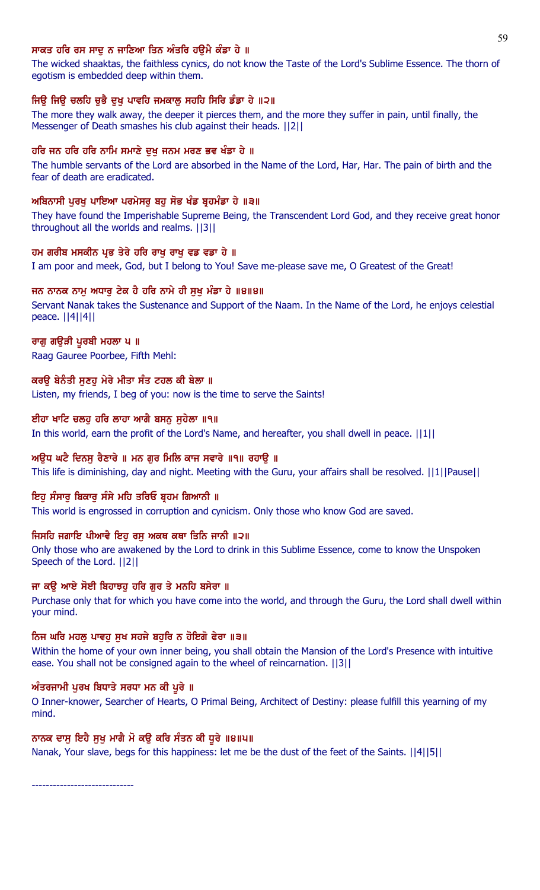# ਸਾਕਤ ਹਰਿ ਰਸ ਸਾਦ ਨ ਜਾਣਿਆ ਤਿਨ ਅੰਤਰਿ ਹੳਮੈ ਕੰਡਾ ਹੇ ॥

The wicked shaaktas, the faithless cynics, do not know the Taste of the Lord's Sublime Essence. The thorn of egotism is embedded deep within them.

# ਜਿਉ ਜਿਉ ਚਲਹਿ ਚੁਭੈ ਦੁਖੁ ਪਾਵਹਿ ਜਮਕਾਲੂ ਸਹਹਿ ਸਿਰਿ ਡੰਡਾ ਹੇ ॥੨॥

The more they walk away, the deeper it pierces them, and the more they suffer in pain, until finally, the Messenger of Death smashes his club against their heads. ||2||

# ਹਰਿ ਜਨ ਹਰਿ ਹਰਿ ਨਾਮਿ ਸਮਾਣੇ ਦੁਖੁ ਜਨਮ ਮਰਣ ਭਵ ਖੰਡਾ ਹੇ ॥

The humble servants of the Lord are absorbed in the Name of the Lord, Har, Har. The pain of birth and the fear of death are eradicated.

# ਅਬਿਨਾਸੀ ਪਰਖ ਪਾਇਆ ਪਰਮੇਸਰ ਬਹ ਸੋਭ ਖੰਡ ਬੁਹਮੰਡਾ ਹੇ ॥੩॥

They have found the Imperishable Supreme Being, the Transcendent Lord God, and they receive great honor throughout all the worlds and realms. ||3||

# ਹਮ ਗਰੀਬ ਮਸਕੀਨ ਪਭ ਤੇਰੇ ਹਰਿ ਰਾਖ ਰਾਖ ਵਡ ਵਡਾ ਹੇ ॥

I am poor and meek, God, but I belong to You! Save me-please save me, O Greatest of the Great!

# ਜਨ ਨਾਨਕ ਨਾਮ ਅਧਾਰ ਟੇਕ ਹੈ ਹਰਿ ਨਾਮੇ ਹੀ ਸਖ ਮੰਡਾ ਹੇ ॥੪॥੪॥

Servant Nanak takes the Sustenance and Support of the Naam. In the Name of the Lord, he enjoys celestial peace. ||4||4||

# ਰਾਗੂ ਗਉੜੀ ਪੂਰਬੀ ਮਹਲਾ ਪ॥

Raag Gauree Poorbee, Fifth Mehl:

# ਕਰੳ ਬੇਨੰਤੀ ਸਣਹ ਮੇਰੇ ਮੀਤਾ ਸੰਤ ਟਹਲ ਕੀ ਬੇਲਾ ॥

Listen, my friends, I beg of you: now is the time to serve the Saints!

# ਈਹਾ ਖਾਟਿ ਚਲਹੂ ਹਰਿ ਲਾਹਾ ਆਗੈ ਬਸਨੂ ਸੁਹੇਲਾ ॥੧॥

In this world, earn the profit of the Lord's Name, and hereafter, you shall dwell in peace. ||1||

# ਅੳਧ ਘਟੈ ਦਿਨਸ ਰੈਣਾਰੇ ॥ ਮਨ ਗਰ ਮਿਲਿ ਕਾਜ ਸਵਾਰੇ ॥੧॥ ਰਹਾੳ ॥

This life is diminishing, day and night. Meeting with the Guru, your affairs shall be resolved. ||1||Pause||

# ਇਹੁ ਸੰਸਾਰੂ ਬਿਕਾਰੂ ਸੰਸੇ ਮਹਿ ਤਰਿਓ ਬ੍ਰਹਮ ਗਿਆਨੀ ॥

This world is engrossed in corruption and cynicism. Only those who know God are saved.

# ਜਿਸਹਿ ਜਗਾਇ ਪੀਆਵੈ ਇਹੁ ਰਸੁ ਅਕਥ ਕਥਾ ਤਿਨਿ ਜਾਨੀ ॥੨॥

Only those who are awakened by the Lord to drink in this Sublime Essence, come to know the Unspoken Speech of the Lord. ||2||

# ਜਾ ਕੳ ਆਏ ਸੋਈ ਬਿਹਾਝਹ ਹਰਿ ਗਰ ਤੇ ਮਨਹਿ ਬਸੇਰਾ ॥

Purchase only that for which you have come into the world, and through the Guru, the Lord shall dwell within your mind.

# ਨਿਜ ਘਰਿ ਮਹਲ ਪਾਵਹ ਸਖ ਸਹਜੇ ਬਹਰਿ ਨ ਹੋਇਗੋ ਫੇਰਾ ॥੩॥

Within the home of your own inner being, you shall obtain the Mansion of the Lord's Presence with intuitive ease. You shall not be consigned again to the wheel of reincarnation. ||3||

# ਅੰਤਰਜਾਮੀ ਪੂਰਖ ਬਿਧਾਤੇ ਸਰਧਾ ਮਨ ਕੀ ਪੂਰੇ ॥

O Inner-knower, Searcher of Hearts, O Primal Being, Architect of Destiny: please fulfill this yearning of my mind.

# ਨਾਨਕ ਦਾਸੂ ਇਹੈ ਸੂਖੂ ਮਾਗੈ ਮੋ ਕਉ ਕਰਿ ਸੰਤਨ ਕੀ ਧੂਰੇ ॥੪॥੫॥

Nanak, Your slave, begs for this happiness: let me be the dust of the feet of the Saints. ||4||5||

-----------------------------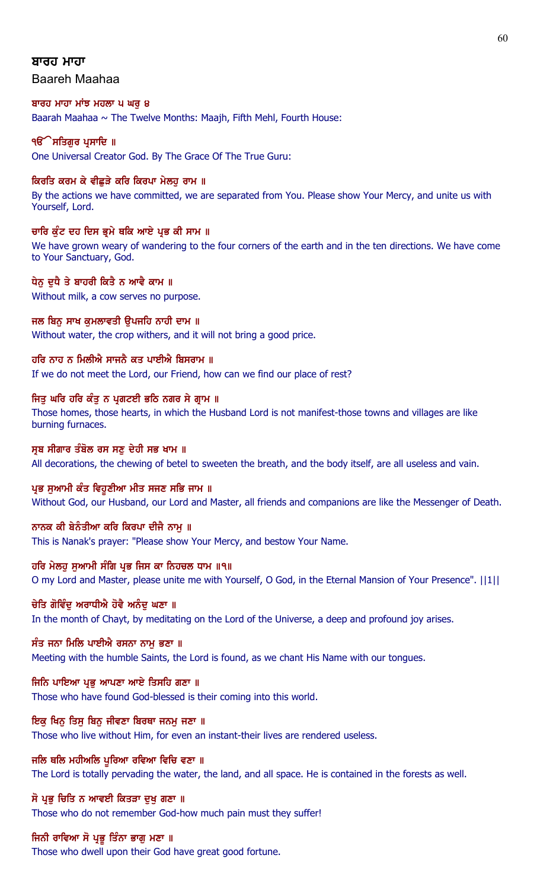## ਬਾਰਹ ਮਾਹਾ

Baareh Maahaa

# ਬਾਰਹ ਮਾਹਾ ਮਾਂਝ ਮਹਲਾ ੫ ਘਰ ੪

Baarah Maahaa  $\sim$  The Twelve Months: Maajh, Fifth Mehl, Fourth House:

# **ੴ ਸਤਿਗਰ ਪਸਾਦਿ** ॥

One Universal Creator God. By The Grace Of The True Guru:

# ਕਿਰਤਿ ਕਰਮ ਕੇ ਵੀਛੁੜੇ ਕਰਿ ਕਿਰਪਾ ਮੇਲਹੂ ਰਾਮ ॥

By the actions we have committed, we are separated from You. Please show Your Mercy, and unite us with Yourself, Lord.

# ਚਾਰਿ ਕੁੰਟ ਦਹ ਦਿਸ ਭੂਮੇ ਥਕਿ ਆਏ ਪ੍ਰਭ ਕੀ ਸਾਮ ॥

We have grown weary of wandering to the four corners of the earth and in the ten directions. We have come to Your Sanctuary, God.

# ਧੇਨ ਦਧੈ ਤੇ ਬਾਹਰੀ ਕਿਤੈ ਨ ਆਵੈ ਕਾਮ ॥

Without milk, a cow serves no purpose.

# ਜਲ ਬਿਨ ਸਾਖ ਕਮਲਾਵਤੀ ੳਪਜਹਿ ਨਾਹੀ ਦਾਮ ॥ Without water, the crop withers, and it will not bring a good price.

ਹਰਿ ਨਾਹ ਨ ਮਿਲੀਐ ਸਾਜਨੈ ਕਤ ਪਾਈਐ ਬਿਸਰਾਮ ॥

If we do not meet the Lord, our Friend, how can we find our place of rest?

# ਜਿਤੂ ਘਰਿ ਹਰਿ ਕੰਤੂ ਨ ਪ੍ਰਗਟਈ ਭਠਿ ਨਗਰ ਸੇ ਗ੍ਰਾਮ ॥

Those homes, those hearts, in which the Husband Lord is not manifest-those towns and villages are like burning furnaces.

# ਸੂਬ ਸੀਗਾਰ ਤੰਬੋਲ ਰਸ ਸਣੂ ਦੇਹੀ ਸਭ ਖਾਮ ॥

All decorations, the chewing of betel to sweeten the breath, and the body itself, are all useless and vain.

# ਪ੍ਰਭ ਸੁਆਮੀ ਕੰਤ ਵਿਹੁਣੀਆ ਮੀਤ ਸਜਣ ਸਭਿ ਜਾਮ ॥

Without God, our Husband, our Lord and Master, all friends and companions are like the Messenger of Death.

# ਨਾਨਕ ਕੀ ਬੇਨੰਤੀਆ ਕਰਿ ਕਿਰਪਾ ਦੀਜੈ ਨਾਮੁ ॥

This is Nanak's prayer: "Please show Your Mercy, and bestow Your Name.

# ਹਰਿ ਮੇਲਹੂ ਸੁਆਮੀ ਸੰਗਿ ਪ੍ਰਭ ਜਿਸ ਕਾ ਨਿਹਚਲ ਧਾਮ ॥੧॥

O my Lord and Master, please unite me with Yourself, O God, in the Eternal Mansion of Your Presence". ||1||

# ਚੇਤਿ ਗੋਵਿੰਦ ਅਰਾਧੀਐ ਹੋਵੈ ਅਨੰਦ ਘਣਾ ॥

In the month of Chayt, by meditating on the Lord of the Universe, a deep and profound joy arises.

# ਸੰਤ ਜਨਾ ਮਿਲਿ ਪਾਈਐ ਰਸਨਾ ਨਾਮ ਭਣਾ ॥

Meeting with the humble Saints, the Lord is found, as we chant His Name with our tongues.

# ਜਿਨਿ ਪਾਇਆ ਪ੍ਰਭ ਆਪਣਾ ਆਏ ਤਿਸਹਿ ਗਣਾ ॥

Those who have found God-blessed is their coming into this world.

# ਇਕੁ ਖਿਨੁ ਤਿਸੁ ਬਿਨੁ ਜੀਵਣਾ ਬਿਰਥਾ ਜਨਮੁ ਜਣਾ ॥

Those who live without Him, for even an instant-their lives are rendered useless.

# ਜਲਿ ਥਲਿ ਮਹੀਅਲਿ ਪਰਿਆ ਰਵਿਆ ਵਿਚਿ ਵਣਾ ॥

The Lord is totally pervading the water, the land, and all space. He is contained in the forests as well.

# ਸੋ ਪ੍ਰਭੂ ਚਿਤਿ ਨ ਆਵਈ ਕਿਤੜਾ ਦੁਖੂ ਗਣਾ ॥

Those who do not remember God-how much pain must they suffer!

# ਜਿਨੀ ਰਾਵਿਆ ਸੋ ਪ੍ਰਭੂ ਤਿੰਨਾ ਭਾਗੂ ਮਣਾ ॥

Those who dwell upon their God have great good fortune.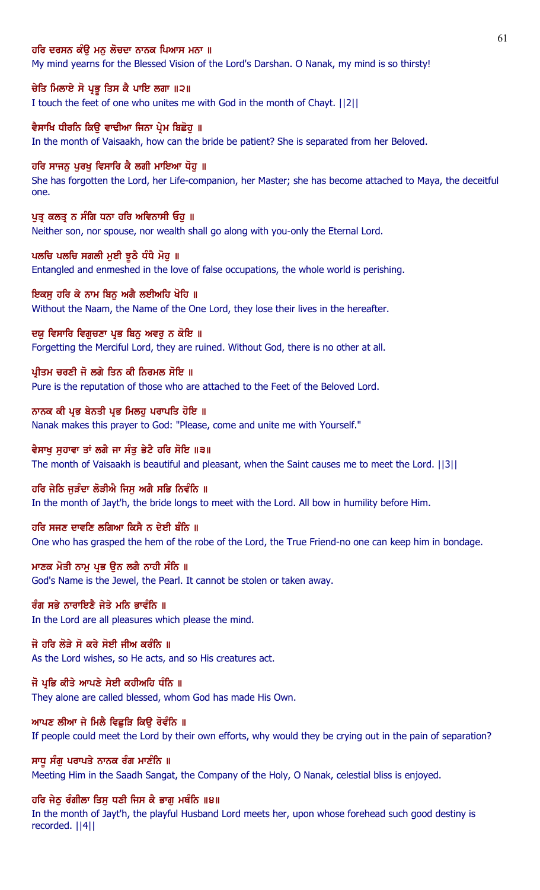## ਹਰਿ ਦਰਸਨ ਕੰੳ ਮਨ ਲੋਚਦਾ ਨਾਨਕ ਪਿਆਸ ਮਨਾ ॥

My mind yearns for the Blessed Vision of the Lord's Darshan. O Nanak, my mind is so thirsty!

## ਚੇਤਿ ਮਿਲਾਏ ਸੋ ਪ੍ਰਭੂ ਤਿਸ ਕੈ ਪਾਇ ਲਗਾ ॥੨॥

I touch the feet of one who unites me with God in the month of Chayt. ||2||

#### ਵੈਸਾਖਿ ਧੀਰਨਿ ਕਿੳ ਵਾਢੀਆ ਜਿਨਾ ਪ੍ਰੇਮ ਬਿਛੋਹ ॥

In the month of Vaisaakh, how can the bride be patient? She is separated from her Beloved.

#### ਹਰਿ ਸਾਜਨ ਪਰਖ ਵਿਸਾਰਿ ਕੈ ਲਗੀ ਮਾਇਆ ਧੋਹ ॥

She has forgotten the Lord, her Life-companion, her Master; she has become attached to Maya, the deceitful one.

#### ਪਤ ਕਲਤੂ ਨ ਸੰਗਿ ਧਨਾ ਹਰਿ ਅਵਿਨਾਸੀ ਓਹ ॥

Neither son, nor spouse, nor wealth shall go along with you-only the Eternal Lord.

#### ਪਲਚਿ ਪਲਚਿ ਸਗਲੀ ਮੁਈ ਝੁਠੈ ਧੰਧੈ ਮੋਹੁ ॥

Entangled and enmeshed in the love of false occupations, the whole world is perishing.

#### ਇਕਸੁ ਹਰਿ ਕੇ ਨਾਮ ਬਿਨੂ ਅਗੈ ਲਈਅਹਿ ਖੋਹਿ ॥

Without the Naam, the Name of the One Lord, they lose their lives in the hereafter.

#### ਦਯੂ ਵਿਸਾਰਿ ਵਿਗੁਚਣਾ ਪ੍ਰਭ ਬਿਨੂ ਅਵਰੂ ਨ ਕੋਇ ॥

Forgetting the Merciful Lord, they are ruined. Without God, there is no other at all.

### ਪ੍ਰੀਤਮ ਚਰਣੀ ਜੋ ਲਗੇ ਤਿਨ ਕੀ ਨਿਰਮਲ ਸੋਇ ॥

Pure is the reputation of those who are attached to the Feet of the Beloved Lord.

#### ਨਾਨਕ ਕੀ ਪ੍ਰਭ ਬੇਨਤੀ ਪ੍ਰਭ ਮਿਲਹੂ ਪਰਾਪਤਿ ਹੋਇ ॥

Nanak makes this prayer to God: "Please, come and unite me with Yourself."

## ਵੈਸਾਖ ਸਹਾਵਾ ਤਾਂ ਲਗੈ ਜਾ ਸੰਤ ਭੇਟੈ ਹਰਿ ਸੋਇ ॥੩॥

The month of Vaisaakh is beautiful and pleasant, when the Saint causes me to meet the Lord. ||3||

#### ਹਰਿ ਜੇਠਿ ਜੜੰਦਾ ਲੋੜੀਐ ਜਿਸ ਅਗੈ ਸਭਿ ਨਿਵੰਨਿ ॥

In the month of Jayt'h, the bride longs to meet with the Lord. All bow in humility before Him.

## ਹਰਿ ਸਜਣ ਦਾਵਣਿ ਲਗਿਆ ਕਿਸੈ ਨ ਦੇਈ ਬੰਨਿ ॥

One who has grasped the hem of the robe of the Lord, the True Friend-no one can keep him in bondage.

#### ਮਾਣਕ ਮੋਤੀ ਨਾਮ ਪ੍ਰਭ ੳਨ ਲਗੈ ਨਾਹੀ ਸੰਨਿ ॥

God's Name is the Jewel, the Pearl. It cannot be stolen or taken away.

# ਰੰਗ ਸਭੇ ਨਾਰਾਇਣੈ ਜੇਤੇ ਮਨਿ ਭਾਵੰਨਿ ॥

In the Lord are all pleasures which please the mind.

# ਜੋ ਹਰਿ ਲੋੜੇ ਸੋ ਕਰੇ ਸੋਈ ਜੀਅ ਕਰੰਨਿ ॥

As the Lord wishes, so He acts, and so His creatures act.

## ਜੋ ਪ੍ਰਭਿ ਕੀਤੇ ਆਪਣੇ ਸੇਈ ਕਹੀਅਹਿ ਧੰਨਿ ॥

They alone are called blessed, whom God has made His Own.

#### ਆਪਣ ਲੀਆ ਜੇ ਮਿਲੈ ਵਿਛੁੜਿ ਕਿਉ ਰੋਵੰਨਿ ॥

If people could meet the Lord by their own efforts, why would they be crying out in the pain of separation?

#### ਸਾਧੂ ਸੰਗੂ ਪਰਾਪਤੇ ਨਾਨਕ ਰੰਗ ਮਾਣੰਨਿ ॥

Meeting Him in the Saadh Sangat, the Company of the Holy, O Nanak, celestial bliss is enjoyed.

# ਹਰਿ ਜੇਠੂ ਰੰਗੀਲਾ ਤਿਸੂ ਧਣੀ ਜਿਸ ਕੈ ਭਾਗੂ ਮਥੰਨਿ ॥੪॥

In the month of Jayt'h, the playful Husband Lord meets her, upon whose forehead such good destiny is recorded. ||4||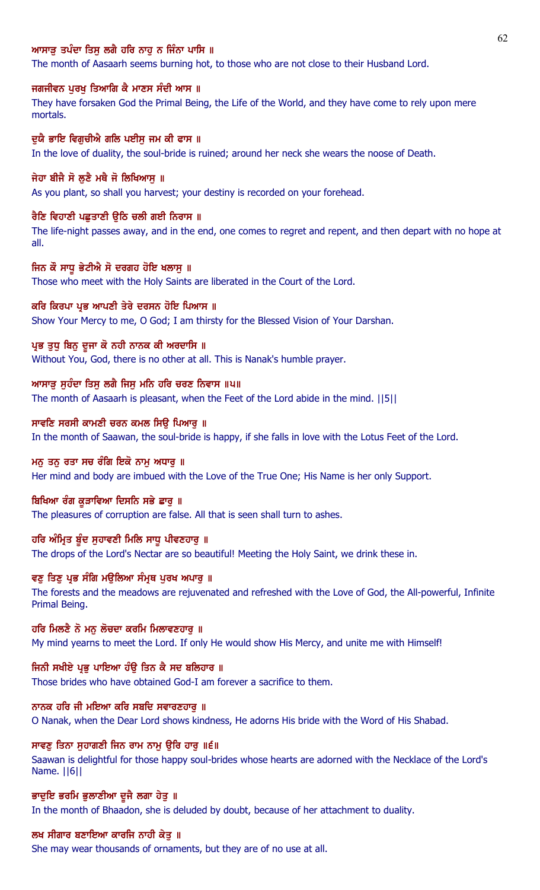# ਆਸਾੜ ਤਪੰਦਾ ਤਿਸ ਲਗੈ ਹਰਿ ਨਾਹ ਨ ਜਿੰਨਾ ਪਾਸਿ ॥

The month of Aasaarh seems burning hot, to those who are not close to their Husband Lord.

### ਜਗਜੀਵਨ ਪੂਰਖੂ ਤਿਆਗਿ ਕੈ ਮਾਣਸ ਸੰਦੀ ਆਸ ॥

They have forsaken God the Primal Being, the Life of the World, and they have come to rely upon mere mortals.

## ਦਯੈ ਭਾਇ ਵਿਗਚੀਐ ਗਲਿ ਪਈਸ ਜਮ ਕੀ ਫਾਸ ॥

In the love of duality, the soul-bride is ruined; around her neck she wears the noose of Death.

## ਜੇਹਾ ਬੀਜੈ ਸੋ ਲੁਣੈ ਮਥੈ ਜੋ ਲਿਖਿਆਸੁ ॥

As you plant, so shall you harvest; your destiny is recorded on your forehead.

## ਰੈਣਿ ਵਿਹਾਣੀ ਪਛਤਾਣੀ ੳਠਿ ਚਲੀ ਗਈ ਨਿਰਾਸ ॥

The life-night passes away, and in the end, one comes to regret and repent, and then depart with no hope at all.

#### ਜਿਨ ਕੌ ਸਾਧੂ ਭੇਟੀਐ ਸੋ ਦਰਗਹ ਹੋਇ ਖਲਾਸੂ ॥

Those who meet with the Holy Saints are liberated in the Court of the Lord.

## ਕਰਿ ਕਿਰਪਾ ਪ੍ਰਭ ਆਪਣੀ ਤੇਰੇ ਦਰਸਨ ਹੋਇ ਪਿਆਸ ॥

Show Your Mercy to me, O God; I am thirsty for the Blessed Vision of Your Darshan.

#### ਪ੍ਰਭ ਤੁਧੂ ਬਿਨੂ ਦੂਜਾ ਕੋ ਨਹੀ ਨਾਨਕ ਕੀ ਅਰਦਾਸਿ ॥

Without You, God, there is no other at all. This is Nanak's humble prayer.

## ਆਸਾੜੂ ਸੁਹੰਦਾ ਤਿਸੁ ਲਗੈ ਜਿਸੁ ਮਨਿ ਹਰਿ ਚਰਣ ਨਿਵਾਸ ॥੫॥

The month of Aasaarh is pleasant, when the Feet of the Lord abide in the mind. ||5||

# ਸਾਵਣਿ ਸਰਸੀ ਕਾਮਣੀ ਚਰਨ ਕਮਲ ਸਿਉ ਪਿਆਰੁ ॥

In the month of Saawan, the soul-bride is happy, if she falls in love with the Lotus Feet of the Lord.

#### ਮਨ ਤਨ ਰਤਾ ਸਚ ਰੰਗਿ ਇਕੋ ਨਾਮ ਅਧਾਰ ॥

Her mind and body are imbued with the Love of the True One; His Name is her only Support.

#### ਬਿਖਿਆ ਰੰਗ ਕੁੜਾਵਿਆ ਦਿਸਨਿ ਸਭੇ ਛਾਰੂ ॥

The pleasures of corruption are false. All that is seen shall turn to ashes.

## ਹਰਿ ਅੰਮ੍ਰਿਤ ਬੁੰਦ ਸੁਹਾਵਣੀ ਮਿਲਿ ਸਾਧੂ ਪੀਵਣਹਾਰੂ ॥

The drops of the Lord's Nectar are so beautiful! Meeting the Holy Saint, we drink these in.

# ਵਣ ਤਿਣ ਪ੍ਰਭ ਸੰਗਿ ਮੳਲਿਆ ਸੰਮੁਥ ਪਰਖ ਅਪਾਰ ॥

The forests and the meadows are rejuvenated and refreshed with the Love of God, the All-powerful, Infinite Primal Being.

# ਹਰਿ ਮਿਲਣੈ ਨੋ ਮਨ ਲੋਚਦਾ ਕਰਮਿ ਮਿਲਾਵਣਹਾਰ ॥

My mind yearns to meet the Lord. If only He would show His Mercy, and unite me with Himself!

# ਜਿਨੀ ਸਖੀਏ ਪਭ ਪਾਇਆ ਹੰਉ ਤਿਨ ਕੈ ਸਦ ਬਲਿਹਾਰ ॥

Those brides who have obtained God-I am forever a sacrifice to them.

## ਨਾਨਕ ਹਰਿ ਜੀ ਮਇਆ ਕਰਿ ਸਬਦਿ ਸਵਾਰਣਹਾਰੁ ॥

O Nanak, when the Dear Lord shows kindness, He adorns His bride with the Word of His Shabad.

# ਸਾਵਣੂ ਤਿਨਾ ਸੁਹਾਗਣੀ ਜਿਨ ਰਾਮ ਨਾਮੂ ਉਰਿ ਹਾਰੂ ॥੬॥

Saawan is delightful for those happy soul-brides whose hearts are adorned with the Necklace of the Lord's Name. ||6||

#### ਭਾਦੁਇ ਭਰਮਿ ਭੁਲਾਣੀਆ ਦੂਜੈ ਲਗਾ ਹੇਤੁ ॥

In the month of Bhaadon, she is deluded by doubt, because of her attachment to duality.

# ਲਖ ਸੀਗਾਰ ਬਣਾਇਆ ਕਾਰਜਿ ਨਾਹੀ ਕੇਤ ॥

She may wear thousands of ornaments, but they are of no use at all.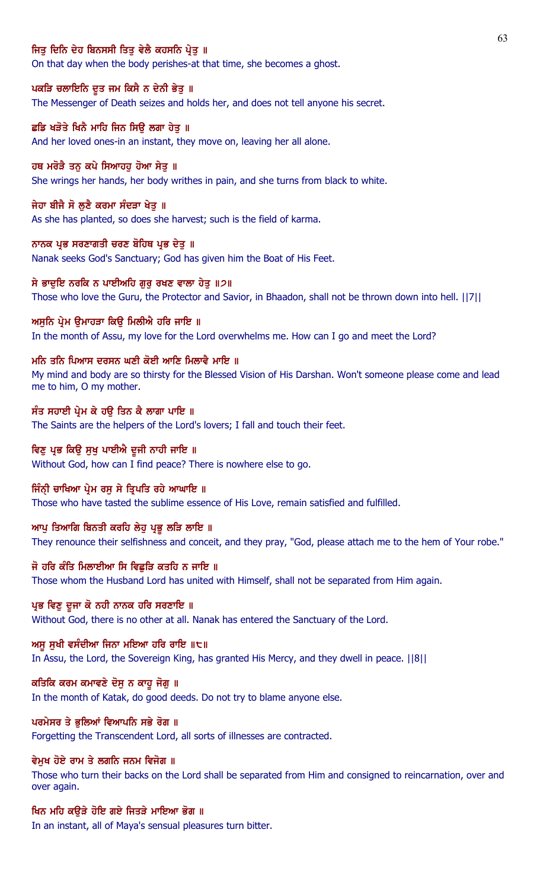## ਜਿਤ ਦਿਨਿ ਦੇਹ ਬਿਨਸਸੀ ਤਿਤ ਵੇਲੈ ਕਹਸਨਿ ਪ੍ਰੇਤ ॥

On that day when the body perishes-at that time, she becomes a ghost.

#### ਪਕੜਿ ਚਲਾਇਨਿ ਦੂਤ ਜਮ ਕਿਸੈ ਨ ਦੇਨੀ ਭੇਤੂ ॥

The Messenger of Death seizes and holds her, and does not tell anyone his secret.

## ਛਡਿ ਖੜੋਤੇ ਖਿਨੈ ਮਾਹਿ ਜਿਨ ਸਿੳ ਲਗਾ ਹੇਤ ॥

And her loved ones-in an instant, they move on, leaving her all alone.

#### ਹਥ ਮਰੋੜੈ ਤਨ ਕਪੇ ਸਿਆਹਹ ਹੋਆ ਸੇਤ ॥

She wrings her hands, her body writhes in pain, and she turns from black to white.

#### ਜੇਹਾ ਬੀਜੈ ਸੋ ਲੁਣੈ ਕਰਮਾ ਸੰਦੜਾ ਖੇਤੁ ॥

As she has planted, so does she harvest; such is the field of karma.

#### ਨਾਨਕ ਪ੍ਰਭ ਸਰਣਾਗਤੀ ਚਰਣ ਬੋਹਿਥ ਪ੍ਰਭ ਦੇਤੁ ॥

Nanak seeks God's Sanctuary; God has given him the Boat of His Feet.

#### ਸੇ ਭਾਦੁਇ ਨਰਕਿ ਨ ਪਾਈਅਹਿ ਗੁਰੂ ਰਖਣ ਵਾਲਾ ਹੇਤੁ ॥੭॥

Those who love the Guru, the Protector and Savior, in Bhaadon, shall not be thrown down into hell. ||7||

#### ਅਸੁਨਿ ਪ੍ਰੇਮ ਉਮਾਹੜਾ ਕਿਉ ਮਿਲੀਐ ਹਰਿ ਜਾਇ ॥

In the month of Assu, my love for the Lord overwhelms me. How can I go and meet the Lord?

#### <u>ਮਨਿ ਤਨਿ ਪਿਆਸ ਦਰਸਨ ਘਣੀ ਕੋਈ ਆਣਿ ਮਿਲਾਵੈ ਮਾਇ ॥</u>

My mind and body are so thirsty for the Blessed Vision of His Darshan. Won't someone please come and lead me to him, O my mother.

# ਸੰਤ ਸਹਾਈ ਪ੍ਰੇਮ ਕੇ ਹਉ ਤਿਨ ਕੈ ਲਾਗਾ ਪਾਇ ॥

The Saints are the helpers of the Lord's lovers; I fall and touch their feet.

#### ਵਿਣੂ ਪ੍ਰਭ ਕਿਉ ਸੁਖੂ ਪਾਈਐ ਦੂਜੀ ਨਾਹੀ ਜਾਇ ॥

Without God, how can I find peace? There is nowhere else to go.

#### ਜਿੰਨੀ ਚਾਖਿਆ ਪ੍ਰੇਮ ਰਸ ਸੇ ਤਿਪਤਿ ਰਹੇ ਆਘਾਇ ॥

Those who have tasted the sublime essence of His Love, remain satisfied and fulfilled.

#### ਆਪੂ ਤਿਆਗਿ ਬਿਨਤੀ ਕਰਹਿ ਲੇਹੂ ਪ੍ਰਭੂ ਲੜਿ ਲਾਇ ॥

They renounce their selfishness and conceit, and they pray, "God, please attach me to the hem of Your robe."

#### ਜੋ ਹਰਿ ਕੰਤਿ ਮਿਲਾਈਆ ਸਿ ਵਿਛੜਿ ਕਤਹਿ ਨ ਜਾਇ ॥

Those whom the Husband Lord has united with Himself, shall not be separated from Him again.

## ਪ੍ਰਭ ਵਿਣੂ ਦੂਜਾ ਕੋ ਨਹੀ ਨਾਨਕ ਹਰਿ ਸਰਣਾਇ ॥

Without God, there is no other at all. Nanak has entered the Sanctuary of the Lord.

#### ਅਸੁ ਸੁਖੀ ਵਸੰਦੀਆ ਜਿਨਾ ਮਇਆ ਹਰਿ ਰਾਇ ॥੮॥

In Assu, the Lord, the Sovereign King, has granted His Mercy, and they dwell in peace. ||8||

## ਕਤਿਕਿ ਕਰਮ ਕਮਾਵਣੇ ਦੋਸੂ ਨ ਕਾਹੂ ਜੋਗੂ ॥

In the month of Katak, do good deeds. Do not try to blame anyone else.

# ਪਰਮੇਸਰ ਤੇ ਭਲਿਆਂ ਵਿਆਪਨਿ ਸਭੇ ਰੋਗ ॥

Forgetting the Transcendent Lord, all sorts of illnesses are contracted.

## ਵੇਮਖ ਹੋਏ ਰਾਮ ਤੇ ਲਗਨਿ ਜਨਮ ਵਿਜੋਗ ॥

Those who turn their backs on the Lord shall be separated from Him and consigned to reincarnation, over and over again.

## ਖਿਨ ਮਹਿ ਕਉੜੇ ਹੋਇ ਗਏ ਜਿਤੜੇ ਮਾਇਆ ਭੋਗ ॥

In an instant, all of Maya's sensual pleasures turn bitter.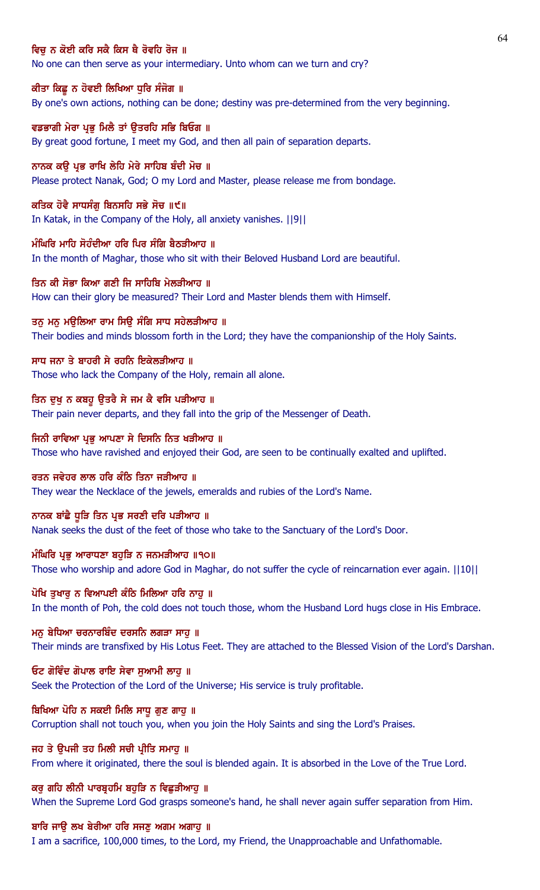## ਵਿਚ ਨ ਕੋਈ ਕਰਿ ਸਕੈ ਕਿਸ ਥੈ ਰੋਵਹਿ ਰੋਜ ॥

No one can then serve as your intermediary. Unto whom can we turn and cry?

## ਕੀਤਾ ਕਿਛੂ ਨ ਹੋਵਈ ਲਿਖਿਆ ਧੁਰਿ ਸੰਜੋਗ ॥

By one's own actions, nothing can be done; destiny was pre-determined from the very beginning.

ਵਡਭਾਗੀ ਮੇਰਾ ਪ੍ਰਭ ਮਿਲੈ ਤਾਂ ੳਤਰਹਿ ਸਭਿ ਬਿਓਗ ॥ By great good fortune, I meet my God, and then all pain of separation departs.

ਨਾਨਕ ਕੳ ਪ੍ਰਭ ਰਾਖਿ ਲੇਹਿ ਮੇਰੇ ਸਾਹਿਬ ਬੰਦੀ ਮੋਚ ॥

Please protect Nanak, God; O my Lord and Master, please release me from bondage.

#### ਕਤਿਕ ਹੋਵੈ ਸਾਧਸੰਗ ਬਿਨਸਹਿ ਸਭੇ ਸੋਚ ॥੯॥

In Katak, in the Company of the Holy, all anxiety vanishes. ||9||

# ਮੰਘਿਰਿ ਮਾਹਿ ਸੋਹੰਦੀਆ ਹਰਿ ਪਿਰ ਸੰਗਿ ਬੈਠੜੀਆਹ ॥

In the month of Maghar, those who sit with their Beloved Husband Lord are beautiful.

# ਤਿਨ ਕੀ ਸੋਭਾ ਕਿਆ ਗਣੀ ਜਿ ਸਾਹਿਬਿ ਮੇਲਤੀਆਹ ॥

How can their glory be measured? Their Lord and Master blends them with Himself.

## ਤਨ ਮਨ ਮਉਲਿਆ ਰਾਮ ਸਿਉ ਸੰਗਿ ਸਾਧ ਸਹੇਲੜੀਆਹ ॥

Their bodies and minds blossom forth in the Lord; they have the companionship of the Holy Saints.

#### ਸਾਧ ਜਨਾ ਤੇ ਬਾਹਰੀ ਸੇ ਰਹਨਿ ਇਕੇਲਤੀਆਹ ॥

Those who lack the Company of the Holy, remain all alone.

#### ਤਿਨ ਦੁਖੁ ਨ ਕਬਹੁ ਉਤਰੈ ਸੇ ਜਮ ਕੈ ਵਸਿ ਪੜੀਆਹ ॥

Their pain never departs, and they fall into the grip of the Messenger of Death.

#### ਜਿਨੀ ਰਾਵਿਆ ਪ੍ਰਭੂ ਆਪਣਾ ਸੇ ਦਿਸਨਿ ਨਿਤ ਖੜੀਆਹ ॥

Those who have ravished and enjoyed their God, are seen to be continually exalted and uplifted.

## ਰਤਨ ਜਵੇਹਰ ਲਾਲ ਹਰਿ ਕੰਠਿ ਤਿਨਾ ਜੜੀਆਹ ॥

They wear the Necklace of the jewels, emeralds and rubies of the Lord's Name.

#### ਨਾਨਕ ਬਾਂਛੈ ਧੁੜਿ ਤਿਨ ਪ੍ਰਭ ਸਰਣੀ ਦਰਿ ਪੜੀਆਹ ॥

Nanak seeks the dust of the feet of those who take to the Sanctuary of the Lord's Door.

## ਮੰਘਿਰਿ ਪ੍ਰਭੂ ਆਰਾਧਣਾ ਬਹੁੜਿ ਨ ਜਨਮੜੀਆਹ ॥੧੦॥

Those who worship and adore God in Maghar, do not suffer the cycle of reincarnation ever again. ||10||

# ਪੋਖਿ ਤਖਾਰ ਨ ਵਿਆਪਈ ਕੰਠਿ ਮਿਲਿਆ ਹਰਿ ਨਾਹ ॥

In the month of Poh, the cold does not touch those, whom the Husband Lord hugs close in His Embrace.

## ਮਨੁ ਬੇਧਿਆ ਚਰਨਾਰਬਿੰਦ ਦਰਸਨਿ ਲਗੜਾ ਸਾਹੁ ॥

Their minds are transfixed by His Lotus Feet. They are attached to the Blessed Vision of the Lord's Darshan.

#### ਓਟ ਗੋਵਿੰਦ ਗੋਪਾਲ ਰਾਇ ਸੇਵਾ ਸੁਆਮੀ ਲਾਹੂ ॥

Seek the Protection of the Lord of the Universe; His service is truly profitable.

#### ਬਿਖਿਆ ਪੋਹਿ ਨ ਸਕਈ ਮਿਲਿ ਸਾਧ ਗਣ ਗਾਹ ॥

Corruption shall not touch you, when you join the Holy Saints and sing the Lord's Praises.

## ਜਹ ਤੇ ਉਪਜੀ ਤਹ ਮਿਲੀ ਸਚੀ ਪ੍ਰੀਤਿ ਸਮਾਹੁ ॥

From where it originated, there the soul is blended again. It is absorbed in the Love of the True Lord.

# ਕਰੂ ਗਹਿ ਲੀਨੀ ਪਾਰਬ੍ਰਹਮਿ ਬਹੁੜਿ ਨ ਵਿਛੜੀਆਹੂ ॥

When the Supreme Lord God grasps someone's hand, he shall never again suffer separation from Him.

## ਬਾਰਿ ਜਾਉ ਲਖ ਬੇਰੀਆ ਹਰਿ ਸਜਣੂ ਅਗਮ ਅਗਾਹੁ ॥

I am a sacrifice, 100,000 times, to the Lord, my Friend, the Unapproachable and Unfathomable.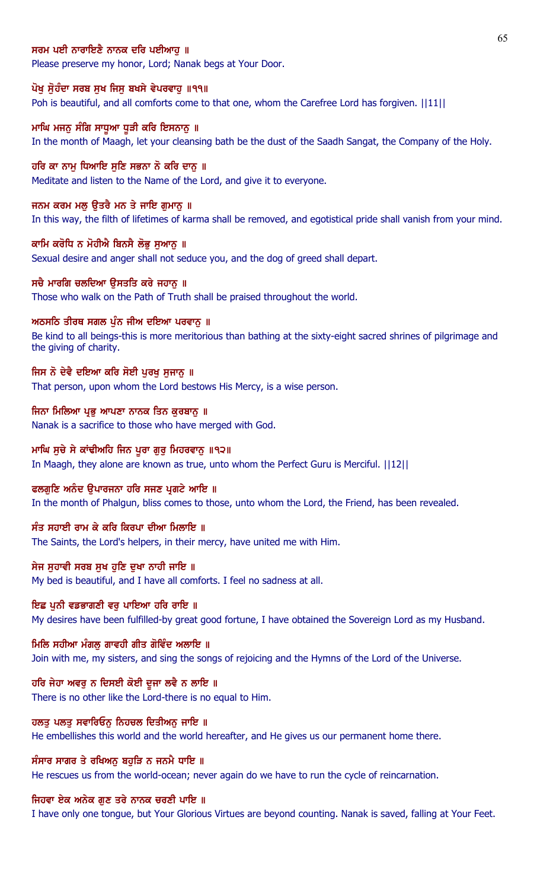## ਸਰਮ ਪਈ ਨਾਰਾਇਣੈ ਨਾਨਕ ਦਰਿ ਪਈਆਹ ॥

Please preserve my honor, Lord; Nanak begs at Your Door.

#### ਪੋਖੁ ਸੁੋਹੰਦਾ ਸਰਬ ਸੁਖ ਜਿਸੁ ਬਖਸੇ ਵੇਪਰਵਾਹੁ ॥੧੧॥

Poh is beautiful, and all comforts come to that one, whom the Carefree Lord has forgiven.  $||11||$ 

## ਮਾਘਿ ਮਜਨ ਸੰਗਿ ਸਾਧੂਆ ਧੁੜੀ ਕਰਿ ਇਸਨਾਨ ॥

In the month of Maagh, let your cleansing bath be the dust of the Saadh Sangat, the Company of the Holy.

#### ਹਰਿ ਕਾ ਨਾਮ ਧਿਆਇ ਸਣਿ ਸਭਨਾ ਨੋ ਕਰਿ ਦਾਨ ॥

Meditate and listen to the Name of the Lord, and give it to everyone.

#### ਜਨਮ ਕਰਮ ਮਲੂ ਉਤਰੈ ਮਨ ਤੇ ਜਾਇ ਗੁਮਾਨੂ ॥

In this way, the filth of lifetimes of karma shall be removed, and egotistical pride shall vanish from your mind.

#### ਕਾਮਿ ਕਰੋਧਿ ਨ ਮੋਹੀਐ ਬਿਨਸੈ ਲੋਭੂ ਸੁਆਨੂ ॥

Sexual desire and anger shall not seduce you, and the dog of greed shall depart.

#### ਸਚੈ ਮਾਰਗਿ ਚਲਦਿਆ ੳਸਤਤਿ ਕਰੇ ਜਹਾਨ ॥

Those who walk on the Path of Truth shall be praised throughout the world.

#### ਅਠਸਠਿ ਤੀਰਥ ਸਗਲ ਪੁੰਨ ਜੀਅ ਦਇਆ ਪਰਵਾਨੂ ॥

Be kind to all beings-this is more meritorious than bathing at the sixty-eight sacred shrines of pilgrimage and the giving of charity.

### ਜਿਸ ਨੋ ਦੇਵੈ ਦਇਆ ਕਰਿ ਸੋਈ ਪੂਰਖੂ ਸੁਜਾਨੂ ॥

That person, upon whom the Lord bestows His Mercy, is a wise person.

#### ਜਿਨਾ ਮਿਲਿਆ ਪ੍ਰਭੂ ਆਪਣਾ ਨਾਨਕ ਤਿਨ ਕੁਰਬਾਨੂ ॥

Nanak is a sacrifice to those who have merged with God.

#### ਮਾਘਿ ਸੂਚੇ ਸੇ ਕਾਂਢੀਅਹਿ ਜਿਨ ਪੂਰਾ ਗੁਰੂ ਮਿਹਰਵਾਨੂ ॥੧੨॥

In Maagh, they alone are known as true, unto whom the Perfect Guru is Merciful. ||12||

#### ਫਲਗਣਿ ਅਨੰਦ ੳਪਾਰਜਨਾ ਹਰਿ ਸਜਣ ਪੁਗਟੇ ਆਇ ॥

In the month of Phalgun, bliss comes to those, unto whom the Lord, the Friend, has been revealed.

### ਸੰਤ ਸਹਾਈ ਰਾਮ ਕੇ ਕਰਿ ਕਿਰਪਾ ਦੀਆ ਮਿਲਾਇ ॥

The Saints, the Lord's helpers, in their mercy, have united me with Him.

#### ਸੇਜ ਸਹਾਵੀ ਸਰਬ ਸਖ ਹਣਿ ਦਖਾ ਨਾਹੀ ਜਾਇ ॥

My bed is beautiful, and I have all comforts. I feel no sadness at all.

## ਇਛ ਪਨੀ ਵਡਭਾਗਣੀ ਵਰ ਪਾਇਆ ਹਰਿ ਰਾਇ ॥

My desires have been fulfilled-by great good fortune, I have obtained the Sovereign Lord as my Husband.

#### ਮਿਲਿ ਸਹੀਆ ਮੰਗਲੂ ਗਾਵਹੀ ਗੀਤ ਗੋਵਿੰਦ ਅਲਾਇ ॥

Join with me, my sisters, and sing the songs of rejoicing and the Hymns of the Lord of the Universe.

## ਹਰਿ ਜੇਹਾ ਅਵਰੂ ਨ ਦਿਸਈ ਕੋਈ ਦੂਜਾ ਲਵੈ ਨ ਲਾਇ ॥

There is no other like the Lord-there is no equal to Him.

### ਹਲਤੂ ਪਲਤੂ ਸਵਾਰਿਓਨੂ ਨਿਹਚਲ ਦਿਤੀਅਨੂ ਜਾਇ ॥

He embellishes this world and the world hereafter, and He gives us our permanent home there.

#### ਸੰਸਾਰ ਸਾਗਰ ਤੇ ਰਖਿਅਨੂ ਬਹੁੜਿ ਨ ਜਨਮੈ ਧਾਇ ॥

He rescues us from the world-ocean; never again do we have to run the cycle of reincarnation.

#### ਜਿਹਵਾ ਏਕ ਅਨੇਕ ਗੁਣ ਤਰੇ ਨਾਨਕ ਚਰਣੀ ਪਾਇ ॥

I have only one tongue, but Your Glorious Virtues are beyond counting. Nanak is saved, falling at Your Feet.